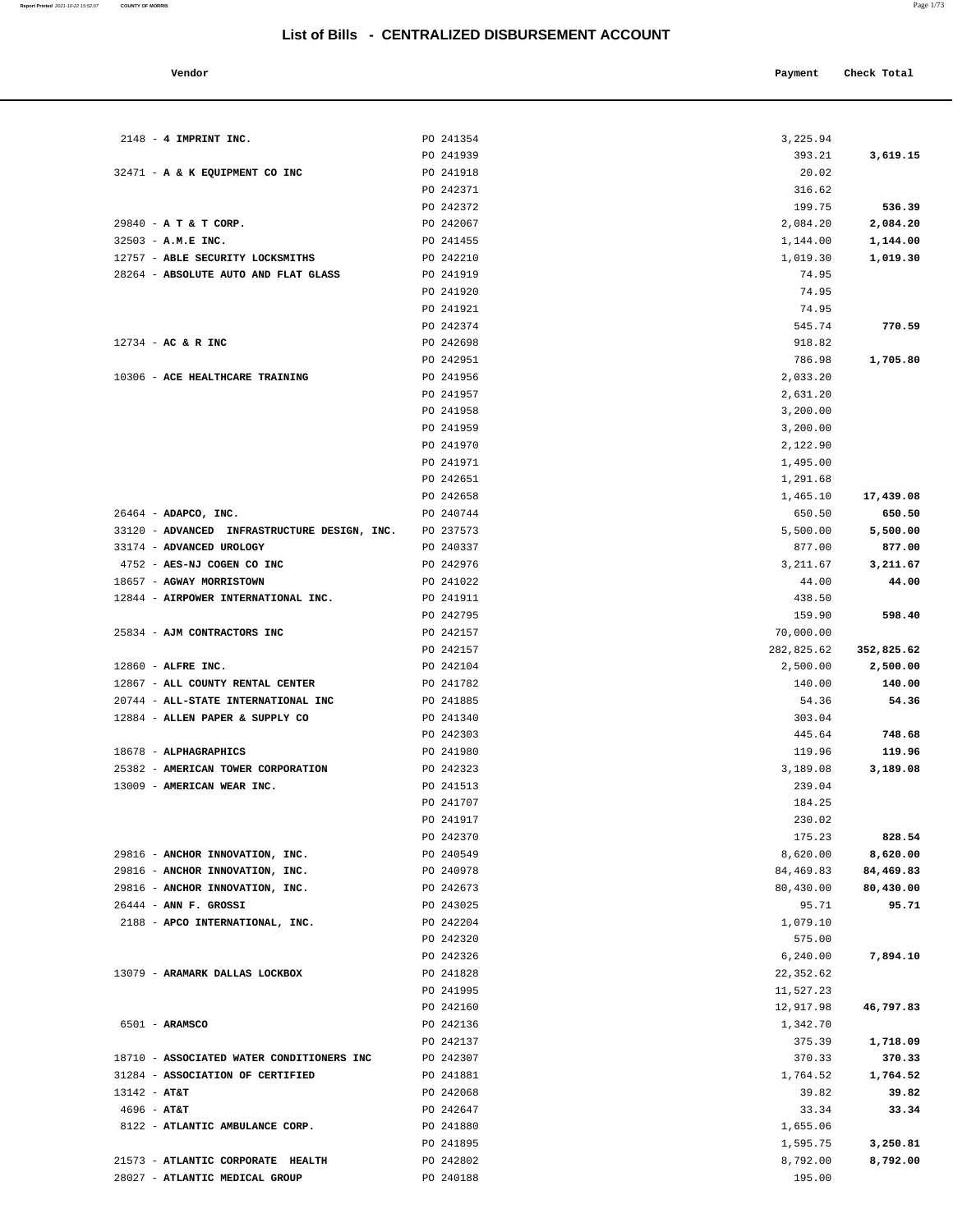**Vendor Payment** Check Total **Payment** Check Total **Payment** 2148 - **4 IMPRINT INC.** PO 241354 3,225.94 PO 241939 393.21 3,619.15 32471 - **A & K EQUIPMENT CO INC** PO 241918 20.02 PO 242371 316.62 PO 242372 199.75 **536.39** 29840 - **A T & T CORP.** PO 242067 2,084.20 **2,084.20** 32503 - **A.M.E INC.** PO 241455 1,144.00 **1,144.00** 12757 - **ABLE SECURITY LOCKSMITHS** PO 242210 1,019.30 **1,019.30** 28264 - **ABSOLUTE AUTO AND FLAT GLASS PO 241919 PO 241919 PO 241919 PO 241919 PO 241919 PO 241919 PO 241919 PO 241919 PO 241919 PO 241919 PO 241919 PO 241919 PO 241919 PO 241919 PO 241919 PO** PO 241920 74.95 PO 241921 74.95 PO 242374 545.74 **770.59** 12734 - **AC & R INC** PO 242698 918.82 PO 242951 786.98 **1,705.80** 10306 - **ACE HEALTHCARE TRAINING** PO 241956 2,033.20 PO 241957 2,631.20 PO 241958 3,200.00 PO 241959 3,200.00 PO 241970 2,122.90 PO 241971 1,495.00 PO 242651 291.68 PO 242658 1,465.10 **17,439.08** 26464 - **ADAPCO, INC.** PO 240744 650.50 **650.50** 33120 - **ADVANCED INFRASTRUCTURE DESIGN, INC.** PO 237573 5,500,00 5,500.00 5,500.00 33174 - **ADVANCED UROLOGY** PO 240337 877.00 **877.00** 4752 - **AES-NJ COGEN CO INC** PO 242976 3,211.67 **3,211.67** 18657 - **AGWAY MORRISTOWN** PO 241022 44.00 **44.00** 12844 - **AIRPOWER INTERNATIONAL INC.** PO 241911 438.50 PO 242795 159.90 **598.40** 25834 - **AJM CONTRACTORS INC** PO 242157 70,000.00 PO 242157 282,825.62 **352,825.62** 12860 - **ALFRE INC.** PO 242104 2,500.00 **2,500.00** 12867 - **ALL COUNTY RENTAL CENTER** PO 241782 140.00 **140.00** 20744 - **ALL-STATE INTERNATIONAL INC** PO 241885 54.36 **54.36** 12884 - **ALLEN PAPER & SUPPLY CO** PO 241340 303.04 PO 242303 445.64 **748.68** 18678 - **ALPHAGRAPHICS** PO 241980 119.96 **119.96** 25382 - **AMERICAN TOWER CORPORATION** PO 242323 3,189.08 **3,189.08** 13009 - **AMERICAN WEAR INC.** PO 241513 239.04 PO 241707 184.25 PO 241917 230.02 PO 242370 175.23 **828.54** 29816 - **ANCHOR INNOVATION, INC.** PO 240549 8,620.00 **8,620.00** 29816 - **ANCHOR INNOVATION, INC.** PO 240978 84,469.83 **84,469.83** 29816 - **ANCHOR INNOVATION, INC.** PO 242673 80,430.00 **80,430.00** 26444 - **ANN F. GROSSI** PO 243025 95.71 **95.71** 2188 - **APCO INTERNATIONAL, INC.** PO 242204 1,079.10 PO 242320 575.00 PO 242326 6,240.00 **7,894.10** 13079 - **ARAMARK DALLAS LOCKBOX** PO 241828 22,352.62 PO 241995 11,527.23 PO 242160 12,917.98 **46,797.83** 6501 - **ARAMSCO** PO 242136 1,342.70 PO 242137 375.39 **1,718.09** 18710 - **ASSOCIATED WATER CONDITIONERS INC** PO 242307 370.33 **370.33** 31284 - **ASSOCIATION OF CERTIFIED** PO 241881 1,764.52 **1,764.52** 13142 - **AT&T** PO 242068 39.82 **39.82** 4696 - **AT&T** PO 242647 33.34 **33.34** 8122 **- ATLANTIC AMBULANCE CORP.** PO 241880 **PO 241880** 1,655.06 PO 241895 1,595.75 **3,250.81** 21573 - **ATLANTIC CORPORATE HEALTH** PO 242802 8,792.00 **8,792.00** 28027 - **ATLANTIC MEDICAL GROUP** PO 240188 195.00

**Report Printed** 2021-10-22 15:52:07 **COUNTY OF MORRIS** Page 1/73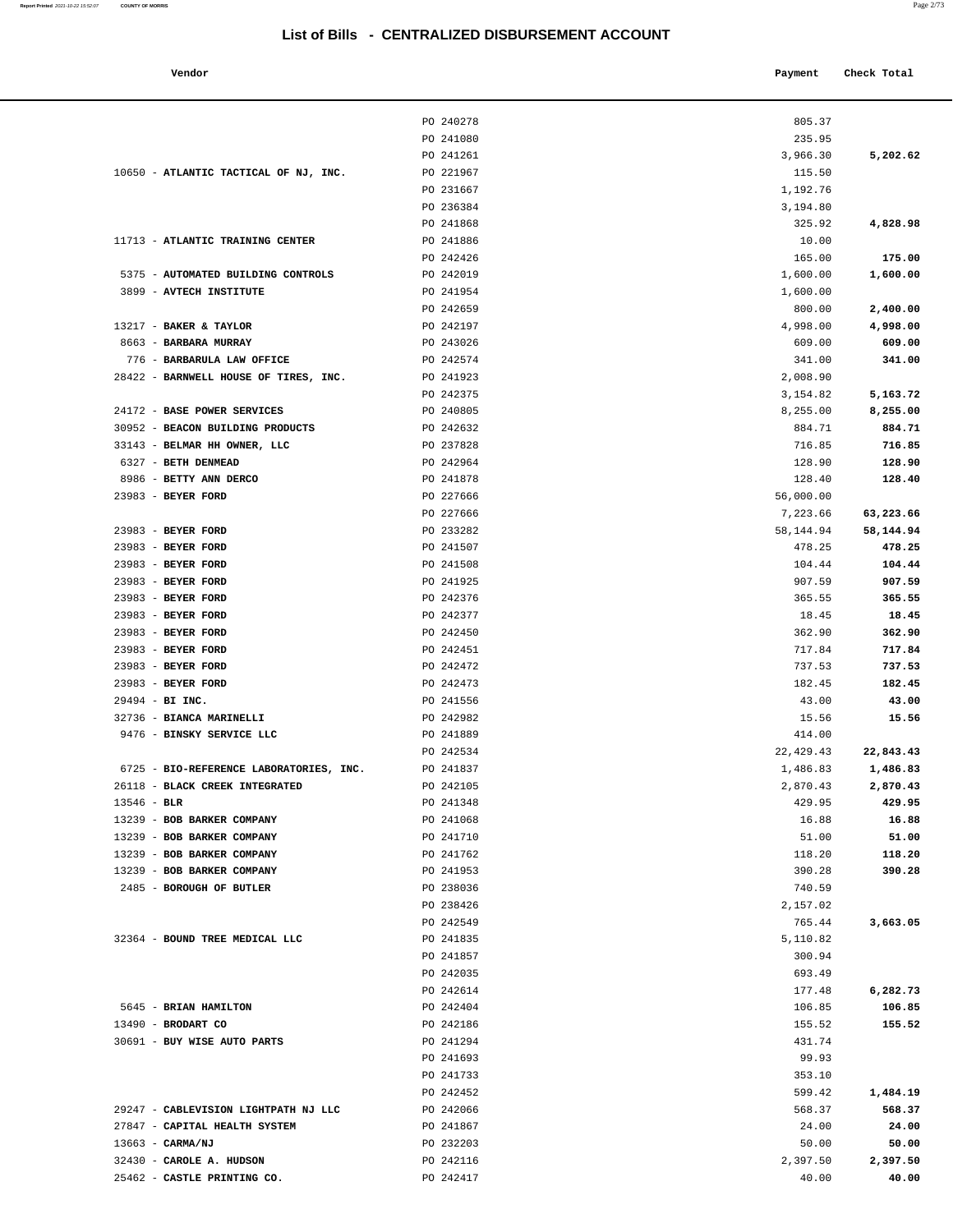10650 - **ATLANTIC TACTICAL OF NJ, INC.** PO 221967

11713 - **ATLANTIC TRAINING CENTER** PO 241886

**Report Printed** 2021-10-22 15:52:07 **COUNTY OF MORRIS** Page 2/73

|                                    | List of Bills - CENTRALIZED DISBURSEMENT ACCOUNT |            |             |
|------------------------------------|--------------------------------------------------|------------|-------------|
| Vendor                             |                                                  | Payment    | Check Total |
|                                    | PO 240278                                        | 805.37     |             |
|                                    | PO 241080                                        | 235.95     |             |
|                                    | PO 241261                                        | 3,966.30   | 5,202.62    |
| ATLANTIC TACTICAL OF NJ, INC.      | PO 221967                                        | 115.50     |             |
|                                    | PO 231667                                        | 1,192.76   |             |
|                                    | PO 236384                                        | 3,194.80   |             |
|                                    | PO 241868                                        | 325.92     | 4,828.98    |
| <b>ATLANTIC TRAINING CENTER</b>    | PO 241886                                        | 10.00      |             |
|                                    | PO 242426                                        | 165.00     | 175.00      |
| <b>AUTOMATED BUILDING CONTROLS</b> | PO 242019                                        | 1,600.00   | 1,600.00    |
| <b>AVTECH INSTITUTE</b>            | PO 241954                                        | 1,600.00   |             |
|                                    | PO 242659                                        | 800.00     | 2,400.00    |
| <b>BAKER &amp; TAYLOR</b>          | PO 242197                                        | 4,998.00   | 4,998.00    |
| <b>BARBARA MURRAY</b>              | PO 243026                                        | 609.00     | 609.00      |
| BARBARULA LAW OFFICE               | PO 242574                                        | 341.00     | 341.00      |
| BARNWELL HOUSE OF TIRES, INC.      | PO 241923                                        | 2,008.90   |             |
|                                    | PO 242375                                        | 3,154.82   | 5,163.72    |
| <b>BASE POWER SERVICES</b>         | PO 240805                                        | 8,255.00   | 8,255.00    |
| BEACON BUILDING PRODUCTS           | PO 242632                                        | 884.71     | 884.71      |
| BELMAR HH OWNER, LLC               | PO 237828                                        | 716.85     | 716.85      |
| <b>BETH DENMEAD</b>                | PO 242964                                        | 128.90     | 128.90      |
| BETTY ANN DERCO                    | PO 241878                                        | 128.40     | 128.40      |
| <b>BEYER FORD</b>                  | PO 227666                                        | 56,000.00  |             |
|                                    | PO 227666                                        | 7,223.66   | 63,223.66   |
| <b>BEYER FORD</b>                  | PO 233282                                        | 58,144.94  | 58,144.94   |
| <b>BEYER FORD</b>                  | PO 241507                                        | 478.25     | 478.25      |
| <b>BEYER FORD</b>                  | PO 241508                                        | 104.44     | 104.44      |
| <b>BEYER FORD</b>                  | PO 241925                                        | 907.59     | 907.59      |
| <b>BEYER FORD</b>                  | PO 242376                                        | 365.55     | 365.55      |
| <b>BEYER FORD</b>                  | PO 242377                                        | 18.45      | 18.45       |
| <b>BEYER FORD</b>                  | PO 242450                                        | 362.90     | 362.90      |
| <b>BEYER FORD</b>                  | PO 242451                                        | 717.84     | 717.84      |
| <b>BEYER FORD</b>                  | PO 242472                                        | 737.53     | 737.53      |
| <b>BEYER FORD</b>                  | PO 242473                                        | 182.45     | 182.45      |
| BI INC.                            | PO 241556                                        | 43.00      | 43.00       |
| <b>BIANCA MARINELLI</b>            | PO 242982                                        | 15.56      | 15.56       |
| <b>BINSKY SERVICE LLC</b>          | PO 241889                                        | 414.00     |             |
|                                    | PO 242534                                        | 22, 429.43 | 22,843.43   |
| BIO-REFERENCE LABORATORIES, INC.   | PO 241837                                        | 1,486.83   | 1,486.83    |
| <b>BLACK CREEK INTEGRATED</b>      | PO 242105                                        | 2,870.43   | 2,870.43    |
|                                    |                                                  |            |             |

|                                                          | PO 242426              | 165.00             | 175.00    |
|----------------------------------------------------------|------------------------|--------------------|-----------|
| 5375 - AUTOMATED BUILDING CONTROLS                       | PO 242019              | 1,600.00           | 1,600.00  |
| 3899 - AVTECH INSTITUTE                                  | PO 241954              | 1,600.00           |           |
|                                                          | PO 242659              | 800.00             | 2,400.00  |
| 13217 - BAKER & TAYLOR                                   | PO 242197              | 4,998.00           | 4,998.00  |
| 8663 - BARBARA MURRAY                                    | PO 243026              | 609.00             | 609.00    |
| 776 - BARBARULA LAW OFFICE                               | PO 242574              | 341.00             | 341.00    |
| 28422 - BARNWELL HOUSE OF TIRES, INC.                    | PO 241923              | 2,008.90           |           |
|                                                          | PO 242375              | 3,154.82           | 5,163.72  |
| 24172 - BASE POWER SERVICES                              | PO 240805              | 8,255.00           | 8,255.00  |
| 30952 - BEACON BUILDING PRODUCTS                         | PO 242632              | 884.71             | 884.71    |
| 33143 - BELMAR HH OWNER, LLC                             | PO 237828              | 716.85             | 716.85    |
| 6327 - BETH DENMEAD                                      | PO 242964              | 128.90             | 128.90    |
| 8986 - BETTY ANN DERCO                                   | PO 241878              | 128.40             | 128.40    |
| 23983 - BEYER FORD                                       | PO 227666              | 56,000.00          |           |
|                                                          | PO 227666              | 7,223.66           | 63,223.66 |
| 23983 - BEYER FORD                                       | PO 233282              | 58,144.94          | 58,144.94 |
| 23983 - BEYER FORD                                       | PO 241507              | 478.25             | 478.25    |
| 23983 - BEYER FORD                                       | PO 241508              | 104.44             | 104.44    |
| 23983 - BEYER FORD                                       | PO 241925              | 907.59             | 907.59    |
| 23983 - BEYER FORD                                       | PO 242376              | 365.55             | 365.55    |
| 23983 - BEYER FORD                                       | PO 242377              | 18.45              | 18.45     |
| 23983 - BEYER FORD                                       | PO 242450              | 362.90             | 362.90    |
| 23983 - BEYER FORD                                       | PO 242451              | 717.84             | 717.84    |
| 23983 - BEYER FORD                                       | PO 242472              | 737.53             | 737.53    |
| 23983 - BEYER FORD                                       | PO 242473              | 182.45             | 182.45    |
| 29494 - BI INC.                                          | PO 241556              | 43.00              | 43.00     |
| 32736 - BIANCA MARINELLI                                 | PO 242982              | 15.56              | 15.56     |
| 9476 - BINSKY SERVICE LLC                                | PO 241889              | 414.00             |           |
|                                                          | PO 242534              | 22, 429.43         | 22,843.43 |
| 6725 - BIO-REFERENCE LABORATORIES, INC.                  | PO 241837              | 1,486.83           | 1,486.83  |
| 26118 - BLACK CREEK INTEGRATED                           | PO 242105              | 2,870.43           | 2,870.43  |
| $13546 - BLR$                                            | PO 241348              | 429.95             | 429.95    |
| 13239 - BOB BARKER COMPANY                               | PO 241068              | 16.88              | 16.88     |
| 13239 - BOB BARKER COMPANY                               | PO 241710              | 51.00              | 51.00     |
| 13239 - BOB BARKER COMPANY<br>13239 - BOB BARKER COMPANY | PO 241762              | 118.20             | 118.20    |
| 2485 - BOROUGH OF BUTLER                                 | PO 241953              | 390.28             | 390.28    |
|                                                          | PO 238036<br>PO 238426 | 740.59<br>2,157.02 |           |
|                                                          | PO 242549              | 765.44             | 3,663.05  |
| 32364 - BOUND TREE MEDICAL LLC                           | PO 241835              | 5,110.82           |           |
|                                                          | PO 241857              | 300.94             |           |
|                                                          | PO 242035              | 693.49             |           |
|                                                          | PO 242614              | 177.48             | 6,282.73  |
| 5645 - BRIAN HAMILTON                                    | PO 242404              | 106.85             | 106.85    |
| 13490 - BRODART CO                                       | PO 242186              | 155.52             | 155.52    |
| 30691 - BUY WISE AUTO PARTS                              | PO 241294              | 431.74             |           |
|                                                          | PO 241693              | 99.93              |           |
|                                                          | PO 241733              | 353.10             |           |
|                                                          | PO 242452              | 599.42             | 1,484.19  |
| 29247 - CABLEVISION LIGHTPATH NJ LLC                     | PO 242066              | 568.37             | 568.37    |
| 27847 - CAPITAL HEALTH SYSTEM                            | PO 241867              | 24.00              | 24.00     |
| 13663 - CARMA/NJ                                         | PO 232203              | 50.00              | 50.00     |
| 32430 - CAROLE A. HUDSON                                 | PO 242116              | 2,397.50           | 2,397.50  |
| 25462 - CASTLE PRINTING CO.                              | PO 242417              | 40.00              | 40.00     |
|                                                          |                        |                    |           |
|                                                          |                        |                    |           |
|                                                          |                        |                    |           |
|                                                          |                        |                    |           |
|                                                          |                        |                    |           |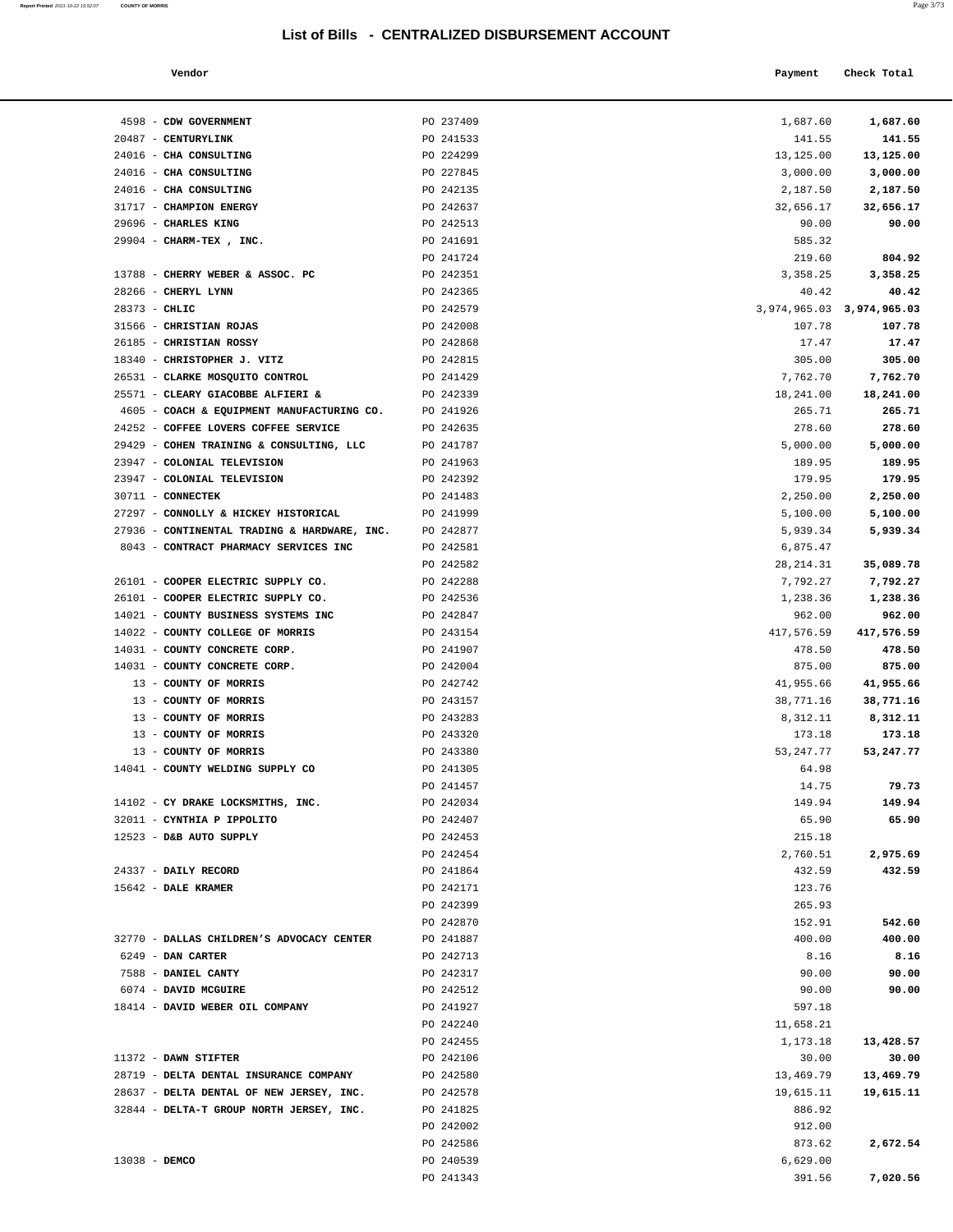4598 - **CDW GOVERNMENT PO 237409** 20487 - **CENTURYLINK** PO 241533

**Report Printed 2021-10-22 15:52:07 COUNTY OF MORRIS** 

| o pro | a.<br>I | -- | $\sim$<br>×. |  |
|-------|---------|----|--------------|--|
|       |         |    |              |  |

|                                      |                                                  |             | Page 3/73                 |  |
|--------------------------------------|--------------------------------------------------|-------------|---------------------------|--|
|                                      | List of Bills - CENTRALIZED DISBURSEMENT ACCOUNT |             |                           |  |
| Vendor                               |                                                  | Payment     | Check Total               |  |
| CDW GOVERNMENT                       | PO 237409                                        | 1,687.60    | 1,687.60                  |  |
| CENTURYLINK                          | PO 241533                                        | 141.55      | 141.55                    |  |
| CHA CONSULTING                       | PO 224299                                        | 13,125.00   | 13,125.00                 |  |
| CHA CONSULTING                       | PO 227845                                        | 3,000.00    | 3,000.00                  |  |
| CHA CONSULTING                       | PO 242135                                        | 2,187.50    | 2,187.50                  |  |
| <b>CHAMPION ENERGY</b>               | PO 242637                                        | 32,656.17   | 32,656.17                 |  |
| <b>CHARLES KING</b>                  | PO 242513                                        | 90.00       | 90.00                     |  |
| CHARM-TEX, INC.                      | PO 241691                                        | 585.32      |                           |  |
|                                      | PO 241724                                        | 219.60      | 804.92                    |  |
| CHERRY WEBER & ASSOC. PC             | PO 242351                                        | 3,358.25    | 3,358.25                  |  |
| CHERYL LYNN                          | PO 242365                                        | 40.42       | 40.42                     |  |
| CHLIC                                | PO 242579                                        |             | 3,974,965.03 3,974,965.03 |  |
| CHRISTIAN ROJAS                      | PO 242008                                        | 107.78      | 107.78                    |  |
| CHRISTIAN ROSSY                      | PO 242868                                        | 17.47       | 17.47                     |  |
| CHRISTOPHER J. VITZ                  | PO 242815                                        | 305.00      | 305.00                    |  |
| CLARKE MOSQUITO CONTROL              | PO 241429                                        | 7,762.70    | 7,762.70                  |  |
| CLEARY GIACOBBE ALFIERI &            | PO 242339                                        | 18,241.00   | 18,241.00                 |  |
| COACH & EQUIPMENT MANUFACTURING CO.  | PO 241926                                        | 265.71      | 265.71                    |  |
| COFFEE LOVERS COFFEE SERVICE         | PO 242635                                        | 278.60      | 278.60                    |  |
| COHEN TRAINING & CONSULTING, LLC     | PO 241787                                        | 5,000.00    | 5,000.00                  |  |
| COLONIAL TELEVISION                  | PO 241963                                        | 189.95      | 189.95                    |  |
| COLONIAL TELEVISION                  | PO 242392                                        | 179.95      | 179.95                    |  |
| <b>CONNECTEK</b>                     | PO 241483                                        | 2,250.00    | 2,250.00                  |  |
| CONNOLLY & HICKEY HISTORICAL         | PO 241999                                        | 5,100.00    | 5,100.00                  |  |
| CONTINENTAL TRADING & HARDWARE, INC. | PO 242877                                        | 5,939.34    | 5,939.34                  |  |
| CONTRACT PHARMACY SERVICES INC       | PO 242581                                        | 6,875.47    |                           |  |
|                                      | PO 242582                                        | 28, 214.31  | 35,089.78                 |  |
| COOPER ELECTRIC SUPPLY CO.           | PO 242288                                        | 7,792.27    | 7,792.27                  |  |
| COOPER ELECTRIC SUPPLY CO.           | PO 242536                                        | 1,238.36    | 1,238.36                  |  |
| COUNTY BUSINESS SYSTEMS INC          | PO 242847                                        | 962.00      | 962.00                    |  |
| COUNTY COLLEGE OF MORRIS             | PO 243154                                        | 417,576.59  | 417,576.59                |  |
| COUNTY CONCRETE CORP.                | PO 241907                                        | 478.50      | 478.50                    |  |
| COUNTY CONCRETE CORP.                | PO 242004                                        | 875.00      | 875.00                    |  |
| COUNTY OF MORRIS                     | PO 242742                                        | 41,955.66   | 41,955.66                 |  |
| COUNTY OF MORRIS                     | PO 243157                                        | 38,771.16   | 38,771.16                 |  |
| COUNTY OF MORRIS                     | PO 243283                                        | 8,312.11    | 8,312.11                  |  |
| COUNTY OF MORRIS                     | PO 243320                                        | 173.18      | 173.18                    |  |
| COUNTY OF MORRIS                     | PO 243380                                        | 53, 247. 77 | 53,247.77                 |  |
| COUNTY WELDING SUPPLY CO             | PO 241305                                        | 64.98       |                           |  |
|                                      | PO 241457                                        | 14.75       | 79.73                     |  |
| CY DRAKE LOCKSMITHS, INC.            | PO 242034                                        | 149.94      | 149.94                    |  |
| CYNTHIA P IPPOLITO                   | PO 242407                                        | 65.90       | 65.90                     |  |
| D&B AUTO SUPPLY                      | PO 242453                                        | 215.18      |                           |  |
|                                      | PO 242454                                        | 2,760.51    | 2,975.69                  |  |
|                                      |                                                  |             |                           |  |

| 24016 - CHA CONSULTING                       | PO 224299 | 13,125.00                 | 13,125.00  |
|----------------------------------------------|-----------|---------------------------|------------|
| 24016 - CHA CONSULTING                       | PO 227845 | 3,000.00                  | 3,000.00   |
| 24016 - CHA CONSULTING                       | PO 242135 | 2,187.50                  | 2,187.50   |
| 31717 - CHAMPION ENERGY                      | PO 242637 | 32,656.17                 | 32,656.17  |
| 29696 - CHARLES KING                         | PO 242513 | 90.00                     | 90.00      |
| 29904 - CHARM-TEX, INC.                      | PO 241691 | 585.32                    |            |
|                                              | PO 241724 | 219.60                    | 804.92     |
| 13788 - CHERRY WEBER & ASSOC. PC             | PO 242351 | 3,358.25                  | 3,358.25   |
| 28266 - CHERYL LYNN                          | PO 242365 | 40.42                     | 40.42      |
| $28373 - CHLIC$                              | PO 242579 | 3,974,965.03 3,974,965.03 |            |
| 31566 - CHRISTIAN ROJAS                      | PO 242008 | 107.78                    | 107.78     |
| 26185 - CHRISTIAN ROSSY                      | PO 242868 | 17.47                     | 17.47      |
| 18340 - CHRISTOPHER J. VITZ                  | PO 242815 | 305.00                    | 305.00     |
| 26531 - CLARKE MOSQUITO CONTROL              | PO 241429 | 7,762.70                  | 7,762.70   |
| 25571 - CLEARY GIACOBBE ALFIERI &            | PO 242339 | 18,241.00                 | 18,241.00  |
| 4605 - COACH & EQUIPMENT MANUFACTURING CO.   | PO 241926 | 265.71                    | 265.71     |
| 24252 - COFFEE LOVERS COFFEE SERVICE         | PO 242635 | 278.60                    | 278.60     |
| 29429 - COHEN TRAINING & CONSULTING, LLC     | PO 241787 | 5,000.00                  | 5,000.00   |
| 23947 - COLONIAL TELEVISION                  | PO 241963 | 189.95                    | 189.95     |
| 23947 - COLONIAL TELEVISION                  | PO 242392 | 179.95                    | 179.95     |
| 30711 - CONNECTEK                            | PO 241483 | 2,250.00                  | 2,250.00   |
| 27297 - CONNOLLY & HICKEY HISTORICAL         | PO 241999 | 5,100.00                  | 5,100.00   |
| 27936 - CONTINENTAL TRADING & HARDWARE, INC. | PO 242877 | 5,939.34                  | 5,939.34   |
| 8043 - CONTRACT PHARMACY SERVICES INC        | PO 242581 | 6,875.47                  |            |
|                                              | PO 242582 | 28, 214.31                | 35,089.78  |
| 26101 - COOPER ELECTRIC SUPPLY CO.           | PO 242288 | 7,792.27                  | 7,792.27   |
| 26101 - COOPER ELECTRIC SUPPLY CO.           | PO 242536 | 1,238.36                  | 1,238.36   |
| 14021 - COUNTY BUSINESS SYSTEMS INC          | PO 242847 | 962.00                    | 962.00     |
| 14022 - COUNTY COLLEGE OF MORRIS             | PO 243154 | 417,576.59                | 417,576.59 |
| 14031 - COUNTY CONCRETE CORP.                | PO 241907 | 478.50                    | 478.50     |
| 14031 - COUNTY CONCRETE CORP.                | PO 242004 | 875.00                    | 875.00     |
| 13 - COUNTY OF MORRIS                        | PO 242742 | 41,955.66                 | 41,955.66  |
| 13 - COUNTY OF MORRIS                        | PO 243157 | 38,771.16                 | 38,771.16  |
| 13 - COUNTY OF MORRIS                        | PO 243283 | 8,312.11                  | 8,312.11   |
| 13 - COUNTY OF MORRIS                        | PO 243320 | 173.18                    | 173.18     |
| 13 - COUNTY OF MORRIS                        | PO 243380 | 53,247.77                 | 53,247.77  |
| 14041 - COUNTY WELDING SUPPLY CO             | PO 241305 | 64.98                     |            |
|                                              | PO 241457 | 14.75                     | 79.73      |
| 14102 - CY DRAKE LOCKSMITHS, INC.            | PO 242034 | 149.94                    | 149.94     |
| 32011 - CYNTHIA P IPPOLITO                   | PO 242407 | 65.90                     | 65.90      |
| 12523 - D&B AUTO SUPPLY                      | PO 242453 | 215.18                    |            |
|                                              | PO 242454 | 2,760.51                  | 2,975.69   |
| 24337 - DAILY RECORD                         | PO 241864 | 432.59                    | 432.59     |
| 15642 - DALE KRAMER                          | PO 242171 | 123.76                    |            |
|                                              | PO 242399 | 265.93                    |            |
|                                              | PO 242870 | 152.91                    | 542.60     |
| 32770 - DALLAS CHILDREN'S ADVOCACY CENTER    | PO 241887 | 400.00                    | 400.00     |
| 6249 - DAN CARTER                            | PO 242713 | 8.16                      | 8.16       |
| 7588 - DANIEL CANTY                          | PO 242317 | 90.00                     | 90.00      |
| 6074 - DAVID MCGUIRE                         | PO 242512 | 90.00                     | 90.00      |
| 18414 - DAVID WEBER OIL COMPANY              | PO 241927 | 597.18                    |            |
|                                              | PO 242240 | 11,658.21                 |            |
|                                              | PO 242455 | 1,173.18                  | 13,428.57  |
| 11372 - DAWN STIFTER                         | PO 242106 | 30.00                     | 30.00      |
| 28719 - DELTA DENTAL INSURANCE COMPANY       | PO 242580 | 13,469.79                 | 13,469.79  |
| 28637 - DELTA DENTAL OF NEW JERSEY, INC.     | PO 242578 | 19,615.11                 | 19,615.11  |
| 32844 - DELTA-T GROUP NORTH JERSEY, INC.     | PO 241825 | 886.92                    |            |
|                                              | PO 242002 | 912.00                    |            |
|                                              | PO 242586 | 873.62                    | 2,672.54   |
| 13038 - DEMCO                                | PO 240539 | 6,629.00                  |            |

PO 241343 391.56 **7,020.56**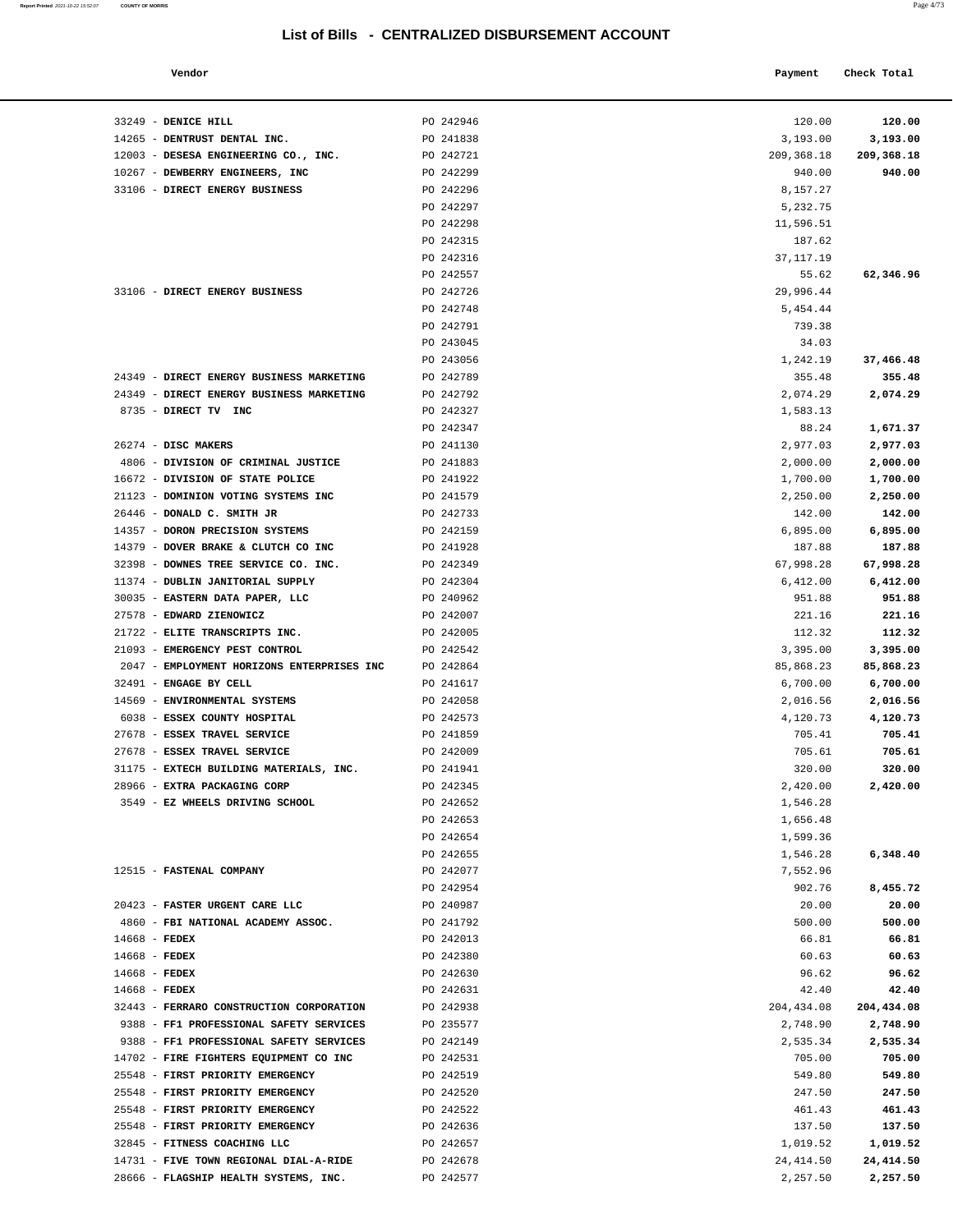#### **Vendor Payment Check Total**   $\blacksquare$  Payment Check Total **Payment** Check Total **Payment**

**Report Printed** 2021-10-22 15:52:07 **COUNTY OF MORRIS** 

|  | × |
|--|---|
|--|---|

| 3,193.00    |            |
|-------------|------------|
|             | 3,193.00   |
| 209,368.18  | 209,368.18 |
| 940.00      | 940.00     |
| 8,157.27    |            |
| 5,232.75    |            |
| 11,596.51   |            |
| 187.62      |            |
| 37, 117.19  |            |
| 55.62       | 62,346.96  |
| 29,996.44   |            |
| 5,454.44    |            |
| 739.38      |            |
| 34.03       |            |
|             | 37,466.48  |
| 1,242.19    |            |
| 355.48      | 355.48     |
| 2,074.29    | 2,074.29   |
| 1,583.13    |            |
| 88.24       | 1,671.37   |
| 2,977.03    | 2,977.03   |
| 2,000.00    | 2,000.00   |
| 1,700.00    | 1,700.00   |
| 2,250.00    | 2,250.00   |
| 142.00      | 142.00     |
| 6,895.00    | 6,895.00   |
| 187.88      | 187.88     |
| 67,998.28   | 67,998.28  |
|             |            |
| 6,412.00    | 6,412.00   |
| 951.88      | 951.88     |
| 221.16      | 221.16     |
| 112.32      | 112.32     |
| 3,395.00    | 3,395.00   |
| 85,868.23   | 85,868.23  |
| 6,700.00    | 6,700.00   |
| 2,016.56    | 2,016.56   |
| 4,120.73    | 4,120.73   |
| 705.41      | 705.41     |
| 705.61      | 705.61     |
| 320.00      | 320.00     |
| 2,420.00    | 2,420.00   |
| 1,546.28    |            |
| 1,656.48    |            |
| 1,599.36    |            |
| 1,546.28    | 6,348.40   |
|             |            |
| 7,552.96    |            |
| 902.76      | 8,455.72   |
| 20.00       | 20.00      |
| 500.00      | 500.00     |
| 66.81       | 66.81      |
| 60.63       | 60.63      |
| 96.62       | 96.62      |
| 42.40       | 42.40      |
| 204, 434.08 | 204,434.08 |
| 2,748.90    | 2,748.90   |
| 2,535.34    | 2,535.34   |
| 705.00      | 705.00     |
| 549.80      | 549.80     |
| 247.50      | 247.50     |
|             |            |
| 461.43      | 461.43     |
| 137.50      | 137.50     |
| 1,019.52    | 1,019.52   |
| 24, 414.50  | 24, 414.50 |
| 2,257.50    | 2,257.50   |
|             |            |
|             |            |
|             |            |
|             |            |

| 33249 - DENICE HILL                                                      | PO 242946              | 120.00                 | 120.00                 |
|--------------------------------------------------------------------------|------------------------|------------------------|------------------------|
| 14265 - DENTRUST DENTAL INC.<br>12003 - DESESA ENGINEERING CO., INC.     | PO 241838<br>PO 242721 | 3,193.00<br>209,368.18 | 3,193.00<br>209,368.18 |
| 10267 - DEWBERRY ENGINEERS, INC                                          | PO 242299              | 940.00                 | 940.00                 |
| 33106 - DIRECT ENERGY BUSINESS                                           | PO 242296              | 8,157.27               |                        |
|                                                                          | PO 242297              | 5,232.75               |                        |
|                                                                          | PO 242298              | 11,596.51              |                        |
|                                                                          | PO 242315              | 187.62                 |                        |
|                                                                          | PO 242316              | 37, 117. 19            |                        |
|                                                                          | PO 242557              | 55.62                  | 62,346.96              |
| 33106 - DIRECT ENERGY BUSINESS                                           | PO 242726              | 29,996.44              |                        |
|                                                                          | PO 242748              | 5,454.44               |                        |
|                                                                          | PO 242791              | 739.38                 |                        |
|                                                                          | PO 243045              | 34.03                  |                        |
|                                                                          | PO 243056              | 1,242.19               | 37,466.48              |
| 24349 - DIRECT ENERGY BUSINESS MARKETING                                 | PO 242789              | 355.48                 | 355.48                 |
| 24349 - DIRECT ENERGY BUSINESS MARKETING                                 | PO 242792              | 2,074.29               | 2,074.29               |
| 8735 - DIRECT TV INC                                                     | PO 242327              | 1,583.13               |                        |
|                                                                          | PO 242347              | 88.24                  | 1,671.37               |
| 26274 - DISC MAKERS                                                      | PO 241130              | 2,977.03               | 2,977.03               |
| 4806 - DIVISION OF CRIMINAL JUSTICE                                      | PO 241883              | 2,000.00               | 2,000.00               |
| 16672 - DIVISION OF STATE POLICE                                         | PO 241922              | 1,700.00               | 1,700.00               |
| 21123 - DOMINION VOTING SYSTEMS INC                                      | PO 241579              | 2,250.00               | 2,250.00               |
| 26446 - DONALD C. SMITH JR                                               | PO 242733              | 142.00                 | 142.00                 |
| 14357 - DORON PRECISION SYSTEMS                                          | PO 242159              | 6,895.00               | 6,895.00               |
| 14379 - DOVER BRAKE & CLUTCH CO INC                                      | PO 241928<br>PO 242349 | 187.88                 | 187.88                 |
| 32398 - DOWNES TREE SERVICE CO. INC.<br>11374 - DUBLIN JANITORIAL SUPPLY | PO 242304              | 67,998.28<br>6,412.00  | 67,998.28<br>6,412.00  |
| 30035 - EASTERN DATA PAPER, LLC                                          | PO 240962              | 951.88                 | 951.88                 |
| 27578 - EDWARD ZIENOWICZ                                                 | PO 242007              | 221.16                 | 221.16                 |
| 21722 - ELITE TRANSCRIPTS INC.                                           | PO 242005              | 112.32                 | 112.32                 |
| 21093 - EMERGENCY PEST CONTROL                                           | PO 242542              | 3,395.00               | 3,395.00               |
| 2047 - EMPLOYMENT HORIZONS ENTERPRISES INC                               | PO 242864              | 85,868.23              | 85,868.23              |
| 32491 - ENGAGE BY CELL                                                   | PO 241617              | 6,700.00               | 6,700.00               |
| 14569 - ENVIRONMENTAL SYSTEMS                                            | PO 242058              | 2,016.56               | 2,016.56               |
| 6038 - ESSEX COUNTY HOSPITAL                                             | PO 242573              | 4,120.73               | 4,120.73               |
| 27678 - ESSEX TRAVEL SERVICE                                             | PO 241859              | 705.41                 | 705.41                 |
| 27678 - ESSEX TRAVEL SERVICE                                             | PO 242009              | 705.61                 | 705.61                 |
| 31175 - EXTECH BUILDING MATERIALS, INC.                                  | PO 241941              | 320.00                 | 320.00                 |
| 28966 - EXTRA PACKAGING CORP                                             | PO 242345              | 2,420.00               | 2,420.00               |
| 3549 - EZ WHEELS DRIVING SCHOOL                                          | PO 242652              | 1,546.28               |                        |
|                                                                          | PO 242653              | 1,656.48               |                        |
|                                                                          | PO 242654              | 1,599.36               |                        |
|                                                                          | PO 242655              | 1,546.28               | 6,348.40               |
| 12515 - FASTENAL COMPANY                                                 | PO 242077              | 7,552.96               |                        |
| 20423 - FASTER URGENT CARE LLC                                           | PO 242954              | 902.76                 | 8,455.72               |
| 4860 - FBI NATIONAL ACADEMY ASSOC.                                       | PO 240987<br>PO 241792 | 20.00<br>500.00        | 20.00<br>500.00        |
| 14668 - FEDEX                                                            | PO 242013              | 66.81                  | 66.81                  |
| $14668$ - FEDEX                                                          | PO 242380              | 60.63                  | 60.63                  |
| $14668$ - FEDEX                                                          | PO 242630              | 96.62                  | 96.62                  |
| $14668$ - FEDEX                                                          | PO 242631              | 42.40                  | 42.40                  |
| 32443 - FERRARO CONSTRUCTION CORPORATION                                 | PO 242938              | 204,434.08             | 204,434.08             |
| 9388 - FF1 PROFESSIONAL SAFETY SERVICES                                  | PO 235577              | 2,748.90               | 2,748.90               |
| 9388 - FF1 PROFESSIONAL SAFETY SERVICES                                  | PO 242149              | 2,535.34               | 2,535.34               |
| 14702 - FIRE FIGHTERS EQUIPMENT CO INC                                   | PO 242531              | 705.00                 | 705.00                 |
| 25548 - FIRST PRIORITY EMERGENCY                                         | PO 242519              | 549.80                 | 549.80                 |
| 25548 - FIRST PRIORITY EMERGENCY                                         | PO 242520              | 247.50                 | 247.50                 |
| 25548 - FIRST PRIORITY EMERGENCY                                         | PO 242522              | 461.43                 | 461.43                 |
| 25548 - FIRST PRIORITY EMERGENCY                                         | PO 242636              | 137.50                 | 137.50                 |
| 32845 - FITNESS COACHING LLC                                             | PO 242657              | 1,019.52               | 1,019.52               |
| 14731 - FIVE TOWN REGIONAL DIAL-A-RIDE                                   | PO 242678              | 24, 414.50             | 24, 414.50             |
| 28666 - FLAGSHIP HEALTH SYSTEMS, INC.                                    | PO 242577              | 2,257.50               | 2,257.50               |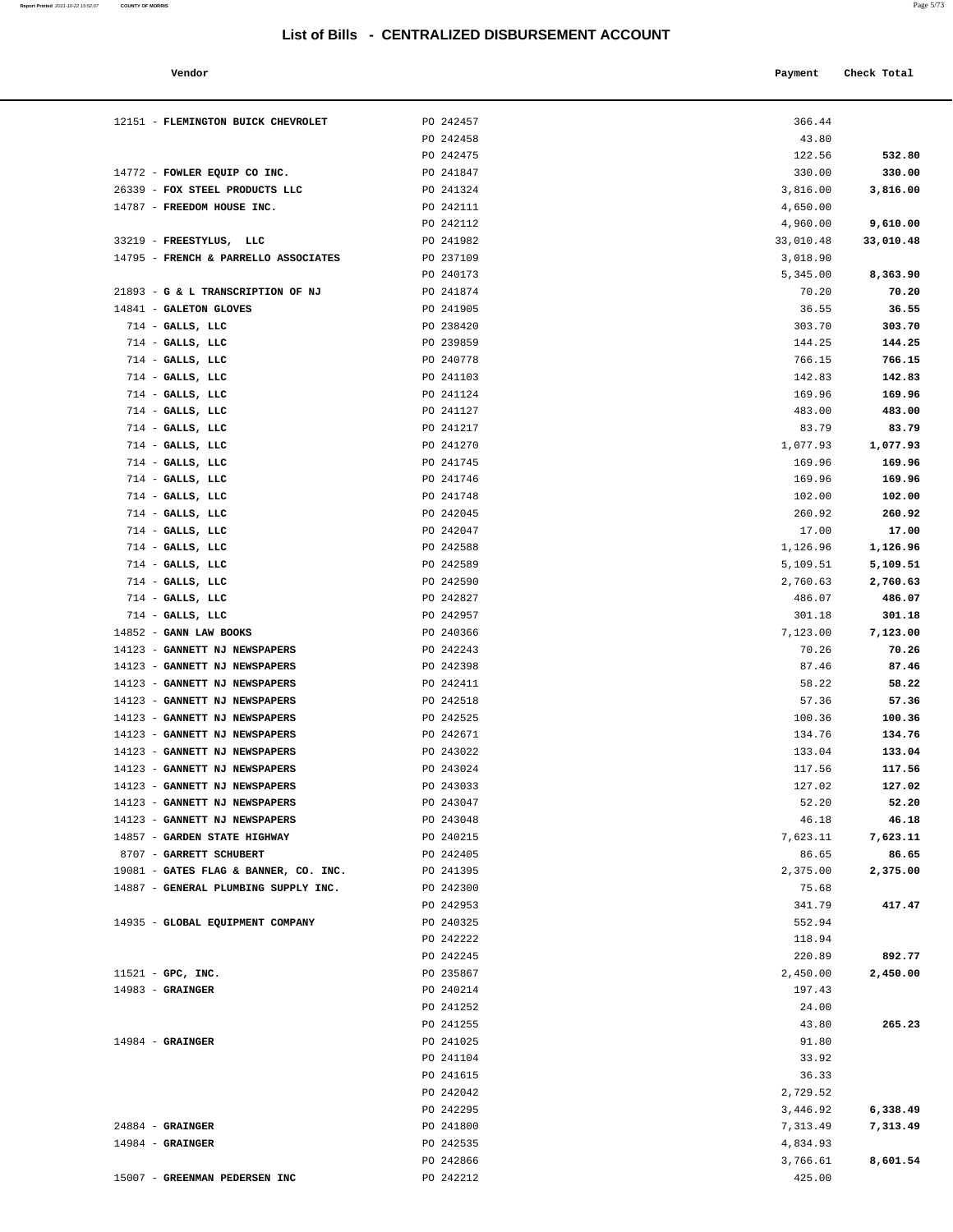**Report Printed** 2021-10-22 15:52:07 **COUNTY OF MORRIS** 

| Vendor | Payment Check Total<br>. |
|--------|--------------------------|
|        |                          |

| 12151 - FLEMINGTON BUICK CHEVROLET                      | PO 242457              | 366.44               |                   |
|---------------------------------------------------------|------------------------|----------------------|-------------------|
|                                                         | PO 242458              | 43.80                |                   |
|                                                         | PO 242475              | 122.56               | 532.80            |
| 14772 - FOWLER EQUIP CO INC.                            | PO 241847              | 330.00               | 330.00            |
| 26339 - FOX STEEL PRODUCTS LLC                          | PO 241324              | 3,816.00             | 3,816.00          |
| 14787 - FREEDOM HOUSE INC.                              | PO 242111              | 4,650.00             |                   |
|                                                         | PO 242112              | 4,960.00             | 9,610.00          |
| 33219 - FREESTYLUS, LLC                                 | PO 241982              | 33,010.48            | 33,010.48         |
| 14795 - FRENCH & PARRELLO ASSOCIATES                    | PO 237109              | 3,018.90             |                   |
|                                                         | PO 240173              | 5,345.00             | 8,363.90          |
| 21893 - G & L TRANSCRIPTION OF NJ                       | PO 241874              | 70.20                | 70.20             |
| 14841 - GALETON GLOVES                                  | PO 241905              | 36.55                | 36.55             |
| $714$ - GALLS, LLC                                      | PO 238420              | 303.70               | 303.70            |
| $714$ - GALLS, LLC                                      | PO 239859              | 144.25               | 144.25            |
| $714$ - GALLS, LLC                                      | PO 240778              | 766.15               | 766.15            |
| $714$ - GALLS, LLC                                      | PO 241103              | 142.83               | 142.83            |
| $714$ - GALLS, LLC                                      | PO 241124              | 169.96               | 169.96            |
| $714$ - GALLS, LLC                                      | PO 241127              | 483.00               | 483.00            |
| $714$ - GALLS, LLC                                      | PO 241217              | 83.79                | 83.79             |
| $714$ - GALLS, LLC                                      | PO 241270              | 1,077.93             | 1,077.93          |
| $714$ - GALLS, LLC                                      | PO 241745              | 169.96               | 169.96            |
| $714$ - GALLS, LLC                                      | PO 241746              | 169.96               | 169.96            |
| $714$ - GALLS, LLC                                      | PO 241748              | 102.00               | 102.00            |
| $714$ - GALLS, LLC                                      | PO 242045              | 260.92               | 260.92            |
| $714$ - GALLS, LLC                                      | PO 242047              | 17.00                | 17.00             |
| $714$ - GALLS, LLC                                      | PO 242588              | 1,126.96             | 1,126.96          |
| $714$ - GALLS, LLC                                      | PO 242589              | 5,109.51             | 5,109.51          |
| $714$ - GALLS, LLC                                      | PO 242590              | 2,760.63             | 2,760.63          |
| $714$ - GALLS, LLC                                      | PO 242827              | 486.07               | 486.07            |
| $714$ - GALLS, LLC                                      | PO 242957              | 301.18               | 301.18            |
| 14852 - GANN LAW BOOKS<br>14123 - GANNETT NJ NEWSPAPERS | PO 240366<br>PO 242243 | 7,123.00<br>70.26    | 7,123.00<br>70.26 |
| 14123 - GANNETT NJ NEWSPAPERS                           | PO 242398              | 87.46                | 87.46             |
| 14123 - GANNETT NJ NEWSPAPERS                           | PO 242411              | 58.22                | 58.22             |
| 14123 - GANNETT NJ NEWSPAPERS                           | PO 242518              | 57.36                | 57.36             |
| 14123 - GANNETT NJ NEWSPAPERS                           | PO 242525              | 100.36               | 100.36            |
| 14123 - GANNETT NJ NEWSPAPERS                           | PO 242671              | 134.76               | 134.76            |
| 14123 - GANNETT NJ NEWSPAPERS                           | PO 243022              | 133.04               | 133.04            |
| 14123 - GANNETT NJ NEWSPAPERS                           | PO 243024              | 117.56               | 117.56            |
| 14123 - GANNETT NJ NEWSPAPERS                           | PO 243033              | 127.02               | 127.02            |
| 14123 - GANNETT NJ NEWSPAPERS                           | PO 243047              | 52.20                | 52.20             |
| 14123 - GANNETT NJ NEWSPAPERS                           | PO 243048              | 46.18                | 46.18             |
| 14857 - GARDEN STATE HIGHWAY                            | PO 240215              | 7,623.11             | 7,623.11          |
| 8707 - GARRETT SCHUBERT                                 | PO 242405              | 86.65                | 86.65             |
| 19081 - GATES FLAG & BANNER, CO. INC.                   | PO 241395              | 2,375.00             | 2,375.00          |
| 14887 - GENERAL PLUMBING SUPPLY INC.                    | PO 242300              | 75.68                |                   |
|                                                         | PO 242953              | 341.79               | 417.47            |
| 14935 - GLOBAL EQUIPMENT COMPANY                        | PO 240325              | 552.94               |                   |
|                                                         | PO 242222              | 118.94               |                   |
|                                                         | PO 242245              | 220.89               | 892.77            |
| 11521 - GPC, INC.                                       | PO 235867              | 2,450.00             | 2,450.00          |
| $14983$ - GRAINGER                                      | PO 240214              | 197.43               |                   |
|                                                         | PO 241252              | 24.00                |                   |
|                                                         | PO 241255              | 43.80                | 265.23            |
| $14984$ - GRAINGER                                      | PO 241025              | 91.80                |                   |
|                                                         | PO 241104              | 33.92                |                   |
|                                                         | PO 241615<br>PO 242042 | 36.33                |                   |
|                                                         | PO 242295              | 2,729.52<br>3,446.92 | 6,338.49          |
| $24884$ - GRAINGER                                      |                        |                      |                   |
|                                                         |                        |                      |                   |
| $14984$ - GRAINGER                                      | PO 241800<br>PO 242535 | 7,313.49<br>4,834.93 | 7,313.49          |

15007 - **GREENMAN PEDERSEN INC** PO 242212 425.00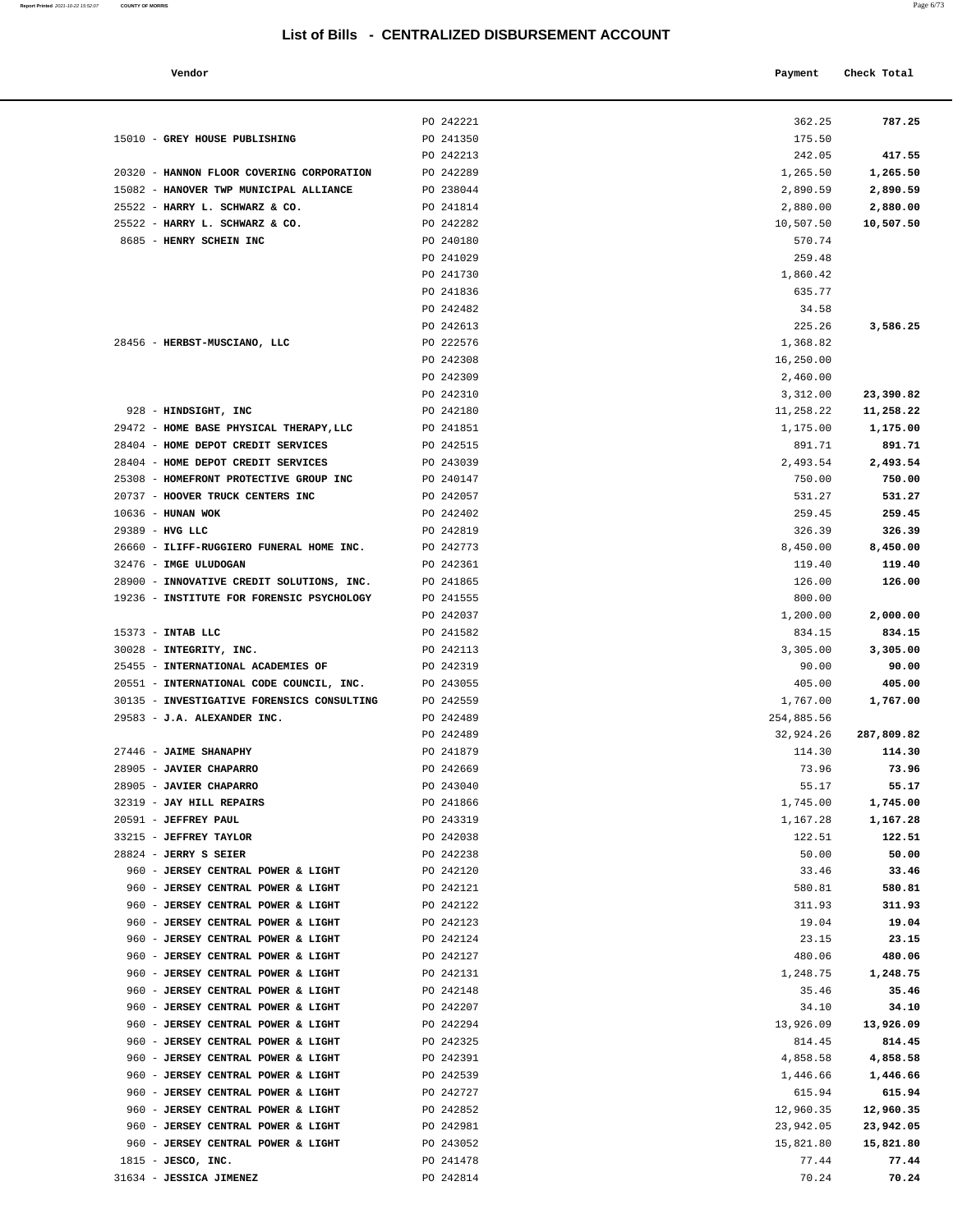#### **Vendor Check Total Payment Check Total**

31634 - **JESSICA JIMENEZ** PO 242814

| Report Printed 2021-10-22 15:52:07<br>the contract of the contract of the contract of the contract of the contract of the contract of the contract of | <b>COUNTY OF MORRIS</b> | Page $6/73$ |
|-------------------------------------------------------------------------------------------------------------------------------------------------------|-------------------------|-------------|
|                                                                                                                                                       |                         |             |

| 362.25              | 787.25              |
|---------------------|---------------------|
| 175.50              |                     |
| 242.05              | 417.55              |
| 1,265.50            | 1,265.50            |
| 2,890.59            | 2,890.59            |
| 2,880.00            | 2,880.00            |
| 10,507.50           | 10,507.50           |
| 570.74              |                     |
| 259.48              |                     |
| 1,860.42            |                     |
| 635.77              |                     |
| 34.58<br>225.26     | 3,586.25            |
| 1,368.82            |                     |
| 16,250.00           |                     |
| 2,460.00            |                     |
| 3,312.00            | 23,390.82           |
| 11,258.22           | 11,258.22           |
| 1,175.00            | 1,175.00            |
| 891.71              | 891.71              |
| 2,493.54            | 2,493.54            |
| 750.00              | 750.00              |
| 531.27              | 531.27              |
| 259.45              | 259.45              |
| 326.39              | 326.39              |
| 8,450.00            | 8,450.00            |
| 119.40              | 119.40              |
| 126.00              | 126.00              |
| 800.00<br>1,200.00  | 2,000.00            |
| 834.15              | 834.15              |
| 3,305.00            | 3,305.00            |
| 90.00               | 90.00               |
| 405.00              | 405.00              |
| 1,767.00            | 1,767.00            |
| 254,885.56          |                     |
| 32,924.26           | 287,809.82          |
| 114.30              | 114.30              |
| 73.96               | 73.96               |
| 55.17               | 55.17               |
| 1,745.00            | 1,745.00            |
| 1,167.28<br>122.51  | 1,167.28<br>122.51  |
| 50.00               | 50.00               |
| 33.46               | 33.46               |
| 580.81              | 580.81              |
| 311.93              | 311.93              |
| 19.04               | 19.04               |
| 23.15               | 23.15               |
| 480.06              | 480.06              |
| 1,248.75            | 1,248.75            |
| 35.46               | 35.46               |
| 34.10               | 34.10               |
| 13,926.09           | 13,926.09           |
| 814.45              | 814.45              |
| 4,858.58            | 4,858.58            |
| 1,446.66            | 1,446.66            |
| 615.94<br>12,960.35 | 615.94<br>12,960.35 |
| 23,942.05           | 23,942.05           |
| 15,821.80           | 15,821.80           |
| 77.44               | 77.44               |
| 70.24               | 70.24               |
|                     |                     |

|                                            | PO 242221 | 362.25     | 787.25     |
|--------------------------------------------|-----------|------------|------------|
| 15010 - GREY HOUSE PUBLISHING              | PO 241350 | 175.50     |            |
|                                            | PO 242213 | 242.05     | 417.55     |
| 20320 - HANNON FLOOR COVERING CORPORATION  | PO 242289 | 1,265.50   | 1,265.50   |
| 15082 - HANOVER TWP MUNICIPAL ALLIANCE     | PO 238044 | 2,890.59   | 2,890.59   |
| 25522 - HARRY L. SCHWARZ & CO.             | PO 241814 | 2,880.00   | 2,880.00   |
| 25522 - HARRY L. SCHWARZ & CO.             | PO 242282 |            | 10,507.50  |
|                                            |           | 10,507.50  |            |
| 8685 - HENRY SCHEIN INC                    | PO 240180 | 570.74     |            |
|                                            | PO 241029 | 259.48     |            |
|                                            | PO 241730 | 1,860.42   |            |
|                                            | PO 241836 | 635.77     |            |
|                                            | PO 242482 | 34.58      |            |
|                                            | PO 242613 | 225.26     | 3,586.25   |
| 28456 - HERBST-MUSCIANO, LLC               | PO 222576 | 1,368.82   |            |
|                                            | PO 242308 | 16,250.00  |            |
|                                            | PO 242309 | 2,460.00   |            |
|                                            | PO 242310 | 3,312.00   | 23,390.82  |
| 928 - HINDSIGHT, INC                       | PO 242180 | 11,258.22  | 11,258.22  |
| 29472 - HOME BASE PHYSICAL THERAPY, LLC    | PO 241851 | 1,175.00   | 1,175.00   |
|                                            |           |            |            |
| 28404 - HOME DEPOT CREDIT SERVICES         | PO 242515 | 891.71     | 891.71     |
| 28404 - HOME DEPOT CREDIT SERVICES         | PO 243039 | 2,493.54   | 2,493.54   |
| 25308 - HOMEFRONT PROTECTIVE GROUP INC     | PO 240147 | 750.00     | 750.00     |
| 20737 - HOOVER TRUCK CENTERS INC           | PO 242057 | 531.27     | 531.27     |
| 10636 - HUNAN WOK                          | PO 242402 | 259.45     | 259.45     |
| 29389 - HVG LLC                            | PO 242819 | 326.39     | 326.39     |
| 26660 - ILIFF-RUGGIERO FUNERAL HOME INC.   | PO 242773 | 8,450.00   | 8,450.00   |
| 32476 - IMGE ULUDOGAN                      | PO 242361 | 119.40     | 119.40     |
| 28900 - INNOVATIVE CREDIT SOLUTIONS, INC.  | PO 241865 | 126.00     | 126.00     |
| 19236 - INSTITUTE FOR FORENSIC PSYCHOLOGY  | PO 241555 | 800.00     |            |
|                                            | PO 242037 | 1,200.00   | 2,000.00   |
| 15373 - INTAB LLC                          | PO 241582 | 834.15     | 834.15     |
| 30028 - INTEGRITY, INC.                    | PO 242113 | 3,305.00   | 3,305.00   |
| 25455 - INTERNATIONAL ACADEMIES OF         | PO 242319 | 90.00      | 90.00      |
|                                            |           |            |            |
| 20551 - INTERNATIONAL CODE COUNCIL, INC.   | PO 243055 | 405.00     | 405.00     |
| 30135 - INVESTIGATIVE FORENSICS CONSULTING | PO 242559 | 1,767.00   | 1,767.00   |
| 29583 - J.A. ALEXANDER INC.                | PO 242489 | 254,885.56 |            |
|                                            | PO 242489 | 32,924.26  | 287,809.82 |
| 27446 - JAIME SHANAPHY                     | PO 241879 | 114.30     | 114.30     |
| 28905 - JAVIER CHAPARRO                    | PO 242669 | 73.96      | 73.96      |
| 28905 - JAVIER CHAPARRO                    | PO 243040 | 55.17      | 55.17      |
| 32319 - JAY HILL REPAIRS                   | PO 241866 | 1,745.00   | 1,745.00   |
| 20591 - JEFFREY PAUL                       | PO 243319 | 1,167.28   | 1,167.28   |
| 33215 - JEFFREY TAYLOR                     | PO 242038 | 122.51     | 122.51     |
| 28824 - JERRY S SEIER                      | PO 242238 | 50.00      | 50.00      |
| 960 - JERSEY CENTRAL POWER & LIGHT         | PO 242120 | 33.46      | 33.46      |
| 960 - JERSEY CENTRAL POWER & LIGHT         | PO 242121 | 580.81     | 580.81     |
| 960 - JERSEY CENTRAL POWER & LIGHT         | PO 242122 | 311.93     | 311.93     |
| 960 - JERSEY CENTRAL POWER & LIGHT         | PO 242123 | 19.04      | 19.04      |
|                                            |           |            |            |
| 960 - JERSEY CENTRAL POWER & LIGHT         | PO 242124 | 23.15      | 23.15      |
| 960 - JERSEY CENTRAL POWER & LIGHT         | PO 242127 | 480.06     | 480.06     |
| 960 - JERSEY CENTRAL POWER & LIGHT         | PO 242131 | 1,248.75   | 1,248.75   |
| 960 - JERSEY CENTRAL POWER & LIGHT         | PO 242148 | 35.46      | 35.46      |
| 960 - JERSEY CENTRAL POWER & LIGHT         | PO 242207 | 34.10      | 34.10      |
| 960 - JERSEY CENTRAL POWER & LIGHT         | PO 242294 | 13,926.09  | 13,926.09  |
| 960 - JERSEY CENTRAL POWER & LIGHT         | PO 242325 | 814.45     | 814.45     |
| 960 - JERSEY CENTRAL POWER & LIGHT         | PO 242391 | 4,858.58   | 4,858.58   |
| 960 - JERSEY CENTRAL POWER & LIGHT         | PO 242539 | 1,446.66   | 1,446.66   |
| 960 - JERSEY CENTRAL POWER & LIGHT         | PO 242727 | 615.94     | 615.94     |
| 960 - JERSEY CENTRAL POWER & LIGHT         | PO 242852 | 12,960.35  | 12,960.35  |
| 960 - JERSEY CENTRAL POWER & LIGHT         | PO 242981 | 23,942.05  | 23,942.05  |
| 960 - JERSEY CENTRAL POWER & LIGHT         | PO 243052 | 15,821.80  | 15,821.80  |
| $1815$ - JESCO, INC.                       | PO 241478 | 77.44      | 77.44      |
|                                            |           |            |            |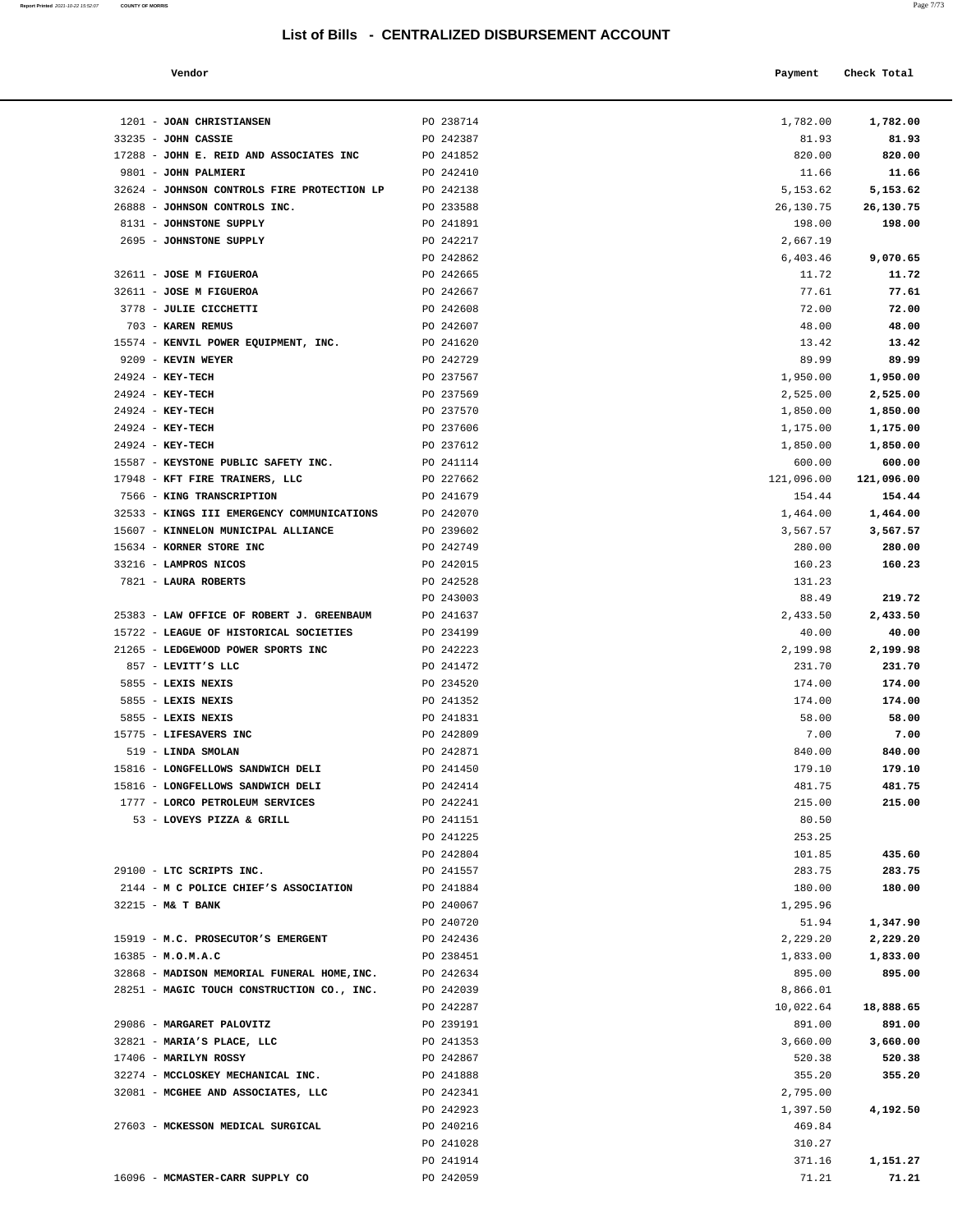1201 - **JOAN CHRISTIANSEN** PO 238714 33235 - **JOHN CASSIE** PO 242387 17288 - **JOHN E. REID AND ASSOCIATES INC** PO 241852

**Report Printed 2021-10-22 15:52:07 COUNTY OF MORRIS** 

| a. | ×<br>×<br>۰.<br>۰ |  |
|----|-------------------|--|
|    |                   |  |

|                                     |           |                                                             | Page 7/73   |  |
|-------------------------------------|-----------|-------------------------------------------------------------|-------------|--|
| Vendor                              |           | List of Bills - CENTRALIZED DISBURSEMENT ACCOUNT<br>Payment | Check Total |  |
|                                     |           |                                                             |             |  |
| JOAN CHRISTIANSEN                   | PO 238714 | 1,782.00                                                    | 1,782.00    |  |
| <b>JOHN CASSIE</b>                  | PO 242387 | 81.93                                                       | 81.93       |  |
| JOHN E. REID AND ASSOCIATES INC     | PO 241852 | 820.00                                                      | 820.00      |  |
| <b>JOHN PALMIERI</b>                | PO 242410 | 11.66                                                       | 11.66       |  |
| JOHNSON CONTROLS FIRE PROTECTION LP | PO 242138 | 5,153.62                                                    | 5,153.62    |  |
| JOHNSON CONTROLS INC.               | PO 233588 | 26,130.75                                                   | 26,130.75   |  |
| JOHNSTONE SUPPLY                    | PO 241891 | 198.00                                                      | 198.00      |  |
| JOHNSTONE SUPPLY                    | PO 242217 | 2,667.19                                                    |             |  |
|                                     | PO 242862 | 6,403.46                                                    | 9,070.65    |  |
| <b>JOSE M FIGUEROA</b>              | PO 242665 | 11.72                                                       | 11.72       |  |
| <b>JOSE M FIGUEROA</b>              | PO 242667 | 77.61                                                       | 77.61       |  |
| <b>JULIE CICCHETTI</b>              | PO 242608 | 72.00                                                       | 72.00       |  |
| <b>KAREN REMUS</b>                  | PO 242607 | 48.00                                                       | 48.00       |  |
| KENVIL POWER EQUIPMENT, INC.        | PO 241620 | 13.42                                                       | 13.42       |  |
| KEVIN WEYER                         | PO 242729 | 89.99                                                       | 89.99       |  |
| <b>KEY-TECH</b>                     | PO 237567 | 1,950.00                                                    | 1,950.00    |  |
| <b>KEY-TECH</b>                     | PO 237569 | 2,525.00                                                    | 2,525.00    |  |
| <b>KEY-TECH</b>                     | PO 237570 | 1,850.00                                                    | 1,850.00    |  |
| <b>KEY-TECH</b>                     | PO 237606 | 1,175.00                                                    | 1,175.00    |  |
| <b>KEY-TECH</b>                     | PO 237612 | 1,850.00                                                    | 1,850.00    |  |
| KEYSTONE PUBLIC SAFETY INC.         | PO 241114 | 600.00                                                      | 600.00      |  |
| KFT FIRE TRAINERS, LLC              | PO 227662 | 121,096.00                                                  | 121,096.00  |  |
| KING TRANSCRIPTION                  | PO 241679 | 154.44                                                      | 154.44      |  |
| KINGS III EMERGENCY COMMUNICATIONS  | PO 242070 | 1,464.00                                                    | 1,464.00    |  |
| KINNELON MUNICIPAL ALLIANCE         | PO 239602 | 3,567.57                                                    | 3,567.57    |  |
| KORNER STORE INC                    | PO 242749 | 280.00                                                      | 280.00      |  |
| <b>LAMPROS NICOS</b>                | PO 242015 | 160.23                                                      | 160.23      |  |
| <b>LAURA ROBERTS</b>                | PO 242528 | 131.23                                                      |             |  |
|                                     | PO 243003 | 88.49                                                       | 219.72      |  |
| LAW OFFICE OF ROBERT J. GREENBAUM   | PO 241637 | 2,433.50                                                    | 2,433.50    |  |
| LEAGUE OF HISTORICAL SOCIETIES      | PO 234199 | 40.00                                                       | 40.00       |  |
| LEDGEWOOD POWER SPORTS INC          | PO 242223 | 2,199.98                                                    | 2,199.98    |  |
| LEVITT'S LLC                        | PO 241472 | 231.70                                                      | 231.70      |  |
| LEXIS NEXIS                         | PO 234520 | 174.00                                                      | 174.00      |  |
| LEXIS NEXIS                         | PO 241352 | 174.00                                                      | 174.00      |  |
| LEXIS NEXIS                         | PO 241831 | 58.00                                                       | 58.00       |  |
| <b>LIFESAVERS INC</b>               | PO 242809 | 7.00                                                        | 7.00        |  |
| LINDA SMOLAN                        | PO 242871 | 840.00                                                      | 840.00      |  |
| LONGFELLOWS SANDWICH DELI           | PO 241450 | 179.10                                                      | 179.10      |  |
| LONGFELLOWS SANDWICH DELI           | PO 242414 | 481.75                                                      | 481.75      |  |
| LORCO PETROLEUM SERVICES            | PO 242241 | 215.00                                                      | 215.00      |  |
| LOVEYS PIZZA & GRILL                | PO 241151 | 80.50                                                       |             |  |
|                                     | PO 241225 | 253.25                                                      |             |  |
|                                     | PO 242804 | 101.85                                                      | 435.60      |  |
| LTC SCRIPTS INC.                    | PO 241557 | 283.75                                                      | 283.75      |  |
| M C POLICE CHIEF'S ASSOCIATION      | PO 241884 | 180.00                                                      | 180.00      |  |
| <b>M&amp; T BANK</b>                | PO 240067 | 1,295.96                                                    |             |  |
|                                     | PO 240720 | 51.94                                                       | 1,347.90    |  |
| M.C. PROSECUTOR'S EMERGENT          | PO 242436 | 2,229.20                                                    | 2,229.20    |  |
| M.O.M.A.C                           | PO 238451 | 1,833.00                                                    | 1,833.00    |  |
| MADISON MEMORIAL FUNERAL HOME, INC. | PO 242634 | 895.00                                                      | 895.00      |  |
| MAGIC TOUCH CONSTRUCTION CO., INC.  | PO 242039 | 8,866.01                                                    |             |  |

| 9801 - JOHN PALMIERI                                     | PO 242410              | 11.66            | 11.66              |
|----------------------------------------------------------|------------------------|------------------|--------------------|
| 32624 - JOHNSON CONTROLS FIRE PROTECTION LP              | PO 242138              | 5,153.62         | 5,153.62           |
| 26888 - JOHNSON CONTROLS INC.                            | PO 233588              | 26,130.75        | 26,130.75          |
| 8131 - JOHNSTONE SUPPLY                                  | PO 241891              | 198.00           | 198.00             |
| 2695 - JOHNSTONE SUPPLY                                  | PO 242217              | 2,667.19         |                    |
|                                                          | PO 242862              | 6,403.46         | 9,070.65           |
| 32611 - JOSE M FIGUEROA                                  | PO 242665              | 11.72            | 11.72              |
| 32611 - JOSE M FIGUEROA                                  | PO 242667              | 77.61            | 77.61              |
| 3778 - JULIE CICCHETTI                                   | PO 242608              | 72.00            | 72.00              |
| 703 - KAREN REMUS                                        | PO 242607              | 48.00            | 48.00              |
| 15574 - KENVIL POWER EQUIPMENT, INC.                     | PO 241620              | 13.42            | 13.42              |
| 9209 - KEVIN WEYER                                       | PO 242729              | 89.99            | 89.99              |
| 24924 - КЕҮ-ТЕСН                                         | PO 237567              | 1,950.00         | 1,950.00           |
| 24924 - KEY-TECH                                         | PO 237569              | 2,525.00         | 2,525.00           |
| 24924 - KEY-TECH                                         | PO 237570              | 1,850.00         | 1,850.00           |
| 24924 - KEY-TECH                                         | PO 237606              | 1,175.00         | 1,175.00           |
| 24924 - KEY-TECH                                         | PO 237612              | 1,850.00         | 1,850.00           |
| 15587 - KEYSTONE PUBLIC SAFETY INC.                      | PO 241114              | 600.00           | 600.00             |
| 17948 - KFT FIRE TRAINERS, LLC                           | PO 227662              | 121,096.00       | 121,096.00         |
| 7566 - KING TRANSCRIPTION                                | PO 241679              | 154.44           | 154.44             |
| 32533 - KINGS III EMERGENCY COMMUNICATIONS               | PO 242070              | 1,464.00         | 1,464.00           |
| 15607 - KINNELON MUNICIPAL ALLIANCE                      | PO 239602              | 3,567.57         | 3,567.57           |
| 15634 - KORNER STORE INC                                 | PO 242749              | 280.00           | 280.00             |
| 33216 - LAMPROS NICOS                                    | PO 242015              | 160.23           | 160.23             |
| 7821 - LAURA ROBERTS                                     | PO 242528              | 131.23           |                    |
|                                                          | PO 243003              | 88.49            | 219.72             |
| 25383 - LAW OFFICE OF ROBERT J. GREENBAUM                | PO 241637              | 2,433.50         | 2,433.50           |
| 15722 - LEAGUE OF HISTORICAL SOCIETIES                   | PO 234199              | 40.00            | 40.00              |
| 21265 - LEDGEWOOD POWER SPORTS INC<br>857 - LEVITT'S LLC | PO 242223<br>PO 241472 | 2,199.98         | 2,199.98<br>231.70 |
| 5855 - LEXIS NEXIS                                       | PO 234520              | 231.70<br>174.00 | 174.00             |
| 5855 - LEXIS NEXIS                                       | PO 241352              | 174.00           | 174.00             |
| 5855 - LEXIS NEXIS                                       | PO 241831              | 58.00            | 58.00              |
| 15775 - LIFESAVERS INC                                   | PO 242809              | 7.00             | 7.00               |
| 519 - LINDA SMOLAN                                       | PO 242871              | 840.00           | 840.00             |
| 15816 - LONGFELLOWS SANDWICH DELI                        | PO 241450              | 179.10           | 179.10             |
| 15816 - LONGFELLOWS SANDWICH DELI                        | PO 242414              | 481.75           | 481.75             |
| 1777 - LORCO PETROLEUM SERVICES                          | PO 242241              | 215.00           | 215.00             |
| 53 - LOVEYS PIZZA & GRILL                                | PO 241151              | 80.50            |                    |
|                                                          | PO 241225              | 253.25           |                    |
|                                                          | PO 242804              | 101.85           | 435.60             |
| 29100 - LTC SCRIPTS INC.                                 | PO 241557              | 283.75           | 283.75             |
| 2144 - M C POLICE CHIEF'S ASSOCIATION                    | PO 241884              | 180.00           | 180.00             |
| 32215 - M& T BANK                                        | PO 240067              | 1,295.96         |                    |
|                                                          | PO 240720              | 51.94            | 1,347.90           |
| 15919 - M.C. PROSECUTOR'S EMERGENT                       | PO 242436              | 2,229.20         | 2,229.20           |
| $16385 - M.0.M.A.C$                                      | PO 238451              | 1,833.00         | 1,833.00           |
| 32868 - MADISON MEMORIAL FUNERAL HOME, INC.              | PO 242634              | 895.00           | 895.00             |
| 28251 - MAGIC TOUCH CONSTRUCTION CO., INC.               | PO 242039              | 8,866.01         |                    |
|                                                          | PO 242287              | 10,022.64        | 18,888.65          |
| 29086 - MARGARET PALOVITZ                                | PO 239191              | 891.00           | 891.00             |
| 32821 - MARIA'S PLACE, LLC                               | PO 241353              | 3,660.00         | 3,660.00           |
| 17406 - MARILYN ROSSY                                    | PO 242867              | 520.38           | 520.38             |
| 32274 - MCCLOSKEY MECHANICAL INC.                        | PO 241888              | 355.20           | 355.20             |
| 32081 - MCGHEE AND ASSOCIATES, LLC                       | PO 242341              | 2,795.00         |                    |
|                                                          | PO 242923              | 1,397.50         | 4,192.50           |
| 27603 - MCKESSON MEDICAL SURGICAL                        | PO 240216              | 469.84           |                    |
|                                                          | PO 241028              | 310.27           |                    |
|                                                          | PO 241914              | 371.16           | 1,151.27           |
| 16096 - MCMASTER-CARR SUPPLY CO                          | PO 242059              | 71.21            | 71.21              |
|                                                          |                        |                  |                    |
|                                                          |                        |                  |                    |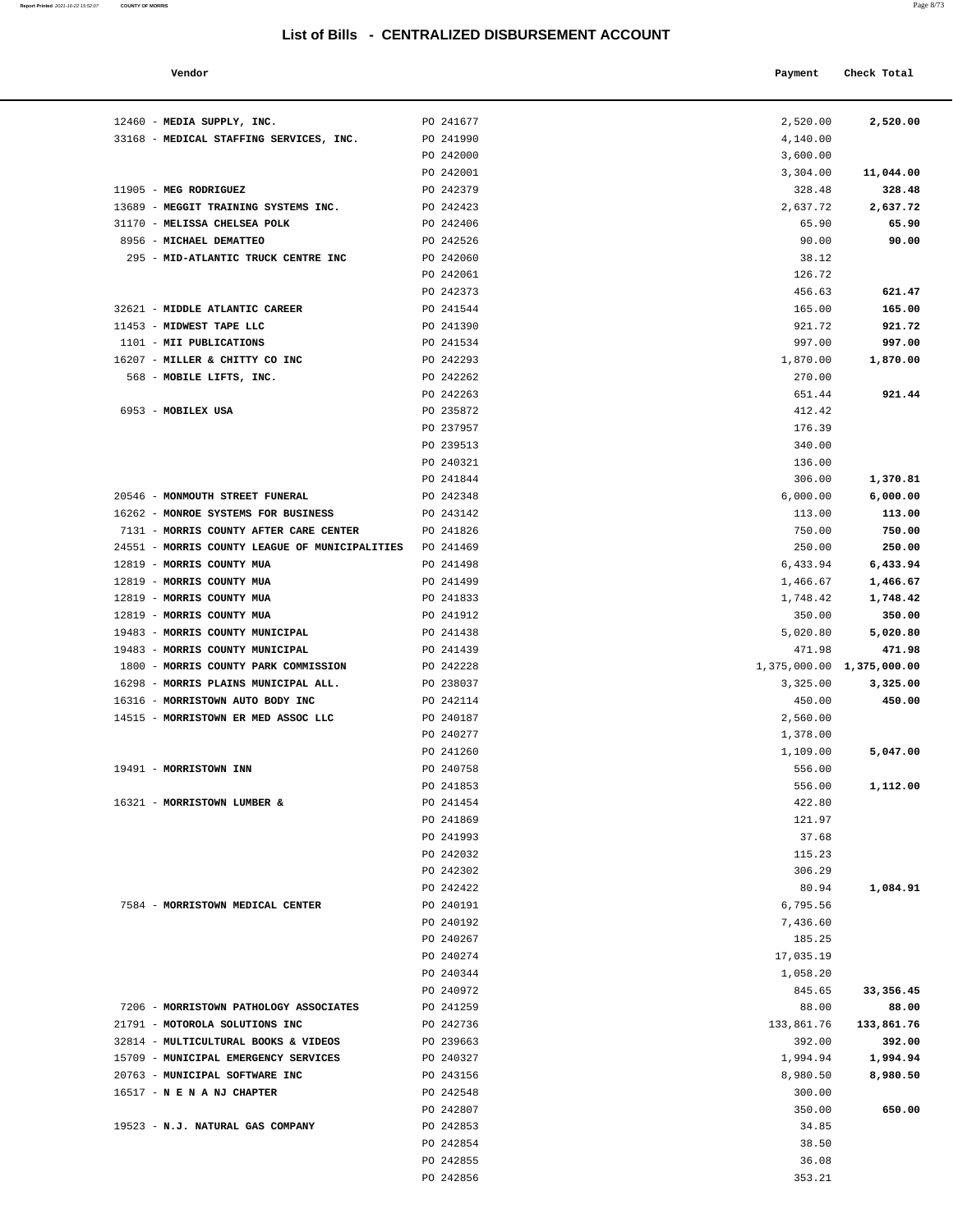#### **Vendor Payment Check Total**   $\blacksquare$  Payment Check Total **Payment** Check Total **Payment**

**Report Printed** 2021-10-22 15:52:07 **COUNTY OF MORRIS** 

| 2,520.00           | 2,520.00            |
|--------------------|---------------------|
| 4,140.00           |                     |
| 3,600.00           | 11,044.00           |
| 3,304.00<br>328.48 | 328.48              |
|                    |                     |
| 2,637.72           | 2,637.72<br>65.90   |
| 65.90<br>90.00     | 90.00               |
| 38.12              |                     |
| 126.72             |                     |
| 456.63             | 621.47              |
| 165.00             | 165.00              |
| 921.72             | 921.72              |
| 997.00             | 997.00              |
| 1,870.00           | 1,870.00            |
| 270.00             |                     |
| 651.44             | 921.44              |
| 412.42             |                     |
| 176.39             |                     |
| 340.00             |                     |
| 136.00             |                     |
| 306.00             | 1,370.81            |
| 6,000.00           | 6,000.00            |
| 113.00             | 113.00              |
| 750.00             | 750.00              |
| 250.00             | 250.00              |
| 6,433.94           | 6,433.94            |
| 1,466.67           | 1,466.67            |
| 1,748.42           | 1,748.42            |
| 350.00             | 350.00              |
| 5,020.80           | 5,020.80            |
| 471.98             | 471.98              |
| 1,375,000.00       | 1,375,000.00        |
| 3,325.00           | 3,325.00            |
| 450.00             | 450.00              |
| 2,560.00           |                     |
| 1,378.00           |                     |
| 1,109.00           | 5,047.00            |
| 556.00             |                     |
| 556.00             | 1,112.00            |
| 422.80             |                     |
| 121.97             |                     |
| 37.68              |                     |
| 115.23             |                     |
| 306.29             |                     |
| 80.94              | 1,084.91            |
| 6,795.56           |                     |
| 7.436.60           |                     |
| 185.25             |                     |
| 17,035.19          |                     |
| 1,058.20           |                     |
| 845.65<br>88.00    | 33, 356.45<br>88.00 |
| 133,861.76         | 133,861.76          |
| 392.00             | 392.00              |
| 1,994.94           | 1,994.94            |
| 8,980.50           | 8,980.50            |
| 300.00             |                     |
| 350.00             | 650.00              |
| 34.85              |                     |
| 38.50              |                     |
| 36.08              |                     |
| 353.21             |                     |
|                    |                     |

| 12460 - MEDIA SUPPLY, INC.                               | PO 241677 | 2,520.00                  | 2,520.00   |
|----------------------------------------------------------|-----------|---------------------------|------------|
| 33168 - MEDICAL STAFFING SERVICES, INC.                  | PO 241990 | 4,140.00                  |            |
|                                                          | PO 242000 | 3,600.00                  |            |
|                                                          | PO 242001 | 3,304.00                  | 11,044.00  |
| 11905 - MEG RODRIGUEZ                                    | PO 242379 | 328.48                    | 328.48     |
| 13689 - MEGGIT TRAINING SYSTEMS INC.                     | PO 242423 | 2,637.72                  | 2,637.72   |
| 31170 - MELISSA CHELSEA POLK                             | PO 242406 | 65.90                     | 65.90      |
| 8956 - MICHAEL DEMATTEO                                  | PO 242526 | 90.00                     | 90.00      |
| 295 - MID-ATLANTIC TRUCK CENTRE INC                      | PO 242060 | 38.12                     |            |
|                                                          | PO 242061 | 126.72                    |            |
|                                                          | PO 242373 | 456.63                    | 621.47     |
| 32621 - MIDDLE ATLANTIC CAREER                           | PO 241544 | 165.00                    | 165.00     |
| 11453 - MIDWEST TAPE LLC                                 | PO 241390 | 921.72                    | 921.72     |
| 1101 - MII PUBLICATIONS                                  | PO 241534 | 997.00                    | 997.00     |
| 16207 - MILLER & CHITTY CO INC                           | PO 242293 | 1,870.00                  | 1,870.00   |
| 568 - MOBILE LIFTS, INC.                                 | PO 242262 | 270.00                    |            |
|                                                          | PO 242263 | 651.44                    | 921.44     |
| 6953 - MOBILEX USA                                       | PO 235872 | 412.42                    |            |
|                                                          | PO 237957 | 176.39                    |            |
|                                                          | PO 239513 | 340.00                    |            |
|                                                          | PO 240321 | 136.00                    |            |
|                                                          | PO 241844 | 306.00                    | 1,370.81   |
| 20546 - MONMOUTH STREET FUNERAL                          | PO 242348 | 6,000.00                  | 6,000.00   |
| 16262 - MONROE SYSTEMS FOR BUSINESS                      | PO 243142 | 113.00                    | 113.00     |
| 7131 - MORRIS COUNTY AFTER CARE CENTER                   | PO 241826 | 750.00                    | 750.00     |
| 24551 - MORRIS COUNTY LEAGUE OF MUNICIPALITIES PO 241469 |           | 250.00                    | 250.00     |
| 12819 - MORRIS COUNTY MUA                                | PO 241498 | 6,433.94                  | 6,433.94   |
| 12819 - MORRIS COUNTY MUA                                | PO 241499 | 1,466.67                  | 1,466.67   |
| 12819 - MORRIS COUNTY MUA                                | PO 241833 | 1,748.42                  | 1,748.42   |
| 12819 - MORRIS COUNTY MUA                                | PO 241912 | 350.00                    | 350.00     |
| 19483 - MORRIS COUNTY MUNICIPAL                          | PO 241438 | 5,020.80                  | 5,020.80   |
| 19483 - MORRIS COUNTY MUNICIPAL                          | PO 241439 | 471.98                    | 471.98     |
| 1800 - MORRIS COUNTY PARK COMMISSION                     | PO 242228 | 1,375,000.00 1,375,000.00 |            |
| 16298 - MORRIS PLAINS MUNICIPAL ALL.                     | PO 238037 | 3,325.00                  | 3,325.00   |
| 16316 - MORRISTOWN AUTO BODY INC                         | PO 242114 | 450.00                    | 450.00     |
| 14515 - MORRISTOWN ER MED ASSOC LLC                      | PO 240187 | 2,560.00                  |            |
|                                                          | PO 240277 | 1,378.00                  |            |
|                                                          | PO 241260 | 1,109.00                  | 5,047.00   |
| 19491 - MORRISTOWN INN                                   | PO 240758 | 556.00                    |            |
|                                                          | PO 241853 | 556.00                    | 1,112.00   |
| 16321 - MORRISTOWN LUMBER &                              | PO 241454 | 422.80                    |            |
|                                                          | PO 241869 | 121.97                    |            |
|                                                          | PO 241993 | 37.68                     |            |
|                                                          | PO 242032 | 115.23                    |            |
|                                                          | PO 242302 | 306.29                    |            |
|                                                          | PO 242422 | 80.94                     | 1,084.91   |
| 7584 - MORRISTOWN MEDICAL CENTER                         | PO 240191 | 6,795.56                  |            |
|                                                          | PO 240192 | 7,436.60                  |            |
|                                                          | PO 240267 | 185.25                    |            |
|                                                          | PO 240274 | 17,035.19                 |            |
|                                                          | PO 240344 | 1,058.20                  |            |
|                                                          | PO 240972 | 845.65                    | 33, 356.45 |
| 7206 - MORRISTOWN PATHOLOGY ASSOCIATES                   | PO 241259 | 88.00                     | 88.00      |
| 21791 - MOTOROLA SOLUTIONS INC                           | PO 242736 | 133,861.76                | 133,861.76 |
| 32814 - MULTICULTURAL BOOKS & VIDEOS                     | PO 239663 | 392.00                    | 392.00     |
| 15709 - MUNICIPAL EMERGENCY SERVICES                     | PO 240327 | 1,994.94                  | 1,994.94   |
| 20763 - MUNICIPAL SOFTWARE INC                           | PO 243156 | 8,980.50                  | 8,980.50   |
| 16517 - N E N A NJ CHAPTER                               | PO 242548 | 300.00                    |            |
|                                                          |           | 350.00                    | 650.00     |
|                                                          | PO 242807 |                           |            |
| 19523 - N.J. NATURAL GAS COMPANY                         | PO 242853 | 34.85                     |            |
|                                                          | PO 242854 | 38.50                     |            |

PO 242856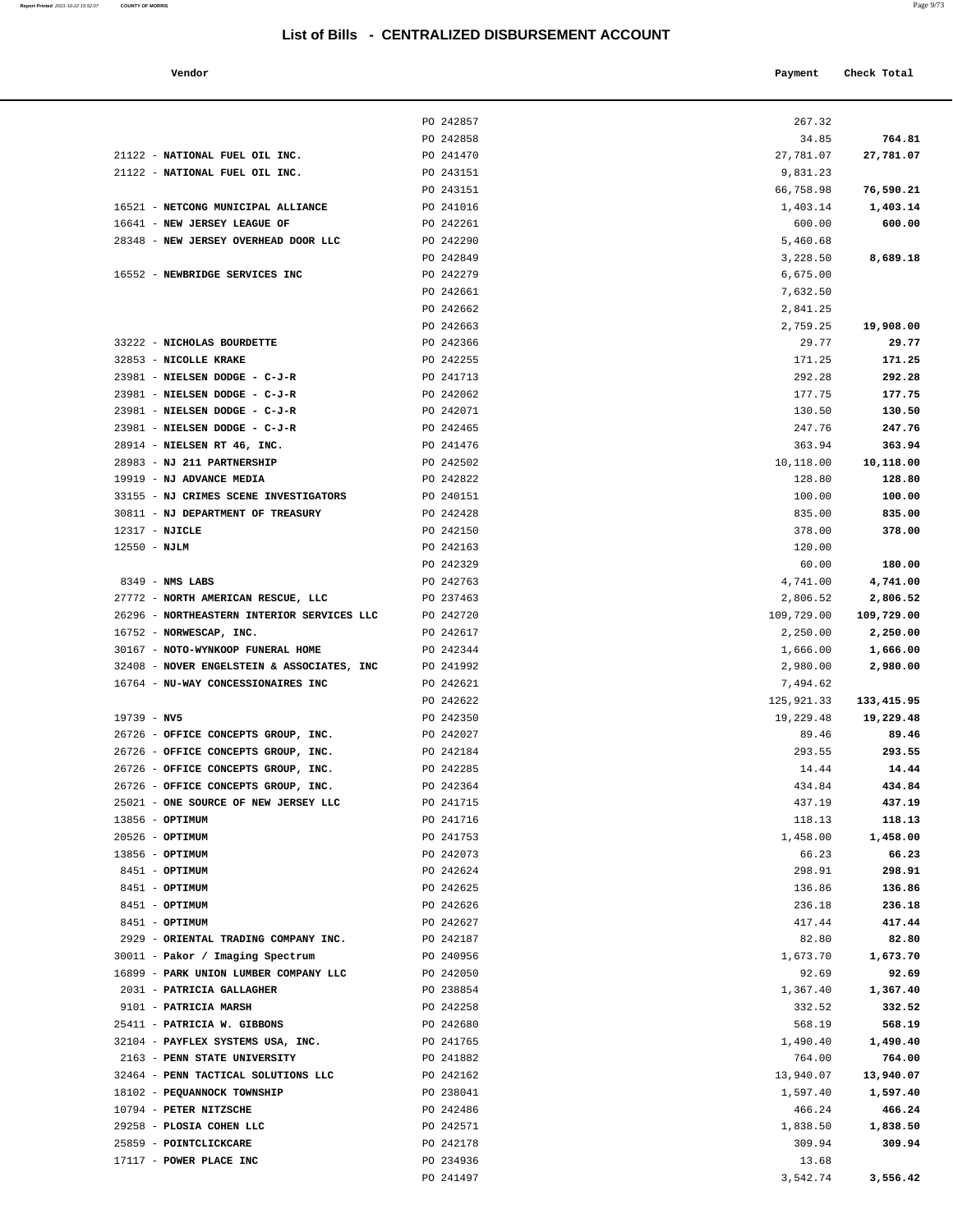#### **Vendor Payment Check Total**   $\blacksquare$  Payment Check Total  $\blacksquare$

 29258 - **PLOSIA COHEN LLC** PO 242571 1,838.50 **1,838.50** 25859 - **POINTCLICKCARE** PO 242178 309.94 **309.94**

PO 241497 3,542.74 **3,556.42** 

17117 - **POWER PLACE INC** PO 234936 13.68

| a. | ٧<br>×<br>×<br>٧ |
|----|------------------|
|    |                  |

|                                                                   | PO 242857              | 267.32               |                      |
|-------------------------------------------------------------------|------------------------|----------------------|----------------------|
|                                                                   | PO 242858              | 34.85                | 764.81               |
| 21122 - NATIONAL FUEL OIL INC.                                    | PO 241470              | 27,781.07            | 27,781.07            |
| 21122 - NATIONAL FUEL OIL INC.                                    | PO 243151              | 9,831.23             |                      |
|                                                                   | PO 243151              | 66,758.98            | 76,590.21            |
| 16521 - NETCONG MUNICIPAL ALLIANCE                                | PO 241016              | 1,403.14             | 1,403.14             |
| 16641 - NEW JERSEY LEAGUE OF                                      | PO 242261              | 600.00               | 600.00               |
| 28348 - NEW JERSEY OVERHEAD DOOR LLC                              | PO 242290              | 5,460.68             |                      |
|                                                                   | PO 242849              | 3,228.50             | 8,689.18             |
| 16552 - NEWBRIDGE SERVICES INC                                    | PO 242279              | 6,675.00             |                      |
|                                                                   | PO 242661              | 7,632.50             |                      |
|                                                                   | PO 242662              | 2,841.25             |                      |
|                                                                   | PO 242663              | 2,759.25             | 19,908.00            |
| 33222 - NICHOLAS BOURDETTE                                        | PO 242366              | 29.77                | 29.77                |
| 32853 - NICOLLE KRAKE                                             | PO 242255              | 171.25               | 171.25               |
| 23981 - NIELSEN DODGE - C-J-R                                     | PO 241713              | 292.28               | 292.28               |
| 23981 - NIELSEN DODGE - C-J-R                                     | PO 242062              | 177.75               | 177.75               |
| 23981 - NIELSEN DODGE - C-J-R                                     | PO 242071              | 130.50               | 130.50               |
| 23981 - NIELSEN DODGE - C-J-R                                     | PO 242465              | 247.76               | 247.76               |
| 28914 - NIELSEN RT 46, INC.                                       | PO 241476              | 363.94               | 363.94               |
| 28983 - NJ 211 PARTNERSHIP                                        | PO 242502              | 10,118.00            | 10,118.00            |
| 19919 - NJ ADVANCE MEDIA                                          | PO 242822              | 128.80               | 128.80               |
| 33155 - NJ CRIMES SCENE INVESTIGATORS                             | PO 240151              | 100.00               | 100.00               |
| 30811 - NJ DEPARTMENT OF TREASURY                                 | PO 242428              | 835.00               | 835.00               |
| 12317 - NJICLE                                                    | PO 242150              | 378.00               | 378.00               |
| $12550 - NJLM$                                                    | PO 242163              | 120.00               |                      |
|                                                                   | PO 242329              | 60.00                | 180.00               |
| $8349$ - NMS LABS<br>27772 - NORTH AMERICAN RESCUE, LLC           | PO 242763<br>PO 237463 | 4,741.00<br>2,806.52 | 4,741.00<br>2,806.52 |
| 26296 - NORTHEASTERN INTERIOR SERVICES LLC                        | PO 242720              | 109,729.00           | 109,729.00           |
| 16752 - NORWESCAP, INC.                                           | PO 242617              | 2,250.00             | 2,250.00             |
| 30167 - NOTO-WYNKOOP FUNERAL HOME                                 | PO 242344              | 1,666.00             | 1,666.00             |
| 32408 - NOVER ENGELSTEIN & ASSOCIATES, INC                        | PO 241992              | 2,980.00             | 2,980.00             |
| 16764 - NU-WAY CONCESSIONAIRES INC                                | PO 242621              | 7,494.62             |                      |
|                                                                   | PO 242622              | 125,921.33           | 133, 415.95          |
| $19739 - NV5$                                                     | PO 242350              | 19,229.48            | 19,229.48            |
| 26726 - OFFICE CONCEPTS GROUP, INC.                               | PO 242027              | 89.46                | 89.46                |
| 26726 - OFFICE CONCEPTS GROUP, INC.                               | PO 242184              | 293.55               | 293.55               |
| 26726 - OFFICE CONCEPTS GROUP, INC.                               | PO 242285              | 14.44                | 14.44                |
| 26726 - OFFICE CONCEPTS GROUP, INC.                               | PO 242364              | 434.84               | 434.84               |
| 25021 - ONE SOURCE OF NEW JERSEY LLC                              | PO 241715              | 437.19               | 437.19               |
| 13856 - OPTIMUM                                                   | PO 241716              | 118.13               | 118.13               |
| $20526$ - OPTIMUM                                                 | PO 241753              | 1,458.00             | 1,458.00             |
| 13856 - OPTIMUM                                                   | PO 242073              | 66.23                | 66.23                |
| 8451 - OPTIMUM                                                    | PO 242624              | 298.91               | 298.91               |
| 8451 - OPTIMUM                                                    | PO 242625              | 136.86               | 136.86               |
| 8451 - OPTIMUM                                                    | PO 242626              | 236.18               | 236.18               |
| 8451 - OPTIMUM                                                    | PO 242627              | 417.44               | 417.44               |
| 2929 - ORIENTAL TRADING COMPANY INC.                              | PO 242187              | 82.80                | 82.80                |
| 30011 - Pakor / Imaging Spectrum                                  | PO 240956              | 1,673.70             | 1,673.70             |
| 16899 - PARK UNION LUMBER COMPANY LLC                             | PO 242050              | 92.69                | 92.69                |
| 2031 - PATRICIA GALLAGHER                                         | PO 238854              | 1,367.40             | 1,367.40             |
| 9101 - PATRICIA MARSH                                             | PO 242258              | 332.52               | 332.52               |
| 25411 - PATRICIA W. GIBBONS                                       | PO 242680<br>PO 241765 | 568.19<br>1,490.40   | 568.19               |
| 32104 - PAYFLEX SYSTEMS USA, INC.<br>2163 - PENN STATE UNIVERSITY | PO 241882              | 764.00               | 1,490.40<br>764.00   |
| 32464 - PENN TACTICAL SOLUTIONS LLC                               | PO 242162              | 13,940.07            | 13,940.07            |
| 18102 - PEQUANNOCK TOWNSHIP                                       | PO 238041              | 1,597.40             | 1,597.40             |
| 10794 - PETER NITZSCHE                                            | PO 242486              | 466.24               | 466.24               |

|                                            | PO 243151 | 66,758.98  | 76,590.21  |
|--------------------------------------------|-----------|------------|------------|
| 16521 - NETCONG MUNICIPAL ALLIANCE         | PO 241016 | 1,403.14   | 1,403.14   |
| 16641 - NEW JERSEY LEAGUE OF               | PO 242261 | 600.00     | 600.00     |
| 28348 - NEW JERSEY OVERHEAD DOOR LLC       | PO 242290 | 5,460.68   |            |
|                                            | PO 242849 | 3,228.50   | 8,689.18   |
| 16552 - NEWBRIDGE SERVICES INC             | PO 242279 | 6,675.00   |            |
|                                            | PO 242661 | 7,632.50   |            |
|                                            | PO 242662 | 2,841.25   |            |
|                                            | PO 242663 | 2,759.25   | 19,908.00  |
| 33222 - NICHOLAS BOURDETTE                 | PO 242366 | 29.77      | 29.77      |
| 32853 - NICOLLE KRAKE                      | PO 242255 | 171.25     | 171.25     |
| 23981 - NIELSEN DODGE - C-J-R              | PO 241713 | 292.28     | 292.28     |
| 23981 - NIELSEN DODGE - C-J-R              | PO 242062 | 177.75     | 177.75     |
| 23981 - NIELSEN DODGE - C-J-R              | PO 242071 | 130.50     | 130.50     |
| 23981 - NIELSEN DODGE - C-J-R              | PO 242465 | 247.76     | 247.76     |
| 28914 - NIELSEN RT 46, INC.                | PO 241476 | 363.94     | 363.94     |
| 28983 - NJ 211 PARTNERSHIP                 | PO 242502 | 10,118.00  | 10,118.00  |
| 19919 - NJ ADVANCE MEDIA                   | PO 242822 | 128.80     | 128.80     |
| 33155 - NJ CRIMES SCENE INVESTIGATORS      | PO 240151 | 100.00     | 100.00     |
| 30811 - NJ DEPARTMENT OF TREASURY          | PO 242428 | 835.00     | 835.00     |
| 12317 - NJICLE                             | PO 242150 | 378.00     | 378.00     |
| $12550 - NJLM$                             | PO 242163 | 120.00     |            |
|                                            | PO 242329 | 60.00      | 180.00     |
| $8349$ - NMS LABS                          | PO 242763 | 4,741.00   | 4,741.00   |
| 27772 - NORTH AMERICAN RESCUE, LLC         | PO 237463 | 2,806.52   | 2,806.52   |
| 26296 - NORTHEASTERN INTERIOR SERVICES LLC | PO 242720 | 109,729.00 | 109,729.00 |
| 16752 - NORWESCAP, INC.                    | PO 242617 | 2,250.00   | 2,250.00   |
| 30167 - NOTO-WYNKOOP FUNERAL HOME          | PO 242344 | 1,666.00   | 1,666.00   |
| 32408 - NOVER ENGELSTEIN & ASSOCIATES, INC | PO 241992 | 2,980.00   | 2,980.00   |
| 16764 - NU-WAY CONCESSIONAIRES INC         | PO 242621 | 7,494.62   |            |
|                                            | PO 242622 | 125,921.33 | 133,415.95 |
| $19739 - NV5$                              | PO 242350 | 19,229.48  | 19,229.48  |
| 26726 - OFFICE CONCEPTS GROUP, INC.        | PO 242027 | 89.46      | 89.46      |
| 26726 - OFFICE CONCEPTS GROUP, INC.        | PO 242184 | 293.55     | 293.55     |
| 26726 - OFFICE CONCEPTS GROUP, INC.        | PO 242285 | 14.44      | 14.44      |
| 26726 - OFFICE CONCEPTS GROUP, INC.        | PO 242364 | 434.84     | 434.84     |
| 25021 - ONE SOURCE OF NEW JERSEY LLC       | PO 241715 | 437.19     | 437.19     |
| 13856 - OPTIMUM                            | PO 241716 | 118.13     | 118.13     |
| $20526$ - OPTIMUM                          | PO 241753 | 1,458.00   | 1,458.00   |
| 13856 - OPTIMUM                            | PO 242073 | 66.23      | 66.23      |
| 8451 - OPTIMUM                             | PO 242624 | 298.91     | 298.91     |
| 8451 - OPTIMUM                             | PO 242625 | 136.86     | 136.86     |
| 8451 - OPTIMUM                             | PO 242626 | 236.18     | 236.18     |
| 8451 - OPTIMUM                             | PO 242627 | 417.44     | 417.44     |
| 2929 - ORIENTAL TRADING COMPANY INC.       | PO 242187 | 82.80      | 82.80      |
| 30011 - Pakor / Imaging Spectrum           | PO 240956 | 1,673.70   | 1,673.70   |
| 16899 - PARK UNION LUMBER COMPANY LLC      | PO 242050 | 92.69      | 92.69      |
| 2031 - PATRICIA GALLAGHER                  | PO 238854 | 1,367.40   | 1,367.40   |
| 9101 - PATRICIA MARSH                      | PO 242258 | 332.52     | 332.52     |
| 25411 - PATRICIA W. GIBBONS                | PO 242680 | 568.19     | 568.19     |

**Report Printed** 2021-10-22 15:52:07 **COUNTY OF MORRIS**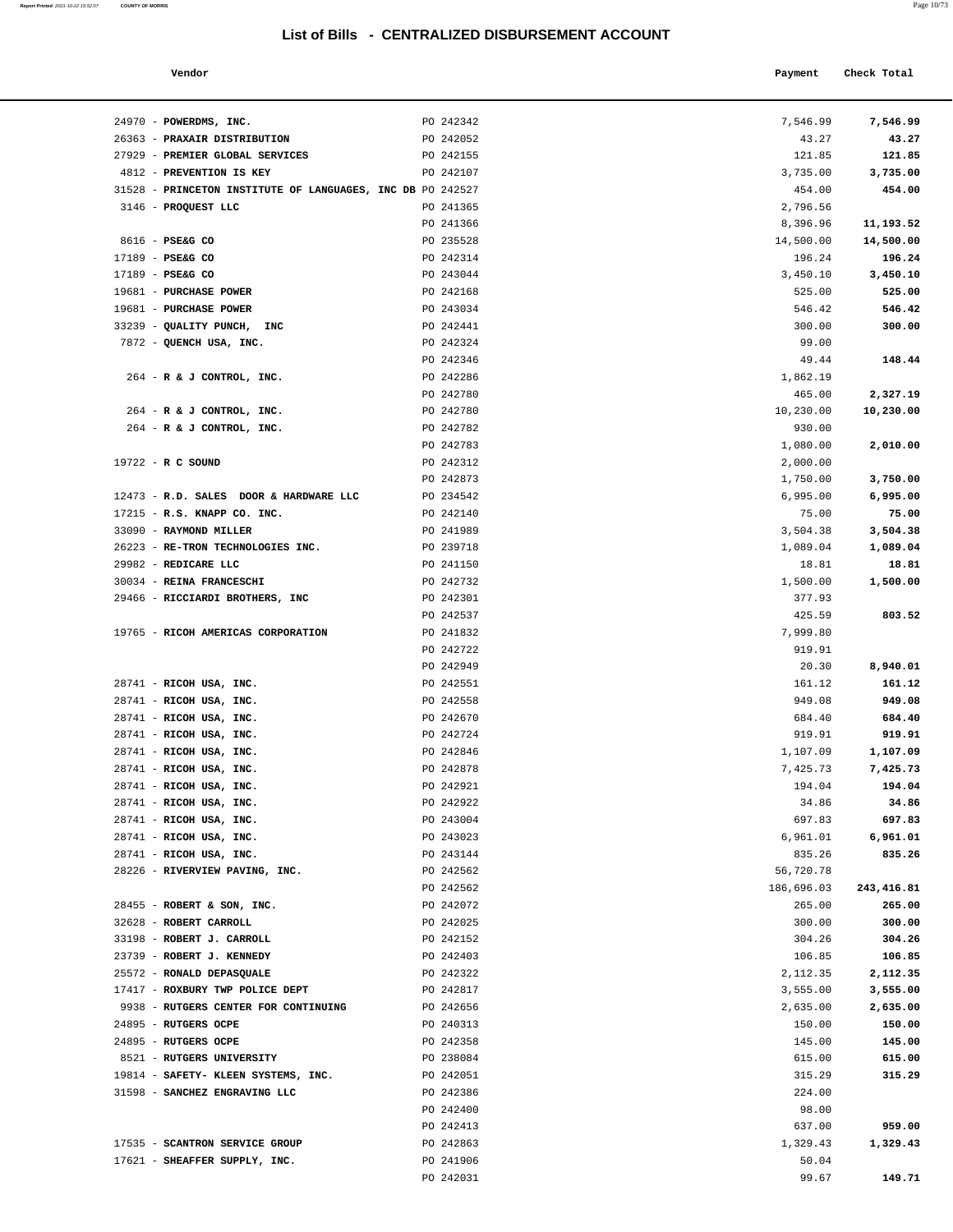31598 - **SANCHEZ ENGRAVING LLC** PO 242386 224.00

17621 - **SHEAFFER SUPPLY, INC.** PO 241906 50.04

17535 - **SCANTRON SERVICE GROUP** PO 242863 1,329.43 **1,329.43**

PO 242400 98.00

PO 242413 637.00 **959.00**

PO 242031 **149.71 149.71** 

**Report Printed** 2021-10-22 15:52:07 **COUNTY OF MORRIS** 

| Vendor                                                     |           | Payment    | Check Total |
|------------------------------------------------------------|-----------|------------|-------------|
|                                                            |           |            |             |
| 24970 - POWERDMS, INC.                                     | PO 242342 | 7,546.99   | 7,546.99    |
| 26363 - PRAXAIR DISTRIBUTION                               | PO 242052 | 43.27      | 43.27       |
| 27929 - PREMIER GLOBAL SERVICES                            | PO 242155 | 121.85     | 121.85      |
| 4812 - PREVENTION IS KEY                                   | PO 242107 | 3,735.00   | 3,735.00    |
| 31528 - PRINCETON INSTITUTE OF LANGUAGES, INC DB PO 242527 |           | 454.00     | 454.00      |
| 3146 - PROQUEST LLC                                        | PO 241365 | 2,796.56   |             |
|                                                            | PO 241366 | 8,396.96   | 11,193.52   |
| 8616 - PSE&G CO                                            | PO 235528 | 14,500.00  | 14,500.00   |
| 17189 - PSE&G CO                                           | PO 242314 | 196.24     | 196.24      |
| $17189$ - PSE&G CO                                         | PO 243044 | 3,450.10   | 3,450.10    |
| 19681 - PURCHASE POWER                                     | PO 242168 | 525.00     | 525.00      |
| 19681 - PURCHASE POWER                                     | PO 243034 | 546.42     | 546.42      |
| 33239 - QUALITY PUNCH, INC                                 | PO 242441 | 300.00     | 300.00      |
| 7872 - QUENCH USA, INC.                                    | PO 242324 | 99.00      |             |
|                                                            | PO 242346 | 49.44      | 148.44      |
| 264 - R & J CONTROL, INC.                                  | PO 242286 | 1,862.19   |             |
|                                                            | PO 242780 | 465.00     | 2,327.19    |
| 264 - R & J CONTROL, INC.                                  | PO 242780 | 10,230.00  | 10,230.00   |
| 264 - R & J CONTROL, INC.                                  | PO 242782 | 930.00     |             |
|                                                            | PO 242783 | 1,080.00   | 2,010.00    |
| 19722 - R C SOUND                                          | PO 242312 | 2,000.00   |             |
|                                                            | PO 242873 | 1,750.00   | 3,750.00    |
| 12473 - R.D. SALES DOOR & HARDWARE LLC                     | PO 234542 | 6,995.00   | 6,995.00    |
| 17215 - R.S. KNAPP CO. INC.                                | PO 242140 | 75.00      | 75.00       |
| 33090 - RAYMOND MILLER                                     | PO 241989 | 3,504.38   | 3,504.38    |
| 26223 - RE-TRON TECHNOLOGIES INC.                          | PO 239718 | 1,089.04   | 1,089.04    |
| 29982 - REDICARE LLC                                       | PO 241150 | 18.81      | 18.81       |
| 30034 - REINA FRANCESCHI                                   | PO 242732 | 1,500.00   | 1,500.00    |
| 29466 - RICCIARDI BROTHERS, INC                            | PO 242301 | 377.93     |             |
|                                                            | PO 242537 | 425.59     | 803.52      |
| 19765 - RICOH AMERICAS CORPORATION                         | PO 241832 | 7,999.80   |             |
|                                                            | PO 242722 | 919.91     |             |
|                                                            | PO 242949 | 20.30      | 8,940.01    |
| 28741 - RICOH USA, INC.                                    | PO 242551 | 161.12     | 161.12      |
| 28741 - RICOH USA, INC.                                    | PO 242558 | 949.08     | 949.08      |
| 28741 - RICOH USA, INC.                                    | PO 242670 | 684.40     | 684.40      |
| 28741 - RICOH USA, INC.                                    | PO 242724 | 919.91     | 919.91      |
| 28741 - RICOH USA, INC.                                    | PO 242846 | 1,107.09   | 1,107.09    |
| 28741 - RICOH USA, INC.                                    | PO 242878 | 7,425.73   | 7,425.73    |
| 28741 - RICOH USA, INC.                                    | PO 242921 | 194.04     | 194.04      |
| 28741 - RICOH USA, INC.                                    | PO 242922 | 34.86      | 34.86       |
| 28741 - RICOH USA, INC.                                    | PO 243004 | 697.83     | 697.83      |
| 28741 - RICOH USA, INC.                                    | PO 243023 | 6,961.01   | 6,961.01    |
| 28741 - RICOH USA, INC.                                    | PO 243144 | 835.26     | 835.26      |
| 28226 - RIVERVIEW PAVING, INC.                             | PO 242562 | 56,720.78  |             |
|                                                            | PO 242562 | 186,696.03 | 243,416.81  |
| 28455 - ROBERT & SON, INC.                                 | PO 242072 | 265.00     | 265.00      |
| 32628 - ROBERT CARROLL                                     | PO 242025 | 300.00     | 300.00      |
| 33198 - ROBERT J. CARROLL                                  | PO 242152 | 304.26     | 304.26      |
| 23739 - ROBERT J. KENNEDY                                  | PO 242403 | 106.85     | 106.85      |
| 25572 - RONALD DEPASQUALE                                  | PO 242322 | 2,112.35   | 2,112.35    |
| 17417 - ROXBURY TWP POLICE DEPT                            | PO 242817 | 3,555.00   | 3,555.00    |
| 9938 - RUTGERS CENTER FOR CONTINUING                       | PO 242656 | 2,635.00   | 2,635.00    |
| 24895 - RUTGERS OCPE                                       | PO 240313 | 150.00     | 150.00      |
| 24895 - RUTGERS OCPE                                       | PO 242358 | 145.00     | 145.00      |
| 8521 - RUTGERS UNIVERSITY                                  | PO 238084 | 615.00     | 615.00      |
| 19814 - SAFETY- KLEEN SYSTEMS, INC.                        | PO 242051 | 315.29     | 315.29      |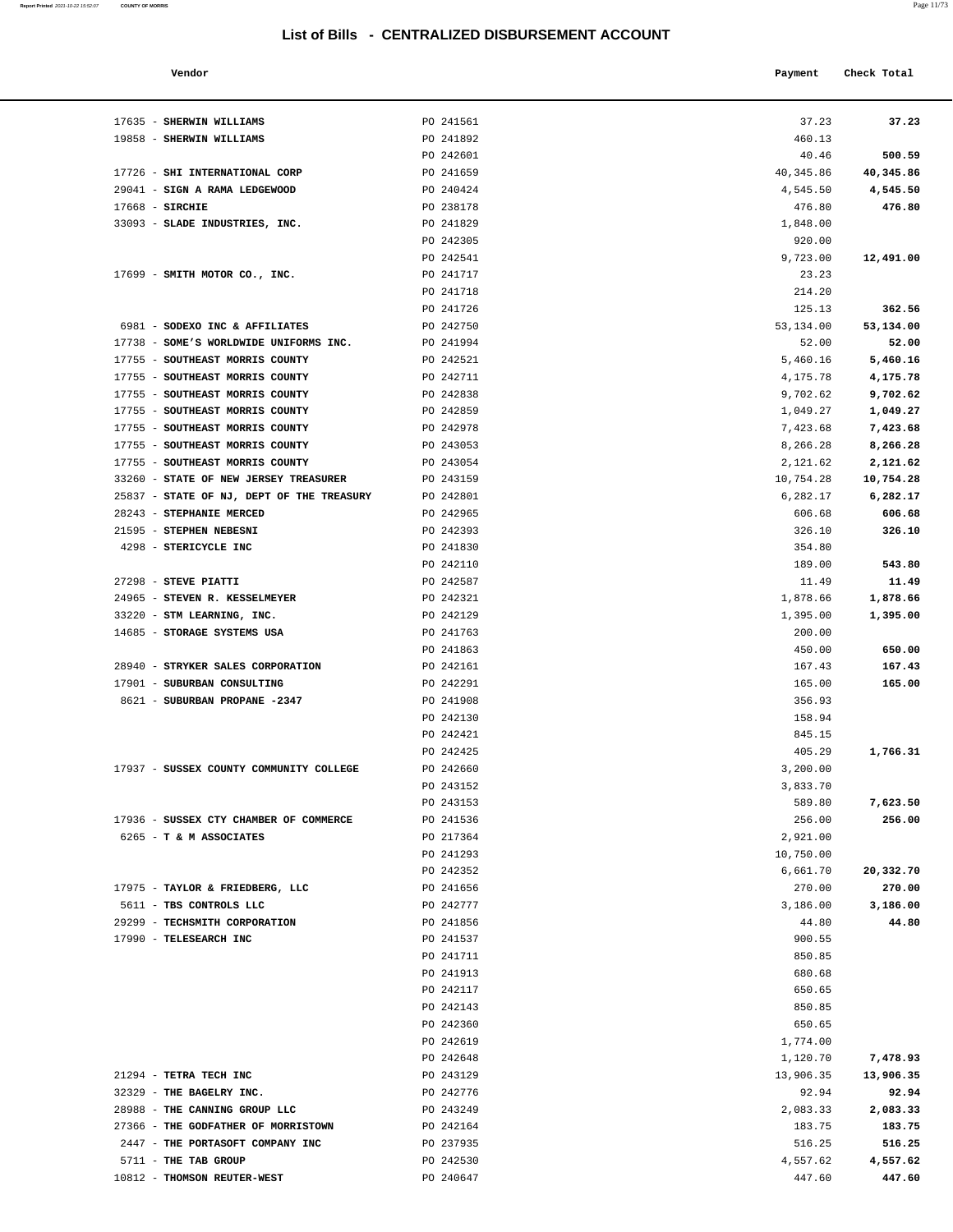#### **Vendor Check Total Payment Check Total**

**Report Printed** 2021-10-22 15:52:07 **COUNTY OF MORRIS** 

| a. | ×<br>۰ |  |
|----|--------|--|
|    |        |  |

| 460.13             |                    |
|--------------------|--------------------|
| 40.46              | 500.59             |
| 40, 345.86         | 40,345.86          |
| 4,545.50           | 4,545.50           |
| 476.80             | 476.80             |
| 1,848.00           |                    |
| 920.00             |                    |
| 9,723.00           | 12,491.00          |
| 23.23              |                    |
| 214.20             |                    |
| 125.13             | 362.56             |
| 53,134.00          | 53,134.00          |
| 52.00              | 52.00              |
| 5,460.16           | 5,460.16           |
| 4,175.78           | 4,175.78           |
| 9,702.62           | 9,702.62           |
| 1,049.27           | 1,049.27           |
| 7,423.68           | 7,423.68           |
| 8,266.28           | 8,266.28           |
| 2,121.62           | 2,121.62           |
| 10,754.28          | 10,754.28          |
| 6,282.17           | 6,282.17           |
| 606.68             | 606.68             |
| 326.10             | 326.10             |
| 354.80             |                    |
| 189.00             | 543.80             |
| 11.49              | 11.49              |
| 1,878.66           | 1,878.66           |
| 1,395.00           | 1,395.00           |
| 200.00             |                    |
| 450.00             | 650.00             |
| 167.43             | 167.43             |
| 165.00             | 165.00             |
| 356.93             |                    |
| 158.94             |                    |
| 845.15             |                    |
| 405.29             | 1,766.31           |
| 3,200.00           |                    |
| 3,833.70           |                    |
| 589.80             | 7,623.50           |
| 256.00             | 256.00             |
| 2,921.00           |                    |
| 10,750.00          |                    |
| 6,661.70           | 20,332.70          |
| 270.00             | 270.00             |
| 3,186.00           | 3,186.00           |
| 44.80              | 44.80              |
| 900.55             |                    |
| 850.85             |                    |
| 680.68             |                    |
| 650.65             |                    |
| 850.85             |                    |
| 650.65             |                    |
| 1,774.00           |                    |
| 1,120.70           | 7,478.93           |
| 13,906.35          | 13,906.35          |
| 92.94              | 92.94              |
| 2,083.33           | 2,083.33           |
| 183.75             | 183.75             |
| 516.25             | 516.25             |
|                    |                    |
| 4,557.62<br>447.60 | 4,557.62<br>447.60 |
|                    |                    |

| 17635 - SHERWIN WILLIAMS                                           | PO 241561              | 37.23                | 37.23                |
|--------------------------------------------------------------------|------------------------|----------------------|----------------------|
| 19858 - SHERWIN WILLIAMS                                           | PO 241892              | 460.13               |                      |
|                                                                    | PO 242601              | 40.46                | 500.59               |
| 17726 - SHI INTERNATIONAL CORP                                     | PO 241659              | 40,345.86            | 40,345.86            |
| 29041 - SIGN A RAMA LEDGEWOOD                                      | PO 240424              | 4,545.50             | 4,545.50             |
| $17668$ - SIRCHIE                                                  | PO 238178              | 476.80               | 476.80               |
| 33093 - SLADE INDUSTRIES, INC.                                     | PO 241829              | 1,848.00             |                      |
|                                                                    | PO 242305              | 920.00               |                      |
|                                                                    | PO 242541              | 9,723.00             | 12,491.00            |
| 17699 - SMITH MOTOR CO., INC.                                      | PO 241717              | 23.23                |                      |
|                                                                    | PO 241718              | 214.20               |                      |
|                                                                    | PO 241726              | 125.13               | 362.56               |
| 6981 - SODEXO INC & AFFILIATES                                     | PO 242750              | 53,134.00            | 53,134.00            |
| 17738 - SOME'S WORLDWIDE UNIFORMS INC.                             | PO 241994              | 52.00                | 52.00                |
| 17755 - SOUTHEAST MORRIS COUNTY                                    | PO 242521              | 5,460.16             | 5,460.16             |
| 17755 - SOUTHEAST MORRIS COUNTY<br>17755 - SOUTHEAST MORRIS COUNTY | PO 242711<br>PO 242838 | 4,175.78             | 4,175.78             |
| 17755 - SOUTHEAST MORRIS COUNTY                                    | PO 242859              | 9,702.62<br>1,049.27 | 9,702.62<br>1,049.27 |
| 17755 - SOUTHEAST MORRIS COUNTY                                    | PO 242978              | 7,423.68             | 7,423.68             |
| 17755 - SOUTHEAST MORRIS COUNTY                                    | PO 243053              | 8,266.28             | 8,266.28             |
| 17755 - SOUTHEAST MORRIS COUNTY                                    | PO 243054              | 2,121.62             | 2,121.62             |
| 33260 - STATE OF NEW JERSEY TREASURER                              | PO 243159              | 10,754.28            | 10,754.28            |
| 25837 - STATE OF NJ, DEPT OF THE TREASURY                          | PO 242801              | 6,282.17             | 6,282.17             |
| 28243 - STEPHANIE MERCED                                           | PO 242965              | 606.68               | 606.68               |
| 21595 - STEPHEN NEBESNI                                            | PO 242393              | 326.10               | 326.10               |
| 4298 - STERICYCLE INC                                              | PO 241830              | 354.80               |                      |
|                                                                    | PO 242110              | 189.00               | 543.80               |
| 27298 - STEVE PIATTI                                               | PO 242587              | 11.49                | 11.49                |
| 24965 - STEVEN R. KESSELMEYER                                      | PO 242321              | 1,878.66             | 1,878.66             |
| 33220 - STM LEARNING, INC.                                         | PO 242129              | 1,395.00             | 1,395.00             |
| 14685 - STORAGE SYSTEMS USA                                        | PO 241763              | 200.00               |                      |
|                                                                    | PO 241863              | 450.00               | 650.00               |
| 28940 - STRYKER SALES CORPORATION                                  | PO 242161              | 167.43               | 167.43               |
| 17901 - SUBURBAN CONSULTING                                        | PO 242291              | 165.00               | 165.00               |
| 8621 - SUBURBAN PROPANE -2347                                      | PO 241908<br>PO 242130 | 356.93<br>158.94     |                      |
|                                                                    | PO 242421              | 845.15               |                      |
|                                                                    | PO 242425              | 405.29               | 1,766.31             |
| 17937 - SUSSEX COUNTY COMMUNITY COLLEGE                            | PO 242660              | 3,200.00             |                      |
|                                                                    | PO 243152              | 3,833.70             |                      |
|                                                                    | PO 243153              | 589.80               | 7,623.50             |
| 17936 - SUSSEX CTY CHAMBER OF COMMERCE                             | PO 241536              | 256.00               | 256.00               |
| 6265 - T & M ASSOCIATES                                            | PO 217364              | 2,921.00             |                      |
|                                                                    | PO 241293              | 10,750.00            |                      |
|                                                                    | PO 242352              | 6,661.70             | 20,332.70            |
| 17975 - TAYLOR & FRIEDBERG, LLC                                    | PO 241656              | 270.00               | 270.00               |
| 5611 - TBS CONTROLS LLC                                            | PO 242777              | 3,186.00             | 3,186.00             |
| 29299 - TECHSMITH CORPORATION                                      | PO 241856              | 44.80                | 44.80                |
| 17990 - TELESEARCH INC                                             | PO 241537              | 900.55               |                      |
|                                                                    | PO 241711              | 850.85               |                      |
|                                                                    | PO 241913<br>PO 242117 | 680.68<br>650.65     |                      |
|                                                                    | PO 242143              | 850.85               |                      |
|                                                                    | PO 242360              | 650.65               |                      |
|                                                                    | PO 242619              | 1,774.00             |                      |
|                                                                    | PO 242648              | 1,120.70             | 7,478.93             |
| 21294 - TETRA TECH INC                                             | PO 243129              | 13,906.35            | 13,906.35            |
| 32329 - THE BAGELRY INC.                                           | PO 242776              | 92.94                | 92.94                |
| 28988 - THE CANNING GROUP LLC                                      | PO 243249              | 2,083.33             | 2,083.33             |
| 27366 - THE GODFATHER OF MORRISTOWN                                | PO 242164              | 183.75               | 183.75               |
| 2447 - THE PORTASOFT COMPANY INC                                   | PO 237935              | 516.25               | 516.25               |

5711 - **THE TAB GROUP PO 242530** 10812 - **THOMSON REUTER-WEST** PO 240647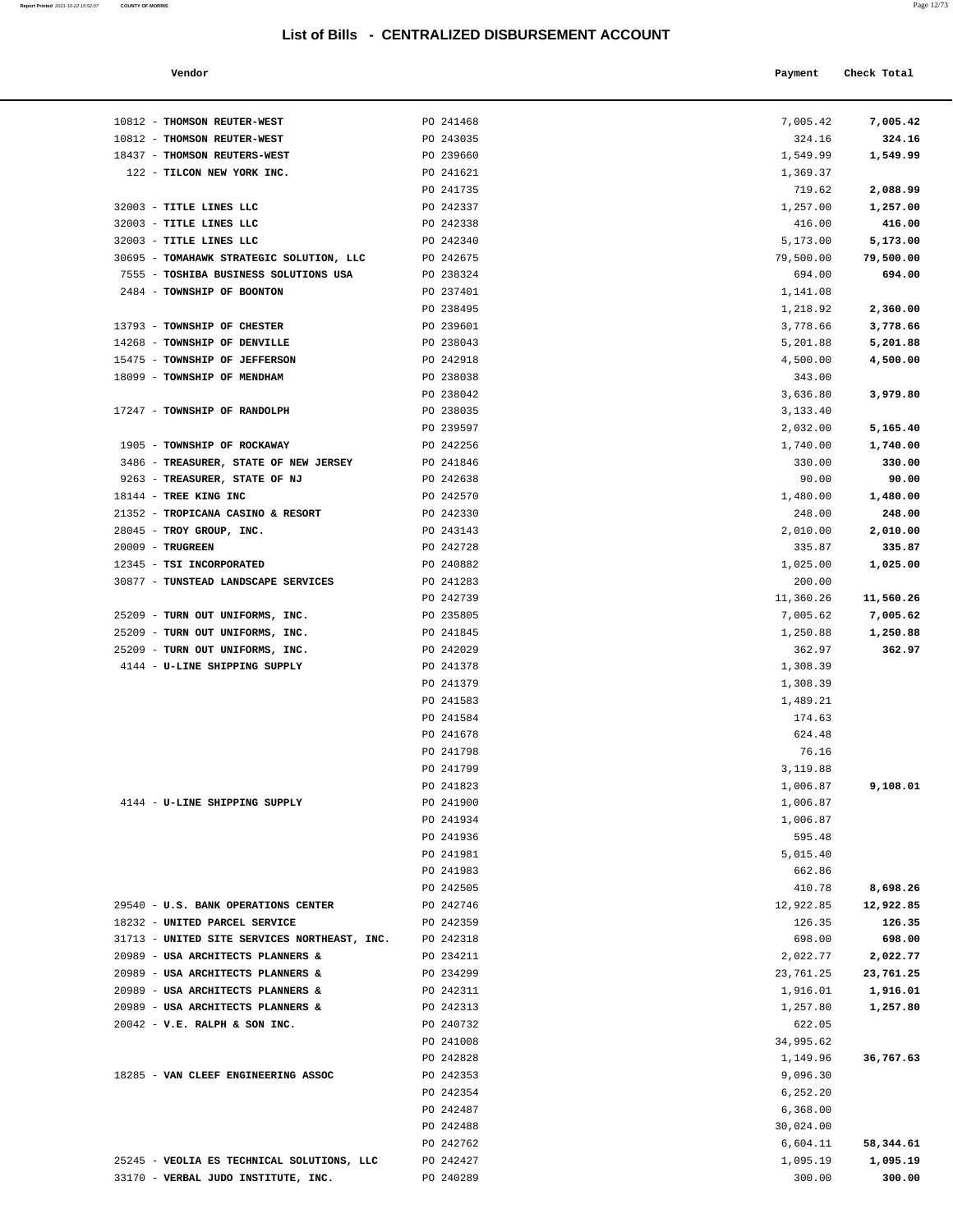| Report Printed 2021-10-22 15:52:07 | <b>COUNTY OF MORRIS</b> |  |  | Page 12/73 |
|------------------------------------|-------------------------|--|--|------------|
|                                    |                         |  |  |            |

| Vendor                     |           | Payment  | Check Total     |
|----------------------------|-----------|----------|-----------------|
| <b>THOMSON REUTER-WEST</b> | PO 241468 | 7,005.42 | 7,005.42        |
| <b>THOMSON REUTER-WEST</b> | PO 243035 | 324.16   | 324.16          |
| THOMSON REUTERS-WEST       | PO 239660 | 1,549.99 | 1,549.99        |
| TILCON NEW YORK INC.       | PO 241621 | 1,369.37 |                 |
|                            | PO 241735 | 719.62   | 2,088.99        |
| TITLE LINES LLC            | PO 242337 | 1,257.00 | 1,257.00        |
| TITLE LINES LLC            | PO 242338 | 416.00   | 416.00          |
| mtmtr trund tra            | DQ 242240 | E 172 00 | <b>E 173 00</b> |

| 10812 - THOMSON REUTER-WEST                                                       | PO 241468              | 7,005.42             | 7,005.42              |
|-----------------------------------------------------------------------------------|------------------------|----------------------|-----------------------|
| 10812 - THOMSON REUTER-WEST                                                       | PO 243035              | 324.16               | 324.16                |
| 18437 - THOMSON REUTERS-WEST                                                      | PO 239660              | 1,549.99             | 1,549.99              |
| 122 - TILCON NEW YORK INC.                                                        | PO 241621              | 1,369.37             |                       |
|                                                                                   | PO 241735              | 719.62               | 2,088.99              |
| 32003 - TITLE LINES LLC                                                           | PO 242337              | 1,257.00             | 1,257.00              |
| 32003 - TITLE LINES LLC                                                           | PO 242338              | 416.00               | 416.00                |
| 32003 - TITLE LINES LLC                                                           | PO 242340              | 5,173.00             | 5,173.00              |
| 30695 - TOMAHAWK STRATEGIC SOLUTION, LLC                                          | PO 242675              | 79,500.00            | 79,500.00             |
| 7555 - TOSHIBA BUSINESS SOLUTIONS USA                                             | PO 238324              | 694.00               | 694.00                |
| 2484 - TOWNSHIP OF BOONTON                                                        | PO 237401              | 1,141.08             |                       |
|                                                                                   | PO 238495              | 1,218.92             | 2,360.00              |
| 13793 - TOWNSHIP OF CHESTER                                                       | PO 239601              | 3,778.66             | 3,778.66              |
| 14268 - TOWNSHIP OF DENVILLE                                                      | PO 238043              | 5,201.88             | 5,201.88              |
| 15475 - TOWNSHIP OF JEFFERSON                                                     | PO 242918              | 4,500.00             | 4,500.00              |
| 18099 - TOWNSHIP OF MENDHAM                                                       | PO 238038              | 343.00               |                       |
| 17247 - TOWNSHIP OF RANDOLPH                                                      | PO 238042<br>PO 238035 | 3,636.80<br>3,133.40 | 3,979.80              |
|                                                                                   | PO 239597              | 2,032.00             | 5,165.40              |
| 1905 - TOWNSHIP OF ROCKAWAY                                                       | PO 242256              | 1,740.00             | 1,740.00              |
| 3486 - TREASURER, STATE OF NEW JERSEY                                             | PO 241846              | 330.00               | 330.00                |
| 9263 - TREASURER, STATE OF NJ                                                     | PO 242638              | 90.00                | 90.00                 |
| 18144 - TREE KING INC                                                             | PO 242570              | 1,480.00             | 1,480.00              |
| 21352 - TROPICANA CASINO & RESORT                                                 | PO 242330              | 248.00               | 248.00                |
| 28045 - TROY GROUP, INC.                                                          | PO 243143              | 2,010.00             | 2,010.00              |
| 20009 - TRUGREEN                                                                  | PO 242728              | 335.87               | 335.87                |
| 12345 - TSI INCORPORATED                                                          | PO 240882              | 1,025.00             | 1,025.00              |
| 30877 - TUNSTEAD LANDSCAPE SERVICES                                               | PO 241283              | 200.00               |                       |
|                                                                                   | PO 242739              | 11,360.26            | 11,560.26             |
| 25209 - TURN OUT UNIFORMS, INC.                                                   | PO 235805              | 7,005.62             | 7,005.62              |
| 25209 - TURN OUT UNIFORMS, INC.                                                   | PO 241845              | 1,250.88             | 1,250.88              |
| 25209 - TURN OUT UNIFORMS, INC.                                                   | PO 242029              | 362.97               | 362.97                |
| 4144 - U-LINE SHIPPING SUPPLY                                                     | PO 241378              | 1,308.39             |                       |
|                                                                                   | PO 241379              | 1,308.39             |                       |
|                                                                                   | PO 241583              | 1,489.21             |                       |
|                                                                                   | PO 241584              | 174.63               |                       |
|                                                                                   | PO 241678              | 624.48               |                       |
|                                                                                   | PO 241798              | 76.16                |                       |
|                                                                                   | PO 241799              | 3,119.88             |                       |
| 4144 - U-LINE SHIPPING SUPPLY                                                     | PO 241823<br>PO 241900 | 1,006.87<br>1,006.87 | 9,108.01              |
|                                                                                   | PO 241934              | 1,006.87             |                       |
|                                                                                   | PO 241936              | 595.48               |                       |
|                                                                                   | PO 241981              | 5,015.40             |                       |
|                                                                                   | PO 241983              | 662.86               |                       |
|                                                                                   | PO 242505              | 410.78               | 8,698.26              |
| 29540 - U.S. BANK OPERATIONS CENTER                                               | PO 242746              | 12,922.85            | 12,922.85             |
| 18232 - UNITED PARCEL SERVICE                                                     | PO 242359              | 126.35               | 126.35                |
| 31713 - UNITED SITE SERVICES NORTHEAST, INC.                                      | PO 242318              | 698.00               | 698.00                |
| 20989 - USA ARCHITECTS PLANNERS &                                                 | PO 234211              | 2,022.77             | 2,022.77              |
| 20989 - USA ARCHITECTS PLANNERS &                                                 | PO 234299              | 23,761.25            | 23,761.25             |
| 20989 - USA ARCHITECTS PLANNERS &                                                 | PO 242311              | 1,916.01             | 1,916.01              |
| 20989 - USA ARCHITECTS PLANNERS &                                                 | PO 242313              | 1,257.80             | 1,257.80              |
| $20042$ - V.E. RALPH & SON INC.                                                   | PO 240732              | 622.05               |                       |
|                                                                                   | PO 241008              | 34,995.62            |                       |
|                                                                                   | PO 242828              | 1,149.96             | 36,767.63             |
| 18285 - VAN CLEEF ENGINEERING ASSOC                                               | PO 242353              | 9,096.30             |                       |
|                                                                                   | PO 242354              | 6,252.20             |                       |
|                                                                                   | PO 242487              | 6,368.00             |                       |
|                                                                                   | PO 242488              | 30,024.00            |                       |
|                                                                                   | PO 242762              | 6,604.11             | 58,344.61<br>1,095.19 |
| 25245 - VEOLIA ES TECHNICAL SOLUTIONS, LLC<br>33170 - VERBAL JUDO INSTITUTE, INC. | PO 242427<br>PO 240289 | 1,095.19<br>300.00   | 300.00                |
|                                                                                   |                        |                      |                       |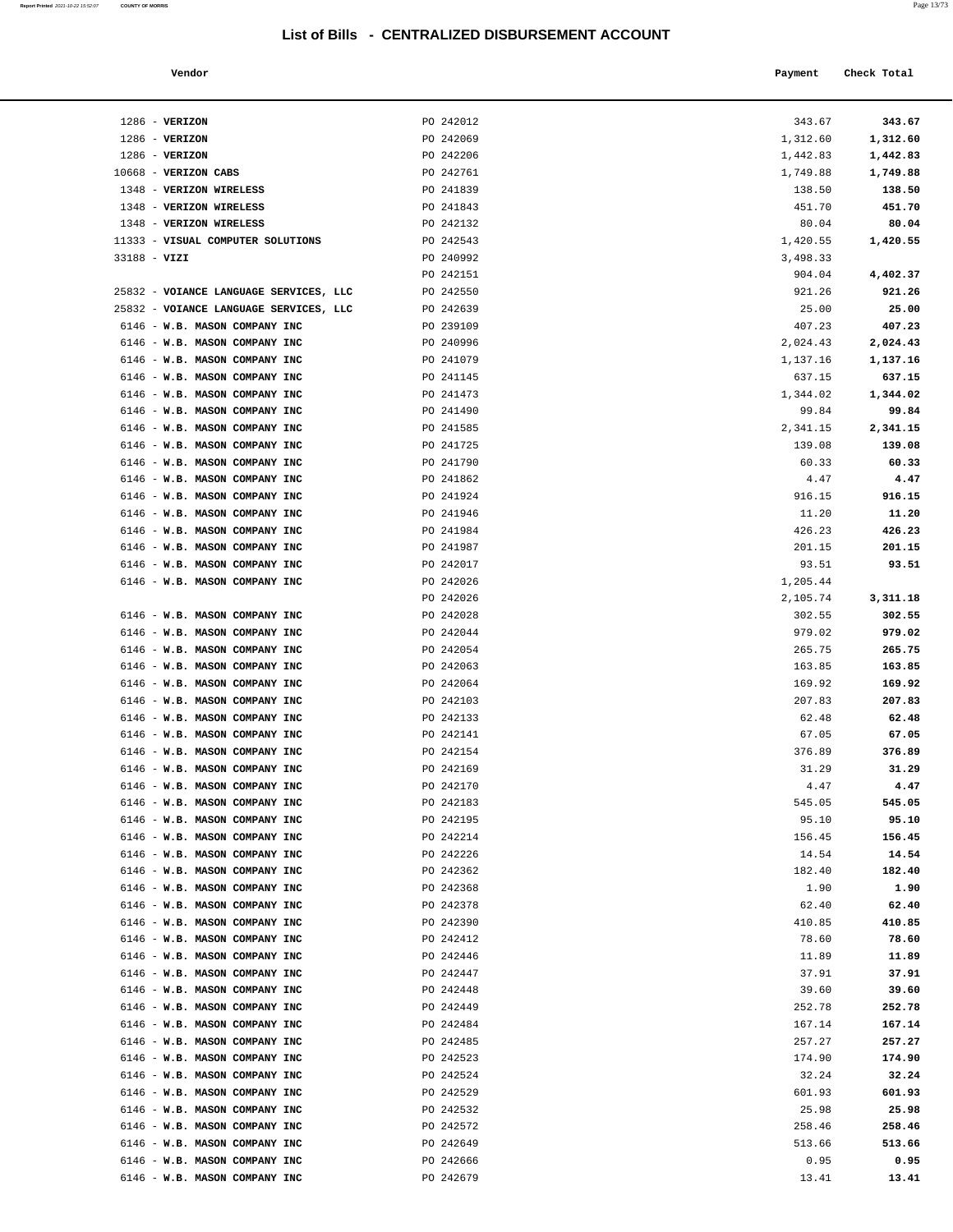| Report Printed 2021-10-22 15:52:07 | <b>COUNTY OF MORRIS</b>                                        |                                                  |                   | Page 13/73        |
|------------------------------------|----------------------------------------------------------------|--------------------------------------------------|-------------------|-------------------|
|                                    |                                                                | List of Bills - CENTRALIZED DISBURSEMENT ACCOUNT |                   |                   |
|                                    | Vendor                                                         |                                                  | Payment           | Check Total       |
|                                    | $1286$ - VERIZON                                               | PO 242012                                        | 343.67            | 343.67            |
|                                    | $1286$ - VERIZON                                               | PO 242069                                        | 1,312.60          | 1,312.60          |
|                                    | $1286$ - VERIZON                                               | PO 242206                                        | 1,442.83          | 1,442.83          |
|                                    | 10668 - VERIZON CABS                                           | PO 242761                                        | 1,749.88          | 1,749.88          |
|                                    | 1348 - VERIZON WIRELESS                                        | PO 241839                                        | 138.50            | 138.50            |
|                                    | 1348 - VERIZON WIRELESS                                        | PO 241843                                        | 451.70            | 451.70            |
|                                    | 1348 - VERIZON WIRELESS                                        | PO 242132                                        | 80.04             | 80.04             |
|                                    | 11333 - VISUAL COMPUTER SOLUTIONS                              | PO 242543                                        | 1,420.55          | 1,420.55          |
|                                    | $33188 - VIZI$                                                 | PO 240992                                        | 3,498.33          |                   |
|                                    |                                                                | PO 242151                                        | 904.04            | 4,402.37          |
|                                    | 25832 - VOIANCE LANGUAGE SERVICES, LLC                         | PO 242550                                        | 921.26            | 921.26            |
|                                    | 25832 - VOIANCE LANGUAGE SERVICES, LLC                         | PO 242639                                        | 25.00             | 25.00             |
|                                    | 6146 - W.B. MASON COMPANY INC                                  | PO 239109                                        | 407.23            | 407.23            |
|                                    | 6146 - W.B. MASON COMPANY INC                                  | PO 240996                                        | 2,024.43          | 2,024.43          |
|                                    | 6146 - W.B. MASON COMPANY INC<br>6146 - W.B. MASON COMPANY INC | PO 241079                                        | 1,137.16          | 1,137.16          |
|                                    | 6146 - W.B. MASON COMPANY INC                                  | PO 241145<br>PO 241473                           | 637.15            | 637.15            |
|                                    |                                                                | PO 241490                                        | 1,344.02<br>99.84 | 1,344.02<br>99.84 |
|                                    | 6146 - W.B. MASON COMPANY INC<br>6146 - W.B. MASON COMPANY INC | PO 241585                                        | 2,341.15          | 2,341.15          |
|                                    | 6146 - W.B. MASON COMPANY INC                                  | PO 241725                                        | 139.08            | 139.08            |
|                                    | 6146 - W.B. MASON COMPANY INC                                  | PO 241790                                        | 60.33             | 60.33             |
|                                    | 6146 - W.B. MASON COMPANY INC                                  | PO 241862                                        | 4.47              | 4.47              |
|                                    | 6146 - W.B. MASON COMPANY INC                                  | PO 241924                                        | 916.15            | 916.15            |
|                                    | 6146 - W.B. MASON COMPANY INC                                  | PO 241946                                        | 11.20             | 11.20             |
|                                    | 6146 - W.B. MASON COMPANY INC                                  | PO 241984                                        | 426.23            | 426.23            |
|                                    | 6146 - W.B. MASON COMPANY INC                                  | PO 241987                                        | 201.15            | 201.15            |
|                                    | 6146 - W.B. MASON COMPANY INC                                  | PO 242017                                        | 93.51             | 93.51             |
|                                    | 6146 - W.B. MASON COMPANY INC                                  | PO 242026                                        | 1,205.44          |                   |
|                                    |                                                                | PO 242026                                        | 2,105.74          | 3,311.18          |
|                                    | 6146 - W.B. MASON COMPANY INC                                  | PO 242028                                        | 302.55            | 302.55            |
|                                    | 6146 - W.B. MASON COMPANY INC                                  | PO 242044                                        | 979.02            | 979.02            |
|                                    | 6146 - W.B. MASON COMPANY INC                                  | PO 242054                                        | 265.75            | 265.75            |
|                                    | 6146 - W.B. MASON COMPANY INC                                  | PO 242063                                        | 163.85            | 163.85            |
|                                    | 6146 - W.B. MASON COMPANY INC                                  | PO 242064                                        | 169.92            | 169.92            |
|                                    | 6146 - W.B. MASON COMPANY INC                                  | PO 242103                                        | 207.83            | 207.83            |
|                                    | 6146 - W.B. MASON COMPANY INC                                  | PO 242133                                        | 62.48             | 62.48             |
|                                    | 6146 - W.B. MASON COMPANY INC                                  | PO 242141                                        | 67.05             | 67.05             |
|                                    | 6146 - W.B. MASON COMPANY INC                                  | PO 242154                                        | 376.89            | 376.89            |
|                                    | 6146 - W.B. MASON COMPANY INC                                  | PO 242169                                        | 31.29             | 31.29             |
|                                    | 6146 - W.B. MASON COMPANY INC                                  | PO 242170                                        | 4.47              | 4.47              |
|                                    | 6146 - W.B. MASON COMPANY INC                                  | PO 242183                                        | 545.05            | 545.05            |
|                                    | 6146 - W.B. MASON COMPANY INC                                  | PO 242195                                        | 95.10             | 95.10             |
|                                    | 6146 - W.B. MASON COMPANY INC                                  | PO 242214                                        | 156.45            | 156.45            |
|                                    | 6146 - W.B. MASON COMPANY INC                                  | PO 242226                                        | 14.54             | 14.54             |
|                                    | 6146 - W.B. MASON COMPANY INC                                  | PO 242362                                        | 182.40            | 182.40            |
|                                    | 6146 - W.B. MASON COMPANY INC                                  | PO 242368                                        | 1.90              | 1.90              |
|                                    | 6146 - W.B. MASON COMPANY INC                                  | PO 242378                                        | 62.40             | 62.40             |
|                                    | 6146 - W.B. MASON COMPANY INC                                  | PO 242390                                        | 410.85            | 410.85            |
|                                    | 6146 - W.B. MASON COMPANY INC                                  | PO 242412                                        | 78.60             | 78.60             |
|                                    | 6146 - W.B. MASON COMPANY INC                                  | PO 242446                                        | 11.89             | 11.89             |

| 1286 - VERIZON                                                 | PO 242206              | 1,442.83        | 1,442.83        |
|----------------------------------------------------------------|------------------------|-----------------|-----------------|
| 10668 - VERIZON CABS                                           | PO 242761              | 1,749.88        | 1,749.88        |
| 1348 - VERIZON WIRELESS                                        | PO 241839              | 138.50          | 138.50          |
| 1348 - VERIZON WIRELESS                                        | PO 241843              | 451.70          | 451.70          |
| 1348 - VERIZON WIRELESS                                        | PO 242132              | 80.04           | 80.04           |
| 11333 - VISUAL COMPUTER SOLUTIONS                              | PO 242543              | 1,420.55        | 1,420.55        |
| 33188 - VIZI                                                   | PO 240992              | 3,498.33        |                 |
|                                                                | PO 242151              | 904.04          | 4,402.37        |
| 25832 - VOIANCE LANGUAGE SERVICES, LLC                         | PO 242550              | 921.26          | 921.26          |
| 25832 - VOIANCE LANGUAGE SERVICES, LLC                         | PO 242639              | 25.00           | 25.00           |
| 6146 - W.B. MASON COMPANY INC                                  | PO 239109              | 407.23          | 407.23          |
| 6146 - W.B. MASON COMPANY INC                                  | PO 240996              | 2,024.43        | 2,024.43        |
| 6146 - W.B. MASON COMPANY INC                                  | PO 241079              | 1,137.16        | 1,137.16        |
| 6146 - W.B. MASON COMPANY INC                                  | PO 241145              | 637.15          | 637.15          |
| 6146 - W.B. MASON COMPANY INC                                  | PO 241473              | 1,344.02        | 1,344.02        |
| 6146 - W.B. MASON COMPANY INC                                  | PO 241490              | 99.84           | 99.84           |
| 6146 - W.B. MASON COMPANY INC                                  | PO 241585              | 2,341.15        | 2,341.15        |
| 6146 - W.B. MASON COMPANY INC                                  | PO 241725              | 139.08          | 139.08          |
| 6146 - W.B. MASON COMPANY INC                                  | PO 241790              | 60.33           | 60.33           |
| 6146 - W.B. MASON COMPANY INC                                  | PO 241862              | 4.47            | 4.47            |
| 6146 - W.B. MASON COMPANY INC                                  | PO 241924              | 916.15          | 916.15          |
| 6146 - W.B. MASON COMPANY INC                                  | PO 241946              | 11.20           | 11.20           |
| 6146 - W.B. MASON COMPANY INC                                  | PO 241984              | 426.23          | 426.23          |
| 6146 - W.B. MASON COMPANY INC                                  | PO 241987              | 201.15          | 201.15          |
| 6146 - W.B. MASON COMPANY INC                                  | PO 242017              | 93.51           | 93.51           |
| 6146 - W.B. MASON COMPANY INC                                  | PO 242026              | 1,205.44        |                 |
|                                                                | PO 242026              | 2,105.74        | 3,311.18        |
| 6146 - W.B. MASON COMPANY INC                                  | PO 242028              | 302.55          | 302.55          |
| 6146 - W.B. MASON COMPANY INC                                  | PO 242044              | 979.02          | 979.02          |
| 6146 - W.B. MASON COMPANY INC                                  | PO 242054              | 265.75          | 265.75          |
| 6146 - W.B. MASON COMPANY INC                                  | PO 242063              | 163.85          | 163.85          |
| 6146 - W.B. MASON COMPANY INC                                  | PO 242064              | 169.92          | 169.92          |
| 6146 - W.B. MASON COMPANY INC                                  | PO 242103              | 207.83          | 207.83          |
| 6146 - W.B. MASON COMPANY INC                                  | PO 242133              | 62.48           | 62.48           |
| 6146 - W.B. MASON COMPANY INC                                  | PO 242141              | 67.05           | 67.05           |
| 6146 - W.B. MASON COMPANY INC                                  | PO 242154              | 376.89          | 376.89          |
| 6146 - W.B. MASON COMPANY INC                                  | PO 242169              | 31.29           | 31.29           |
| 6146 - W.B. MASON COMPANY INC                                  | PO 242170              | 4.47            | 4.47            |
| 6146 - W.B. MASON COMPANY INC                                  | PO 242183              | 545.05          | 545.05          |
| 6146 - W.B. MASON COMPANY INC<br>6146 - W.B. MASON COMPANY INC | PO 242195              | 95.10           | 95.10           |
|                                                                | PO 242214              | 156.45          | 156.45          |
| 6146 - W.B. MASON COMPANY INC<br>6146 - W.B. MASON COMPANY INC | PO 242226              | 14.54           | 14.54<br>182.40 |
| 6146 - W.B. MASON COMPANY INC                                  | PO 242362<br>PO 242368 | 182.40          | 1.90            |
|                                                                |                        | 1.90            |                 |
| 6146 - W.B. MASON COMPANY INC                                  | PO 242378              | 62.40           | 62.40           |
| 6146 - W.B. MASON COMPANY INC<br>6146 - W.B. MASON COMPANY INC | PO 242390<br>PO 242412 | 410.85<br>78.60 | 410.85<br>78.60 |
| 6146 - W.B. MASON COMPANY INC                                  | PO 242446              | 11.89           | 11.89           |
| 6146 - W.B. MASON COMPANY INC                                  | PO 242447              | 37.91           | 37.91           |
| 6146 - W.B. MASON COMPANY INC                                  | PO 242448              | 39.60           | 39.60           |
| 6146 - W.B. MASON COMPANY INC                                  | PO 242449              | 252.78          | 252.78          |
| 6146 - W.B. MASON COMPANY INC                                  | PO 242484              | 167.14          | 167.14          |
| 6146 - W.B. MASON COMPANY INC                                  | PO 242485              | 257.27          | 257.27          |
| 6146 - W.B. MASON COMPANY INC                                  | PO 242523              | 174.90          | 174.90          |
| 6146 - W.B. MASON COMPANY INC                                  | PO 242524              | 32.24           | 32.24           |
| 6146 - W.B. MASON COMPANY INC                                  | PO 242529              | 601.93          | 601.93          |
| 6146 - W.B. MASON COMPANY INC                                  | PO 242532              | 25.98           | 25.98           |
| 6146 - W.B. MASON COMPANY INC                                  | PO 242572              | 258.46          | 258.46          |
| 6146 - W.B. MASON COMPANY INC                                  | PO 242649              | 513.66          | 513.66          |
| 6146 - W.B. MASON COMPANY INC                                  | PO 242666              | 0.95            | 0.95            |
| 6146 - W.B. MASON COMPANY INC                                  | PO 242679              | 13.41           | 13.41           |
|                                                                |                        |                 |                 |
|                                                                |                        |                 |                 |
|                                                                |                        |                 |                 |
|                                                                |                        |                 |                 |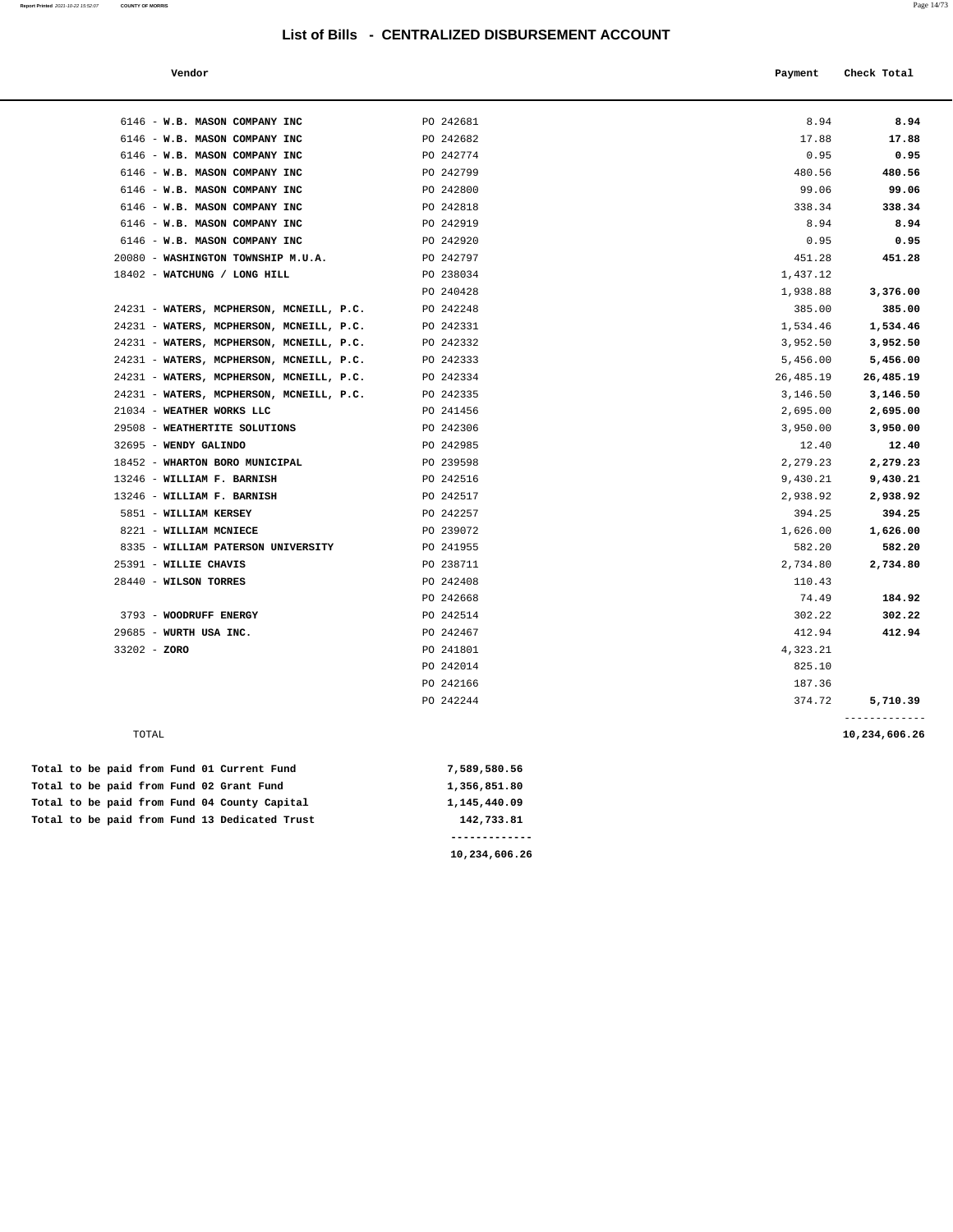**Report Printed** 2021-10-22 15:52:07 **COUNTY OF MORRIS** Page 14/73

| Vendor |  | Payment Check Total |
|--------|--|---------------------|
|--------|--|---------------------|

| 6146 - W.B. MASON COMPANY INC            | PO 242681 | 8.94      | 8.94                           |
|------------------------------------------|-----------|-----------|--------------------------------|
| 6146 - W.B. MASON COMPANY INC            | PO 242682 | 17.88     | 17.88                          |
| 6146 - W.B. MASON COMPANY INC            | PO 242774 | 0.95      | 0.95                           |
| 6146 - W.B. MASON COMPANY INC            | PO 242799 | 480.56    | 480.56                         |
| 6146 - W.B. MASON COMPANY INC            | PO 242800 | 99.06     | 99.06                          |
| 6146 - W.B. MASON COMPANY INC            | PO 242818 | 338.34    | 338.34                         |
| 6146 - W.B. MASON COMPANY INC            | PO 242919 | 8.94      | 8.94                           |
| 6146 - W.B. MASON COMPANY INC            | PO 242920 | 0.95      | 0.95                           |
| 20080 - WASHINGTON TOWNSHIP M.U.A.       | PO 242797 | 451.28    | 451.28                         |
| 18402 - WATCHUNG / LONG HILL             | PO 238034 | 1,437.12  |                                |
|                                          | PO 240428 | 1,938.88  | 3,376.00                       |
| 24231 - WATERS, MCPHERSON, MCNEILL, P.C. | PO 242248 | 385.00    | 385.00                         |
| 24231 - WATERS, MCPHERSON, MCNEILL, P.C. | PO 242331 | 1,534.46  | 1,534.46                       |
| 24231 - WATERS, MCPHERSON, MCNEILL, P.C. | PO 242332 | 3,952.50  | 3,952.50                       |
| 24231 - WATERS, MCPHERSON, MCNEILL, P.C. | PO 242333 | 5,456.00  | 5,456.00                       |
| 24231 - WATERS, MCPHERSON, MCNEILL, P.C. | PO 242334 | 26,485.19 | 26,485.19                      |
| 24231 - WATERS, MCPHERSON, MCNEILL, P.C. | PO 242335 | 3,146.50  | 3,146.50                       |
| 21034 - WEATHER WORKS LLC                | PO 241456 | 2,695.00  | 2,695.00                       |
| 29508 - WEATHERTITE SOLUTIONS            | PO 242306 | 3,950.00  | 3,950.00                       |
| 32695 - WENDY GALINDO                    | PO 242985 | 12.40     | 12.40                          |
| 18452 - WHARTON BORO MUNICIPAL           | PO 239598 | 2.279.23  | 2,279.23                       |
| 13246 - WILLIAM F. BARNISH               | PO 242516 | 9,430.21  | 9,430.21                       |
| 13246 - WILLIAM F. BARNISH               | PO 242517 | 2,938.92  | 2,938.92                       |
| 5851 - WILLIAM KERSEY                    | PO 242257 | 394.25    | 394.25                         |
| 8221 - WILLIAM MCNIECE                   | PO 239072 | 1,626.00  | 1,626.00                       |
| 8335 - WILLIAM PATERSON UNIVERSITY       | PO 241955 | 582.20    | 582.20                         |
| 25391 - WILLIE CHAVIS                    | PO 238711 | 2,734.80  | 2,734.80                       |
| 28440 - WILSON TORRES                    | PO 242408 | 110.43    |                                |
|                                          | PO 242668 | 74.49     | 184.92                         |
| 3793 - WOODRUFF ENERGY                   | PO 242514 | 302.22    | 302.22                         |
| 29685 - WURTH USA INC.                   | PO 242467 | 412.94    | 412.94                         |
| $33202 - ZORO$                           | PO 241801 | 4,323.21  |                                |
|                                          | PO 242014 | 825.10    |                                |
|                                          | PO 242166 | 187.36    |                                |
|                                          | PO 242244 | 374.72    | 5,710.39                       |
| TOTAL                                    |           |           | -------------<br>10,234,606.26 |
|                                          |           |           |                                |

**10,234,606.26** 

|  |  |  |  | Total to be paid from Fund 13 Dedicated Trust | 142,733.81   |
|--|--|--|--|-----------------------------------------------|--------------|
|  |  |  |  | Total to be paid from Fund 04 County Capital  | 1,145,440.09 |
|  |  |  |  | Total to be paid from Fund 02 Grant Fund      | 1,356,851.80 |
|  |  |  |  | Total to be paid from Fund 01 Current Fund    | 7,589,580.56 |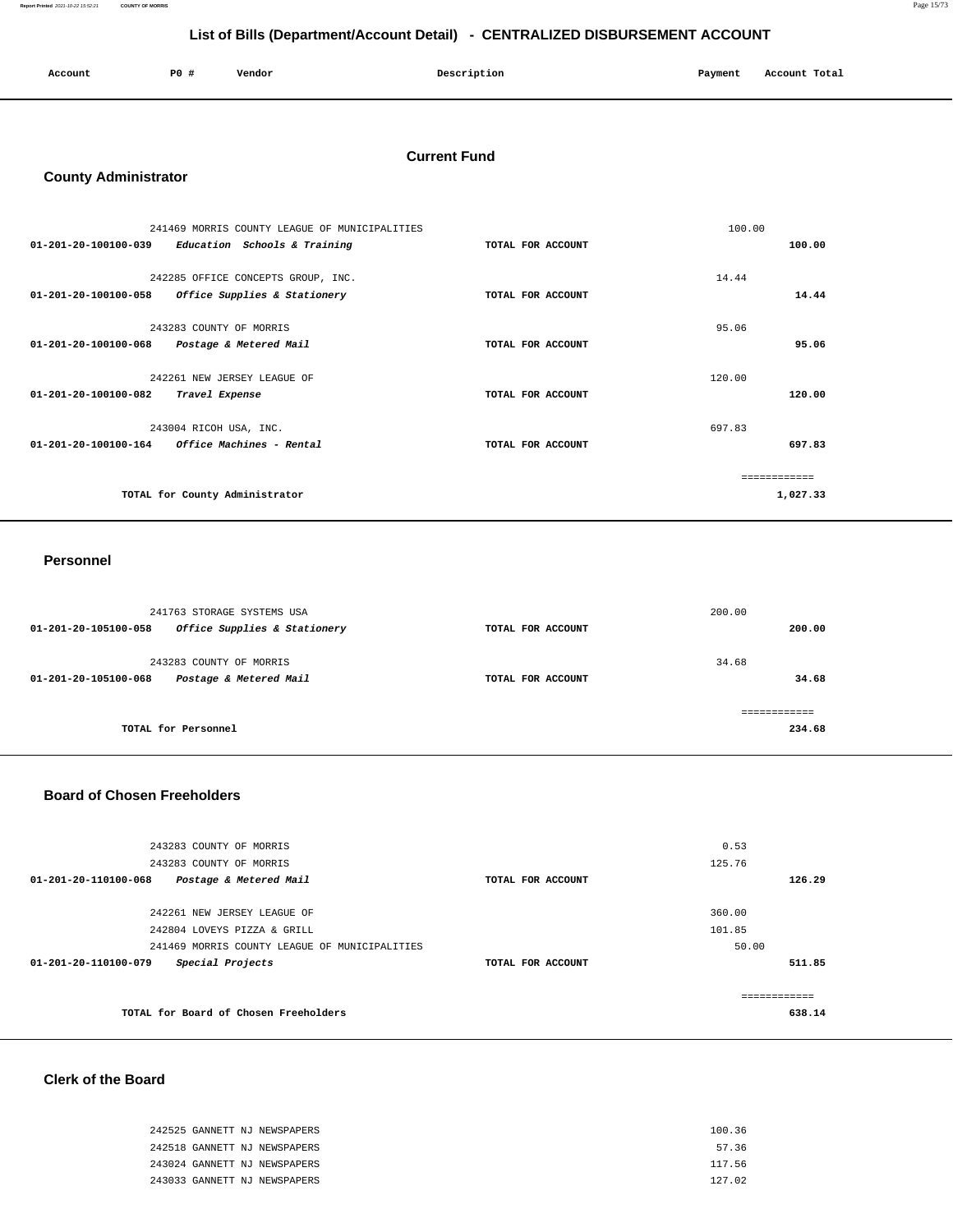| Account | P0 | Vendor | Description<br>_ | Payment<br>$\sim$ $\sim$ | Account Total |
|---------|----|--------|------------------|--------------------------|---------------|
|         |    |        |                  |                          |               |

#### **Current Fund**

### **County Administrator**

| 241469 MORRIS COUNTY LEAGUE OF MUNICIPALITIES        |                   | 100.00       |
|------------------------------------------------------|-------------------|--------------|
| 01-201-20-100100-039<br>Education Schools & Training | TOTAL FOR ACCOUNT | 100.00       |
|                                                      |                   |              |
| 242285 OFFICE CONCEPTS GROUP, INC.                   |                   | 14.44        |
| 01-201-20-100100-058<br>Office Supplies & Stationery | TOTAL FOR ACCOUNT | 14.44        |
|                                                      |                   |              |
| 243283 COUNTY OF MORRIS                              |                   | 95.06        |
| 01-201-20-100100-068<br>Postage & Metered Mail       | TOTAL FOR ACCOUNT | 95.06        |
|                                                      |                   |              |
| 242261 NEW JERSEY LEAGUE OF                          |                   | 120.00       |
| 01-201-20-100100-082<br>Travel Expense               | TOTAL FOR ACCOUNT | 120.00       |
|                                                      |                   |              |
| 243004 RICOH USA, INC.                               |                   | 697.83       |
| 01-201-20-100100-164<br>Office Machines - Rental     | TOTAL FOR ACCOUNT | 697.83       |
|                                                      |                   |              |
|                                                      |                   | ============ |
| TOTAL for County Administrator                       |                   | 1,027.33     |
|                                                      |                   |              |

#### **Personnel**

| TOTAL for Personnel                                  |                   | 234.68 |
|------------------------------------------------------|-------------------|--------|
|                                                      |                   |        |
| 01-201-20-105100-068<br>Postage & Metered Mail       | TOTAL FOR ACCOUNT | 34.68  |
| 243283 COUNTY OF MORRIS                              |                   | 34.68  |
| Office Supplies & Stationery<br>01-201-20-105100-058 | TOTAL FOR ACCOUNT | 200.00 |
| 241763 STORAGE SYSTEMS USA                           |                   | 200.00 |

#### **Board of Chosen Freeholders**

| 243283 COUNTY OF MORRIS                                  |                   | 0.53       |
|----------------------------------------------------------|-------------------|------------|
| 243283 COUNTY OF MORRIS                                  |                   | 125.76     |
| $01 - 201 - 20 - 110100 - 068$<br>Postage & Metered Mail | TOTAL FOR ACCOUNT | 126.29     |
|                                                          |                   |            |
| 242261 NEW JERSEY LEAGUE OF                              |                   | 360.00     |
| 242804 LOVEYS PIZZA & GRILL                              |                   | 101.85     |
| 241469 MORRIS COUNTY LEAGUE OF MUNICIPALITIES            |                   | 50.00      |
| Special Projects<br>01-201-20-110100-079                 | TOTAL FOR ACCOUNT | 511.85     |
|                                                          |                   |            |
|                                                          |                   | ---------- |
| TOTAL for Board of Chosen Freeholders                    |                   | 638.14     |
|                                                          |                   |            |

### **Clerk of the Board**

| 242525 GANNETT NJ NEWSPAPERS | 100.36 |
|------------------------------|--------|
| 242518 GANNETT NJ NEWSPAPERS | 57.36  |
| 243024 GANNETT NJ NEWSPAPERS | 117.56 |
| 243033 GANNETT NJ NEWSPAPERS | 127.02 |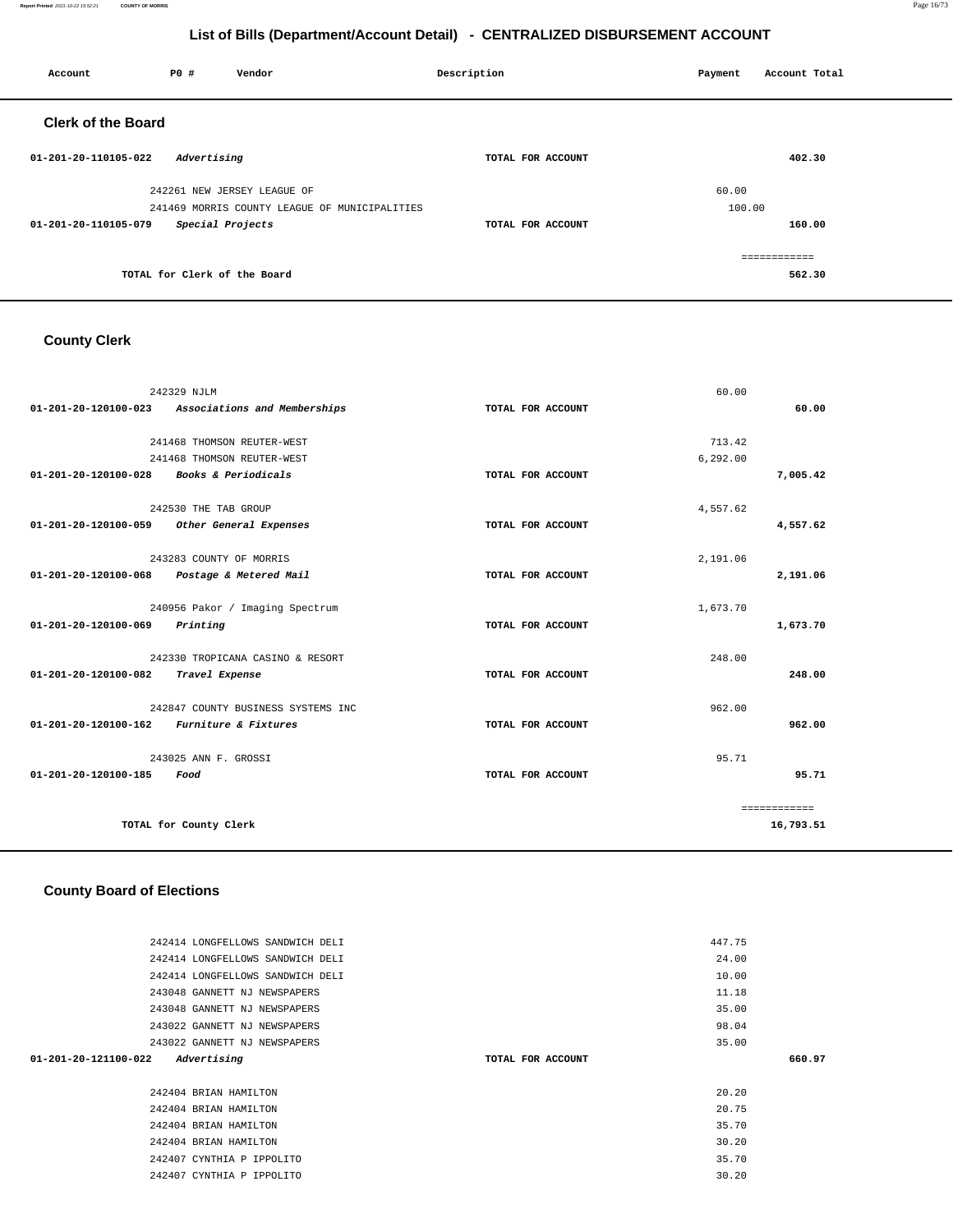#### **Report Printed** 2021-10-22 15:52:21 **COUNTY OF MORRIS** Page 16/73

# **List of Bills (Department/Account Detail) - CENTRALIZED DISBURSEMENT ACCOUNT**

| Account                   | <b>PO #</b>                  | Vendor                                        | Description       | Payment | Account Total |
|---------------------------|------------------------------|-----------------------------------------------|-------------------|---------|---------------|
| <b>Clerk of the Board</b> |                              |                                               |                   |         |               |
| 01-201-20-110105-022      | Advertising                  |                                               | TOTAL FOR ACCOUNT |         | 402.30        |
|                           |                              | 242261 NEW JERSEY LEAGUE OF                   |                   | 60.00   |               |
|                           |                              | 241469 MORRIS COUNTY LEAGUE OF MUNICIPALITIES |                   | 100.00  |               |
| 01-201-20-110105-079      | Special Projects             |                                               | TOTAL FOR ACCOUNT |         | 160.00        |
|                           |                              |                                               |                   |         | ============  |
|                           | TOTAL for Clerk of the Board |                                               |                   |         | 562.30        |

# **County Clerk**

| 01-201-20-120100-023                     | 242329 NJLM<br>Associations and Memberships | TOTAL FOR ACCOUNT | 60.00    | 60.00        |
|------------------------------------------|---------------------------------------------|-------------------|----------|--------------|
|                                          |                                             |                   |          |              |
|                                          | 241468 THOMSON REUTER-WEST                  |                   | 713.42   |              |
|                                          | 241468 THOMSON REUTER-WEST                  |                   | 6,292.00 |              |
| 01-201-20-120100-028 Books & Periodicals |                                             | TOTAL FOR ACCOUNT |          | 7,005.42     |
|                                          | 242530 THE TAB GROUP                        |                   | 4,557.62 |              |
| 01-201-20-120100-059                     | Other General Expenses                      | TOTAL FOR ACCOUNT |          | 4,557.62     |
|                                          | 243283 COUNTY OF MORRIS                     |                   | 2,191.06 |              |
| 01-201-20-120100-068                     | Postage & Metered Mail                      | TOTAL FOR ACCOUNT |          | 2,191.06     |
|                                          | 240956 Pakor / Imaging Spectrum             |                   | 1,673.70 |              |
| 01-201-20-120100-069                     | Printing                                    | TOTAL FOR ACCOUNT |          | 1,673.70     |
|                                          | 242330 TROPICANA CASINO & RESORT            |                   | 248.00   |              |
| 01-201-20-120100-082                     | Travel Expense                              | TOTAL FOR ACCOUNT |          | 248.00       |
|                                          | 242847 COUNTY BUSINESS SYSTEMS INC          |                   | 962.00   |              |
| 01-201-20-120100-162                     | Furniture & Fixtures                        | TOTAL FOR ACCOUNT |          | 962.00       |
|                                          | 243025 ANN F. GROSSI                        |                   | 95.71    |              |
| 01-201-20-120100-185                     | Food                                        | TOTAL FOR ACCOUNT |          | 95.71        |
|                                          |                                             |                   |          | ============ |
|                                          | TOTAL for County Clerk                      |                   |          | 16,793.51    |

# **County Board of Elections**

|                   | 447.75 |        |
|-------------------|--------|--------|
|                   | 24.00  |        |
|                   | 10.00  |        |
|                   | 11.18  |        |
|                   | 35.00  |        |
|                   | 98.04  |        |
|                   | 35.00  |        |
| TOTAL FOR ACCOUNT |        | 660.97 |
|                   |        |        |
|                   | 20.20  |        |
|                   | 20.75  |        |
|                   | 35.70  |        |
|                   | 30.20  |        |
|                   |        |        |
|                   | 35.70  |        |
|                   |        |        |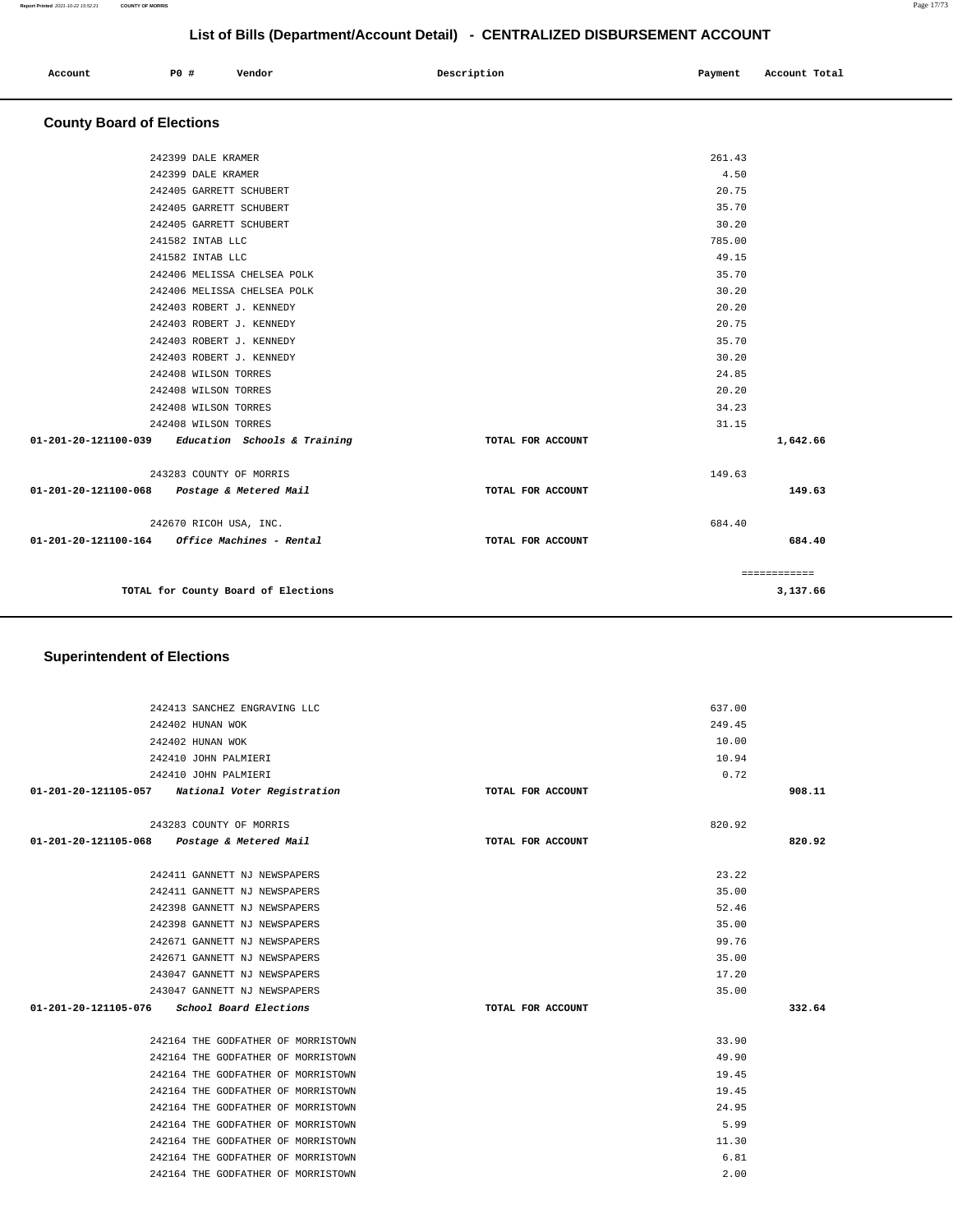| Account | P0 # | Vendor | Description | Payment | Account Total |
|---------|------|--------|-------------|---------|---------------|
|         |      |        |             |         |               |

# **County Board of Elections**

| 242399 DALE KRAMER                                  |                   | 261.43       |          |
|-----------------------------------------------------|-------------------|--------------|----------|
| 242399 DALE KRAMER                                  |                   | 4.50         |          |
| 242405 GARRETT SCHUBERT                             |                   | 20.75        |          |
| 242405 GARRETT SCHUBERT                             |                   | 35.70        |          |
| 242405 GARRETT SCHUBERT                             |                   | 30.20        |          |
| 241582 INTAB LLC                                    |                   | 785.00       |          |
| 241582 INTAB LLC                                    |                   | 49.15        |          |
| 242406 MELISSA CHELSEA POLK                         |                   | 35.70        |          |
| 242406 MELISSA CHELSEA POLK                         |                   | 30.20        |          |
| 242403 ROBERT J. KENNEDY                            |                   | 20.20        |          |
| 242403 ROBERT J. KENNEDY                            |                   | 20.75        |          |
| 242403 ROBERT J. KENNEDY                            |                   | 35.70        |          |
| 242403 ROBERT J. KENNEDY                            |                   | 30.20        |          |
| 242408 WILSON TORRES                                |                   | 24.85        |          |
| 242408 WILSON TORRES                                |                   | 20.20        |          |
| 242408 WILSON TORRES                                |                   | 34.23        |          |
| 242408 WILSON TORRES                                |                   | 31.15        |          |
| $01-201-20-121100-039$ Education Schools & Training | TOTAL FOR ACCOUNT |              | 1,642.66 |
| 243283 COUNTY OF MORRIS                             |                   | 149.63       |          |
| 01-201-20-121100-068 Postage & Metered Mail         | TOTAL FOR ACCOUNT |              | 149.63   |
| 242670 RICOH USA, INC.                              |                   | 684.40       |          |
|                                                     | TOTAL FOR ACCOUNT |              | 684.40   |
|                                                     |                   | ============ |          |
| TOTAL for County Board of Elections                 |                   |              | 3,137.66 |
|                                                     |                   |              |          |

# **Superintendent of Elections**

| 242413 SANCHEZ ENGRAVING LLC                     |                   | 637.00 |        |
|--------------------------------------------------|-------------------|--------|--------|
| 242402 HUNAN WOK                                 |                   | 249.45 |        |
| 242402 HUNAN WOK                                 |                   | 10.00  |        |
| 242410 JOHN PALMIERI                             |                   | 10.94  |        |
| 242410 JOHN PALMIERI                             |                   | 0.72   |        |
| 01-201-20-121105-057 National Voter Registration | TOTAL FOR ACCOUNT |        | 908.11 |
|                                                  |                   |        |        |
| 243283 COUNTY OF MORRIS                          |                   | 820.92 |        |
| 01-201-20-121105-068 Postage & Metered Mail      | TOTAL FOR ACCOUNT |        | 820.92 |
|                                                  |                   |        |        |
| 242411 GANNETT NJ NEWSPAPERS                     |                   | 23.22  |        |
| 242411 GANNETT NJ NEWSPAPERS                     |                   | 35.00  |        |
| 242398 GANNETT NJ NEWSPAPERS                     |                   | 52.46  |        |
| 242398 GANNETT NJ NEWSPAPERS                     |                   | 35.00  |        |
| 242671 GANNETT NJ NEWSPAPERS                     |                   | 99.76  |        |
| 242671 GANNETT NJ NEWSPAPERS                     |                   | 35.00  |        |
| 243047 GANNETT NJ NEWSPAPERS                     |                   | 17.20  |        |
| 243047 GANNETT NJ NEWSPAPERS                     |                   | 35.00  |        |
| $01-201-20-121105-076$ School Board Elections    | TOTAL FOR ACCOUNT |        | 332.64 |
|                                                  |                   |        |        |
| 242164 THE GODFATHER OF MORRISTOWN               |                   | 33.90  |        |
| 242164 THE GODFATHER OF MORRISTOWN               |                   | 49.90  |        |
| 242164 THE GODFATHER OF MORRISTOWN               |                   | 19.45  |        |
| 242164 THE GODFATHER OF MORRISTOWN               |                   | 19.45  |        |
| 242164 THE GODFATHER OF MORRISTOWN               |                   | 24.95  |        |
| 242164 THE GODFATHER OF MORRISTOWN               |                   | 5.99   |        |
| 242164 THE GODFATHER OF MORRISTOWN               |                   | 11.30  |        |
| 242164 THE GODFATHER OF MORRISTOWN               |                   | 6.81   |        |
| 242164 THE GODFATHER OF MORRISTOWN               |                   | 2.00   |        |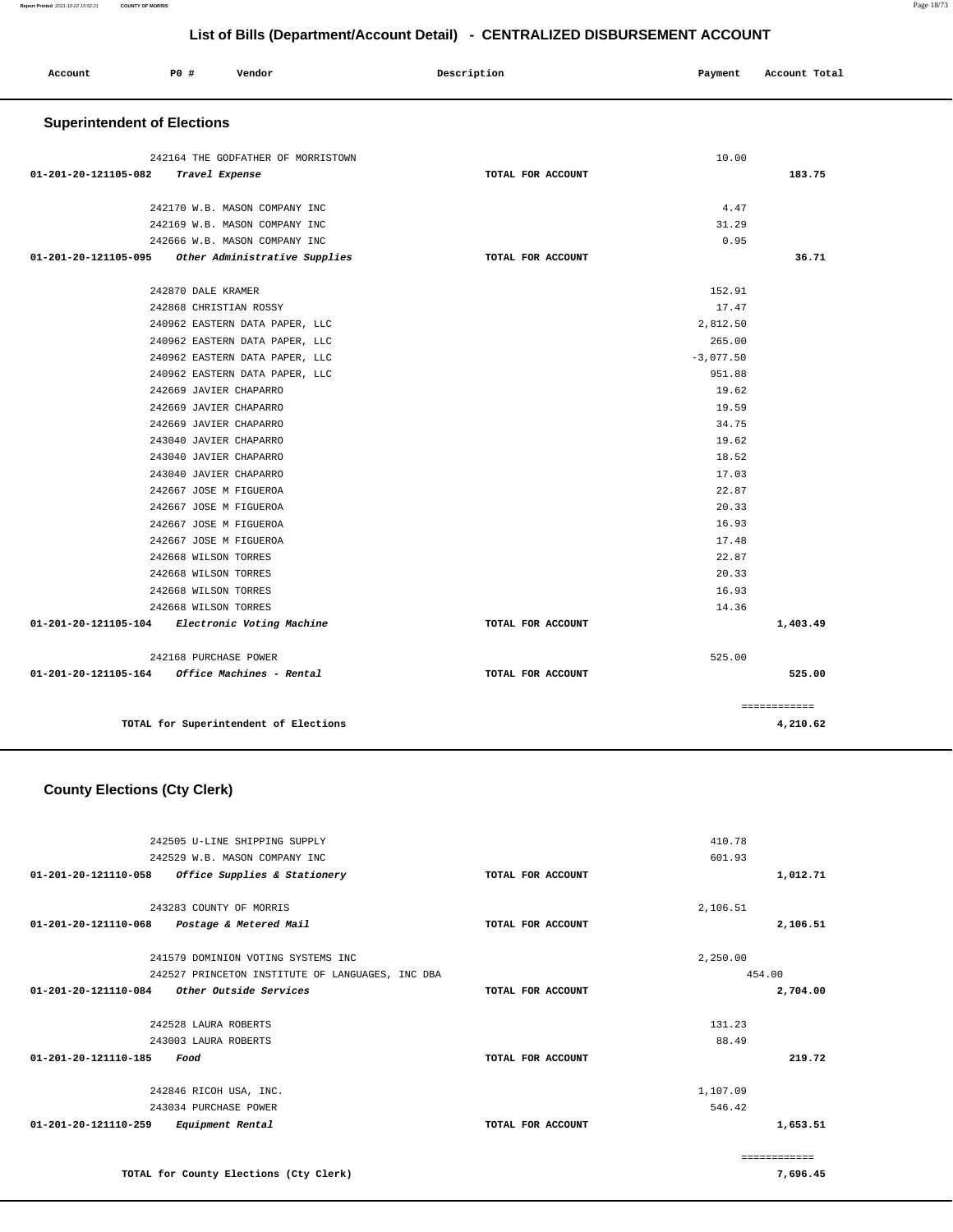|                                    |                       |                                       | List of Bills (Department/Account Detail) - CENTRALIZED DISBURSEMENT ACCOUNT |             |               |
|------------------------------------|-----------------------|---------------------------------------|------------------------------------------------------------------------------|-------------|---------------|
| Account                            | P0 #                  | Vendor                                | Description                                                                  | Payment     | Account Total |
| <b>Superintendent of Elections</b> |                       |                                       |                                                                              |             |               |
|                                    |                       | 242164 THE GODFATHER OF MORRISTOWN    |                                                                              | 10.00       |               |
| 01-201-20-121105-082               |                       | Travel Expense                        | TOTAL FOR ACCOUNT                                                            |             | 183.75        |
|                                    |                       | 242170 W.B. MASON COMPANY INC         |                                                                              | 4.47        |               |
|                                    |                       | 242169 W.B. MASON COMPANY INC         |                                                                              | 31.29       |               |
|                                    |                       | 242666 W.B. MASON COMPANY INC         |                                                                              | 0.95        |               |
| 01-201-20-121105-095               |                       | Other Administrative Supplies         | TOTAL FOR ACCOUNT                                                            |             | 36.71         |
|                                    |                       |                                       |                                                                              |             |               |
|                                    | 242870 DALE KRAMER    |                                       |                                                                              | 152.91      |               |
|                                    |                       | 242868 CHRISTIAN ROSSY                |                                                                              | 17.47       |               |
|                                    |                       | 240962 EASTERN DATA PAPER, LLC        |                                                                              | 2,812.50    |               |
|                                    |                       | 240962 EASTERN DATA PAPER, LLC        |                                                                              | 265.00      |               |
|                                    |                       | 240962 EASTERN DATA PAPER, LLC        |                                                                              | $-3,077.50$ |               |
|                                    |                       | 240962 EASTERN DATA PAPER, LLC        |                                                                              | 951.88      |               |
|                                    |                       | 242669 JAVIER CHAPARRO                |                                                                              | 19.62       |               |
|                                    |                       | 242669 JAVIER CHAPARRO                |                                                                              | 19.59       |               |
|                                    |                       | 242669 JAVIER CHAPARRO                |                                                                              | 34.75       |               |
|                                    |                       | 243040 JAVIER CHAPARRO                |                                                                              | 19.62       |               |
|                                    |                       | 243040 JAVIER CHAPARRO                |                                                                              | 18.52       |               |
|                                    |                       | 243040 JAVIER CHAPARRO                |                                                                              | 17.03       |               |
|                                    |                       | 242667 JOSE M FIGUEROA                |                                                                              | 22.87       |               |
|                                    |                       | 242667 JOSE M FIGUEROA                |                                                                              | 20.33       |               |
|                                    |                       | 242667 JOSE M FIGUEROA                |                                                                              | 16.93       |               |
|                                    |                       | 242667 JOSE M FIGUEROA                |                                                                              | 17.48       |               |
|                                    | 242668 WILSON TORRES  |                                       |                                                                              | 22.87       |               |
|                                    | 242668 WILSON TORRES  |                                       |                                                                              | 20.33       |               |
|                                    | 242668 WILSON TORRES  |                                       |                                                                              | 16.93       |               |
|                                    | 242668 WILSON TORRES  |                                       |                                                                              | 14.36       |               |
| 01-201-20-121105-104               |                       | Electronic Voting Machine             | TOTAL FOR ACCOUNT                                                            |             | 1,403.49      |
|                                    | 242168 PURCHASE POWER |                                       |                                                                              | 525.00      |               |
| 01-201-20-121105-164               |                       | Office Machines - Rental              | TOTAL FOR ACCOUNT                                                            |             | 525.00        |
|                                    |                       |                                       |                                                                              |             |               |
|                                    |                       |                                       |                                                                              |             | ============  |
|                                    |                       | TOTAL for Superintendent of Elections |                                                                              |             | 4,210.62      |

# **County Elections (Cty Clerk)**

| 242505 U-LINE SHIPPING SUPPLY                            |                   | 410.78   |
|----------------------------------------------------------|-------------------|----------|
| 242529 W.B. MASON COMPANY INC                            |                   | 601.93   |
| 01-201-20-121110-058<br>Office Supplies & Stationery     | TOTAL FOR ACCOUNT | 1,012.71 |
|                                                          |                   |          |
| 243283 COUNTY OF MORRIS                                  |                   | 2,106.51 |
| 01-201-20-121110-068<br>Postage & Metered Mail           | TOTAL FOR ACCOUNT | 2,106.51 |
| 241579 DOMINION VOTING SYSTEMS INC                       |                   | 2,250.00 |
| 242527 PRINCETON INSTITUTE OF LANGUAGES, INC DBA         |                   | 454.00   |
| $01 - 201 - 20 - 121110 - 084$<br>Other Outside Services | TOTAL FOR ACCOUNT | 2,704.00 |
| 242528 LAURA ROBERTS                                     |                   | 131.23   |
|                                                          |                   |          |
| 243003 LAURA ROBERTS                                     |                   | 88.49    |
| 01-201-20-121110-185<br>Food                             | TOTAL FOR ACCOUNT | 219.72   |
| 242846 RICOH USA, INC.                                   |                   | 1,107.09 |
| 243034 PURCHASE POWER                                    |                   | 546.42   |
| 01-201-20-121110-259<br><i>Equipment Rental</i>          | TOTAL FOR ACCOUNT | 1,653.51 |
|                                                          |                   |          |
| TOTAL for County Elections (Cty Clerk)                   |                   | 7,696.45 |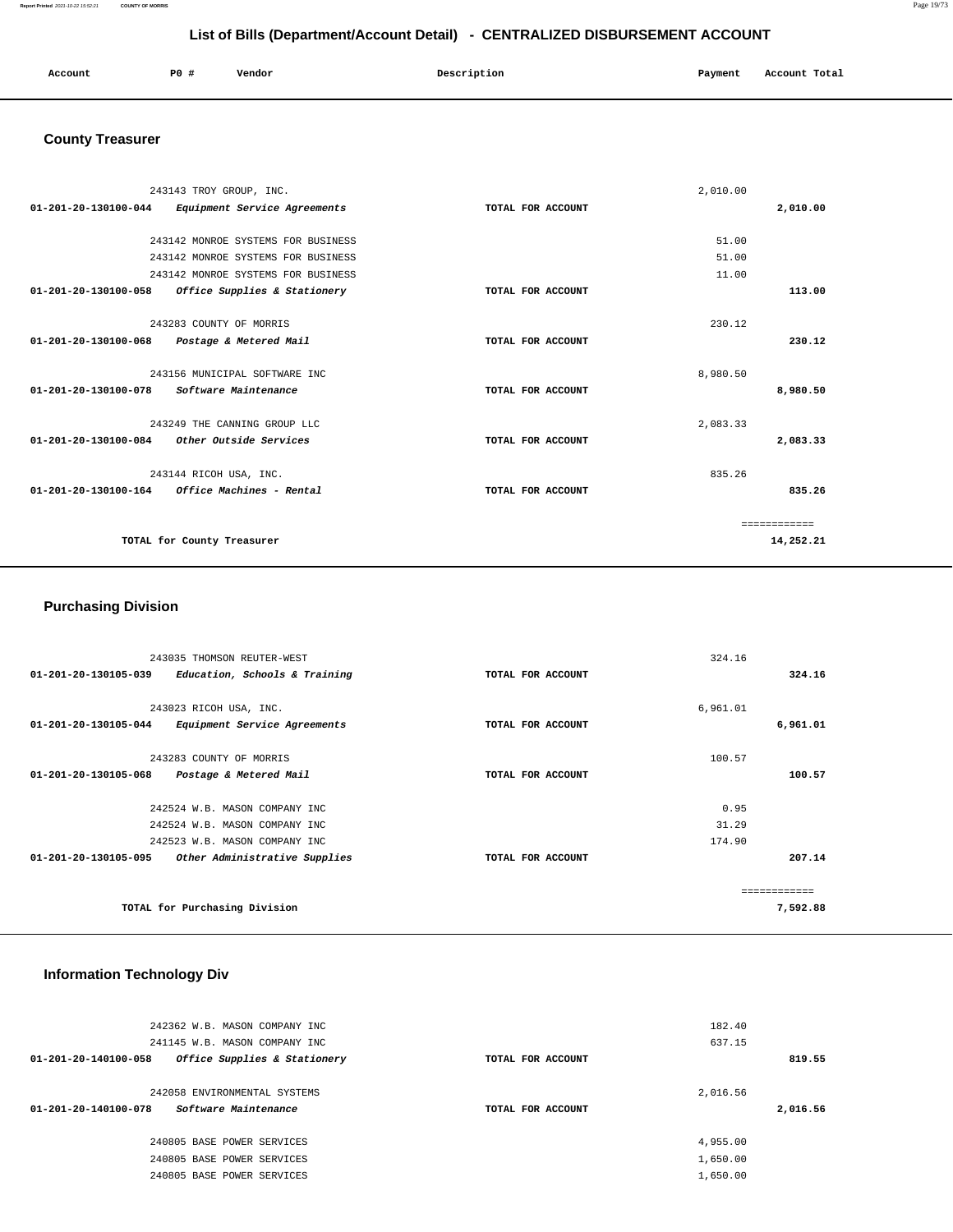| Account | PO# | Vendor | Description | Payment | Account Total |
|---------|-----|--------|-------------|---------|---------------|
|         |     |        |             |         |               |

# **County Treasurer**

|                      | 243143 TROY GROUP, INC.            |                   | 2,010.00 |              |
|----------------------|------------------------------------|-------------------|----------|--------------|
| 01-201-20-130100-044 | Equipment Service Agreements       | TOTAL FOR ACCOUNT |          | 2,010.00     |
|                      |                                    |                   |          |              |
|                      | 243142 MONROE SYSTEMS FOR BUSINESS |                   | 51.00    |              |
|                      | 243142 MONROE SYSTEMS FOR BUSINESS |                   | 51.00    |              |
|                      | 243142 MONROE SYSTEMS FOR BUSINESS |                   | 11.00    |              |
| 01-201-20-130100-058 | Office Supplies & Stationery       | TOTAL FOR ACCOUNT |          | 113.00       |
|                      |                                    |                   |          |              |
|                      | 243283 COUNTY OF MORRIS            |                   | 230.12   |              |
| 01-201-20-130100-068 | Postage & Metered Mail             | TOTAL FOR ACCOUNT |          | 230.12       |
|                      |                                    |                   |          |              |
|                      | 243156 MUNICIPAL SOFTWARE INC      |                   | 8,980.50 |              |
| 01-201-20-130100-078 | Software Maintenance               | TOTAL FOR ACCOUNT |          | 8,980.50     |
|                      |                                    |                   |          |              |
|                      | 243249 THE CANNING GROUP LLC       |                   | 2,083.33 |              |
| 01-201-20-130100-084 | Other Outside Services             | TOTAL FOR ACCOUNT |          | 2,083.33     |
|                      |                                    |                   |          |              |
|                      | 243144 RICOH USA, INC.             |                   | 835.26   |              |
| 01-201-20-130100-164 | Office Machines - Rental           | TOTAL FOR ACCOUNT |          | 835.26       |
|                      |                                    |                   |          |              |
|                      |                                    |                   |          | ============ |
|                      | TOTAL for County Treasurer         |                   |          | 14,252.21    |
|                      |                                    |                   |          |              |

# **Purchasing Division**

| 243035 THOMSON REUTER-WEST                            |                   | 324.16   |              |
|-------------------------------------------------------|-------------------|----------|--------------|
| 01-201-20-130105-039<br>Education, Schools & Training | TOTAL FOR ACCOUNT |          | 324.16       |
|                                                       |                   |          |              |
| 243023 RICOH USA, INC.                                |                   | 6,961.01 |              |
| 01-201-20-130105-044<br>Equipment Service Agreements  | TOTAL FOR ACCOUNT |          | 6,961.01     |
|                                                       |                   |          |              |
| 243283 COUNTY OF MORRIS                               |                   | 100.57   |              |
| 01-201-20-130105-068<br>Postage & Metered Mail        | TOTAL FOR ACCOUNT |          | 100.57       |
|                                                       |                   |          |              |
| 242524 W.B. MASON COMPANY INC                         |                   | 0.95     |              |
| 242524 W.B. MASON COMPANY INC                         |                   | 31.29    |              |
| 242523 W.B. MASON COMPANY INC                         |                   | 174.90   |              |
| 01-201-20-130105-095<br>Other Administrative Supplies | TOTAL FOR ACCOUNT |          | 207.14       |
|                                                       |                   |          |              |
|                                                       |                   |          | ------------ |
| TOTAL for Purchasing Division                         |                   |          | 7,592.88     |

# **Information Technology Div**

| 242362 W.B. MASON COMPANY INC                                  |                   | 182.40   |          |
|----------------------------------------------------------------|-------------------|----------|----------|
| 241145 W.B. MASON COMPANY INC                                  |                   | 637.15   |          |
| Office Supplies & Stationery<br>$01 - 201 - 20 - 140100 - 058$ | TOTAL FOR ACCOUNT |          | 819.55   |
|                                                                |                   |          |          |
| 242058 ENVIRONMENTAL SYSTEMS                                   |                   | 2,016.56 |          |
|                                                                |                   |          |          |
| Software Maintenance<br>$01 - 201 - 20 - 140100 - 078$         | TOTAL FOR ACCOUNT |          | 2,016.56 |
|                                                                |                   |          |          |
| 240805 BASE POWER SERVICES                                     |                   | 4,955.00 |          |
| 240805 BASE POWER SERVICES                                     |                   | 1,650.00 |          |
| 240805 BASE POWER SERVICES                                     |                   | 1,650.00 |          |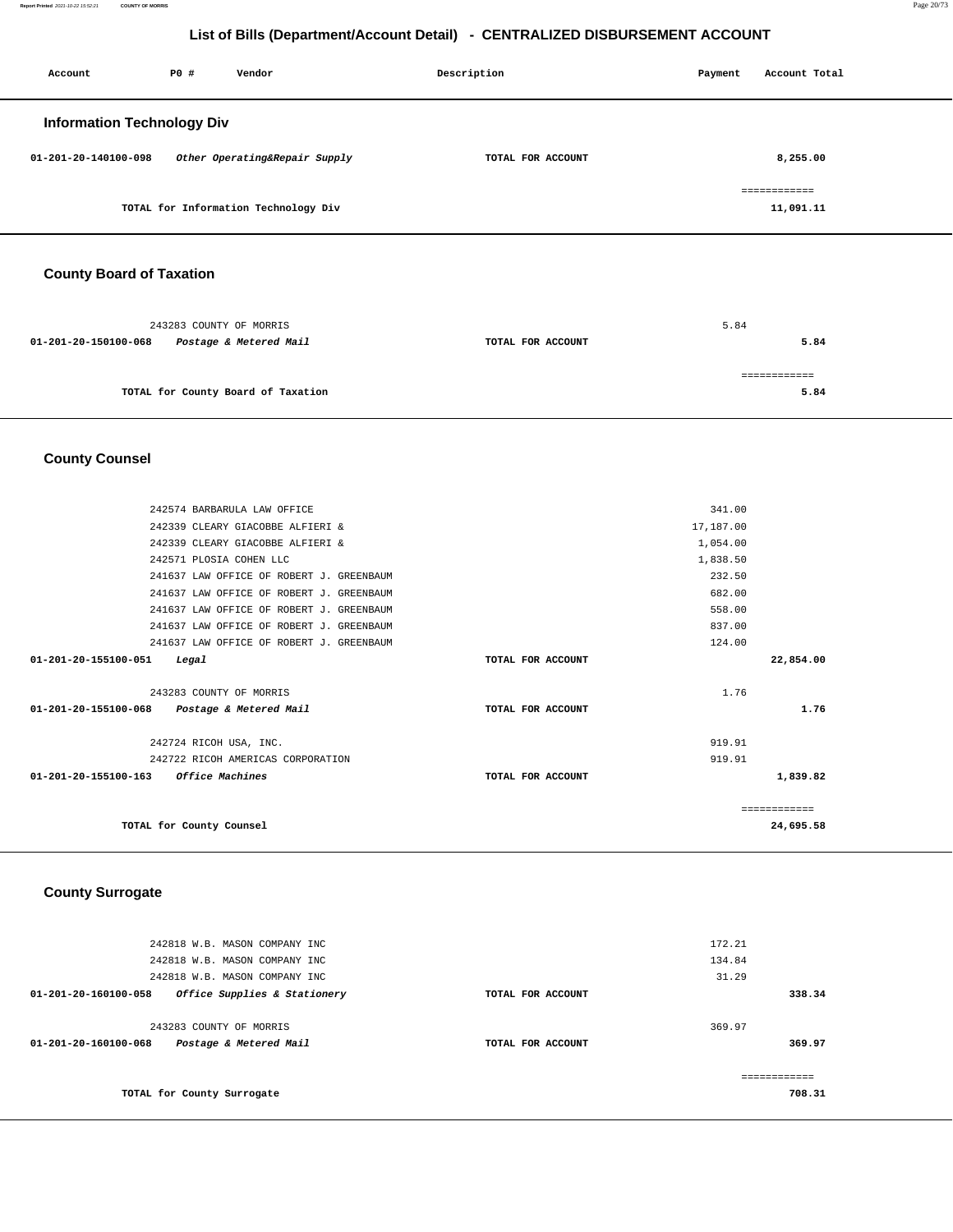| Account                           | P0 # | Vendor                               | Description       | Payment | Account Total             |
|-----------------------------------|------|--------------------------------------|-------------------|---------|---------------------------|
| <b>Information Technology Div</b> |      |                                      |                   |         |                           |
| 01-201-20-140100-098              |      | Other Operating&Repair Supply        | TOTAL FOR ACCOUNT |         | 8,255.00                  |
|                                   |      | TOTAL for Information Technology Div |                   |         | ============<br>11,091.11 |
|                                   |      |                                      |                   |         |                           |

# **County Board of Taxation**

|                      | 243283 COUNTY OF MORRIS            |                   | 5.84 |
|----------------------|------------------------------------|-------------------|------|
| 01-201-20-150100-068 | Postage & Metered Mail             | TOTAL FOR ACCOUNT | 5.84 |
|                      |                                    |                   |      |
|                      | TOTAL for County Board of Taxation |                   | 5.84 |
|                      |                                    |                   |      |

# **County Counsel**

| 242574 BARBARULA LAW OFFICE                 |                   | 341.00       |
|---------------------------------------------|-------------------|--------------|
| 242339 CLEARY GIACOBBE ALFIERI &            |                   | 17,187.00    |
| 242339 CLEARY GIACOBBE ALFIERI &            |                   | 1,054.00     |
| 242571 PLOSIA COHEN LLC                     |                   | 1,838.50     |
| 241637 LAW OFFICE OF ROBERT J. GREENBAUM    |                   | 232.50       |
| 241637 LAW OFFICE OF ROBERT J. GREENBAUM    |                   | 682.00       |
| 241637 LAW OFFICE OF ROBERT J. GREENBAUM    |                   | 558.00       |
| 241637 LAW OFFICE OF ROBERT J. GREENBAUM    |                   | 837.00       |
| 241637 LAW OFFICE OF ROBERT J. GREENBAUM    |                   | 124.00       |
| 01-201-20-155100-051<br>Legal               | TOTAL FOR ACCOUNT | 22,854.00    |
|                                             |                   |              |
| 243283 COUNTY OF MORRIS                     |                   | 1.76         |
| 01-201-20-155100-068 Postage & Metered Mail | TOTAL FOR ACCOUNT | 1.76         |
|                                             |                   |              |
| 242724 RICOH USA, INC.                      |                   | 919.91       |
| 242722 RICOH AMERICAS CORPORATION           |                   | 919.91       |
| 01-201-20-155100-163 Office Machines        | TOTAL FOR ACCOUNT | 1,839.82     |
|                                             |                   |              |
|                                             |                   | ------------ |
| TOTAL for County Counsel                    |                   | 24,695.58    |
|                                             |                   |              |

### **County Surrogate**

| 242818 W.B. MASON COMPANY INC<br>242818 W.B. MASON COMPANY INC<br>242818 W.B. MASON COMPANY INC |                   | 172.21<br>134.84<br>31.29 |
|-------------------------------------------------------------------------------------------------|-------------------|---------------------------|
| Office Supplies & Stationery<br>01-201-20-160100-058                                            | TOTAL FOR ACCOUNT | 338.34                    |
| 243283 COUNTY OF MORRIS<br>$01 - 201 - 20 - 160100 - 068$<br>Postage & Metered Mail             | TOTAL FOR ACCOUNT | 369.97<br>369.97          |
| TOTAL for County Surrogate                                                                      |                   | ------------<br>708.31    |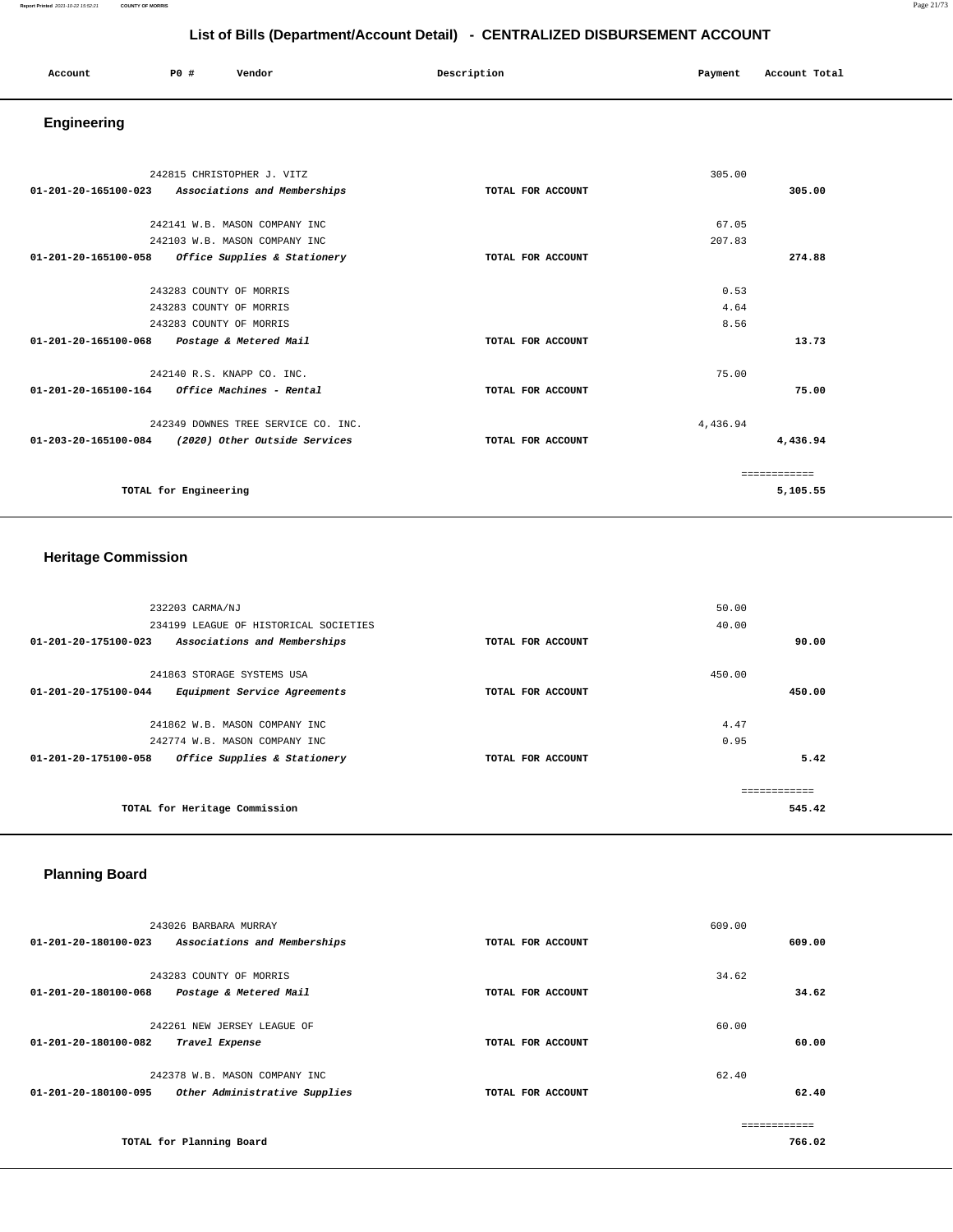| Account | PO# | Vendor | Description | Payment | Account Total |
|---------|-----|--------|-------------|---------|---------------|
|         |     |        |             |         |               |

# **Engineering**

| 242815 CHRISTOPHER J. VITZ                                     |                   | 305.00   |               |
|----------------------------------------------------------------|-------------------|----------|---------------|
| $01 - 201 - 20 - 165100 - 023$<br>Associations and Memberships | TOTAL FOR ACCOUNT |          | 305.00        |
| 242141 W.B. MASON COMPANY INC                                  |                   | 67.05    |               |
| 242103 W.B. MASON COMPANY INC                                  |                   | 207.83   |               |
| Office Supplies & Stationery<br>01-201-20-165100-058           | TOTAL FOR ACCOUNT |          | 274.88        |
|                                                                |                   |          |               |
| 243283 COUNTY OF MORRIS                                        |                   | 0.53     |               |
| 243283 COUNTY OF MORRIS                                        |                   | 4.64     |               |
| 243283 COUNTY OF MORRIS                                        |                   | 8.56     |               |
| 01-201-20-165100-068<br>Postage & Metered Mail                 | TOTAL FOR ACCOUNT |          | 13.73         |
| 242140 R.S. KNAPP CO. INC.                                     |                   | 75.00    |               |
| 01-201-20-165100-164<br>Office Machines - Rental               | TOTAL FOR ACCOUNT |          | 75.00         |
| 242349 DOWNES TREE SERVICE CO. INC.                            |                   | 4,436.94 |               |
| 01-203-20-165100-084<br>(2020) Other Outside Services          | TOTAL FOR ACCOUNT |          | 4,436.94      |
|                                                                |                   |          | ------------- |
| TOTAL for Engineering                                          |                   |          | 5,105.55      |

# **Heritage Commission**

| 232203 CARMA/NJ                                      |                   | 50.00  |
|------------------------------------------------------|-------------------|--------|
| 234199 LEAGUE OF HISTORICAL SOCIETIES                |                   | 40.00  |
| 01-201-20-175100-023<br>Associations and Memberships | TOTAL FOR ACCOUNT | 90.00  |
| 241863 STORAGE SYSTEMS USA                           |                   | 450.00 |
| 01-201-20-175100-044<br>Equipment Service Agreements | TOTAL FOR ACCOUNT | 450.00 |
| 241862 W.B. MASON COMPANY INC                        |                   | 4.47   |
| 242774 W.B. MASON COMPANY INC                        |                   | 0.95   |
| 01-201-20-175100-058<br>Office Supplies & Stationery | TOTAL FOR ACCOUNT | 5.42   |
|                                                      |                   |        |
| TOTAL for Heritage Commission                        |                   | 545.42 |

# **Planning Board**

|                                | 243026 BARBARA MURRAY         |                   | 609.00 |  |
|--------------------------------|-------------------------------|-------------------|--------|--|
| $01 - 201 - 20 - 180100 - 023$ | Associations and Memberships  | TOTAL FOR ACCOUNT | 609.00 |  |
|                                |                               |                   |        |  |
|                                | 243283 COUNTY OF MORRIS       |                   | 34.62  |  |
| 01-201-20-180100-068           | Postage & Metered Mail        | TOTAL FOR ACCOUNT | 34.62  |  |
|                                |                               |                   |        |  |
|                                | 242261 NEW JERSEY LEAGUE OF   |                   | 60.00  |  |
| 01-201-20-180100-082           | Travel Expense                | TOTAL FOR ACCOUNT | 60.00  |  |
|                                |                               |                   |        |  |
|                                | 242378 W.B. MASON COMPANY INC |                   | 62.40  |  |
| 01-201-20-180100-095           | Other Administrative Supplies | TOTAL FOR ACCOUNT | 62.40  |  |
|                                |                               |                   |        |  |
|                                |                               |                   |        |  |
|                                | TOTAL for Planning Board      |                   | 766.02 |  |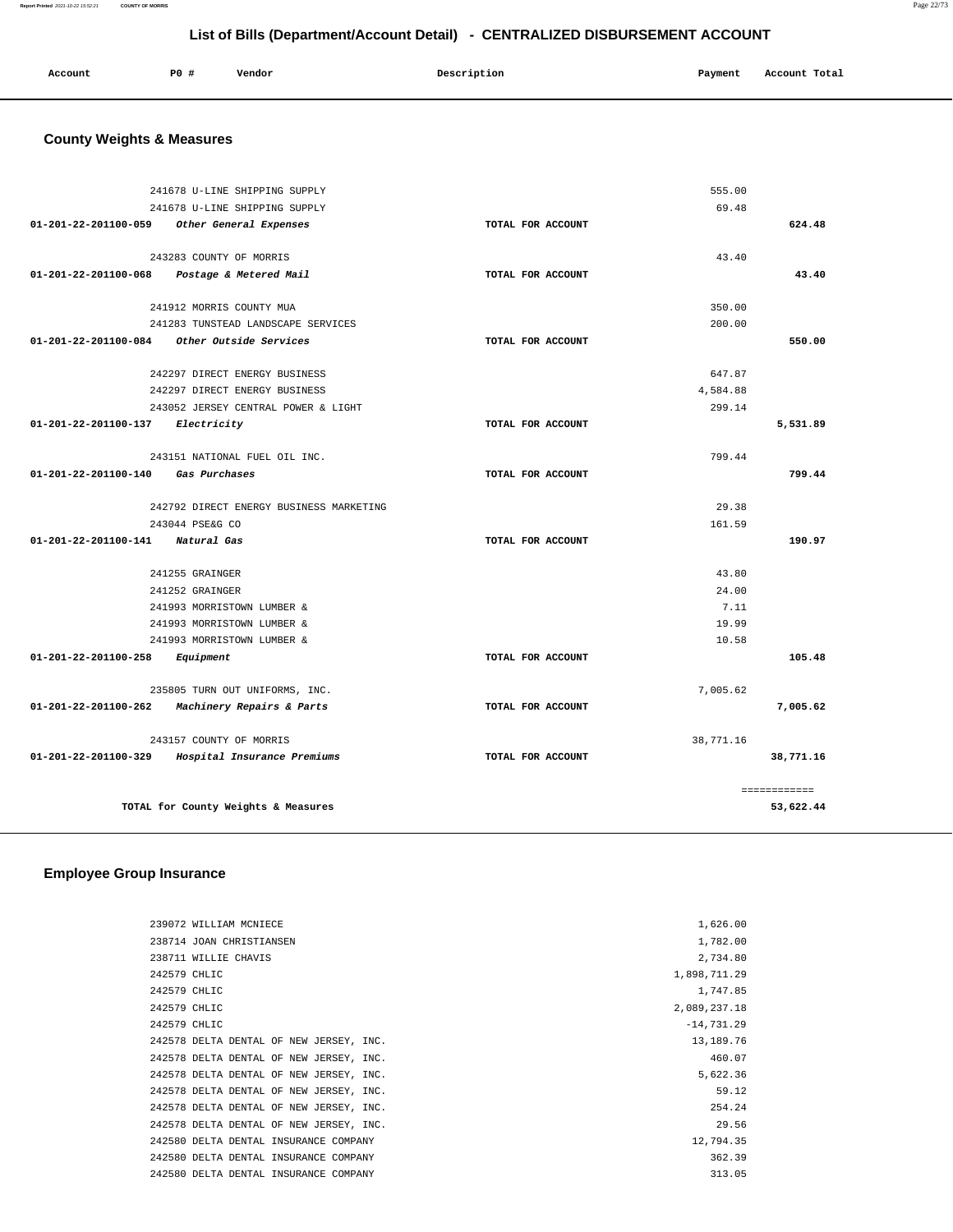| Account<br>. | <b>PO #</b> | Vendor | Description<br>$\sim$ $\sim$ $\sim$ | Payment<br>$\sim$ $\sim$ | Account Total<br>. |
|--------------|-------------|--------|-------------------------------------|--------------------------|--------------------|
|              |             |        |                                     |                          |                    |

# **County Weights & Measures**

|                                    | 241678 U-LINE SHIPPING SUPPLY                    |                   | 555.00    |              |
|------------------------------------|--------------------------------------------------|-------------------|-----------|--------------|
|                                    | 241678 U-LINE SHIPPING SUPPLY                    |                   | 69.48     |              |
|                                    | 01-201-22-201100-059 Other General Expenses      | TOTAL FOR ACCOUNT |           | 624.48       |
|                                    | 243283 COUNTY OF MORRIS                          |                   | 43.40     |              |
|                                    |                                                  |                   |           | 43.40        |
|                                    | 01-201-22-201100-068 Postage & Metered Mail      | TOTAL FOR ACCOUNT |           |              |
|                                    | 241912 MORRIS COUNTY MUA                         |                   | 350.00    |              |
|                                    | 241283 TUNSTEAD LANDSCAPE SERVICES               |                   | 200.00    |              |
|                                    | 01-201-22-201100-084 Other Outside Services      | TOTAL FOR ACCOUNT |           | 550.00       |
|                                    | 242297 DIRECT ENERGY BUSINESS                    |                   | 647.87    |              |
|                                    | 242297 DIRECT ENERGY BUSINESS                    |                   | 4,584.88  |              |
|                                    | 243052 JERSEY CENTRAL POWER & LIGHT              |                   | 299.14    |              |
| 01-201-22-201100-137 Electricity   |                                                  | TOTAL FOR ACCOUNT |           | 5,531.89     |
|                                    |                                                  |                   |           |              |
|                                    | 243151 NATIONAL FUEL OIL INC.                    |                   | 799.44    |              |
| 01-201-22-201100-140 Gas Purchases |                                                  | TOTAL FOR ACCOUNT |           | 799.44       |
|                                    | 242792 DIRECT ENERGY BUSINESS MARKETING          |                   | 29.38     |              |
|                                    | 243044 PSE&G CO                                  |                   | 161.59    |              |
| 01-201-22-201100-141 Natural Gas   |                                                  | TOTAL FOR ACCOUNT |           | 190.97       |
|                                    | 241255 GRAINGER                                  |                   | 43.80     |              |
|                                    | 241252 GRAINGER                                  |                   | 24.00     |              |
|                                    | 241993 MORRISTOWN LUMBER &                       |                   | 7.11      |              |
|                                    | 241993 MORRISTOWN LUMBER &                       |                   | 19.99     |              |
|                                    | 241993 MORRISTOWN LUMBER &                       |                   | 10.58     |              |
| 01-201-22-201100-258               | Equipment                                        | TOTAL FOR ACCOUNT |           | 105.48       |
|                                    | 235805 TURN OUT UNIFORMS, INC.                   |                   | 7,005.62  |              |
| 01-201-22-201100-262               | Machinery Repairs & Parts                        | TOTAL FOR ACCOUNT |           | 7,005.62     |
|                                    | 243157 COUNTY OF MORRIS                          |                   | 38,771.16 |              |
|                                    | 01-201-22-201100-329 Hospital Insurance Premiums | TOTAL FOR ACCOUNT |           | 38,771.16    |
|                                    |                                                  |                   |           |              |
|                                    |                                                  |                   |           | ============ |
|                                    | TOTAL for County Weights & Measures              |                   |           | 53,622.44    |
|                                    |                                                  |                   |           |              |

# **Employee Group Insurance**

| 239072 WILLIAM MCNIECE                  | 1,626.00     |
|-----------------------------------------|--------------|
| 238714 JOAN CHRISTIANSEN                | 1,782.00     |
| 238711 WILLIE CHAVIS                    | 2,734.80     |
| 242579 CHLIC                            | 1,898,711.29 |
| 242579 CHLIC                            | 1,747.85     |
| 242579 CHLIC                            | 2,089,237.18 |
| 242579 CHLIC                            | $-14,731.29$ |
| 242578 DELTA DENTAL OF NEW JERSEY, INC. | 13, 189, 76  |
| 242578 DELTA DENTAL OF NEW JERSEY, INC. | 460.07       |
| 242578 DELTA DENTAL OF NEW JERSEY, INC. | 5,622.36     |
| 242578 DELTA DENTAL OF NEW JERSEY, INC. | 59.12        |
| 242578 DELTA DENTAL OF NEW JERSEY, INC. | 254.24       |
| 242578 DELTA DENTAL OF NEW JERSEY, INC. | 29.56        |
| 242580 DELTA DENTAL INSURANCE COMPANY   | 12,794.35    |
| 242580 DELTA DENTAL INSURANCE COMPANY   | 362.39       |
| 242580 DELTA DENTAL INSURANCE COMPANY   | 313.05       |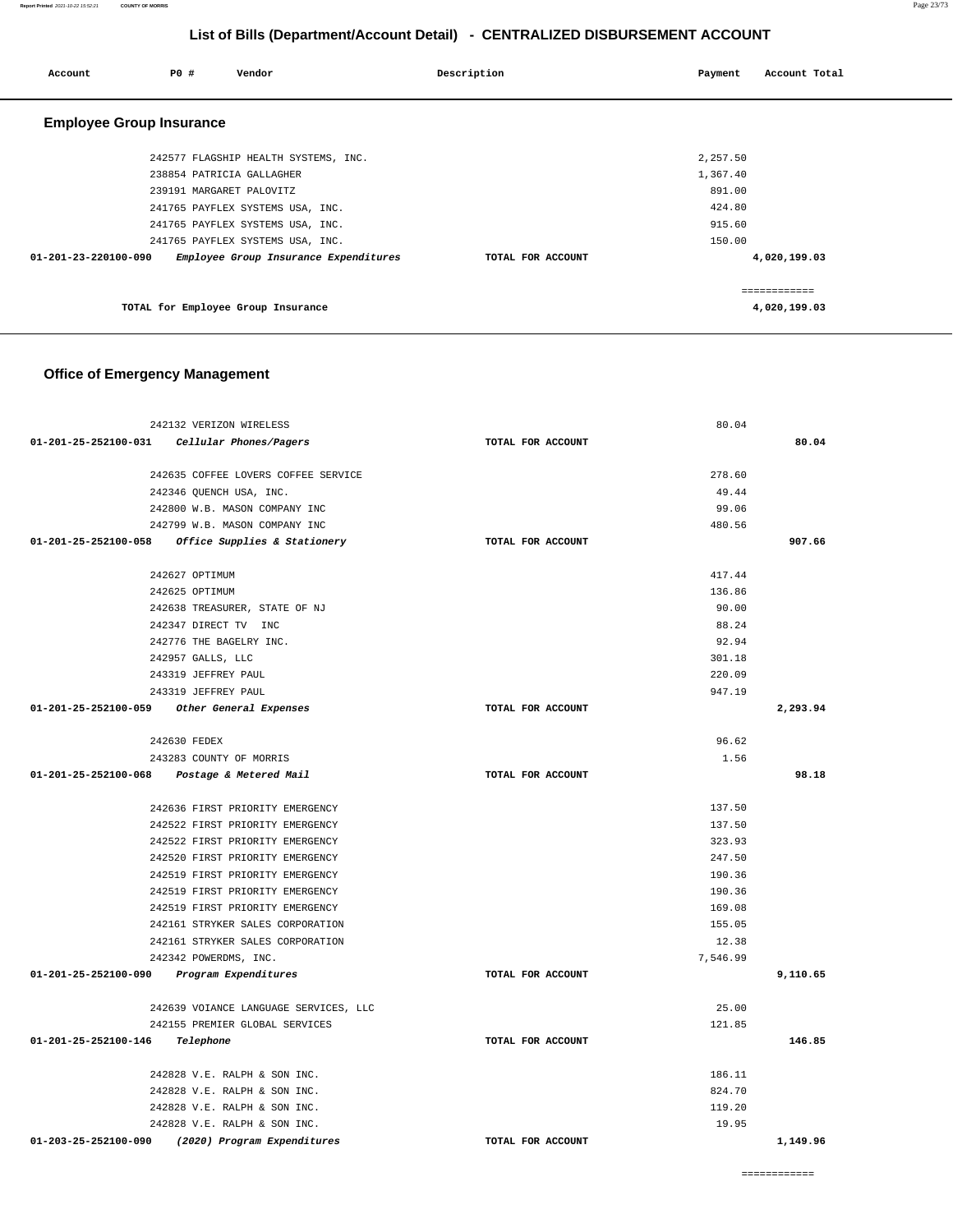|             | List of Bills (Department/Account Detail) - CENTRALIZED DISBURSEMENT ACCOUNT |        |             |  |         |             |
|-------------|------------------------------------------------------------------------------|--------|-------------|--|---------|-------------|
| <b>PO #</b> |                                                                              | Vendor | Description |  | Payment | Account Tot |

**Report Printed** 2021-10-22 15:52:21 **COUNTY OF MORRIS** Page 23/73

| Account                         | P0 #                      | Vendor                                | Description       | Payment  | Account Total                |
|---------------------------------|---------------------------|---------------------------------------|-------------------|----------|------------------------------|
|                                 |                           |                                       |                   |          |                              |
| <b>Employee Group Insurance</b> |                           |                                       |                   |          |                              |
|                                 |                           | 242577 FLAGSHIP HEALTH SYSTEMS, INC.  |                   | 2,257.50 |                              |
|                                 | 238854 PATRICIA GALLAGHER |                                       |                   | 1,367.40 |                              |
|                                 | 239191 MARGARET PALOVITZ  |                                       |                   | 891.00   |                              |
|                                 |                           | 241765 PAYFLEX SYSTEMS USA, INC.      |                   | 424.80   |                              |
|                                 |                           | 241765 PAYFLEX SYSTEMS USA, INC.      |                   | 915.60   |                              |
|                                 |                           | 241765 PAYFLEX SYSTEMS USA, INC.      |                   | 150.00   |                              |
| 01-201-23-220100-090            |                           | Employee Group Insurance Expenditures | TOTAL FOR ACCOUNT |          | 4,020,199.03                 |
|                                 |                           | TOTAL for Employee Group Insurance    |                   |          | ============<br>4,020,199.03 |
|                                 |                           |                                       |                   |          |                              |

# **Office of Emergency Management**

| 242132 VERIZON WIRELESS                             |                   | 80.04    |          |
|-----------------------------------------------------|-------------------|----------|----------|
| 01-201-25-252100-031    Cellular Phones/Pagers      | TOTAL FOR ACCOUNT |          | 80.04    |
|                                                     |                   |          |          |
| 242635 COFFEE LOVERS COFFEE SERVICE                 |                   | 278.60   |          |
| 242346 QUENCH USA, INC.                             |                   | 49.44    |          |
| 242800 W.B. MASON COMPANY INC                       |                   | 99.06    |          |
| 242799 W.B. MASON COMPANY INC                       |                   | 480.56   |          |
| 01-201-25-252100-058 Office Supplies & Stationery   | TOTAL FOR ACCOUNT |          | 907.66   |
|                                                     |                   |          |          |
| 242627 OPTIMUM                                      |                   | 417.44   |          |
| 242625 OPTIMUM                                      |                   | 136.86   |          |
| 242638 TREASURER, STATE OF NJ                       |                   | 90.00    |          |
| 242347 DIRECT TV INC                                |                   | 88.24    |          |
| 242776 THE BAGELRY INC.                             |                   | 92.94    |          |
| 242957 GALLS, LLC                                   |                   | 301.18   |          |
| 243319 JEFFREY PAUL                                 |                   | 220.09   |          |
| 243319 JEFFREY PAUL                                 |                   | 947.19   |          |
| 01-201-25-252100-059 Other General Expenses         | TOTAL FOR ACCOUNT |          | 2,293.94 |
|                                                     |                   |          |          |
| 242630 FEDEX                                        |                   | 96.62    |          |
| 243283 COUNTY OF MORRIS                             |                   | 1.56     |          |
| 01-201-25-252100-068 Postage & Metered Mail         | TOTAL FOR ACCOUNT |          | 98.18    |
|                                                     |                   |          |          |
| 242636 FIRST PRIORITY EMERGENCY                     |                   | 137.50   |          |
| 242522 FIRST PRIORITY EMERGENCY                     |                   | 137.50   |          |
| 242522 FIRST PRIORITY EMERGENCY                     |                   | 323.93   |          |
| 242520 FIRST PRIORITY EMERGENCY                     |                   | 247.50   |          |
| 242519 FIRST PRIORITY EMERGENCY                     |                   | 190.36   |          |
| 242519 FIRST PRIORITY EMERGENCY                     |                   | 190.36   |          |
| 242519 FIRST PRIORITY EMERGENCY                     |                   | 169.08   |          |
| 242161 STRYKER SALES CORPORATION                    |                   | 155.05   |          |
| 242161 STRYKER SALES CORPORATION                    |                   | 12.38    |          |
| 242342 POWERDMS, INC.                               | TOTAL FOR ACCOUNT | 7,546.99 | 9,110.65 |
| 01-201-25-252100-090 Program Expenditures           |                   |          |          |
| 242639 VOIANCE LANGUAGE SERVICES, LLC               |                   | 25.00    |          |
| 242155 PREMIER GLOBAL SERVICES                      |                   | 121.85   |          |
| 01-201-25-252100-146<br>Telephone                   | TOTAL FOR ACCOUNT |          | 146.85   |
|                                                     |                   |          |          |
| 242828 V.E. RALPH & SON INC.                        |                   | 186.11   |          |
| 242828 V.E. RALPH & SON INC.                        |                   | 824.70   |          |
| 242828 V.E. RALPH & SON INC.                        |                   | 119.20   |          |
| 242828 V.E. RALPH & SON INC.                        |                   | 19.95    |          |
| 01-203-25-252100-090<br>(2020) Program Expenditures | TOTAL FOR ACCOUNT |          | 1,149.96 |
|                                                     |                   |          |          |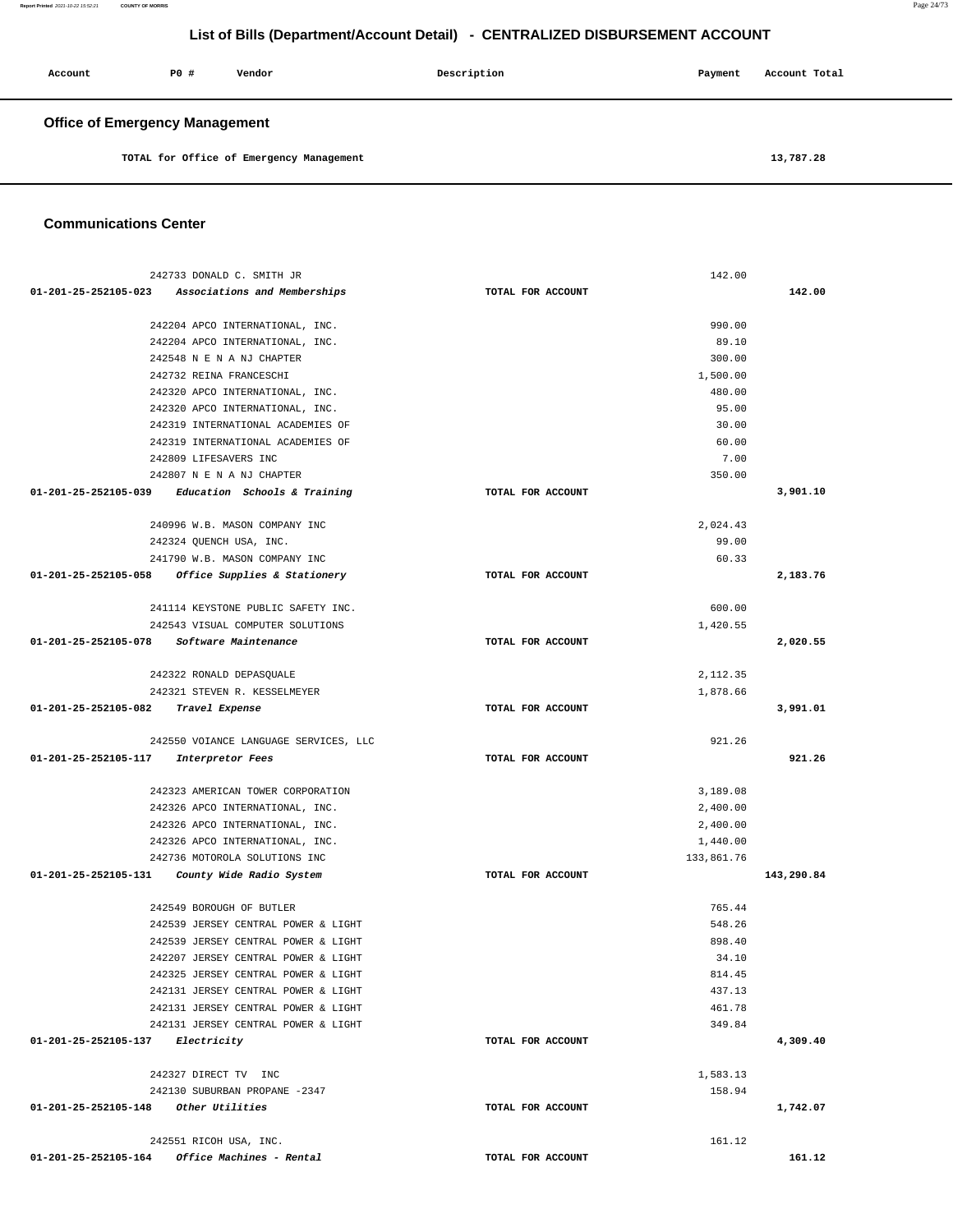**Report Printed** 2021-10-22 15:52:21 **COUNTY OF MORRIS** Page 24/73

# **List of Bills (Department/Account Detail) - CENTRALIZED DISBURSEMENT ACCOUNT**

| Account                               | PO# | Vendor | Description | Payment | Account Total |
|---------------------------------------|-----|--------|-------------|---------|---------------|
| <b>Office of Emergency Management</b> |     |        |             |         |               |

**TOTAL for Office of Emergency Management [13,787.28](https://13,787.28)** 

#### **Communications Center**

| 242733 DONALD C. SMITH JR                            |                   | 142.00     |            |
|------------------------------------------------------|-------------------|------------|------------|
| 01-201-25-252105-023 Associations and Memberships    | TOTAL FOR ACCOUNT |            | 142.00     |
|                                                      |                   |            |            |
| 242204 APCO INTERNATIONAL, INC.                      |                   | 990.00     |            |
| 242204 APCO INTERNATIONAL, INC.                      |                   | 89.10      |            |
| 242548 N E N A NJ CHAPTER                            |                   | 300.00     |            |
| 242732 REINA FRANCESCHI                              |                   | 1,500.00   |            |
| 242320 APCO INTERNATIONAL, INC.                      |                   | 480.00     |            |
| 242320 APCO INTERNATIONAL, INC.                      |                   | 95.00      |            |
| 242319 INTERNATIONAL ACADEMIES OF                    |                   | 30.00      |            |
| 242319 INTERNATIONAL ACADEMIES OF                    |                   | 60.00      |            |
| 242809 LIFESAVERS INC                                |                   | 7.00       |            |
| 242807 N E N A NJ CHAPTER                            |                   | 350.00     |            |
| 01-201-25-252105-039 Education Schools & Training    | TOTAL FOR ACCOUNT |            | 3,901.10   |
| 240996 W.B. MASON COMPANY INC                        |                   | 2,024.43   |            |
| 242324 QUENCH USA, INC.                              |                   | 99.00      |            |
| 241790 W.B. MASON COMPANY INC                        |                   | 60.33      |            |
| 01-201-25-252105-058<br>Office Supplies & Stationery | TOTAL FOR ACCOUNT |            | 2,183.76   |
| 241114 KEYSTONE PUBLIC SAFETY INC.                   |                   | 600.00     |            |
| 242543 VISUAL COMPUTER SOLUTIONS                     |                   | 1,420.55   |            |
| 01-201-25-252105-078<br>Software Maintenance         | TOTAL FOR ACCOUNT |            | 2,020.55   |
|                                                      |                   |            |            |
| 242322 RONALD DEPASQUALE                             |                   | 2,112.35   |            |
| 242321 STEVEN R. KESSELMEYER                         |                   | 1,878.66   |            |
| 01-201-25-252105-082<br>Travel Expense               | TOTAL FOR ACCOUNT |            | 3,991.01   |
| 242550 VOIANCE LANGUAGE SERVICES, LLC                |                   | 921.26     |            |
| 01-201-25-252105-117<br>Interpretor Fees             | TOTAL FOR ACCOUNT |            | 921.26     |
|                                                      |                   |            |            |
| 242323 AMERICAN TOWER CORPORATION                    |                   | 3,189.08   |            |
| 242326 APCO INTERNATIONAL, INC.                      |                   | 2,400.00   |            |
| 242326 APCO INTERNATIONAL, INC.                      |                   | 2,400.00   |            |
| 242326 APCO INTERNATIONAL, INC.                      |                   | 1,440.00   |            |
| 242736 MOTOROLA SOLUTIONS INC                        |                   | 133,861.76 |            |
| 01-201-25-252105-131<br>County Wide Radio System     | TOTAL FOR ACCOUNT |            | 143,290.84 |
| 242549 BOROUGH OF BUTLER                             |                   | 765.44     |            |
| 242539 JERSEY CENTRAL POWER & LIGHT                  |                   | 548.26     |            |
| 242539 JERSEY CENTRAL POWER & LIGHT                  |                   | 898.40     |            |
| 242207 JERSEY CENTRAL POWER & LIGHT                  |                   | 34.10      |            |
| 242325 JERSEY CENTRAL POWER & LIGHT                  |                   | 814.45     |            |
| 242131 JERSEY CENTRAL POWER & LIGHT                  |                   | 437.13     |            |
| 242131 JERSEY CENTRAL POWER & LIGHT                  |                   | 461.78     |            |
| 242131 JERSEY CENTRAL POWER & LIGHT                  |                   | 349.84     |            |
| 01-201-25-252105-137 Electricity                     | TOTAL FOR ACCOUNT |            | 4,309.40   |
|                                                      |                   |            |            |
| 242327 DIRECT TV INC                                 |                   | 1,583.13   |            |
| 242130 SUBURBAN PROPANE -2347                        |                   | 158.94     |            |
| 01-201-25-252105-148 Other Utilities                 | TOTAL FOR ACCOUNT |            | 1,742.07   |
| 242551 RICOH USA, INC.                               |                   | 161.12     |            |
|                                                      | TOTAL FOR ACCOUNT |            | 161.12     |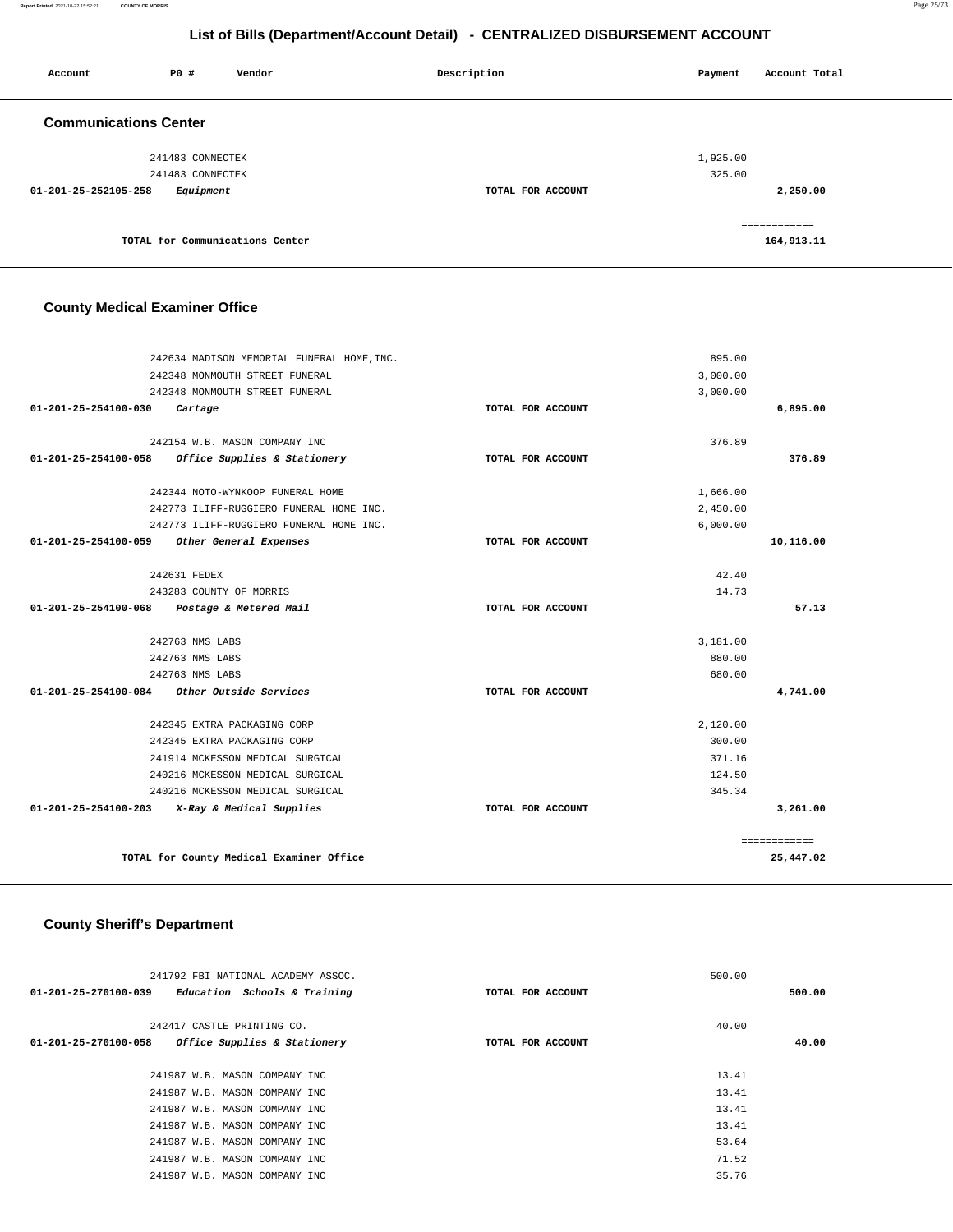| Account                      | PO#                                  | Vendor                          | Description       | Payment            | Account Total              |
|------------------------------|--------------------------------------|---------------------------------|-------------------|--------------------|----------------------------|
| <b>Communications Center</b> |                                      |                                 |                   |                    |                            |
|                              | 241483 CONNECTEK<br>241483 CONNECTEK |                                 |                   | 1,925.00<br>325.00 |                            |
| 01-201-25-252105-258         | Equipment                            |                                 | TOTAL FOR ACCOUNT |                    | 2,250.00                   |
|                              |                                      | TOTAL for Communications Center |                   |                    | ============<br>164,913.11 |

# **County Medical Examiner Office**

| 242634 MADISON MEMORIAL FUNERAL HOME, INC.                 |                   | 895.00   |              |  |  |
|------------------------------------------------------------|-------------------|----------|--------------|--|--|
| 242348 MONMOUTH STREET FUNERAL                             |                   | 3,000.00 |              |  |  |
| 242348 MONMOUTH STREET FUNERAL                             |                   | 3,000.00 |              |  |  |
| $01 - 201 - 25 - 254100 - 030$<br>Cartage                  | TOTAL FOR ACCOUNT |          | 6,895.00     |  |  |
|                                                            |                   |          |              |  |  |
| 242154 W.B. MASON COMPANY INC                              |                   | 376.89   |              |  |  |
| Office Supplies & Stationery<br>01-201-25-254100-058       | TOTAL FOR ACCOUNT |          | 376.89       |  |  |
|                                                            |                   |          |              |  |  |
| 242344 NOTO-WYNKOOP FUNERAL HOME                           |                   | 1,666.00 |              |  |  |
| 242773 ILIFF-RUGGIERO FUNERAL HOME INC.                    |                   | 2,450.00 |              |  |  |
| 242773 ILIFF-RUGGIERO FUNERAL HOME INC.                    |                   | 6,000.00 |              |  |  |
| $01 - 201 - 25 - 254100 - 059$<br>Other General Expenses   | TOTAL FOR ACCOUNT |          | 10,116.00    |  |  |
|                                                            |                   |          |              |  |  |
| 242631 FEDEX                                               |                   | 42.40    |              |  |  |
| 243283 COUNTY OF MORRIS                                    |                   | 14.73    |              |  |  |
| 01-201-25-254100-068<br>Postage & Metered Mail             | TOTAL FOR ACCOUNT |          | 57.13        |  |  |
|                                                            |                   |          |              |  |  |
| 242763 NMS LABS                                            |                   | 3,181.00 |              |  |  |
| 242763 NMS LABS                                            |                   | 880.00   |              |  |  |
| 242763 NMS LABS                                            |                   | 680.00   |              |  |  |
| Other Outside Services<br>01-201-25-254100-084             | TOTAL FOR ACCOUNT |          | 4,741.00     |  |  |
| 242345 EXTRA PACKAGING CORP                                |                   | 2,120.00 |              |  |  |
| 242345 EXTRA PACKAGING CORP                                |                   | 300.00   |              |  |  |
|                                                            |                   | 371.16   |              |  |  |
| 241914 MCKESSON MEDICAL SURGICAL                           |                   | 124.50   |              |  |  |
| 240216 MCKESSON MEDICAL SURGICAL                           |                   |          |              |  |  |
| 240216 MCKESSON MEDICAL SURGICAL                           |                   | 345.34   |              |  |  |
| $01 - 201 - 25 - 254100 - 203$<br>X-Ray & Medical Supplies | TOTAL FOR ACCOUNT |          | 3,261.00     |  |  |
|                                                            |                   |          | ============ |  |  |
| TOTAL for County Medical Examiner Office                   |                   |          |              |  |  |
|                                                            |                   |          |              |  |  |

### **County Sheriff's Department**

|        | 500.00 |                   | 241792 FBI NATIONAL ACADEMY ASSOC.                   |
|--------|--------|-------------------|------------------------------------------------------|
| 500.00 |        | TOTAL FOR ACCOUNT | 01-201-25-270100-039<br>Education Schools & Training |
|        | 40.00  |                   | 242417 CASTLE PRINTING CO.                           |
| 40.00  |        | TOTAL FOR ACCOUNT | 01-201-25-270100-058<br>Office Supplies & Stationery |
|        |        |                   |                                                      |
|        | 13.41  |                   | 241987 W.B. MASON COMPANY INC                        |
|        | 13.41  |                   | 241987 W.B. MASON COMPANY INC                        |
|        | 13.41  |                   | 241987 W.B. MASON COMPANY INC                        |
|        | 13.41  |                   | 241987 W.B. MASON COMPANY INC                        |
|        | 53.64  |                   | 241987 W.B. MASON COMPANY INC                        |
|        | 71.52  |                   | 241987 W.B. MASON COMPANY INC                        |
|        | 35.76  |                   | 241987 W.B. MASON COMPANY INC                        |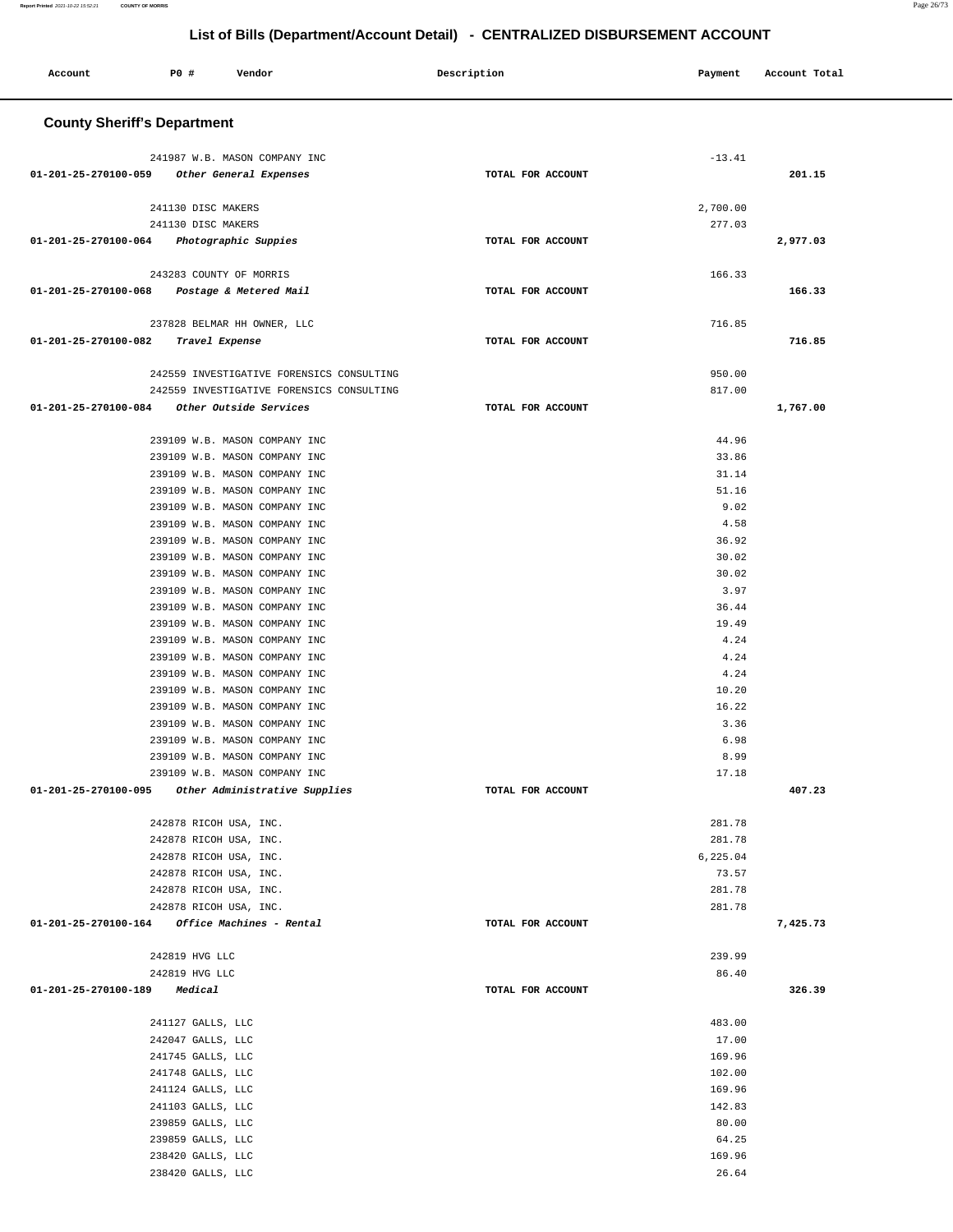| P0 #<br>Account<br>Vendor                                      | Description       | Payment           | Account Total |
|----------------------------------------------------------------|-------------------|-------------------|---------------|
| <b>County Sheriff's Department</b>                             |                   |                   |               |
| 241987 W.B. MASON COMPANY INC                                  |                   | $-13.41$          |               |
| 01-201-25-270100-059 Other General Expenses                    | TOTAL FOR ACCOUNT |                   | 201.15        |
| 241130 DISC MAKERS                                             |                   | 2,700.00          |               |
| 241130 DISC MAKERS                                             |                   | 277.03            |               |
| 01-201-25-270100-064<br>Photographic Suppies                   | TOTAL FOR ACCOUNT |                   | 2,977.03      |
| 243283 COUNTY OF MORRIS                                        |                   | 166.33            |               |
| 01-201-25-270100-068<br>Postage & Metered Mail                 | TOTAL FOR ACCOUNT |                   | 166.33        |
| 237828 BELMAR HH OWNER, LLC                                    |                   | 716.85            |               |
| 01-201-25-270100-082<br>Travel Expense                         | TOTAL FOR ACCOUNT |                   | 716.85        |
| 242559 INVESTIGATIVE FORENSICS CONSULTING                      |                   | 950.00            |               |
| 242559 INVESTIGATIVE FORENSICS CONSULTING                      |                   | 817.00            |               |
| 01-201-25-270100-084<br>Other Outside Services                 | TOTAL FOR ACCOUNT |                   | 1,767.00      |
| 239109 W.B. MASON COMPANY INC                                  |                   | 44.96             |               |
| 239109 W.B. MASON COMPANY INC                                  |                   | 33.86             |               |
| 239109 W.B. MASON COMPANY INC                                  |                   | 31.14             |               |
| 239109 W.B. MASON COMPANY INC                                  |                   | 51.16             |               |
| 239109 W.B. MASON COMPANY INC                                  |                   | 9.02              |               |
| 239109 W.B. MASON COMPANY INC<br>239109 W.B. MASON COMPANY INC |                   | 4.58<br>36.92     |               |
| 239109 W.B. MASON COMPANY INC                                  |                   | 30.02             |               |
| 239109 W.B. MASON COMPANY INC                                  |                   | 30.02             |               |
| 239109 W.B. MASON COMPANY INC                                  |                   | 3.97              |               |
| 239109 W.B. MASON COMPANY INC<br>239109 W.B. MASON COMPANY INC |                   | 36.44<br>19.49    |               |
| 239109 W.B. MASON COMPANY INC                                  |                   | 4.24              |               |
| 239109 W.B. MASON COMPANY INC                                  |                   | 4.24              |               |
| 239109 W.B. MASON COMPANY INC                                  |                   | 4.24              |               |
| 239109 W.B. MASON COMPANY INC                                  |                   | 10.20             |               |
| 239109 W.B. MASON COMPANY INC<br>239109 W.B. MASON COMPANY INC |                   | 16.22<br>3.36     |               |
| 239109 W.B. MASON COMPANY INC                                  |                   | 6.98              |               |
| 239109 W.B. MASON COMPANY INC                                  |                   | 8.99              |               |
| 239109 W.B. MASON COMPANY INC                                  |                   | 17.18             |               |
| 01-201-25-270100-095<br>Other Administrative Supplies          | TOTAL FOR ACCOUNT |                   | 407.23        |
| 242878 RICOH USA, INC.                                         |                   | 281.78            |               |
| 242878 RICOH USA, INC.                                         |                   | 281.78            |               |
| 242878 RICOH USA, INC.<br>242878 RICOH USA, INC.               |                   | 6,225.04<br>73.57 |               |
| 242878 RICOH USA, INC.                                         |                   | 281.78            |               |
| 242878 RICOH USA, INC.                                         |                   | 281.78            |               |
| 01-201-25-270100-164 Office Machines - Rental                  | TOTAL FOR ACCOUNT |                   | 7,425.73      |
| 242819 HVG LLC                                                 |                   | 239.99            |               |
| 242819 HVG LLC                                                 |                   | 86.40             |               |
| 01-201-25-270100-189<br>Medical                                | TOTAL FOR ACCOUNT |                   | 326.39        |
| 241127 GALLS, LLC                                              |                   | 483.00            |               |
| 242047 GALLS, LLC                                              |                   | 17.00             |               |
| 241745 GALLS, LLC                                              |                   | 169.96<br>102.00  |               |
| 241748 GALLS, LLC<br>241124 GALLS, LLC                         |                   | 169.96            |               |
| 241103 GALLS, LLC                                              |                   | 142.83            |               |
| 239859 GALLS, LLC                                              |                   | 80.00             |               |
| 239859 GALLS, LLC                                              |                   | 64.25             |               |
| 238420 GALLS, LLC<br>238420 GALLS, LLC                         |                   | 169.96<br>26.64   |               |
|                                                                |                   |                   |               |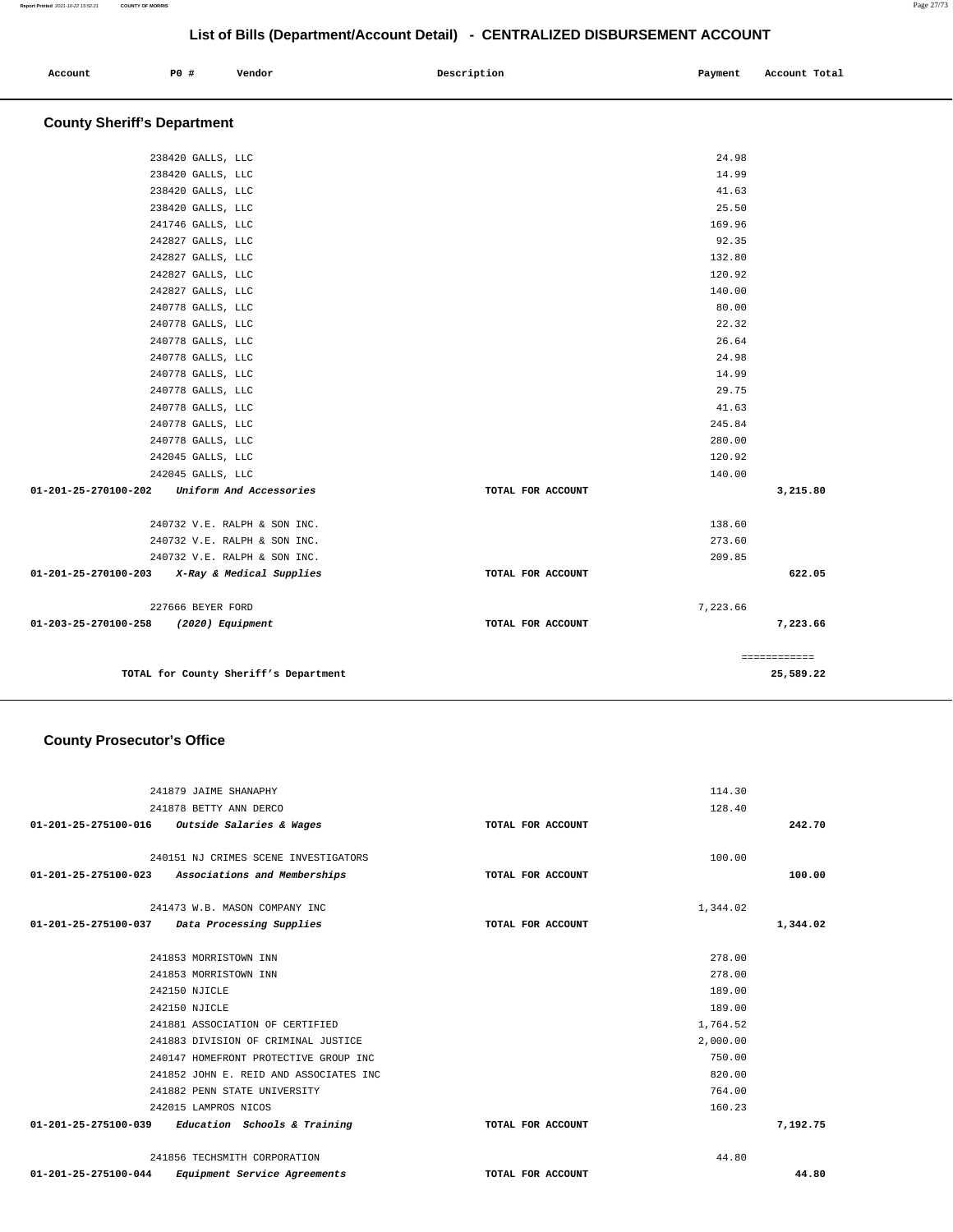| Account | P0 # | Vendor | Description | Payment<br>$\sim$ $\sim$ | Account Total |
|---------|------|--------|-------------|--------------------------|---------------|
|         |      |        |             |                          |               |
|         |      |        |             |                          |               |

# **County Sheriff's Department**

|                                                 |                   | 24.98    |              |
|-------------------------------------------------|-------------------|----------|--------------|
| 238420 GALLS, LLC                               |                   |          |              |
| 238420 GALLS, LLC                               |                   | 14.99    |              |
| 238420 GALLS, LLC                               |                   | 41.63    |              |
| 238420 GALLS, LLC                               |                   | 25.50    |              |
| 241746 GALLS, LLC                               |                   | 169.96   |              |
| 242827 GALLS, LLC                               |                   | 92.35    |              |
| 242827 GALLS, LLC                               |                   | 132.80   |              |
| 242827 GALLS, LLC                               |                   | 120.92   |              |
| 242827 GALLS, LLC                               |                   | 140.00   |              |
| 240778 GALLS, LLC                               |                   | 80.00    |              |
| 240778 GALLS, LLC                               |                   | 22.32    |              |
| 240778 GALLS, LLC                               |                   | 26.64    |              |
| 240778 GALLS, LLC                               |                   | 24.98    |              |
| 240778 GALLS, LLC                               |                   | 14.99    |              |
| 240778 GALLS, LLC                               |                   | 29.75    |              |
| 240778 GALLS, LLC                               |                   | 41.63    |              |
| 240778 GALLS, LLC                               |                   | 245.84   |              |
| 240778 GALLS, LLC                               |                   | 280.00   |              |
| 242045 GALLS, LLC                               |                   | 120.92   |              |
| 242045 GALLS, LLC                               |                   | 140.00   |              |
| 01-201-25-270100-202<br>Uniform And Accessories | TOTAL FOR ACCOUNT |          | 3,215.80     |
| 240732 V.E. RALPH & SON INC.                    |                   | 138.60   |              |
| 240732 V.E. RALPH & SON INC.                    |                   | 273.60   |              |
| 240732 V.E. RALPH & SON INC.                    |                   | 209.85   |              |
| 01-201-25-270100-203 X-Ray & Medical Supplies   | TOTAL FOR ACCOUNT |          | 622.05       |
| 227666 BEYER FORD                               |                   | 7,223.66 |              |
| 01-203-25-270100-258<br>(2020) Equipment        | TOTAL FOR ACCOUNT |          | 7,223.66     |
|                                                 |                   |          | ============ |
| TOTAL for County Sheriff's Department           |                   |          | 25,589.22    |

### **County Prosecutor's Office**

| 241879 JAIME SHANAPHY                                          |                   | 114.30   |          |
|----------------------------------------------------------------|-------------------|----------|----------|
| 241878 BETTY ANN DERCO                                         |                   | 128.40   |          |
| 01-201-25-275100-016 Outside Salaries & Wages                  | TOTAL FOR ACCOUNT |          | 242.70   |
|                                                                |                   |          |          |
| 240151 NJ CRIMES SCENE INVESTIGATORS                           |                   | 100.00   |          |
| Associations and Memberships<br>01-201-25-275100-023           | TOTAL FOR ACCOUNT |          | 100.00   |
| 241473 W.B. MASON COMPANY INC                                  |                   | 1,344.02 |          |
| 01-201-25-275100-037<br>Data Processing Supplies               | TOTAL FOR ACCOUNT |          | 1,344.02 |
| 241853 MORRISTOWN INN                                          |                   | 278.00   |          |
| 241853 MORRISTOWN INN                                          |                   | 278.00   |          |
| 242150 NJICLE                                                  |                   | 189.00   |          |
| 242150 NJICLE                                                  |                   | 189.00   |          |
|                                                                |                   |          |          |
| 241881 ASSOCIATION OF CERTIFIED                                |                   | 1,764.52 |          |
| 241883 DIVISION OF CRIMINAL JUSTICE                            |                   | 2,000.00 |          |
| 240147 HOMEFRONT PROTECTIVE GROUP INC                          |                   | 750.00   |          |
| 241852 JOHN E. REID AND ASSOCIATES INC                         |                   | 820.00   |          |
| 241882 PENN STATE UNIVERSITY                                   |                   | 764.00   |          |
| 242015 LAMPROS NICOS                                           |                   | 160.23   |          |
| 01-201-25-275100-039<br>Education Schools & Training           | TOTAL FOR ACCOUNT |          | 7.192.75 |
| 241856 TECHSMITH CORPORATION                                   |                   | 44.80    |          |
| $01 - 201 - 25 - 275100 - 044$<br>Equipment Service Agreements | TOTAL FOR ACCOUNT |          | 44.80    |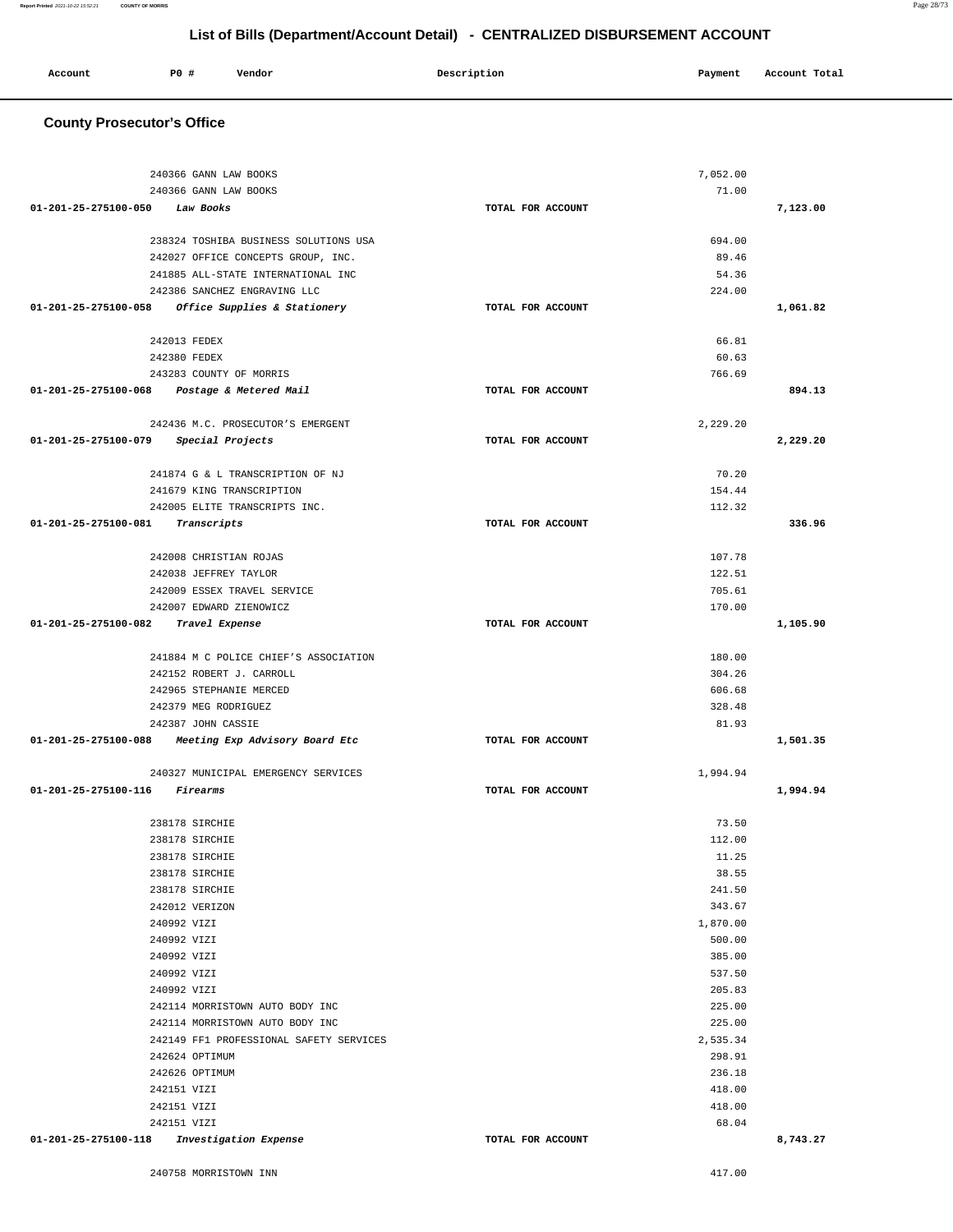| 240366 GANN LAW BOOKS                               |                   | 7,052.00         |          |
|-----------------------------------------------------|-------------------|------------------|----------|
| 240366 GANN LAW BOOKS                               |                   | 71.00            |          |
| 01-201-25-275100-050<br>Law Books                   | TOTAL FOR ACCOUNT |                  | 7,123.00 |
|                                                     |                   |                  |          |
| 238324 TOSHIBA BUSINESS SOLUTIONS USA               |                   | 694.00           |          |
| 242027 OFFICE CONCEPTS GROUP, INC.                  |                   | 89.46            |          |
| 241885 ALL-STATE INTERNATIONAL INC                  |                   | 54.36            |          |
| 242386 SANCHEZ ENGRAVING LLC                        |                   | 224.00           |          |
| 01-201-25-275100-058 Office Supplies & Stationery   | TOTAL FOR ACCOUNT |                  | 1,061.82 |
|                                                     |                   |                  |          |
| 242013 FEDEX                                        |                   | 66.81            |          |
| 242380 FEDEX                                        |                   | 60.63            |          |
| 243283 COUNTY OF MORRIS                             |                   | 766.69           |          |
| 01-201-25-275100-068 Postage & Metered Mail         | TOTAL FOR ACCOUNT |                  | 894.13   |
|                                                     |                   |                  |          |
| 242436 M.C. PROSECUTOR'S EMERGENT                   |                   | 2,229.20         |          |
| 01-201-25-275100-079<br>Special Projects            | TOTAL FOR ACCOUNT |                  | 2,229.20 |
|                                                     |                   |                  |          |
| 241874 G & L TRANSCRIPTION OF NJ                    |                   | 70.20            |          |
| 241679 KING TRANSCRIPTION                           |                   | 154.44           |          |
| 242005 ELITE TRANSCRIPTS INC.                       |                   | 112.32           |          |
| 01-201-25-275100-081<br>Transcripts                 | TOTAL FOR ACCOUNT |                  | 336.96   |
|                                                     |                   |                  |          |
| 242008 CHRISTIAN ROJAS                              |                   | 107.78           |          |
| 242038 JEFFREY TAYLOR                               |                   | 122.51           |          |
| 242009 ESSEX TRAVEL SERVICE                         |                   | 705.61           |          |
| 242007 EDWARD ZIENOWICZ                             |                   | 170.00           |          |
| 01-201-25-275100-082<br>Travel Expense              | TOTAL FOR ACCOUNT |                  | 1,105.90 |
|                                                     |                   |                  |          |
| 241884 M C POLICE CHIEF'S ASSOCIATION               |                   | 180.00<br>304.26 |          |
| 242152 ROBERT J. CARROLL<br>242965 STEPHANIE MERCED |                   | 606.68           |          |
| 242379 MEG RODRIGUEZ                                |                   | 328.48           |          |
| 242387 JOHN CASSIE                                  |                   | 81.93            |          |
| 01-201-25-275100-088 Meeting Exp Advisory Board Etc | TOTAL FOR ACCOUNT |                  | 1,501.35 |
|                                                     |                   |                  |          |
| 240327 MUNICIPAL EMERGENCY SERVICES                 |                   | 1,994.94         |          |
| 01-201-25-275100-116<br><i>Firearms</i>             | TOTAL FOR ACCOUNT |                  | 1,994.94 |
|                                                     |                   |                  |          |
| 238178 SIRCHIE                                      |                   | 73.50            |          |
| 238178 SIRCHIE                                      |                   | 112.00           |          |
| 238178 SIRCHIE                                      |                   | 11.25            |          |
| 238178 SIRCHIE                                      |                   | 38.55            |          |
| 238178 SIRCHIE                                      |                   | 241.50           |          |
| 242012 VERIZON                                      |                   | 343.67           |          |
| 240992 VIZI                                         |                   | 1,870.00         |          |
| 240992 VIZI                                         |                   | 500.00           |          |
| 240992 VIZI                                         |                   | 385.00           |          |
| 240992 VIZI                                         |                   | 537.50           |          |
| 240992 VIZI                                         |                   | 205.83           |          |
| 242114 MORRISTOWN AUTO BODY INC                     |                   | 225.00           |          |
| 242114 MORRISTOWN AUTO BODY INC                     |                   | 225.00           |          |
| 242149 FF1 PROFESSIONAL SAFETY SERVICES             |                   | 2,535.34         |          |
| 242624 OPTIMUM                                      |                   | 298.91           |          |
| 242626 OPTIMUM                                      |                   | 236.18           |          |
| 242151 VIZI                                         |                   | 418.00           |          |
| 242151 VIZI                                         |                   | 418.00           |          |
| 242151 VIZI                                         |                   | 68.04            |          |
| 01-201-25-275100-118<br>Investigation Expense       | TOTAL FOR ACCOUNT |                  | 8,743.27 |

**Account** P0 # Vendor Payment Account Total

#### **County Prosecutor's Office**

**Report Printed** 2021-10-22 15:52:21 **COUNTY OF MORRIS** Page 28/73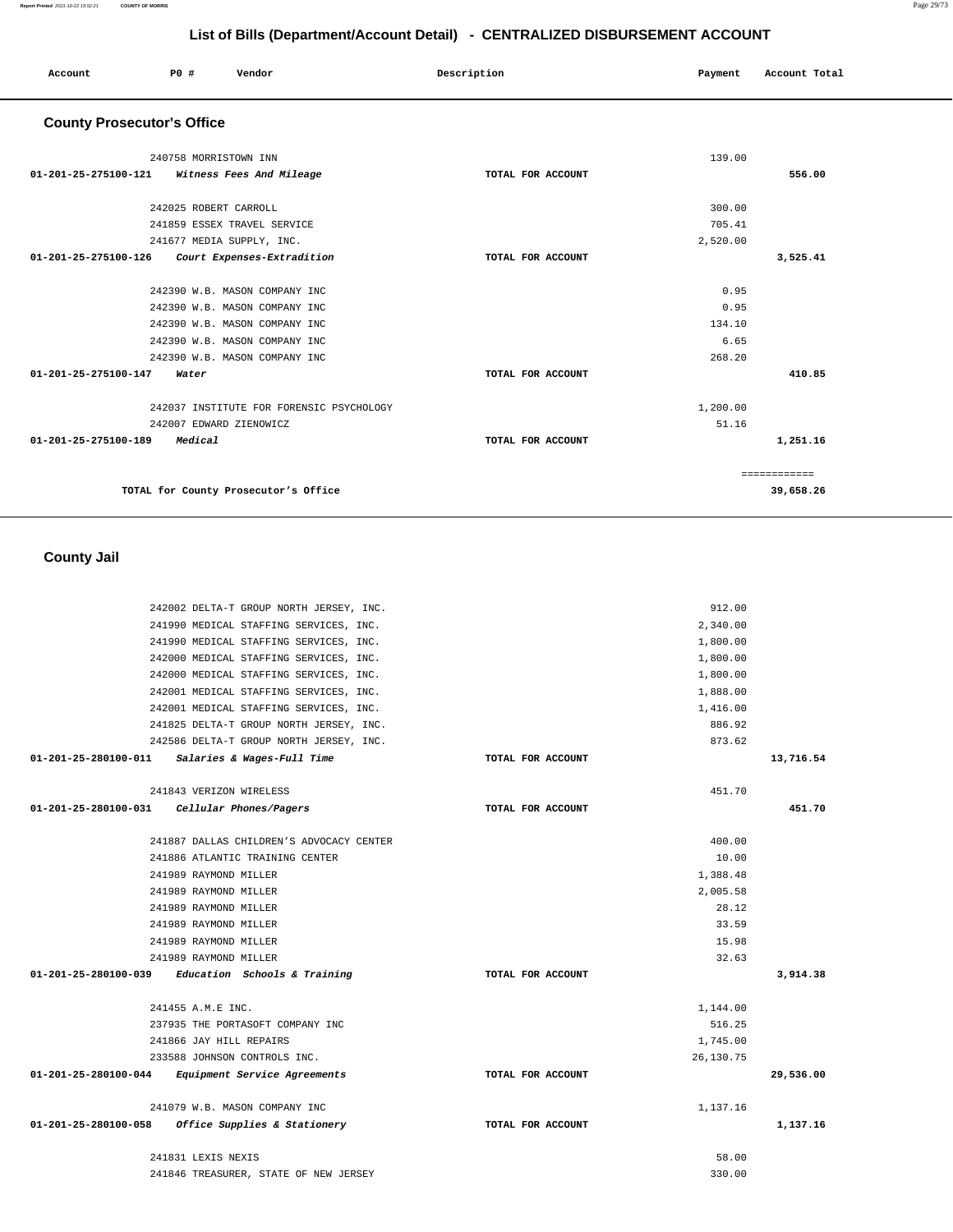| 241990 MEDICAL STAFFING SERVICES, INC.              |                   | 1,800.00  |           |
|-----------------------------------------------------|-------------------|-----------|-----------|
| 242000 MEDICAL STAFFING SERVICES, INC.              |                   | 1,800.00  |           |
| 242000 MEDICAL STAFFING SERVICES, INC.              |                   | 1,800.00  |           |
| 242001 MEDICAL STAFFING SERVICES, INC.              |                   | 1,888.00  |           |
| 242001 MEDICAL STAFFING SERVICES, INC.              |                   | 1,416.00  |           |
| 241825 DELTA-T GROUP NORTH JERSEY, INC.             |                   | 886.92    |           |
| 242586 DELTA-T GROUP NORTH JERSEY, INC.             |                   | 873.62    |           |
| 01-201-25-280100-011<br>Salaries & Wages-Full Time  | TOTAL FOR ACCOUNT |           | 13,716.54 |
| 241843 VERIZON WIRELESS                             |                   | 451.70    |           |
| 01-201-25-280100-031 Cellular Phones/Pagers         | TOTAL FOR ACCOUNT |           | 451.70    |
|                                                     |                   |           |           |
| 241887 DALLAS CHILDREN'S ADVOCACY CENTER            |                   | 400.00    |           |
| 241886 ATLANTIC TRAINING CENTER                     |                   | 10.00     |           |
| 241989 RAYMOND MILLER                               |                   | 1,388.48  |           |
| 241989 RAYMOND MILLER                               |                   | 2,005.58  |           |
| 241989 RAYMOND MILLER                               |                   | 28.12     |           |
| 241989 RAYMOND MILLER                               |                   | 33.59     |           |
| 241989 RAYMOND MILLER                               |                   | 15.98     |           |
| 241989 RAYMOND MILLER                               |                   | 32.63     |           |
| $01-201-25-280100-039$ Education Schools & Training | TOTAL FOR ACCOUNT |           | 3,914.38  |
| 241455 A.M.E INC.                                   |                   | 1,144.00  |           |
| 237935 THE PORTASOFT COMPANY INC                    |                   | 516.25    |           |
| 241866 JAY HILL REPAIRS                             |                   | 1,745.00  |           |
| 233588 JOHNSON CONTROLS INC.                        |                   | 26,130.75 |           |
| 01-201-25-280100-044 Equipment Service Agreements   | TOTAL FOR ACCOUNT |           | 29,536.00 |
| 241079 W.B. MASON COMPANY INC                       |                   | 1,137.16  |           |
| 01-201-25-280100-058 Office Supplies & Stationery   | TOTAL FOR ACCOUNT |           | 1,137.16  |
| 241831 LEXIS NEXIS                                  |                   | 58.00     |           |
| 241846 TREASURER, STATE OF NEW JERSEY               |                   | 330.00    |           |

 **County Jail** 

242002 DELTA-T GROUP NORTH JERSEY, INC. 241990 MEDICAL STAFFING SERVICES, INC.

| <b>County Prosecutor's Office</b>                            |                   |          |              |
|--------------------------------------------------------------|-------------------|----------|--------------|
| 240758 MORRISTOWN INN                                        |                   | 139.00   |              |
| 01-201-25-275100-121<br>Witness Fees And Mileage             | TOTAL FOR ACCOUNT |          | 556.00       |
| 242025 ROBERT CARROLL                                        |                   | 300.00   |              |
| 241859 ESSEX TRAVEL SERVICE                                  |                   | 705.41   |              |
| 241677 MEDIA SUPPLY, INC.                                    |                   | 2,520.00 |              |
| $01 - 201 - 25 - 275100 - 126$<br>Court Expenses-Extradition | TOTAL FOR ACCOUNT |          | 3,525.41     |
| 242390 W.B. MASON COMPANY INC                                |                   | 0.95     |              |
| 242390 W.B. MASON COMPANY INC                                |                   | 0.95     |              |
| 242390 W.B. MASON COMPANY INC                                |                   | 134.10   |              |
| 242390 W.B. MASON COMPANY INC                                |                   | 6.65     |              |
| 242390 W.B. MASON COMPANY INC                                |                   | 268.20   |              |
| $01 - 201 - 25 - 275100 - 147$<br>Water                      | TOTAL FOR ACCOUNT |          | 410.85       |
| 242037 INSTITUTE FOR FORENSIC PSYCHOLOGY                     |                   | 1,200.00 |              |
| 242007 EDWARD ZIENOWICZ                                      |                   | 51.16    |              |
| 01-201-25-275100-189<br>Medical                              | TOTAL FOR ACCOUNT |          | 1,251.16     |
|                                                              |                   |          | ============ |
| TOTAL for County Prosecutor's Office                         |                   |          | 39,658.26    |

 **Account** 20 **P P**  $\uparrow$  **Payment** Payment Account Total

912.00 2,340.00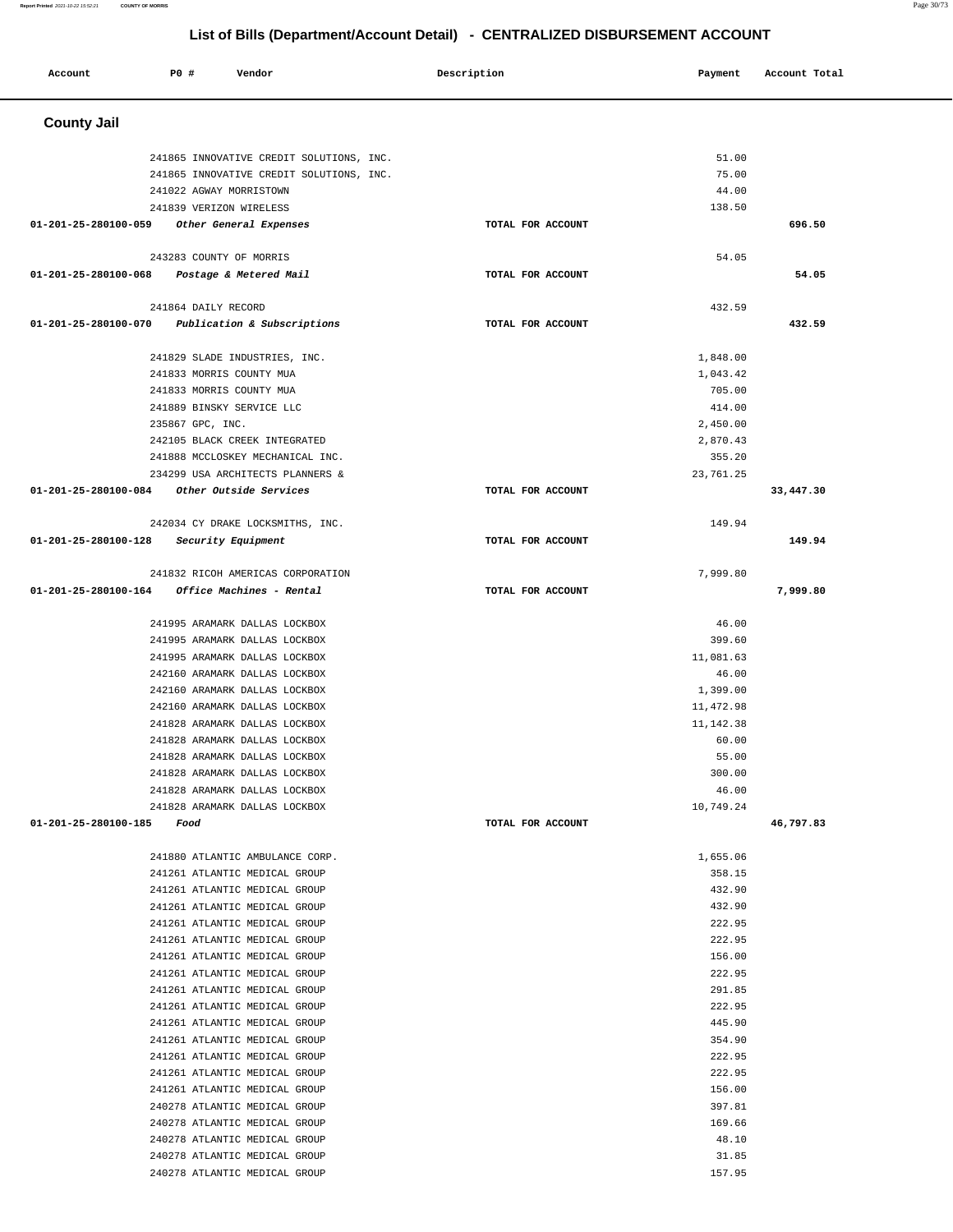| Account                                   | P0 #                    | Vendor                                                                               | Description |                   | Payment            | Account Total |
|-------------------------------------------|-------------------------|--------------------------------------------------------------------------------------|-------------|-------------------|--------------------|---------------|
| <b>County Jail</b>                        |                         |                                                                                      |             |                   |                    |               |
|                                           |                         |                                                                                      |             |                   |                    |               |
|                                           |                         | 241865 INNOVATIVE CREDIT SOLUTIONS, INC.<br>241865 INNOVATIVE CREDIT SOLUTIONS, INC. |             |                   | 51.00<br>75.00     |               |
|                                           | 241022 AGWAY MORRISTOWN |                                                                                      |             |                   | 44.00              |               |
|                                           | 241839 VERIZON WIRELESS |                                                                                      |             |                   | 138.50             |               |
| 01-201-25-280100-059                      |                         | Other General Expenses                                                               |             | TOTAL FOR ACCOUNT |                    | 696.50        |
|                                           |                         |                                                                                      |             |                   |                    |               |
|                                           | 243283 COUNTY OF MORRIS |                                                                                      |             |                   | 54.05              |               |
| 01-201-25-280100-068                      |                         | Postage & Metered Mail                                                               |             | TOTAL FOR ACCOUNT |                    | 54.05         |
|                                           | 241864 DAILY RECORD     |                                                                                      |             |                   | 432.59             |               |
|                                           |                         | 01-201-25-280100-070 Publication & Subscriptions                                     |             | TOTAL FOR ACCOUNT |                    | 432.59        |
|                                           |                         |                                                                                      |             |                   |                    |               |
|                                           |                         | 241829 SLADE INDUSTRIES, INC.                                                        |             |                   | 1,848.00           |               |
|                                           |                         | 241833 MORRIS COUNTY MUA                                                             |             |                   | 1,043.42           |               |
|                                           |                         | 241833 MORRIS COUNTY MUA                                                             |             |                   | 705.00             |               |
|                                           | 235867 GPC, INC.        | 241889 BINSKY SERVICE LLC                                                            |             |                   | 414.00<br>2,450.00 |               |
|                                           |                         | 242105 BLACK CREEK INTEGRATED                                                        |             |                   | 2,870.43           |               |
|                                           |                         | 241888 MCCLOSKEY MECHANICAL INC.                                                     |             |                   | 355.20             |               |
|                                           |                         | 234299 USA ARCHITECTS PLANNERS &                                                     |             |                   | 23,761.25          |               |
| 01-201-25-280100-084                      |                         | Other Outside Services                                                               |             | TOTAL FOR ACCOUNT |                    | 33,447.30     |
|                                           |                         |                                                                                      |             |                   |                    |               |
| $01-201-25-280100-128$ Security Equipment |                         | 242034 CY DRAKE LOCKSMITHS, INC.                                                     |             | TOTAL FOR ACCOUNT | 149.94             | 149.94        |
|                                           |                         |                                                                                      |             |                   |                    |               |
|                                           |                         | 241832 RICOH AMERICAS CORPORATION                                                    |             |                   | 7,999.80           |               |
| 01-201-25-280100-164                      |                         | <i>Office Machines - Rental</i>                                                      |             | TOTAL FOR ACCOUNT |                    | 7,999.80      |
|                                           |                         | 241995 ARAMARK DALLAS LOCKBOX                                                        |             |                   | 46.00              |               |
|                                           |                         | 241995 ARAMARK DALLAS LOCKBOX                                                        |             |                   | 399.60             |               |
|                                           |                         | 241995 ARAMARK DALLAS LOCKBOX                                                        |             |                   | 11,081.63          |               |
|                                           |                         | 242160 ARAMARK DALLAS LOCKBOX                                                        |             |                   | 46.00              |               |
|                                           |                         | 242160 ARAMARK DALLAS LOCKBOX                                                        |             |                   | 1,399.00           |               |
|                                           |                         | 242160 ARAMARK DALLAS LOCKBOX                                                        |             |                   | 11,472.98          |               |
|                                           |                         | 241828 ARAMARK DALLAS LOCKBOX                                                        |             |                   | 11, 142.38         |               |
|                                           |                         | 241828 ARAMARK DALLAS LOCKBOX                                                        |             |                   | 60.00              |               |
|                                           |                         | 241828 ARAMARK DALLAS LOCKBOX<br>241828 ARAMARK DALLAS LOCKBOX                       |             |                   | 55.00<br>300.00    |               |
|                                           |                         | 241828 ARAMARK DALLAS LOCKBOX                                                        |             |                   | 46.00              |               |
|                                           |                         | 241828 ARAMARK DALLAS LOCKBOX                                                        |             |                   | 10,749.24          |               |
| 01-201-25-280100-185 Food                 |                         |                                                                                      |             | TOTAL FOR ACCOUNT |                    | 46,797.83     |
|                                           |                         |                                                                                      |             |                   |                    |               |
|                                           |                         | 241880 ATLANTIC AMBULANCE CORP.                                                      |             |                   | 1,655.06           |               |
|                                           |                         | 241261 ATLANTIC MEDICAL GROUP                                                        |             |                   | 358.15             |               |
|                                           |                         | 241261 ATLANTIC MEDICAL GROUP                                                        |             |                   | 432.90             |               |
|                                           |                         | 241261 ATLANTIC MEDICAL GROUP<br>241261 ATLANTIC MEDICAL GROUP                       |             |                   | 432.90<br>222.95   |               |
|                                           |                         | 241261 ATLANTIC MEDICAL GROUP                                                        |             |                   | 222.95             |               |
|                                           |                         | 241261 ATLANTIC MEDICAL GROUP                                                        |             |                   | 156.00             |               |
|                                           |                         | 241261 ATLANTIC MEDICAL GROUP                                                        |             |                   | 222.95             |               |
|                                           |                         | 241261 ATLANTIC MEDICAL GROUP                                                        |             |                   | 291.85             |               |
|                                           |                         | 241261 ATLANTIC MEDICAL GROUP                                                        |             |                   | 222.95             |               |
|                                           |                         | 241261 ATLANTIC MEDICAL GROUP                                                        |             |                   | 445.90             |               |
|                                           |                         | 241261 ATLANTIC MEDICAL GROUP                                                        |             |                   | 354.90             |               |
|                                           |                         | 241261 ATLANTIC MEDICAL GROUP                                                        |             |                   | 222.95             |               |
|                                           |                         | 241261 ATLANTIC MEDICAL GROUP                                                        |             |                   | 222.95             |               |
|                                           |                         | 241261 ATLANTIC MEDICAL GROUP<br>240278 ATLANTIC MEDICAL GROUP                       |             |                   | 156.00<br>397.81   |               |
|                                           |                         | 240278 ATLANTIC MEDICAL GROUP                                                        |             |                   | 169.66             |               |
|                                           |                         | 240278 ATLANTIC MEDICAL GROUP                                                        |             |                   | 48.10              |               |
|                                           |                         | 240278 ATLANTIC MEDICAL GROUP                                                        |             |                   | 31.85              |               |
|                                           |                         | 240278 ATLANTIC MEDICAL GROUP                                                        |             |                   | 157.95             |               |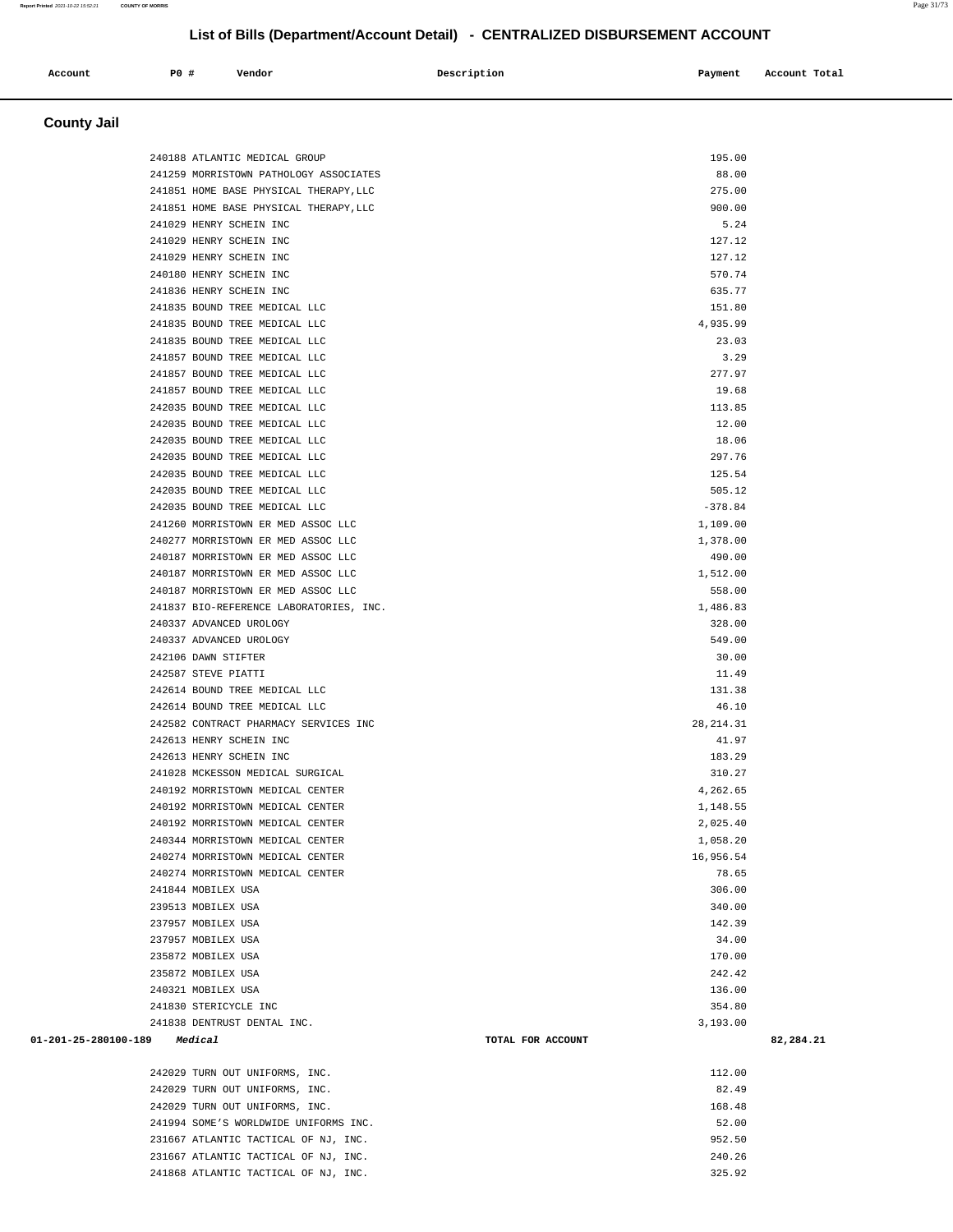| <b>County Jail</b>   |                                         |                   |           |
|----------------------|-----------------------------------------|-------------------|-----------|
|                      |                                         |                   |           |
|                      | 240188 ATLANTIC MEDICAL GROUP           | 195.00            |           |
|                      | 241259 MORRISTOWN PATHOLOGY ASSOCIATES  | 88.00             |           |
|                      | 241851 HOME BASE PHYSICAL THERAPY, LLC  | 275.00            |           |
|                      | 241851 HOME BASE PHYSICAL THERAPY, LLC  | 900.00            |           |
|                      | 241029 HENRY SCHEIN INC                 | 5.24              |           |
|                      | 241029 HENRY SCHEIN INC                 | 127.12            |           |
|                      | 241029 HENRY SCHEIN INC                 | 127.12            |           |
|                      | 240180 HENRY SCHEIN INC                 | 570.74            |           |
|                      | 241836 HENRY SCHEIN INC                 | 635.77            |           |
|                      | 241835 BOUND TREE MEDICAL LLC           | 151.80            |           |
|                      | 241835 BOUND TREE MEDICAL LLC           | 4,935.99          |           |
|                      | 241835 BOUND TREE MEDICAL LLC           | 23.03             |           |
|                      | 241857 BOUND TREE MEDICAL LLC           | 3.29              |           |
|                      | 241857 BOUND TREE MEDICAL LLC           | 277.97            |           |
|                      | 241857 BOUND TREE MEDICAL LLC           | 19.68             |           |
|                      | 242035 BOUND TREE MEDICAL LLC           | 113.85            |           |
|                      | 242035 BOUND TREE MEDICAL LLC           | 12.00             |           |
|                      | 242035 BOUND TREE MEDICAL LLC           | 18.06             |           |
|                      | 242035 BOUND TREE MEDICAL LLC           | 297.76            |           |
|                      | 242035 BOUND TREE MEDICAL LLC           | 125.54            |           |
|                      | 242035 BOUND TREE MEDICAL LLC           | 505.12            |           |
|                      | 242035 BOUND TREE MEDICAL LLC           | $-378.84$         |           |
|                      | 241260 MORRISTOWN ER MED ASSOC LLC      | 1,109.00          |           |
|                      | 240277 MORRISTOWN ER MED ASSOC LLC      | 1,378.00          |           |
|                      | 240187 MORRISTOWN ER MED ASSOC LLC      | 490.00            |           |
|                      | 240187 MORRISTOWN ER MED ASSOC LLC      | 1,512.00          |           |
|                      | 240187 MORRISTOWN ER MED ASSOC LLC      | 558.00            |           |
|                      | 241837 BIO-REFERENCE LABORATORIES, INC. | 1,486.83          |           |
|                      | 240337 ADVANCED UROLOGY                 | 328.00            |           |
|                      | 240337 ADVANCED UROLOGY                 | 549.00            |           |
|                      | 242106 DAWN STIFTER                     | 30.00             |           |
|                      | 242587 STEVE PIATTI                     | 11.49             |           |
|                      | 242614 BOUND TREE MEDICAL LLC           | 131.38            |           |
|                      | 242614 BOUND TREE MEDICAL LLC           | 46.10             |           |
|                      | 242582 CONTRACT PHARMACY SERVICES INC   | 28, 214. 31       |           |
|                      | 242613 HENRY SCHEIN INC                 | 41.97             |           |
|                      | 242613 HENRY SCHEIN INC                 | 183.29            |           |
|                      | 241028 MCKESSON MEDICAL SURGICAL        | 310.27            |           |
|                      | 240192 MORRISTOWN MEDICAL CENTER        | 4,262.65          |           |
|                      | 240192 MORRISTOWN MEDICAL CENTER        | 1,148.55          |           |
|                      | 240192 MORRISTOWN MEDICAL CENTER        | 2,025.40          |           |
|                      | 240344 MORRISTOWN MEDICAL CENTER        | 1,058.20          |           |
|                      | 240274 MORRISTOWN MEDICAL CENTER        | 16,956.54         |           |
|                      | 240274 MORRISTOWN MEDICAL CENTER        | 78.65             |           |
|                      | 241844 MOBILEX USA                      | 306.00            |           |
|                      | 239513 MOBILEX USA                      | 340.00            |           |
|                      | 237957 MOBILEX USA                      | 142.39            |           |
|                      | 237957 MOBILEX USA                      | 34.00             |           |
|                      | 235872 MOBILEX USA                      | 170.00            |           |
|                      | 235872 MOBILEX USA                      | 242.42            |           |
|                      | 240321 MOBILEX USA                      | 136.00            |           |
|                      | 241830 STERICYCLE INC                   | 354.80            |           |
|                      | 241838 DENTRUST DENTAL INC.             | 3,193.00          |           |
| 01-201-25-280100-189 | Medical                                 | TOTAL FOR ACCOUNT | 82,284.21 |
|                      |                                         |                   |           |
|                      | 242029 TURN OUT UNIFORMS, INC.          | 112.00            |           |

 **Account** 20 **P P**  $\uparrow$  **Payment** Payment Account Total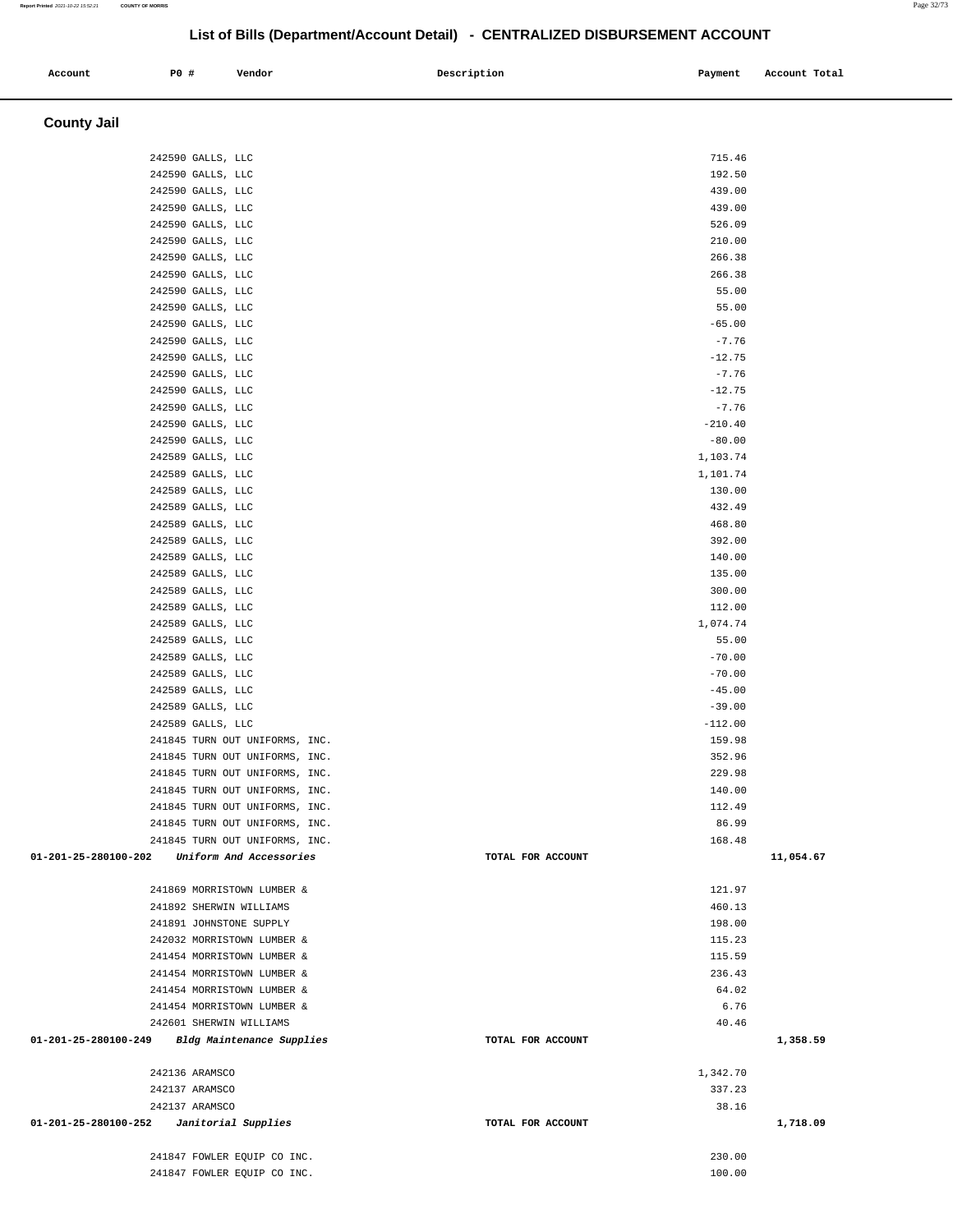#### **County Jail**  242590 GALLS, LLC 715.46 242590 GALLS, LLC 192.50 242590 GALLS, LLC 439.00 242590 GALLS, LLC 439.00 242590 GALLS, LLC 526.09 242590 GALLS, LLC 210.00 242590 GALLS, LLC 266.38 242590 GALLS, LLC 266.38 242590 GALLS, LLC 55.00 242590 GALLS, LLC 55.00 242590 GALLS, LLC -65.00 242590 GALLS, LLC -7.76 242590 GALLS, LLC -12.75 242590 GALLS, LLC -7.76 242590 GALLS, LLC -12.75 242590 GALLS, LLC  $-7.76$ 242590 GALLS, LLC -210.40  $242590$  GALLS, LLC  $-80.00$  242589 GALLS, LLC 1,103.74 242589 GALLS, LLC 1,101.74 242589 GALLS, LLC 130.00 242589 GALLS, LLC 432.49 242589 GALLS, LLC 468.80 242589 GALLS, LLC 392.00 242589 GALLS, LLC 140.00 242589 GALLS, LLC 135.00 242589 GALLS, LLC 300.00 242589 GALLS, LLC 112.00 242589 GALLS, LLC 1,074.74 242589 GALLS, LLC 55.00 242589 GALLS, LLC -70.00 242589 GALLS, LLC -70.00 242589 GALLS, LLC -45.00 242589 GALLS, LLC -39.00 242589 GALLS, LLC -112.00 241845 TURN OUT UNIFORMS, INC. 2008 2018 12:30 12:30 12:30 12:30 139.98 241845 TURN OUT UNIFORMS, INC. 352.96 241845 TURN OUT UNIFORMS, INC. 229.98 241845 TURN OUT UNIFORMS, INC. 140.00 241845 TURN OUT UNIFORMS, INC. 2008 2018 12:49 241845 TURN OUT UNIFORMS, INC. 86.99 241845 TURN OUT UNIFORMS, INC. 168.48  **01-201-25-280100-202 Uniform And Accessories TOTAL FOR ACCOUNT 11,054.67** 241869 MORRISTOWN LUMBER & 121.97 241892 SHERWIN WILLIAMS 460.13 241891 JOHNSTONE SUPPLY 198.00 242032 MORRISTOWN LUMBER & 115.23 241454 MORRISTOWN LUMBER & 115.59 241454 MORRISTOWN LUMBER & 236.43 241454 MORRISTOWN LUMBER & 64.02 241454 MORRISTOWN LUMBER & 6.76 242601 SHERWIN WILLIAMS 40.46  **01-201-25-280100-249 Bldg Maintenance Supplies TOTAL FOR ACCOUNT 1,358.59** 242136 ARAMSCO 1,342.70 242137 ARAMSCO 337.23 242137 ARAMSCO 38.16  **01-201-25-280100-252 Janitorial Supplies TOTAL FOR ACCOUNT 1,718.09** 241847 FOWLER EQUIP CO INC. 230.00 241847 FOWLER EQUIP CO INC.

 **Account P0 # Vendor Description Payment Account Total**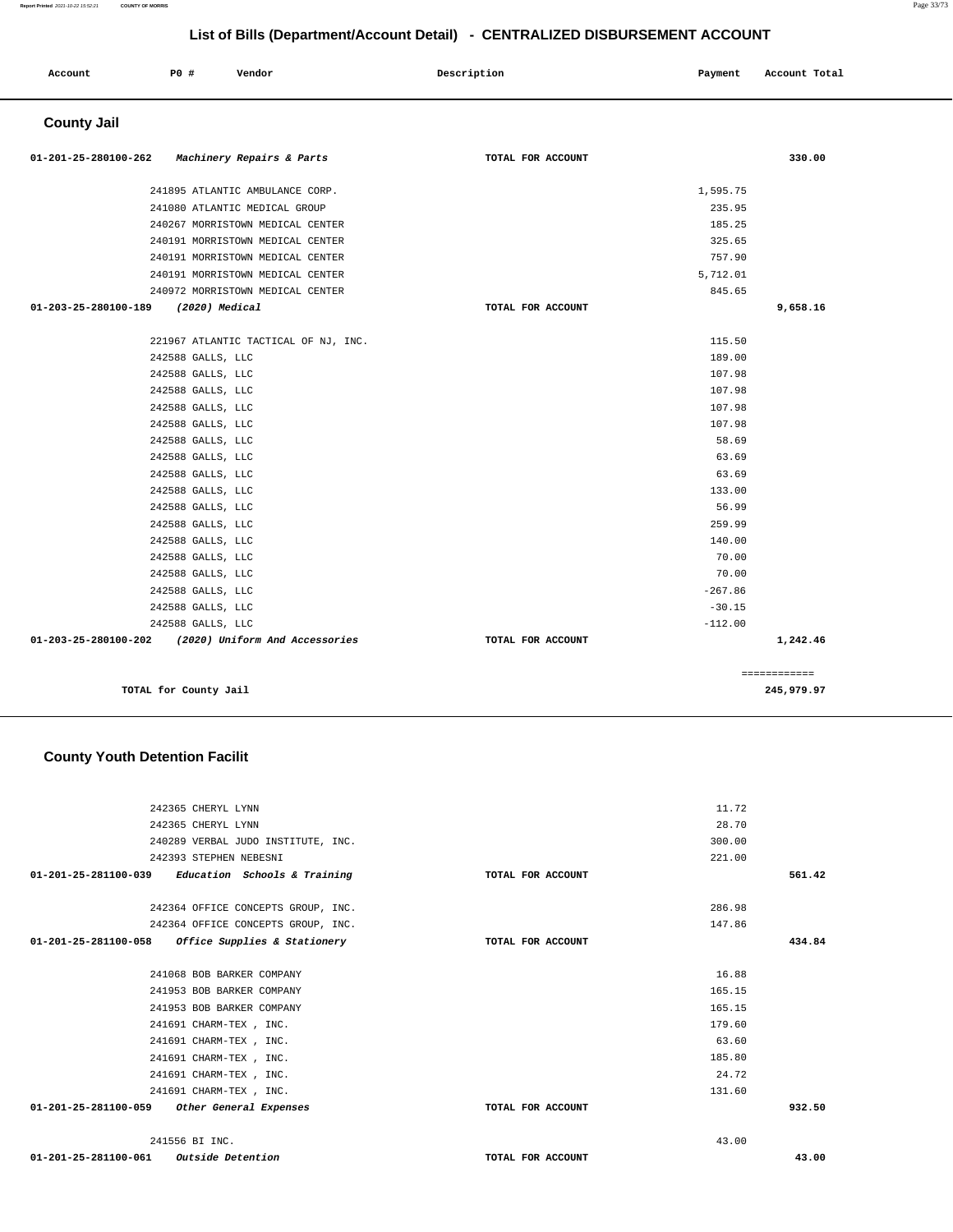| Account              | P0 #<br>Vendor                       | Description       | Payment   | Account Total |
|----------------------|--------------------------------------|-------------------|-----------|---------------|
| <b>County Jail</b>   |                                      |                   |           |               |
| 01-201-25-280100-262 | Machinery Repairs & Parts            | TOTAL FOR ACCOUNT |           | 330.00        |
|                      | 241895 ATLANTIC AMBULANCE CORP.      |                   | 1,595.75  |               |
|                      | 241080 ATLANTIC MEDICAL GROUP        |                   | 235.95    |               |
|                      | 240267 MORRISTOWN MEDICAL CENTER     |                   | 185.25    |               |
|                      | 240191 MORRISTOWN MEDICAL CENTER     |                   | 325.65    |               |
|                      | 240191 MORRISTOWN MEDICAL CENTER     |                   | 757.90    |               |
|                      | 240191 MORRISTOWN MEDICAL CENTER     |                   | 5,712.01  |               |
|                      | 240972 MORRISTOWN MEDICAL CENTER     |                   | 845.65    |               |
| 01-203-25-280100-189 | (2020) Medical                       | TOTAL FOR ACCOUNT |           | 9,658.16      |
|                      | 221967 ATLANTIC TACTICAL OF NJ, INC. |                   | 115.50    |               |
|                      | 242588 GALLS, LLC                    |                   | 189.00    |               |
|                      | 242588 GALLS, LLC                    |                   | 107.98    |               |
|                      | 242588 GALLS, LLC                    |                   | 107.98    |               |
|                      | 242588 GALLS, LLC                    |                   | 107.98    |               |
|                      | 242588 GALLS, LLC                    |                   | 107.98    |               |
|                      | 242588 GALLS, LLC                    |                   | 58.69     |               |
|                      | 242588 GALLS, LLC                    |                   | 63.69     |               |
|                      | 242588 GALLS, LLC                    |                   | 63.69     |               |
|                      | 242588 GALLS, LLC                    |                   | 133.00    |               |
|                      | 242588 GALLS, LLC                    |                   | 56.99     |               |
|                      | 242588 GALLS, LLC                    |                   | 259.99    |               |
|                      | 242588 GALLS, LLC                    |                   | 140.00    |               |
|                      | 242588 GALLS, LLC                    |                   | 70.00     |               |
|                      | 242588 GALLS, LLC                    |                   | 70.00     |               |
|                      | 242588 GALLS, LLC                    |                   | $-267.86$ |               |
|                      | 242588 GALLS, LLC                    |                   | $-30.15$  |               |
|                      | 242588 GALLS, LLC                    |                   | $-112.00$ |               |
| 01-203-25-280100-202 | (2020) Uniform And Accessories       | TOTAL FOR ACCOUNT |           | 1,242.46      |

**TOTAL for County Jail 245,979.97**

### **County Youth Detention Facilit**

| 242365 CHERYL LYNN                                   |                   | 11.72  |        |
|------------------------------------------------------|-------------------|--------|--------|
| 242365 CHERYL LYNN                                   |                   | 28.70  |        |
| 240289 VERBAL JUDO INSTITUTE, INC.                   |                   | 300.00 |        |
| 242393 STEPHEN NEBESNI                               |                   | 221.00 |        |
| Education Schools & Training<br>01-201-25-281100-039 | TOTAL FOR ACCOUNT |        | 561.42 |
|                                                      |                   |        |        |
| 242364 OFFICE CONCEPTS GROUP, INC.                   |                   | 286.98 |        |
| 242364 OFFICE CONCEPTS GROUP, INC.                   |                   | 147.86 |        |
| 01-201-25-281100-058 Office Supplies & Stationery    | TOTAL FOR ACCOUNT |        | 434.84 |
|                                                      |                   |        |        |
| 241068 BOB BARKER COMPANY                            |                   | 16.88  |        |
| 241953 BOB BARKER COMPANY                            |                   | 165.15 |        |
| 241953 BOB BARKER COMPANY                            |                   | 165.15 |        |
| 241691 CHARM-TEX , INC.                              |                   | 179.60 |        |
| 241691 CHARM-TEX, INC.                               |                   | 63.60  |        |
| 241691 CHARM-TEX , INC.                              |                   | 185.80 |        |
| 241691 CHARM-TEX , INC.                              |                   | 24.72  |        |
| 241691 CHARM-TEX , INC.                              |                   | 131.60 |        |
| 01-201-25-281100-059 Other General Expenses          | TOTAL FOR ACCOUNT |        | 932.50 |
|                                                      |                   |        |        |
| 241556 BI INC.                                       |                   | 43.00  |        |
| <b>Outside Detention</b><br>01-201-25-281100-061     | TOTAL FOR ACCOUNT |        | 43.00  |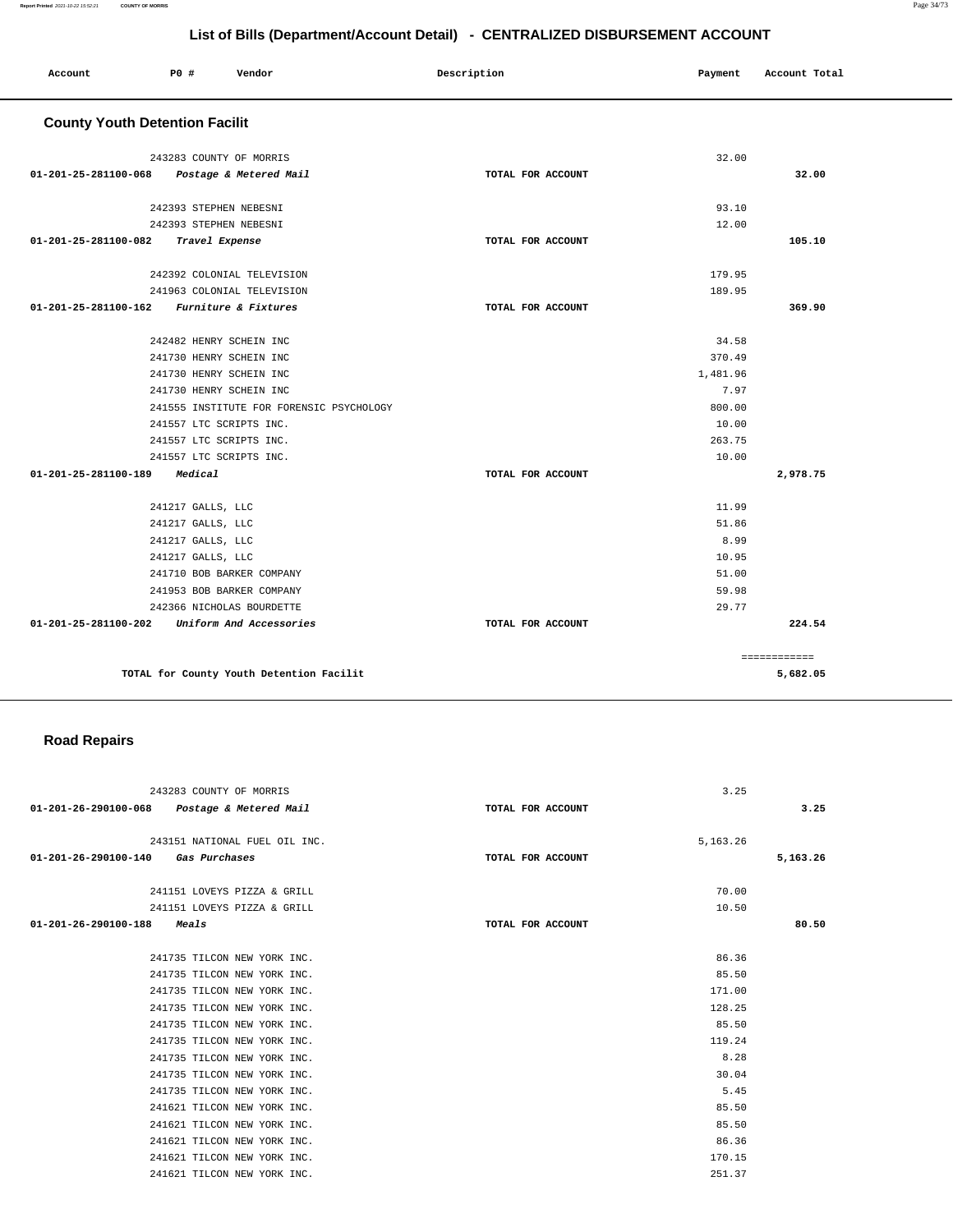| Account                               | <b>PO #</b>       | Vendor                                   | Description       | Payment  | Account Total |
|---------------------------------------|-------------------|------------------------------------------|-------------------|----------|---------------|
|                                       |                   |                                          |                   |          |               |
| <b>County Youth Detention Facilit</b> |                   |                                          |                   |          |               |
|                                       |                   | 243283 COUNTY OF MORRIS                  |                   | 32.00    |               |
| 01-201-25-281100-068                  |                   | Postage & Metered Mail                   | TOTAL FOR ACCOUNT |          | 32.00         |
|                                       |                   | 242393 STEPHEN NEBESNI                   |                   | 93.10    |               |
|                                       |                   | 242393 STEPHEN NEBESNI                   |                   | 12.00    |               |
| 01-201-25-281100-082                  |                   | Travel Expense                           | TOTAL FOR ACCOUNT |          | 105.10        |
|                                       |                   | 242392 COLONIAL TELEVISION               |                   | 179.95   |               |
|                                       |                   | 241963 COLONIAL TELEVISION               |                   | 189.95   |               |
| 01-201-25-281100-162                  |                   | Furniture & Fixtures                     | TOTAL FOR ACCOUNT |          | 369.90        |
|                                       |                   | 242482 HENRY SCHEIN INC                  |                   | 34.58    |               |
|                                       |                   | 241730 HENRY SCHEIN INC                  |                   | 370.49   |               |
|                                       |                   | 241730 HENRY SCHEIN INC                  |                   | 1,481.96 |               |
|                                       |                   | 241730 HENRY SCHEIN INC                  |                   | 7.97     |               |
|                                       |                   | 241555 INSTITUTE FOR FORENSIC PSYCHOLOGY |                   | 800.00   |               |
|                                       |                   | 241557 LTC SCRIPTS INC.                  |                   | 10.00    |               |
|                                       |                   | 241557 LTC SCRIPTS INC.                  |                   | 263.75   |               |
|                                       |                   | 241557 LTC SCRIPTS INC.                  |                   | 10.00    |               |
| 01-201-25-281100-189                  | Medical           |                                          | TOTAL FOR ACCOUNT |          | 2,978.75      |
|                                       | 241217 GALLS, LLC |                                          |                   | 11.99    |               |
|                                       | 241217 GALLS, LLC |                                          |                   | 51.86    |               |
|                                       | 241217 GALLS, LLC |                                          |                   | 8.99     |               |
|                                       | 241217 GALLS, LLC |                                          |                   | 10.95    |               |
|                                       |                   | 241710 BOB BARKER COMPANY                |                   | 51.00    |               |
|                                       |                   | 241953 BOB BARKER COMPANY                |                   | 59.98    |               |
|                                       |                   | 242366 NICHOLAS BOURDETTE                |                   | 29.77    |               |
| 01-201-25-281100-202                  |                   | Uniform And Accessories                  | TOTAL FOR ACCOUNT |          | 224.54        |
|                                       |                   |                                          |                   |          | ============  |
|                                       |                   | TOTAL for County Youth Detention Facilit |                   |          | 5,682.05      |

# **Road Repairs**

| 243283 COUNTY OF MORRIS                     |                   | 3.25     |          |
|---------------------------------------------|-------------------|----------|----------|
| 01-201-26-290100-068 Postage & Metered Mail | TOTAL FOR ACCOUNT |          | 3.25     |
| 243151 NATIONAL FUEL OIL INC.               |                   | 5,163.26 |          |
| 01-201-26-290100-140 Gas Purchases          | TOTAL FOR ACCOUNT |          | 5,163.26 |
| 241151 LOVEYS PIZZA & GRILL                 |                   | 70.00    |          |
| 241151 LOVEYS PIZZA & GRILL                 |                   | 10.50    |          |
| 01-201-26-290100-188<br><i>Meals</i>        | TOTAL FOR ACCOUNT |          | 80.50    |
|                                             |                   |          |          |
| 241735 TILCON NEW YORK INC.                 |                   | 86.36    |          |
| 241735 TILCON NEW YORK INC.                 |                   | 85.50    |          |
| 241735 TILCON NEW YORK INC.                 |                   | 171.00   |          |
| 241735 TILCON NEW YORK INC.                 |                   | 128.25   |          |
| 241735 TILCON NEW YORK INC.                 |                   | 85.50    |          |
| 241735 TILCON NEW YORK INC.                 |                   | 119.24   |          |
| 241735 TILCON NEW YORK INC.                 |                   | 8.28     |          |
| 241735 TILCON NEW YORK INC.                 |                   | 30.04    |          |
| 241735 TILCON NEW YORK INC.                 |                   | 5.45     |          |
| 241621 TILCON NEW YORK INC.                 |                   | 85.50    |          |
| 241621 TILCON NEW YORK INC.                 |                   | 85.50    |          |
| 241621 TILCON NEW YORK INC.                 |                   | 86.36    |          |
| 241621 TILCON NEW YORK INC.                 |                   | 170.15   |          |
| 241621 TILCON NEW YORK INC.                 |                   | 251.37   |          |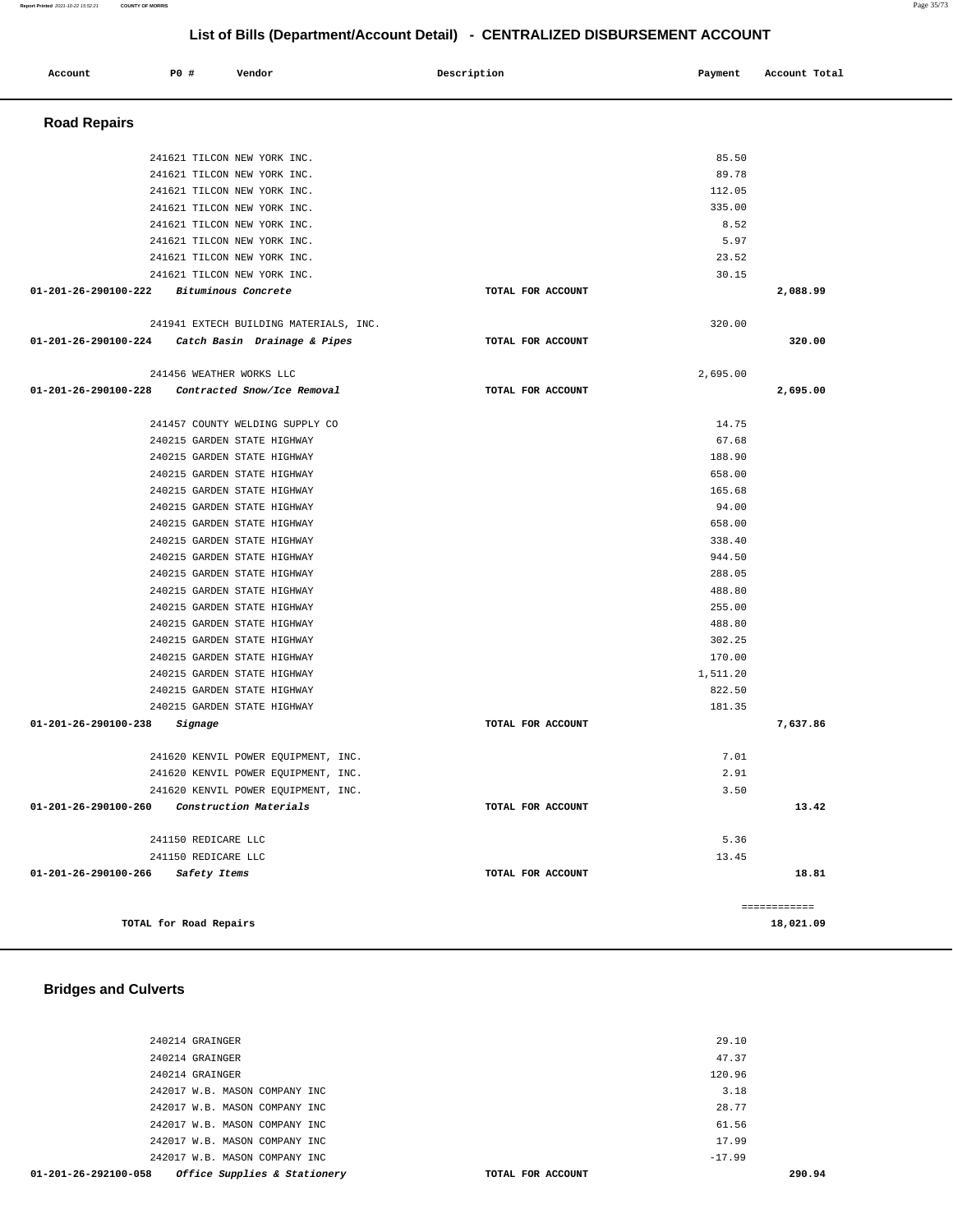#### 240214 GRAINGER 120.96 242017 W.B. MASON COMPANY INC 3.18 242017 W.B. MASON COMPANY INC 28.77 242017 W.B. MASON COMPANY INC 61.56 242017 W.B. MASON COMPANY INC 17.99 242017 W.B. MASON COMPANY INC  $-17.99$  **01-201-26-292100-058 Office Supplies & Stationery TOTAL FOR ACCOUNT 290.94**

**TOTAL for Road Repairs 18,021.09**

240214 GRAINGER 29.10 240214 GRAINGER 47.37

**01-201-26-290100-260 Construction Materials TOTAL FOR ACCOUNT** 

**01-201-26-290100-266 Safety Items TOTAL FOR ACCOUNT** 

 241150 REDICARE LLC 241150 REDICARE LLC

#### **Bridges and Culverts**

| 241621 TILCON NEW YORK INC.                       |                   | 5.97     |          |
|---------------------------------------------------|-------------------|----------|----------|
| 241621 TILCON NEW YORK INC.                       |                   | 23.52    |          |
| 241621 TILCON NEW YORK INC.                       |                   | 30.15    |          |
| 01-201-26-290100-222 Bituminous Concrete          | TOTAL FOR ACCOUNT |          | 2,088.99 |
|                                                   |                   |          |          |
| 241941 EXTECH BUILDING MATERIALS, INC.            |                   | 320.00   |          |
| 01-201-26-290100-224 Catch Basin Drainage & Pipes | TOTAL FOR ACCOUNT |          | 320.00   |
| 241456 WEATHER WORKS LLC                          |                   | 2,695.00 |          |
| 01-201-26-290100-228 Contracted Snow/Ice Removal  | TOTAL FOR ACCOUNT |          | 2,695.00 |
|                                                   |                   |          |          |
| 241457 COUNTY WELDING SUPPLY CO                   |                   | 14.75    |          |
| 240215 GARDEN STATE HIGHWAY                       |                   | 67.68    |          |
| 240215 GARDEN STATE HIGHWAY                       |                   | 188.90   |          |
| 240215 GARDEN STATE HIGHWAY                       |                   | 658.00   |          |
| 240215 GARDEN STATE HIGHWAY                       |                   | 165.68   |          |
| 240215 GARDEN STATE HIGHWAY                       |                   | 94.00    |          |
| 240215 GARDEN STATE HIGHWAY                       |                   | 658.00   |          |
| 240215 GARDEN STATE HIGHWAY                       |                   | 338.40   |          |
| 240215 GARDEN STATE HIGHWAY                       |                   | 944.50   |          |
| 240215 GARDEN STATE HIGHWAY                       |                   | 288.05   |          |
| 240215 GARDEN STATE HIGHWAY                       |                   | 488.80   |          |
| 240215 GARDEN STATE HIGHWAY                       |                   | 255.00   |          |
| 240215 GARDEN STATE HIGHWAY                       |                   | 488.80   |          |
| 240215 GARDEN STATE HIGHWAY                       |                   | 302.25   |          |
| 240215 GARDEN STATE HIGHWAY                       |                   | 170.00   |          |
| 240215 GARDEN STATE HIGHWAY                       |                   | 1,511.20 |          |
| 240215 GARDEN STATE HIGHWAY                       |                   | 822.50   |          |
| 240215 GARDEN STATE HIGHWAY                       |                   | 181.35   |          |
| 01-201-26-290100-238<br>Signage                   | TOTAL FOR ACCOUNT |          | 7,637.86 |
| 241620 KENVIL POWER EQUIPMENT, INC.               |                   | 7.01     |          |
| 241620 KENVIL POWER EQUIPMENT, INC.               |                   | 2.91     |          |
| 241620 KENVIL POWER EQUIPMENT, INC.               |                   | 3.50     |          |

| Account                        | P0 # |                          | Vendor                          |                                        | Description |                   | Payment  | Account Total |
|--------------------------------|------|--------------------------|---------------------------------|----------------------------------------|-------------|-------------------|----------|---------------|
| <b>Road Repairs</b>            |      |                          |                                 |                                        |             |                   |          |               |
|                                |      |                          | 241621 TILCON NEW YORK INC.     |                                        |             |                   | 85.50    |               |
|                                |      |                          | 241621 TILCON NEW YORK INC.     |                                        |             |                   | 89.78    |               |
|                                |      |                          | 241621 TILCON NEW YORK INC.     |                                        |             |                   | 112.05   |               |
|                                |      |                          | 241621 TILCON NEW YORK INC.     |                                        |             |                   | 335.00   |               |
|                                |      |                          | 241621 TILCON NEW YORK INC.     |                                        |             |                   | 8.52     |               |
|                                |      |                          | 241621 TILCON NEW YORK INC.     |                                        |             |                   | 5.97     |               |
|                                |      |                          | 241621 TILCON NEW YORK INC.     |                                        |             |                   | 23.52    |               |
|                                |      |                          | 241621 TILCON NEW YORK INC.     |                                        |             |                   | 30.15    |               |
| 01-201-26-290100-222           |      | Bituminous Concrete      |                                 |                                        |             | TOTAL FOR ACCOUNT |          | 2,088.99      |
|                                |      |                          |                                 | 241941 EXTECH BUILDING MATERIALS, INC. |             |                   | 320.00   |               |
| 01-201-26-290100-224           |      |                          | Catch Basin Drainage & Pipes    |                                        |             | TOTAL FOR ACCOUNT |          | 320.00        |
|                                |      | 241456 WEATHER WORKS LLC |                                 |                                        |             |                   | 2,695.00 |               |
| 01-201-26-290100-228           |      |                          | Contracted Snow/Ice Removal     |                                        |             | TOTAL FOR ACCOUNT |          | 2,695.00      |
|                                |      |                          | 241457 COUNTY WELDING SUPPLY CO |                                        |             |                   | 14.75    |               |
|                                |      |                          | 240215 GARDEN STATE HIGHWAY     |                                        |             |                   | 67.68    |               |
|                                |      |                          | 240215 GARDEN STATE HIGHWAY     |                                        |             |                   | 188.90   |               |
|                                |      |                          | 240215 GARDEN STATE HIGHWAY     |                                        |             |                   | 658.00   |               |
|                                |      |                          | 240215 GARDEN STATE HIGHWAY     |                                        |             |                   | 165.68   |               |
|                                |      |                          | 240215 GARDEN STATE HIGHWAY     |                                        |             |                   | 94.00    |               |
|                                |      |                          | 240215 GARDEN STATE HIGHWAY     |                                        |             |                   | 658.00   |               |
|                                |      |                          | 240215 GARDEN STATE HIGHWAY     |                                        |             |                   | 338.40   |               |
|                                |      |                          | 240215 GARDEN STATE HIGHWAY     |                                        |             |                   | 944.50   |               |
|                                |      |                          | 240215 GARDEN STATE HIGHWAY     |                                        |             |                   | 288.05   |               |
|                                |      |                          | 240215 GARDEN STATE HIGHWAY     |                                        |             |                   | 488.80   |               |
|                                |      |                          | 240215 GARDEN STATE HIGHWAY     |                                        |             |                   | 255.00   |               |
|                                |      |                          | 240215 GARDEN STATE HIGHWAY     |                                        |             |                   | 488.80   |               |
|                                |      |                          | 240215 GARDEN STATE HIGHWAY     |                                        |             |                   | 302.25   |               |
|                                |      |                          | 240215 GARDEN STATE HIGHWAY     |                                        |             |                   | 170.00   |               |
|                                |      |                          | 240215 GARDEN STATE HIGHWAY     |                                        |             |                   | 1,511.20 |               |
|                                |      |                          | 240215 GARDEN STATE HIGHWAY     |                                        |             |                   | 822.50   |               |
|                                |      |                          | 240215 GARDEN STATE HIGHWAY     |                                        |             |                   | 181.35   |               |
| $01 - 201 - 26 - 290100 - 238$ |      | Signage                  |                                 |                                        |             | TOTAL FOR ACCOUNT |          | 7,637.86      |

**List of Bills (Department/Account Detail) - CENTRALIZED DISBURSEMENT ACCOUNT**

**13.42**

**18.81**

============

5.36 13.45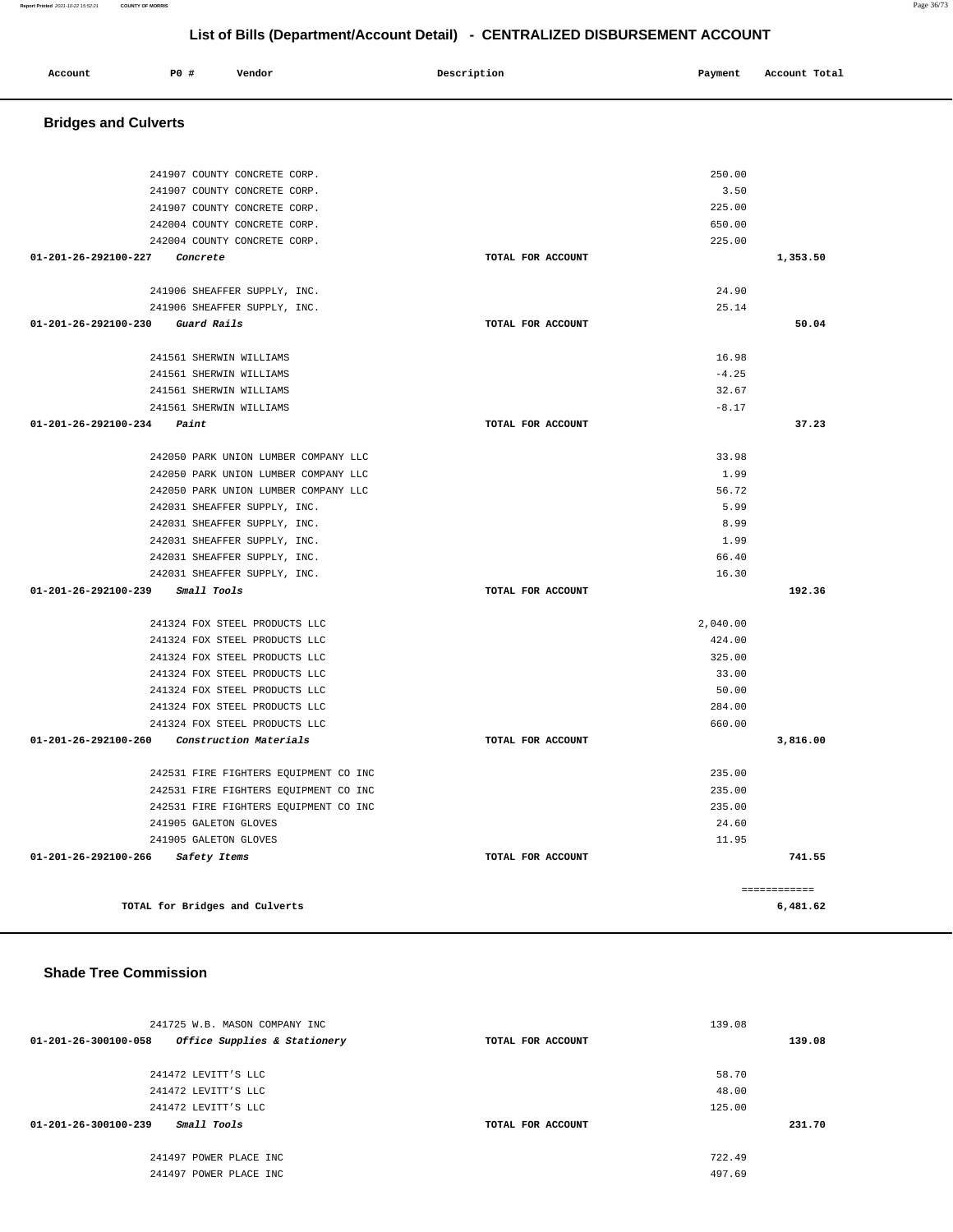| Account | P0 # | Vendor | Description | Payment | Account Total |
|---------|------|--------|-------------|---------|---------------|
|         |      |        |             |         |               |

# **Bridges and Culverts**

| 241907 COUNTY CONCRETE CORP.                                 |                   | 250.00<br>3.50 |          |
|--------------------------------------------------------------|-------------------|----------------|----------|
| 241907 COUNTY CONCRETE CORP.                                 |                   | 225.00         |          |
| 241907 COUNTY CONCRETE CORP.<br>242004 COUNTY CONCRETE CORP. |                   | 650.00         |          |
| 242004 COUNTY CONCRETE CORP.                                 |                   | 225.00         |          |
| 01-201-26-292100-227 Concrete                                | TOTAL FOR ACCOUNT |                | 1,353.50 |
|                                                              |                   |                |          |
| 241906 SHEAFFER SUPPLY, INC.                                 |                   | 24.90          |          |
| 241906 SHEAFFER SUPPLY, INC.                                 |                   | 25.14          |          |
| 01-201-26-292100-230 Guard Rails                             | TOTAL FOR ACCOUNT |                | 50.04    |
|                                                              |                   |                |          |
| 241561 SHERWIN WILLIAMS                                      |                   | 16.98          |          |
| 241561 SHERWIN WILLIAMS                                      |                   | $-4.25$        |          |
| 241561 SHERWIN WILLIAMS                                      |                   | 32.67          |          |
| 241561 SHERWIN WILLIAMS                                      |                   | $-8.17$        |          |
| $01 - 201 - 26 - 292100 - 234$ Paint                         | TOTAL FOR ACCOUNT |                | 37.23    |
|                                                              |                   |                |          |
| 242050 PARK UNION LUMBER COMPANY LLC                         |                   | 33.98          |          |
| 242050 PARK UNION LUMBER COMPANY LLC                         |                   | 1.99           |          |
| 242050 PARK UNION LUMBER COMPANY LLC                         |                   | 56.72          |          |
| 242031 SHEAFFER SUPPLY, INC.                                 |                   | 5.99           |          |
| 242031 SHEAFFER SUPPLY, INC.                                 |                   | 8.99           |          |
| 242031 SHEAFFER SUPPLY, INC.                                 |                   | 1.99           |          |
| 242031 SHEAFFER SUPPLY, INC.                                 |                   | 66.40          |          |
| 242031 SHEAFFER SUPPLY, INC.                                 |                   | 16.30          |          |
| 01-201-26-292100-239 Small Tools                             | TOTAL FOR ACCOUNT |                | 192.36   |
|                                                              |                   |                |          |
| 241324 FOX STEEL PRODUCTS LLC                                |                   | 2,040.00       |          |
| 241324 FOX STEEL PRODUCTS LLC                                |                   | 424.00         |          |
| 241324 FOX STEEL PRODUCTS LLC                                |                   | 325.00         |          |
| 241324 FOX STEEL PRODUCTS LLC                                |                   | 33.00          |          |
| 241324 FOX STEEL PRODUCTS LLC                                |                   | 50.00          |          |
| 241324 FOX STEEL PRODUCTS LLC                                |                   | 284.00         |          |
| 241324 FOX STEEL PRODUCTS LLC                                |                   | 660.00         |          |
| 01-201-26-292100-260 Construction Materials                  | TOTAL FOR ACCOUNT |                | 3,816.00 |
| 242531 FIRE FIGHTERS EQUIPMENT CO INC                        |                   | 235.00         |          |
| 242531 FIRE FIGHTERS EQUIPMENT CO INC                        |                   | 235.00         |          |
| 242531 FIRE FIGHTERS EQUIPMENT CO INC                        |                   | 235.00         |          |
| 241905 GALETON GLOVES                                        |                   | 24.60          |          |
| 241905 GALETON GLOVES                                        |                   | 11.95          |          |
| 01-201-26-292100-266 Safety Items                            | TOTAL FOR ACCOUNT |                | 741.55   |
|                                                              |                   |                |          |
|                                                              |                   | ------------   |          |
| TOTAL for Bridges and Culverts                               |                   |                | 6,481.62 |

#### **Shade Tree Commission**

| 241725 W.B. MASON COMPANY INC                        |                   | 139.08 |
|------------------------------------------------------|-------------------|--------|
| Office Supplies & Stationery<br>01-201-26-300100-058 | TOTAL FOR ACCOUNT | 139.08 |
|                                                      |                   |        |
| 241472 LEVITT'S LLC                                  |                   | 58.70  |
| 241472 LEVITT'S LLC                                  |                   | 48.00  |
| 241472 LEVITT'S LLC                                  |                   | 125.00 |
| <i>Small Tools</i><br>01-201-26-300100-239           | TOTAL FOR ACCOUNT | 231.70 |
| 241497 POWER PLACE INC                               |                   | 722.49 |
| 241497 POWER PLACE INC                               |                   | 497.69 |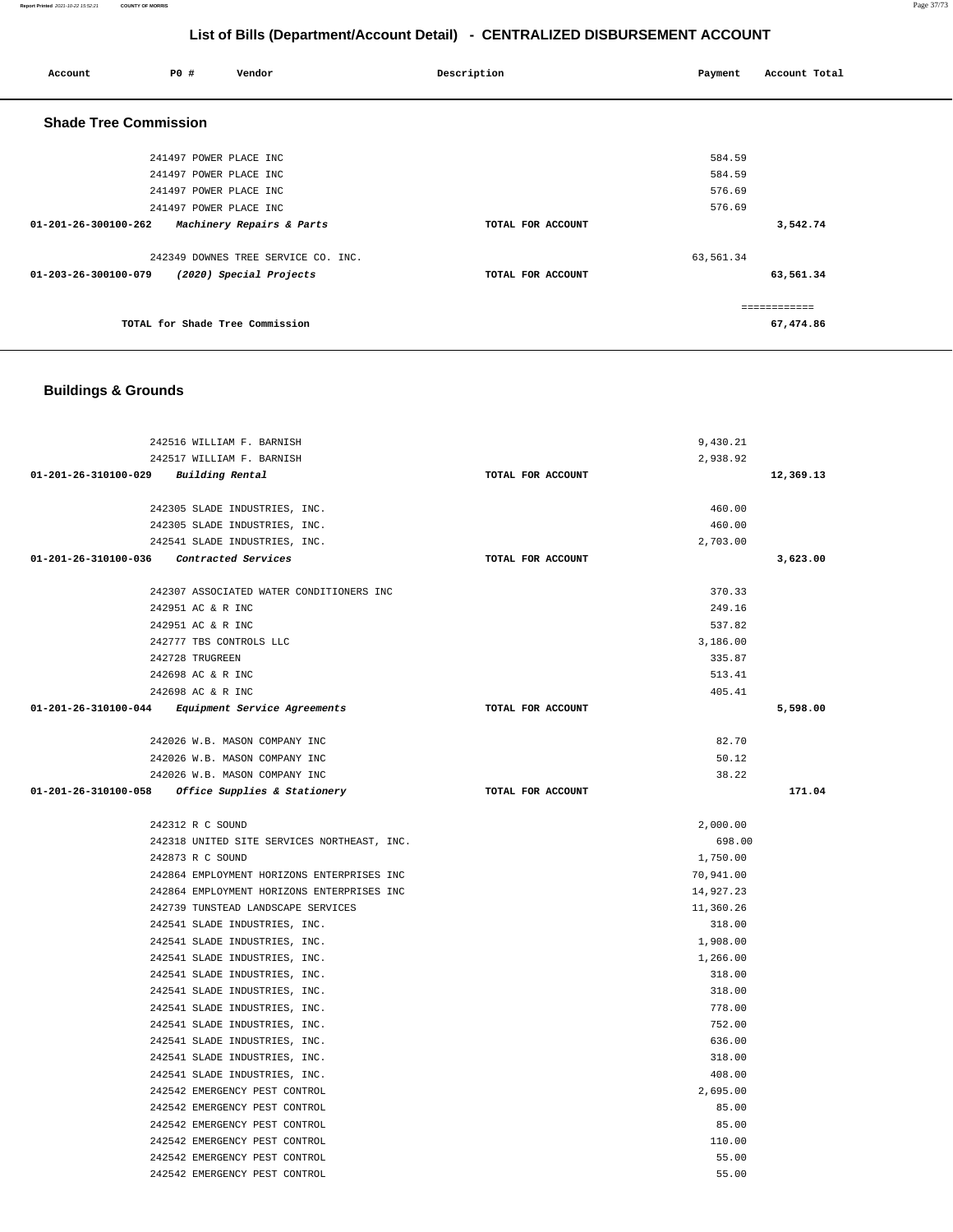#### **Report Printed** 2021-10-22 15:52:21 **COUNTY OF MORRIS** Page 37/73

# **List of Bills (Department/Account Detail) - CENTRALIZED DISBURSEMENT ACCOUNT**

| Account                        | <b>PO #</b>            | Vendor                              | Description       | Payment   | Account Total |
|--------------------------------|------------------------|-------------------------------------|-------------------|-----------|---------------|
| <b>Shade Tree Commission</b>   |                        |                                     |                   |           |               |
|                                | 241497 POWER PLACE INC |                                     |                   | 584.59    |               |
|                                | 241497 POWER PLACE INC |                                     |                   | 584.59    |               |
|                                | 241497 POWER PLACE INC |                                     |                   | 576.69    |               |
|                                | 241497 POWER PLACE INC |                                     |                   | 576.69    |               |
| $01 - 201 - 26 - 300100 - 262$ |                        | Machinery Repairs & Parts           | TOTAL FOR ACCOUNT |           | 3,542.74      |
|                                |                        | 242349 DOWNES TREE SERVICE CO. INC. |                   | 63,561.34 |               |
| 01-203-26-300100-079           |                        | (2020) Special Projects             | TOTAL FOR ACCOUNT |           | 63,561.34     |
|                                |                        |                                     |                   |           | ------------  |
|                                |                        | TOTAL for Shade Tree Commission     |                   |           | 67,474.86     |

# **Buildings & Grounds**

| 242516 WILLIAM F. BARNISH                         |                   | 9,430.21  |           |
|---------------------------------------------------|-------------------|-----------|-----------|
| 242517 WILLIAM F. BARNISH                         |                   | 2,938.92  |           |
| 01-201-26-310100-029 Building Rental              | TOTAL FOR ACCOUNT |           | 12,369.13 |
|                                                   |                   |           |           |
| 242305 SLADE INDUSTRIES, INC.                     |                   | 460.00    |           |
| 242305 SLADE INDUSTRIES, INC.                     |                   | 460.00    |           |
| 242541 SLADE INDUSTRIES, INC.                     |                   | 2,703.00  |           |
| 01-201-26-310100-036 Contracted Services          | TOTAL FOR ACCOUNT |           | 3,623.00  |
|                                                   |                   |           |           |
| 242307 ASSOCIATED WATER CONDITIONERS INC          |                   | 370.33    |           |
| 242951 AC & R INC                                 |                   | 249.16    |           |
| 242951 AC & R INC                                 |                   | 537.82    |           |
| 242777 TBS CONTROLS LLC                           |                   | 3,186.00  |           |
| 242728 TRUGREEN                                   |                   | 335.87    |           |
| 242698 AC & R INC                                 |                   | 513.41    |           |
| 242698 AC & R INC                                 |                   | 405.41    |           |
| 01-201-26-310100-044 Equipment Service Agreements | TOTAL FOR ACCOUNT |           | 5,598.00  |
| 242026 W.B. MASON COMPANY INC                     |                   | 82.70     |           |
| 242026 W.B. MASON COMPANY INC                     |                   | 50.12     |           |
| 242026 W.B. MASON COMPANY INC                     |                   | 38.22     |           |
| 01-201-26-310100-058 Office Supplies & Stationery | TOTAL FOR ACCOUNT |           | 171.04    |
|                                                   |                   |           |           |
| 242312 R C SOUND                                  |                   | 2,000.00  |           |
| 242318 UNITED SITE SERVICES NORTHEAST, INC.       |                   | 698.00    |           |
| 242873 R C SOUND                                  |                   | 1,750.00  |           |
| 242864 EMPLOYMENT HORIZONS ENTERPRISES INC        |                   | 70,941.00 |           |
| 242864 EMPLOYMENT HORIZONS ENTERPRISES INC        |                   | 14,927.23 |           |
| 242739 TUNSTEAD LANDSCAPE SERVICES                |                   | 11,360.26 |           |
| 242541 SLADE INDUSTRIES, INC.                     |                   | 318.00    |           |
| 242541 SLADE INDUSTRIES, INC.                     |                   | 1,908.00  |           |
| 242541 SLADE INDUSTRIES, INC.                     |                   | 1,266.00  |           |
| 242541 SLADE INDUSTRIES, INC.                     |                   | 318.00    |           |
| 242541 SLADE INDUSTRIES, INC.                     |                   | 318.00    |           |
| 242541 SLADE INDUSTRIES, INC.                     |                   | 778.00    |           |
| 242541 SLADE INDUSTRIES, INC.                     |                   | 752.00    |           |
| 242541 SLADE INDUSTRIES, INC.                     |                   | 636.00    |           |
| 242541 SLADE INDUSTRIES, INC.                     |                   | 318.00    |           |
| 242541 SLADE INDUSTRIES, INC.                     |                   | 408.00    |           |
| 242542 EMERGENCY PEST CONTROL                     |                   | 2,695.00  |           |
| 242542 EMERGENCY PEST CONTROL                     |                   | 85.00     |           |
| 242542 EMERGENCY PEST CONTROL                     |                   | 85.00     |           |
| 242542 EMERGENCY PEST CONTROL                     |                   | 110.00    |           |
| 242542 EMERGENCY PEST CONTROL                     |                   | 55.00     |           |
| 242542 EMERGENCY PEST CONTROL                     |                   | 55.00     |           |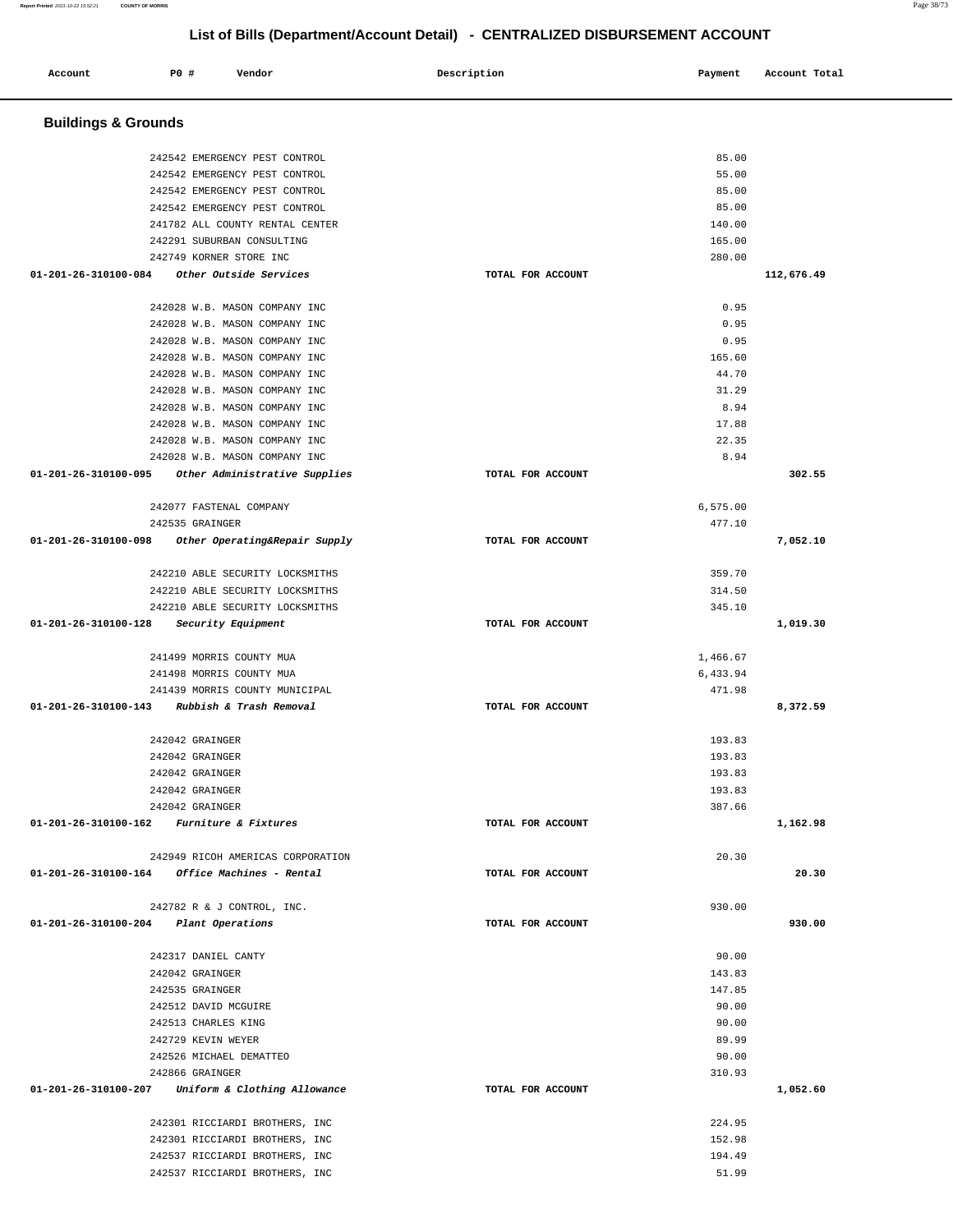| Account                               | <b>PO #</b> | Vendor                                                                                          | Description       | Payment                 | Account Total |
|---------------------------------------|-------------|-------------------------------------------------------------------------------------------------|-------------------|-------------------------|---------------|
| <b>Buildings &amp; Grounds</b>        |             |                                                                                                 |                   |                         |               |
|                                       |             | 242542 EMERGENCY PEST CONTROL<br>242542 EMERGENCY PEST CONTROL<br>242542 EMERGENCY PEST CONTROL |                   | 85.00<br>55.00<br>85.00 |               |
|                                       |             | 242542 EMERGENCY PEST CONTROL<br>241782 ALL COUNTY RENTAL CENTER                                |                   | 85.00<br>140.00         |               |
|                                       |             | 242291 SUBURBAN CONSULTING<br>242749 KORNER STORE INC                                           |                   | 165.00<br>280.00        |               |
| 01-201-26-310100-084                  |             | Other Outside Services                                                                          | TOTAL FOR ACCOUNT |                         | 112,676.49    |
|                                       |             | 242028 W.B. MASON COMPANY INC<br>242028 W.B. MASON COMPANY INC                                  |                   | 0.95<br>0.95            |               |
|                                       |             | 242028 W.B. MASON COMPANY INC                                                                   |                   | 0.95                    |               |
|                                       |             | 242028 W.B. MASON COMPANY INC                                                                   |                   | 165.60                  |               |
|                                       |             | 242028 W.B. MASON COMPANY INC                                                                   |                   | 44.70                   |               |
|                                       |             | 242028 W.B. MASON COMPANY INC                                                                   |                   | 31.29                   |               |
|                                       |             | 242028 W.B. MASON COMPANY INC<br>242028 W.B. MASON COMPANY INC                                  |                   | 8.94<br>17.88           |               |
|                                       |             | 242028 W.B. MASON COMPANY INC                                                                   |                   | 22.35                   |               |
|                                       |             | 242028 W.B. MASON COMPANY INC                                                                   |                   | 8.94                    |               |
| 01-201-26-310100-095                  |             | Other Administrative Supplies                                                                   | TOTAL FOR ACCOUNT |                         | 302.55        |
|                                       |             | 242077 FASTENAL COMPANY<br>242535 GRAINGER                                                      |                   | 6,575.00<br>477.10      |               |
| 01-201-26-310100-098                  |             | Other Operating&Repair Supply                                                                   | TOTAL FOR ACCOUNT |                         | 7,052.10      |
|                                       |             | 242210 ABLE SECURITY LOCKSMITHS                                                                 |                   | 359.70                  |               |
|                                       |             | 242210 ABLE SECURITY LOCKSMITHS                                                                 |                   | 314.50                  |               |
|                                       |             | 242210 ABLE SECURITY LOCKSMITHS                                                                 |                   | 345.10                  |               |
| 01-201-26-310100-128                  |             | Security Equipment                                                                              | TOTAL FOR ACCOUNT |                         | 1,019.30      |
|                                       |             | 241499 MORRIS COUNTY MUA                                                                        |                   | 1,466.67                |               |
|                                       |             | 241498 MORRIS COUNTY MUA                                                                        |                   | 6,433.94<br>471.98      |               |
| 01-201-26-310100-143                  |             | 241439 MORRIS COUNTY MUNICIPAL<br>Rubbish & Trash Removal                                       | TOTAL FOR ACCOUNT |                         | 8,372.59      |
|                                       |             | 242042 GRAINGER                                                                                 |                   | 193.83                  |               |
|                                       |             | 242042 GRAINGER                                                                                 |                   | 193.83                  |               |
|                                       |             | 242042 GRAINGER                                                                                 |                   | 193.83<br>193.83        |               |
|                                       |             | 242042 GRAINGER<br>242042 GRAINGER                                                              |                   | 387.66                  |               |
|                                       |             | 01-201-26-310100-162 Furniture & Fixtures                                                       | TOTAL FOR ACCOUNT |                         | 1,162.98      |
|                                       |             | 242949 RICOH AMERICAS CORPORATION                                                               |                   | 20.30                   |               |
|                                       |             | $01 - 201 - 26 - 310100 - 164$ Office Machines - Rental                                         | TOTAL FOR ACCOUNT |                         | 20.30         |
|                                       |             | 242782 R & J CONTROL, INC.                                                                      |                   | 930.00                  |               |
| 01-201-26-310100-204 Plant Operations |             |                                                                                                 | TOTAL FOR ACCOUNT |                         | 930.00        |
|                                       |             | 242317 DANIEL CANTY                                                                             |                   | 90.00                   |               |
|                                       |             | 242042 GRAINGER                                                                                 |                   | 143.83                  |               |
|                                       |             | 242535 GRAINGER                                                                                 |                   | 147.85                  |               |
|                                       |             | 242512 DAVID MCGUIRE<br>242513 CHARLES KING                                                     |                   | 90.00<br>90.00          |               |
|                                       |             | 242729 KEVIN WEYER                                                                              |                   | 89.99                   |               |
|                                       |             | 242526 MICHAEL DEMATTEO                                                                         |                   | 90.00                   |               |
|                                       |             | 242866 GRAINGER                                                                                 |                   | 310.93                  |               |
| 01-201-26-310100-207                  |             | Uniform & Clothing Allowance                                                                    | TOTAL FOR ACCOUNT |                         | 1,052.60      |
|                                       |             | 242301 RICCIARDI BROTHERS, INC                                                                  |                   | 224.95                  |               |
|                                       |             | 242301 RICCIARDI BROTHERS, INC                                                                  |                   | 152.98                  |               |
|                                       |             | 242537 RICCIARDI BROTHERS, INC                                                                  |                   | 194.49                  |               |
|                                       |             | 242537 RICCIARDI BROTHERS, INC                                                                  |                   | 51.99                   |               |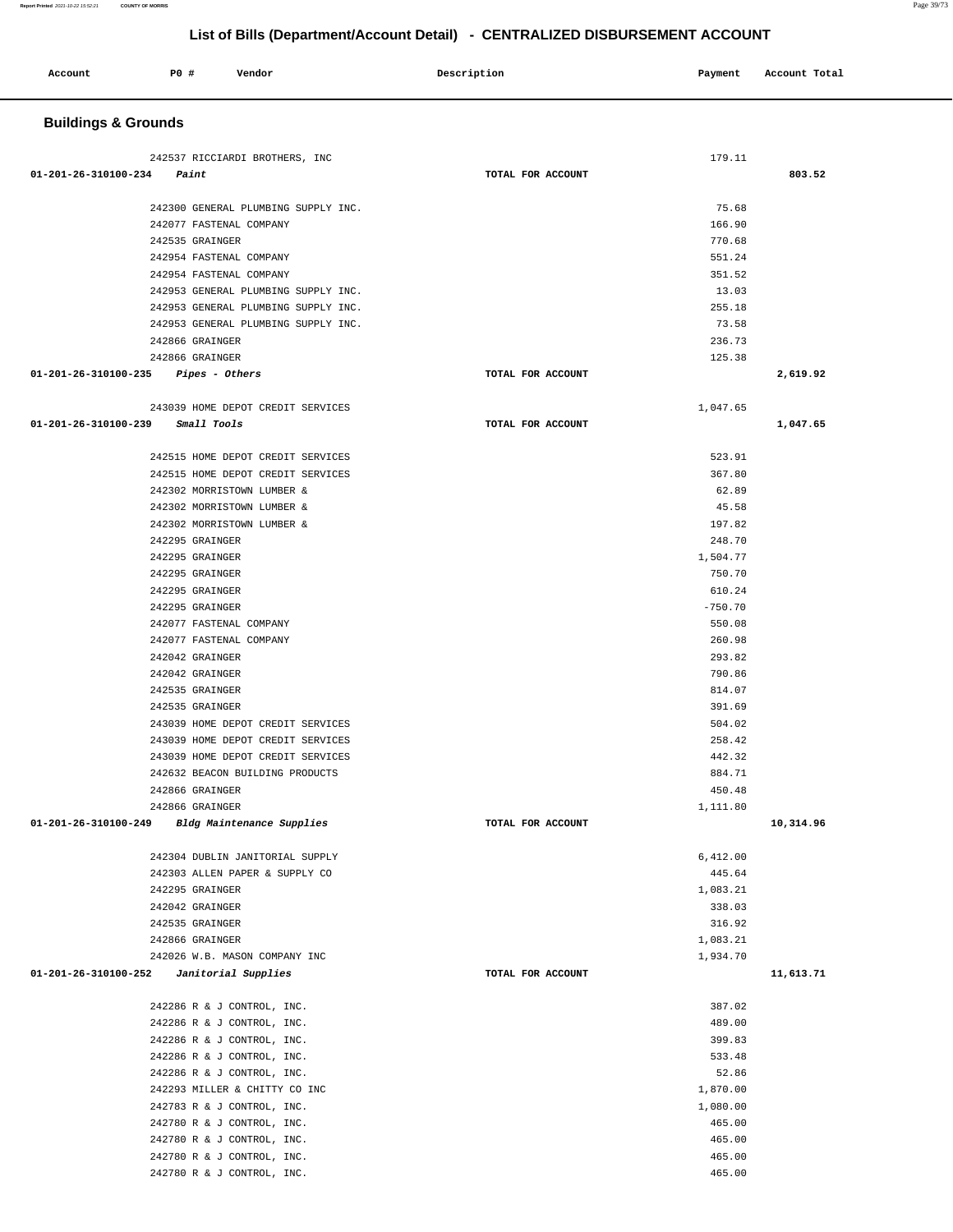| Account                        | P0 #<br>Vendor                                           | Description       | Payment              | Account Total |
|--------------------------------|----------------------------------------------------------|-------------------|----------------------|---------------|
| <b>Buildings &amp; Grounds</b> |                                                          |                   |                      |               |
| 01-201-26-310100-234           | 242537 RICCIARDI BROTHERS, INC<br>Paint                  | TOTAL FOR ACCOUNT | 179.11               | 803.52        |
|                                |                                                          |                   |                      |               |
|                                | 242300 GENERAL PLUMBING SUPPLY INC.                      |                   | 75.68                |               |
|                                | 242077 FASTENAL COMPANY                                  |                   | 166.90               |               |
|                                | 242535 GRAINGER                                          |                   | 770.68               |               |
|                                | 242954 FASTENAL COMPANY<br>242954 FASTENAL COMPANY       |                   | 551.24<br>351.52     |               |
|                                | 242953 GENERAL PLUMBING SUPPLY INC.                      |                   | 13.03                |               |
|                                | 242953 GENERAL PLUMBING SUPPLY INC.                      |                   | 255.18               |               |
|                                | 242953 GENERAL PLUMBING SUPPLY INC.                      |                   | 73.58                |               |
|                                | 242866 GRAINGER                                          |                   | 236.73               |               |
|                                | 242866 GRAINGER                                          |                   | 125.38               |               |
| 01-201-26-310100-235           | Pipes - Others                                           | TOTAL FOR ACCOUNT |                      | 2,619.92      |
|                                | 243039 HOME DEPOT CREDIT SERVICES                        |                   | 1,047.65             |               |
| 01-201-26-310100-239           | Small Tools                                              | TOTAL FOR ACCOUNT |                      | 1,047.65      |
|                                | 242515 HOME DEPOT CREDIT SERVICES                        |                   | 523.91               |               |
|                                | 242515 HOME DEPOT CREDIT SERVICES                        |                   | 367.80               |               |
|                                | 242302 MORRISTOWN LUMBER &                               |                   | 62.89                |               |
|                                | 242302 MORRISTOWN LUMBER &                               |                   | 45.58                |               |
|                                | 242302 MORRISTOWN LUMBER &                               |                   | 197.82               |               |
|                                | 242295 GRAINGER                                          |                   | 248.70               |               |
|                                | 242295 GRAINGER                                          |                   | 1,504.77             |               |
|                                | 242295 GRAINGER                                          |                   | 750.70               |               |
|                                | 242295 GRAINGER                                          |                   | 610.24               |               |
|                                | 242295 GRAINGER                                          |                   | $-750.70$            |               |
|                                | 242077 FASTENAL COMPANY                                  |                   | 550.08               |               |
|                                | 242077 FASTENAL COMPANY<br>242042 GRAINGER               |                   | 260.98<br>293.82     |               |
|                                | 242042 GRAINGER                                          |                   | 790.86               |               |
|                                | 242535 GRAINGER                                          |                   | 814.07               |               |
|                                | 242535 GRAINGER                                          |                   | 391.69               |               |
|                                | 243039 HOME DEPOT CREDIT SERVICES                        |                   | 504.02               |               |
|                                | 243039 HOME DEPOT CREDIT SERVICES                        |                   | 258.42               |               |
|                                | 243039 HOME DEPOT CREDIT SERVICES                        |                   | 442.32               |               |
|                                | 242632 BEACON BUILDING PRODUCTS                          |                   | 884.71               |               |
|                                | 242866 GRAINGER                                          |                   | 450.48               |               |
|                                | 242866 GRAINGER                                          |                   | 1,111.80             |               |
| 01-201-26-310100-249           | Bldg Maintenance Supplies                                | TOTAL FOR ACCOUNT |                      | 10,314.96     |
|                                | 242304 DUBLIN JANITORIAL SUPPLY                          |                   | 6,412.00             |               |
|                                | 242303 ALLEN PAPER & SUPPLY CO                           |                   | 445.64               |               |
|                                | 242295 GRAINGER                                          |                   | 1,083.21             |               |
|                                | 242042 GRAINGER                                          |                   | 338.03               |               |
|                                | 242535 GRAINGER                                          |                   | 316.92               |               |
|                                | 242866 GRAINGER<br>242026 W.B. MASON COMPANY INC         |                   | 1,083.21<br>1,934.70 |               |
|                                | $01-201-26-310100-252$ Janitorial Supplies               | TOTAL FOR ACCOUNT |                      | 11,613.71     |
|                                |                                                          |                   |                      |               |
|                                | 242286 R & J CONTROL, INC.<br>242286 R & J CONTROL, INC. |                   | 387.02<br>489.00     |               |
|                                | 242286 R & J CONTROL, INC.                               |                   | 399.83               |               |
|                                | 242286 R & J CONTROL, INC.                               |                   | 533.48               |               |
|                                | 242286 R & J CONTROL, INC.                               |                   | 52.86                |               |
|                                | 242293 MILLER & CHITTY CO INC                            |                   | 1,870.00             |               |
|                                | 242783 R & J CONTROL, INC.                               |                   | 1,080.00             |               |
|                                | 242780 R & J CONTROL, INC.                               |                   | 465.00               |               |
|                                | 242780 R & J CONTROL, INC.                               |                   | 465.00               |               |
|                                | 242780 R & J CONTROL, INC.                               |                   | 465.00               |               |
|                                | 242780 R & J CONTROL, INC.                               |                   | 465.00               |               |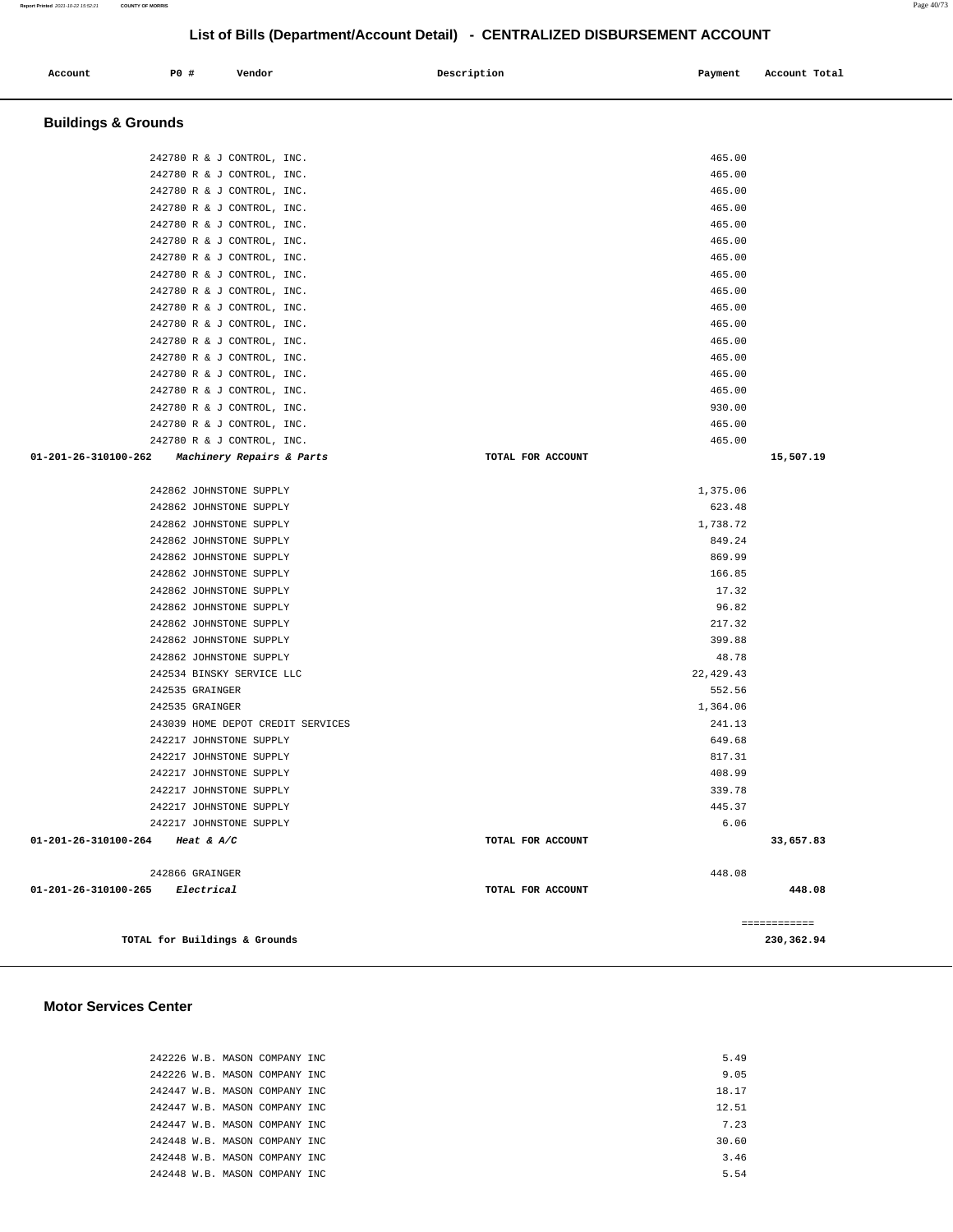| Account<br>. | <b>PO #</b> | Vendor | Description<br>. | Payment | Account Total |
|--------------|-------------|--------|------------------|---------|---------------|
|              |             |        |                  |         |               |

# **Buildings & Grounds**

|                                 | 242780 R & J CONTROL, INC.           |                   | 465.00     |           |
|---------------------------------|--------------------------------------|-------------------|------------|-----------|
|                                 | 242780 R & J CONTROL, INC.           |                   | 465.00     |           |
|                                 | 242780 R & J CONTROL, INC.           |                   | 465.00     |           |
|                                 | 242780 R & J CONTROL, INC.           |                   | 465.00     |           |
|                                 | 242780 R & J CONTROL, INC.           |                   | 465.00     |           |
|                                 | 242780 R & J CONTROL, INC.           |                   | 465.00     |           |
|                                 | 242780 R & J CONTROL, INC.           |                   | 465.00     |           |
|                                 | 242780 R & J CONTROL, INC.           |                   | 465.00     |           |
|                                 | 242780 R & J CONTROL, INC.           |                   | 465.00     |           |
|                                 | 242780 R & J CONTROL, INC.           |                   | 465.00     |           |
|                                 | 242780 R & J CONTROL, INC.           |                   | 465.00     |           |
|                                 | 242780 R & J CONTROL, INC.           |                   | 465.00     |           |
|                                 | 242780 R & J CONTROL, INC.           |                   | 465.00     |           |
|                                 | 242780 R & J CONTROL, INC.           |                   | 465.00     |           |
|                                 | 242780 R & J CONTROL, INC.           |                   | 465.00     |           |
|                                 | 242780 R & J CONTROL, INC.           |                   | 930.00     |           |
|                                 | 242780 R & J CONTROL, INC.           |                   | 465.00     |           |
|                                 | 242780 R & J CONTROL, INC.           |                   | 465.00     |           |
| 01-201-26-310100-262            | <i>Machinery Repairs &amp; Parts</i> | TOTAL FOR ACCOUNT |            | 15,507.19 |
|                                 |                                      |                   |            |           |
|                                 | 242862 JOHNSTONE SUPPLY              |                   | 1,375.06   |           |
|                                 | 242862 JOHNSTONE SUPPLY              |                   | 623.48     |           |
|                                 | 242862 JOHNSTONE SUPPLY              |                   | 1,738.72   |           |
|                                 | 242862 JOHNSTONE SUPPLY              |                   | 849.24     |           |
|                                 | 242862 JOHNSTONE SUPPLY              |                   | 869.99     |           |
|                                 | 242862 JOHNSTONE SUPPLY              |                   | 166.85     |           |
|                                 | 242862 JOHNSTONE SUPPLY              |                   | 17.32      |           |
|                                 |                                      |                   |            |           |
|                                 | 242862 JOHNSTONE SUPPLY              |                   | 96.82      |           |
|                                 |                                      |                   |            |           |
|                                 | 242862 JOHNSTONE SUPPLY              |                   | 217.32     |           |
|                                 | 242862 JOHNSTONE SUPPLY              |                   | 399.88     |           |
|                                 | 242862 JOHNSTONE SUPPLY              |                   | 48.78      |           |
|                                 | 242534 BINSKY SERVICE LLC            |                   | 22, 429.43 |           |
|                                 | 242535 GRAINGER                      |                   | 552.56     |           |
|                                 | 242535 GRAINGER                      |                   | 1,364.06   |           |
|                                 | 243039 HOME DEPOT CREDIT SERVICES    |                   | 241.13     |           |
|                                 | 242217 JOHNSTONE SUPPLY              |                   | 649.68     |           |
|                                 | 242217 JOHNSTONE SUPPLY              |                   | 817.31     |           |
|                                 | 242217 JOHNSTONE SUPPLY              |                   | 408.99     |           |
|                                 | 242217 JOHNSTONE SUPPLY              |                   | 339.78     |           |
|                                 | 242217 JOHNSTONE SUPPLY              |                   | 445.37     |           |
|                                 | 242217 JOHNSTONE SUPPLY              |                   | 6.06       |           |
|                                 |                                      | TOTAL FOR ACCOUNT |            | 33,657.83 |
| 01-201-26-310100-264 Heat & A/C | 242866 GRAINGER                      |                   | 448.08     |           |
| 01-201-26-310100-265 Electrical |                                      | TOTAL FOR ACCOUNT |            | 448.08    |

### **Motor Services Center**

|  | 242226 W.B. MASON COMPANY INC  |  |
|--|--------------------------------|--|
|  | 242226 W.B. MASON COMPANY INC  |  |
|  | 242447 W.B. MASON COMPANY INC. |  |
|  | 242447 W.B. MASON COMPANY INC  |  |
|  | 242447 W.B. MASON COMPANY INC. |  |
|  | 242448 W.B. MASON COMPANY INC. |  |
|  | 242448 W.B. MASON COMPANY INC  |  |
|  | 242448 W.B. MASON COMPANY INC. |  |
|  |                                |  |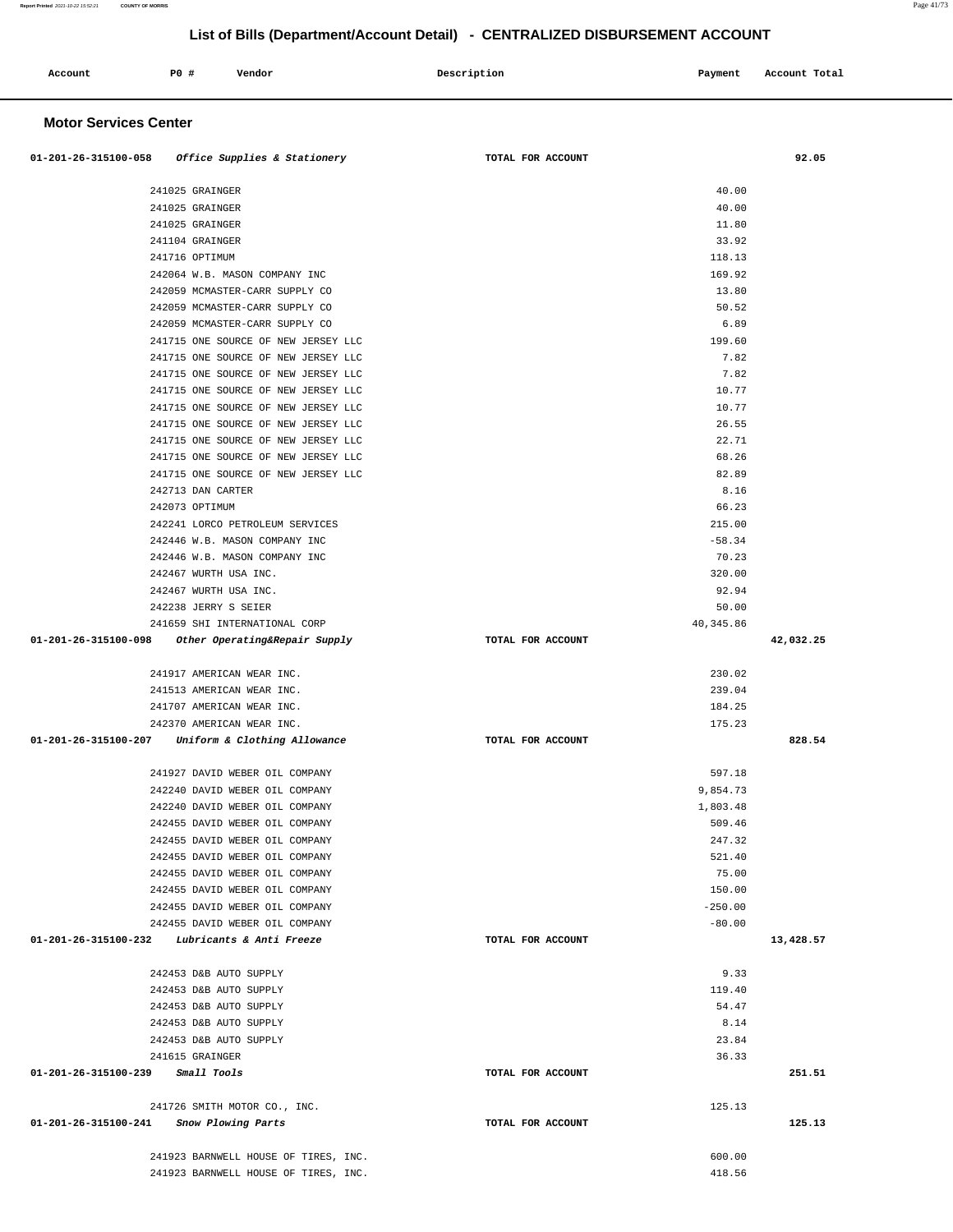|                              |      | List of Dills (Department/Account Detail)           | vennaleep pivponvement av |               |
|------------------------------|------|-----------------------------------------------------|---------------------------|---------------|
| Account                      | P0 # | Vendor                                              | Description<br>Payment    | Account Total |
| <b>Motor Services Center</b> |      |                                                     |                           |               |
|                              |      | $01-201-26-315100-058$ Office Supplies & Stationery | TOTAL FOR ACCOUNT         | 92.05         |
|                              |      | 241025 GRAINGER                                     | 40.00                     |               |
|                              |      | 241025 GRAINGER                                     | 40.00                     |               |
|                              |      | 241025 GRAINGER                                     | 11.80                     |               |
|                              |      | 241104 GRAINGER                                     | 33.92                     |               |
|                              |      | 241716 OPTIMUM                                      | 118.13                    |               |
|                              |      | 242064 W.B. MASON COMPANY INC                       | 169.92                    |               |
|                              |      | 242059 MCMASTER-CARR SUPPLY CO                      | 13.80                     |               |
|                              |      | 242059 MCMASTER-CARR SUPPLY CO                      | 50.52                     |               |
|                              |      | 242059 MCMASTER-CARR SUPPLY CO                      | 6.89                      |               |
|                              |      | 241715 ONE SOURCE OF NEW JERSEY LLC                 | 199.60                    |               |
|                              |      | 241715 ONE SOURCE OF NEW JERSEY LLC                 | 7.82                      |               |
|                              |      | 241715 ONE SOURCE OF NEW JERSEY LLC                 | 7.82                      |               |
|                              |      | 241715 ONE SOURCE OF NEW JERSEY LLC                 | 10.77                     |               |
|                              |      | 241715 ONE SOURCE OF NEW JERSEY LLC                 | 10.77                     |               |
|                              |      | 241715 ONE SOURCE OF NEW JERSEY LLC                 | 26.55                     |               |
|                              |      | 241715 ONE SOURCE OF NEW JERSEY LLC                 | 22.71                     |               |
|                              |      | 241715 ONE SOURCE OF NEW JERSEY LLC                 | 68.26                     |               |
|                              |      | 241715 ONE SOURCE OF NEW JERSEY LLC                 | 82.89                     |               |
|                              |      | 242713 DAN CARTER                                   | 8.16                      |               |
|                              |      | 242073 OPTIMUM                                      | 66.23                     |               |
|                              |      | 242241 LORCO PETROLEUM SERVICES                     | 215.00                    |               |
|                              |      | 242446 W.B. MASON COMPANY INC                       | $-58.34$                  |               |
|                              |      | 242446 W.B. MASON COMPANY INC                       | 70.23                     |               |
|                              |      | 242467 WURTH USA INC.                               | 320.00                    |               |
|                              |      | 242467 WURTH USA INC.                               | 92.94                     |               |
|                              |      | 242238 JERRY S SEIER                                | 50.00                     |               |
|                              |      | 241659 SHI INTERNATIONAL CORP                       | 40,345.86                 |               |
| 01-201-26-315100-098         |      | Other Operating&Repair Supply                       | TOTAL FOR ACCOUNT         | 42,032.25     |
|                              |      | 241917 AMERICAN WEAR INC.                           | 230.02                    |               |
|                              |      | 241513 AMERICAN WEAR INC.                           | 239.04                    |               |
|                              |      | 241707 AMERICAN WEAR INC.                           | 184.25                    |               |
|                              |      | 242370 AMERICAN WEAR INC.                           | 175.23                    |               |
| 01-201-26-315100-207         |      | Uniform & Clothing Allowance                        | TOTAL FOR ACCOUNT         | 828.54        |
|                              |      | 241927 DAVID WEBER OIL COMPANY                      | 597.18                    |               |
|                              |      | 242240 DAVID WEBER OIL COMPANY                      | 9,854.73                  |               |
|                              |      | 242240 DAVID WEBER OIL COMPANY                      | 1,803.48                  |               |
|                              |      | 242455 DAVID WEBER OIL COMPANY                      | 509.46                    |               |
|                              |      | 242455 DAVID WEBER OIL COMPANY                      | 247.32                    |               |
|                              |      | 242455 DAVID WEBER OIL COMPANY                      | 521.40                    |               |
|                              |      | 242455 DAVID WEBER OIL COMPANY                      | 75.00                     |               |
|                              |      | 242455 DAVID WEBER OIL COMPANY                      | 150.00                    |               |
|                              |      | 242455 DAVID WEBER OIL COMPANY                      | $-250.00$                 |               |
|                              |      | 242455 DAVID WEBER OIL COMPANY                      | $-80.00$                  |               |
|                              |      | $01-201-26-315100-232$ Lubricants & Anti Freeze     | TOTAL FOR ACCOUNT         | 13,428.57     |
|                              |      | 242453 D&B AUTO SUPPLY                              | 9.33                      |               |
|                              |      | 242453 D&B AUTO SUPPLY                              | 119.40                    |               |
|                              |      | 242453 D&B AUTO SUPPLY                              | 54.47                     |               |
|                              |      | 242453 D&B AUTO SUPPLY                              | 8.14                      |               |

 242453 D&B AUTO SUPPLY 23.84 241615 GRAINGER 36.33  **01-201-26-315100-239 Small Tools TOTAL FOR ACCOUNT 251.51**

 241726 SMITH MOTOR CO., INC. 125.13  **01-201-26-315100-241 Snow Plowing Parts TOTAL FOR ACCOUNT 125.13**

> 241923 BARNWELL HOUSE OF TIRES, INC. 600.00 241923 BARNWELL HOUSE OF TIRES, INC. 418.56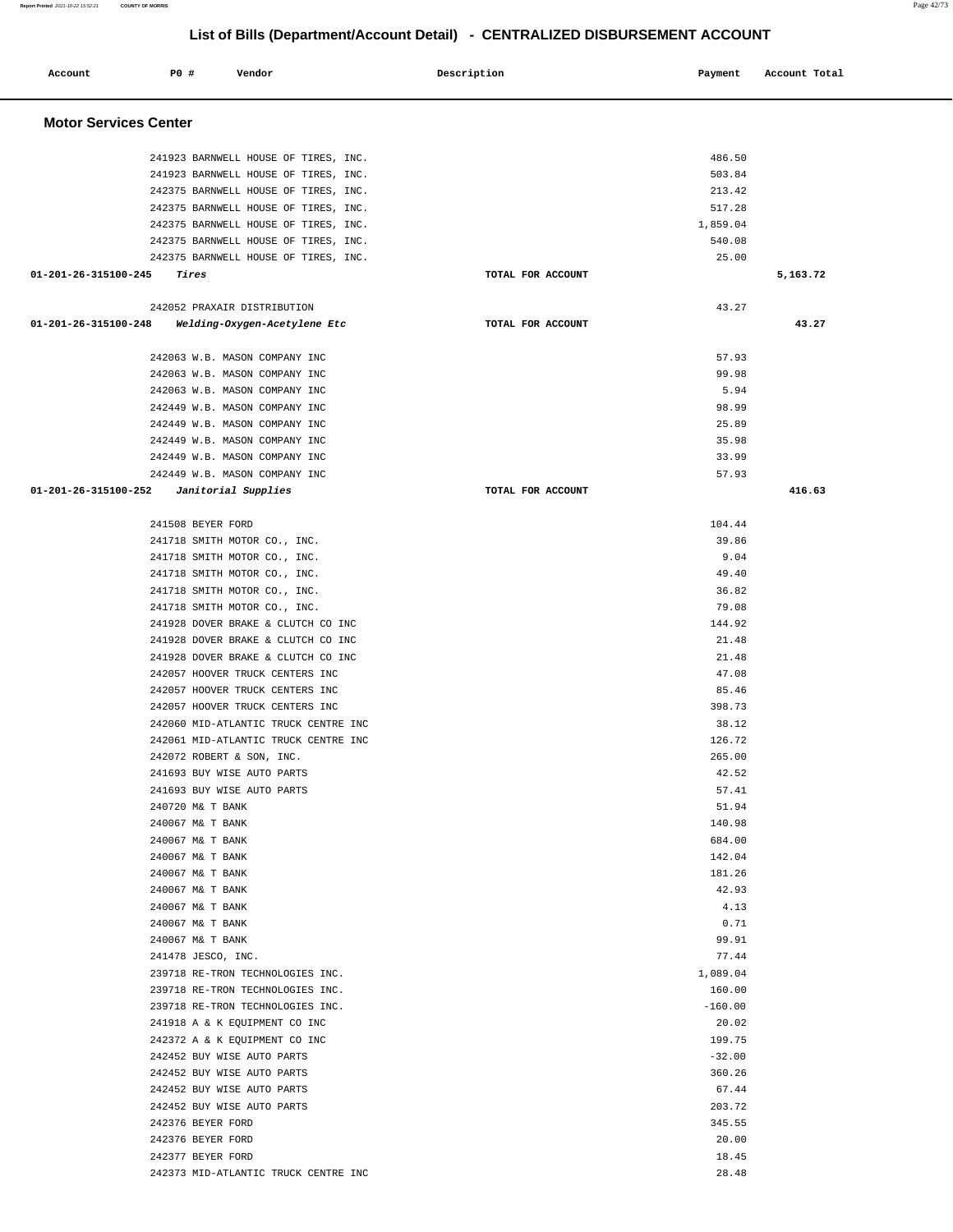| Account                      | P0 #<br>Vendor                                                               | Description       | Payment         | Account Total |  |
|------------------------------|------------------------------------------------------------------------------|-------------------|-----------------|---------------|--|
| <b>Motor Services Center</b> |                                                                              |                   |                 |               |  |
|                              |                                                                              |                   |                 |               |  |
|                              | 241923 BARNWELL HOUSE OF TIRES, INC.                                         |                   | 486.50          |               |  |
|                              | 241923 BARNWELL HOUSE OF TIRES, INC.                                         |                   | 503.84          |               |  |
|                              | 242375 BARNWELL HOUSE OF TIRES, INC.                                         |                   | 213.42          |               |  |
|                              | 242375 BARNWELL HOUSE OF TIRES, INC.                                         |                   | 517.28          |               |  |
|                              | 242375 BARNWELL HOUSE OF TIRES, INC.                                         |                   | 1,859.04        |               |  |
|                              | 242375 BARNWELL HOUSE OF TIRES, INC.<br>242375 BARNWELL HOUSE OF TIRES, INC. |                   | 540.08<br>25.00 |               |  |
| 01-201-26-315100-245         | Tires                                                                        | TOTAL FOR ACCOUNT |                 | 5,163.72      |  |
|                              |                                                                              |                   |                 |               |  |
|                              | 242052 PRAXAIR DISTRIBUTION                                                  |                   | 43.27           |               |  |
| 01-201-26-315100-248         | Welding-Oxygen-Acetylene Etc                                                 | TOTAL FOR ACCOUNT |                 | 43.27         |  |
|                              | 242063 W.B. MASON COMPANY INC                                                |                   | 57.93           |               |  |
|                              | 242063 W.B. MASON COMPANY INC                                                |                   | 99.98           |               |  |
|                              | 242063 W.B. MASON COMPANY INC                                                |                   | 5.94            |               |  |
|                              | 242449 W.B. MASON COMPANY INC                                                |                   | 98.99           |               |  |
|                              | 242449 W.B. MASON COMPANY INC                                                |                   | 25.89           |               |  |
|                              | 242449 W.B. MASON COMPANY INC                                                |                   | 35.98           |               |  |
|                              | 242449 W.B. MASON COMPANY INC                                                |                   | 33.99           |               |  |
|                              | 242449 W.B. MASON COMPANY INC                                                |                   | 57.93           |               |  |
| 01-201-26-315100-252         | Janitorial Supplies                                                          | TOTAL FOR ACCOUNT |                 | 416.63        |  |
|                              | 241508 BEYER FORD                                                            |                   | 104.44          |               |  |
|                              | 241718 SMITH MOTOR CO., INC.                                                 |                   | 39.86           |               |  |
|                              | 241718 SMITH MOTOR CO., INC.                                                 |                   | 9.04            |               |  |
|                              | 241718 SMITH MOTOR CO., INC.                                                 |                   | 49.40           |               |  |
|                              | 241718 SMITH MOTOR CO., INC.                                                 |                   | 36.82           |               |  |
|                              | 241718 SMITH MOTOR CO., INC.                                                 |                   | 79.08           |               |  |
|                              | 241928 DOVER BRAKE & CLUTCH CO INC                                           |                   | 144.92          |               |  |
|                              | 241928 DOVER BRAKE & CLUTCH CO INC                                           |                   | 21.48           |               |  |
|                              | 241928 DOVER BRAKE & CLUTCH CO INC                                           |                   | 21.48           |               |  |
|                              | 242057 HOOVER TRUCK CENTERS INC                                              |                   | 47.08           |               |  |
|                              | 242057 HOOVER TRUCK CENTERS INC                                              |                   | 85.46           |               |  |
|                              | 242057 HOOVER TRUCK CENTERS INC                                              |                   | 398.73          |               |  |
|                              | 242060 MID-ATLANTIC TRUCK CENTRE INC                                         |                   | 38.12           |               |  |
|                              | 242061 MID-ATLANTIC TRUCK CENTRE INC                                         |                   | 126.72          |               |  |
|                              | 242072 ROBERT & SON, INC.                                                    |                   | 265.00          |               |  |
|                              | 241693 BUY WISE AUTO PARTS                                                   |                   | 42.52           |               |  |
|                              | 241693 BUY WISE AUTO PARTS                                                   |                   | 57.41           |               |  |
|                              | 240720 M& T BANK                                                             |                   | 51.94           |               |  |
|                              | 240067 M& T BANK                                                             |                   | 140.98          |               |  |
|                              | 240067 M& T BANK                                                             |                   | 684.00          |               |  |
|                              | 240067 M& T BANK                                                             |                   | 142.04          |               |  |
|                              | 240067 M& T BANK                                                             |                   | 181.26          |               |  |
|                              | 240067 M& T BANK<br>240067 M& T BANK                                         |                   | 42.93<br>4.13   |               |  |
|                              | 240067 M& T BANK                                                             |                   | 0.71            |               |  |
|                              | 240067 M& T BANK                                                             |                   | 99.91           |               |  |
|                              | 241478 JESCO, INC.                                                           |                   | 77.44           |               |  |
|                              | 239718 RE-TRON TECHNOLOGIES INC.                                             |                   | 1,089.04        |               |  |
|                              | 239718 RE-TRON TECHNOLOGIES INC.                                             |                   | 160.00          |               |  |
|                              | 239718 RE-TRON TECHNOLOGIES INC.                                             |                   | $-160.00$       |               |  |
|                              | 241918 A & K EQUIPMENT CO INC                                                |                   | 20.02           |               |  |
|                              | 242372 A & K EQUIPMENT CO INC                                                |                   | 199.75          |               |  |
|                              | 242452 BUY WISE AUTO PARTS                                                   |                   | $-32.00$        |               |  |
|                              | 242452 BUY WISE AUTO PARTS                                                   |                   | 360.26          |               |  |
|                              | 242452 BUY WISE AUTO PARTS                                                   |                   | 67.44           |               |  |
|                              | 242452 BUY WISE AUTO PARTS                                                   |                   | 203.72          |               |  |
|                              | 242376 BEYER FORD                                                            |                   | 345.55          |               |  |
|                              | 242376 BEYER FORD                                                            |                   | 20.00           |               |  |
|                              | 242377 BEYER FORD                                                            |                   | 18.45           |               |  |
|                              | 242373 MID-ATLANTIC TRUCK CENTRE INC                                         |                   | 28.48           |               |  |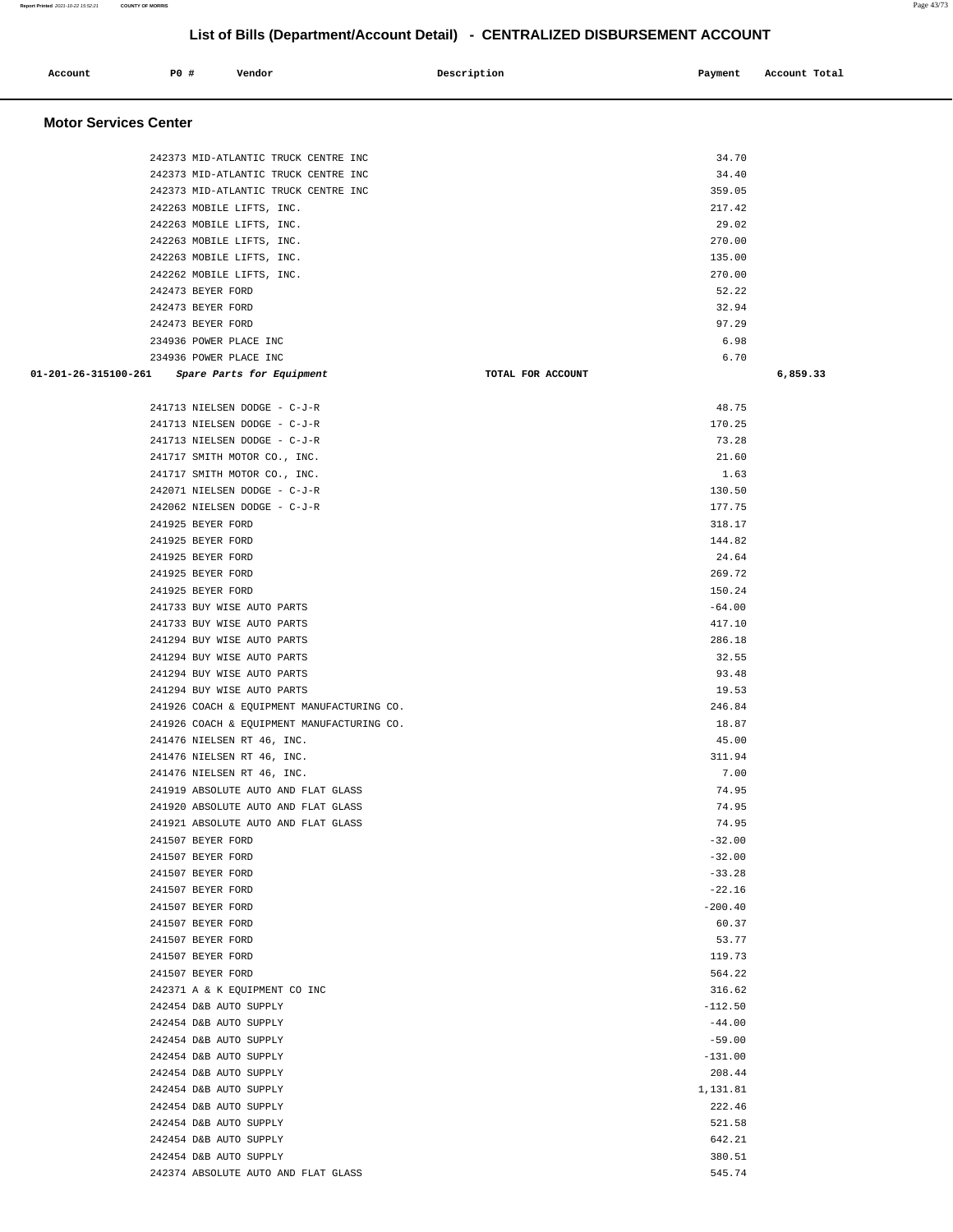| Account                      | <b>PO #</b>                            | Vendor                                                   | Description       | Payment          | Account Total |
|------------------------------|----------------------------------------|----------------------------------------------------------|-------------------|------------------|---------------|
|                              |                                        |                                                          |                   |                  |               |
|                              |                                        |                                                          |                   |                  |               |
| <b>Motor Services Center</b> |                                        |                                                          |                   |                  |               |
|                              |                                        |                                                          |                   |                  |               |
|                              |                                        | 242373 MID-ATLANTIC TRUCK CENTRE INC                     |                   | 34.70            |               |
|                              |                                        | 242373 MID-ATLANTIC TRUCK CENTRE INC                     |                   | 34.40            |               |
|                              |                                        | 242373 MID-ATLANTIC TRUCK CENTRE INC                     |                   | 359.05           |               |
|                              |                                        | 242263 MOBILE LIFTS, INC.<br>242263 MOBILE LIFTS, INC.   |                   | 217.42<br>29.02  |               |
|                              |                                        | 242263 MOBILE LIFTS, INC.                                |                   | 270.00           |               |
|                              |                                        | 242263 MOBILE LIFTS, INC.                                |                   | 135.00           |               |
|                              |                                        | 242262 MOBILE LIFTS, INC.                                |                   | 270.00           |               |
|                              | 242473 BEYER FORD                      |                                                          |                   | 52.22            |               |
|                              | 242473 BEYER FORD                      |                                                          |                   | 32.94            |               |
|                              | 242473 BEYER FORD                      |                                                          |                   | 97.29            |               |
|                              |                                        | 234936 POWER PLACE INC                                   |                   | 6.98             |               |
|                              |                                        | 234936 POWER PLACE INC                                   |                   | 6.70             |               |
| 01-201-26-315100-261         |                                        | Spare Parts for Equipment                                | TOTAL FOR ACCOUNT |                  | 6,859.33      |
|                              |                                        |                                                          |                   |                  |               |
|                              |                                        | 241713 NIELSEN DODGE - C-J-R                             |                   | 48.75            |               |
|                              |                                        | 241713 NIELSEN DODGE - C-J-R                             |                   | 170.25           |               |
|                              |                                        | 241713 NIELSEN DODGE - C-J-R                             |                   | 73.28            |               |
|                              |                                        | 241717 SMITH MOTOR CO., INC.                             |                   | 21.60            |               |
|                              |                                        | 241717 SMITH MOTOR CO., INC.                             |                   | 1.63             |               |
|                              |                                        | 242071 NIELSEN DODGE - C-J-R                             |                   | 130.50           |               |
|                              |                                        | 242062 NIELSEN DODGE - C-J-R                             |                   | 177.75           |               |
|                              | 241925 BEYER FORD                      |                                                          |                   | 318.17           |               |
|                              | 241925 BEYER FORD                      |                                                          |                   | 144.82           |               |
|                              | 241925 BEYER FORD                      |                                                          |                   | 24.64            |               |
|                              | 241925 BEYER FORD                      |                                                          |                   | 269.72           |               |
|                              | 241925 BEYER FORD                      |                                                          |                   | 150.24           |               |
|                              |                                        | 241733 BUY WISE AUTO PARTS                               |                   | $-64.00$         |               |
|                              |                                        | 241733 BUY WISE AUTO PARTS<br>241294 BUY WISE AUTO PARTS |                   | 417.10<br>286.18 |               |
|                              |                                        | 241294 BUY WISE AUTO PARTS                               |                   | 32.55            |               |
|                              |                                        | 241294 BUY WISE AUTO PARTS                               |                   | 93.48            |               |
|                              |                                        | 241294 BUY WISE AUTO PARTS                               |                   | 19.53            |               |
|                              |                                        | 241926 COACH & EQUIPMENT MANUFACTURING CO.               |                   | 246.84           |               |
|                              |                                        | 241926 COACH & EQUIPMENT MANUFACTURING CO.               |                   | 18.87            |               |
|                              |                                        | 241476 NIELSEN RT 46, INC.                               |                   | 45.00            |               |
|                              |                                        | 241476 NIELSEN RT 46, INC.                               |                   | 311.94           |               |
|                              |                                        | 241476 NIELSEN RT 46, INC.                               |                   | 7.00             |               |
|                              |                                        | 241919 ABSOLUTE AUTO AND FLAT GLASS                      |                   | 74.95            |               |
|                              |                                        | 241920 ABSOLUTE AUTO AND FLAT GLASS                      |                   | 74.95            |               |
|                              |                                        | 241921 ABSOLUTE AUTO AND FLAT GLASS                      |                   | 74.95            |               |
|                              | 241507 BEYER FORD                      |                                                          |                   | $-32.00$         |               |
|                              | 241507 BEYER FORD                      |                                                          |                   | $-32.00$         |               |
|                              | 241507 BEYER FORD                      |                                                          |                   | $-33.28$         |               |
|                              | 241507 BEYER FORD                      |                                                          |                   | $-22.16$         |               |
|                              | 241507 BEYER FORD                      |                                                          |                   | $-200.40$        |               |
|                              | 241507 BEYER FORD                      |                                                          |                   | 60.37            |               |
|                              | 241507 BEYER FORD                      |                                                          |                   | 53.77            |               |
|                              | 241507 BEYER FORD<br>241507 BEYER FORD |                                                          |                   | 119.73<br>564.22 |               |
|                              |                                        | 242371 A & K EQUIPMENT CO INC                            |                   | 316.62           |               |
|                              |                                        | 242454 D&B AUTO SUPPLY                                   |                   | $-112.50$        |               |
|                              |                                        | 242454 D&B AUTO SUPPLY                                   |                   | $-44.00$         |               |
|                              |                                        | 242454 D&B AUTO SUPPLY                                   |                   | $-59.00$         |               |
|                              |                                        | 242454 D&B AUTO SUPPLY                                   |                   | $-131.00$        |               |
|                              |                                        | 242454 D&B AUTO SUPPLY                                   |                   | 208.44           |               |
|                              |                                        | 242454 D&B AUTO SUPPLY                                   |                   | 1,131.81         |               |
|                              |                                        | 242454 D&B AUTO SUPPLY                                   |                   | 222.46           |               |
|                              |                                        | 242454 D&B AUTO SUPPLY                                   |                   | 521.58           |               |
|                              |                                        | 242454 D&B AUTO SUPPLY                                   |                   | 642.21           |               |
|                              |                                        | 242454 D&B AUTO SUPPLY                                   |                   | 380.51           |               |

 $242374$  ABSOLUTE AUTO AND FLAT GLASS  $545.74$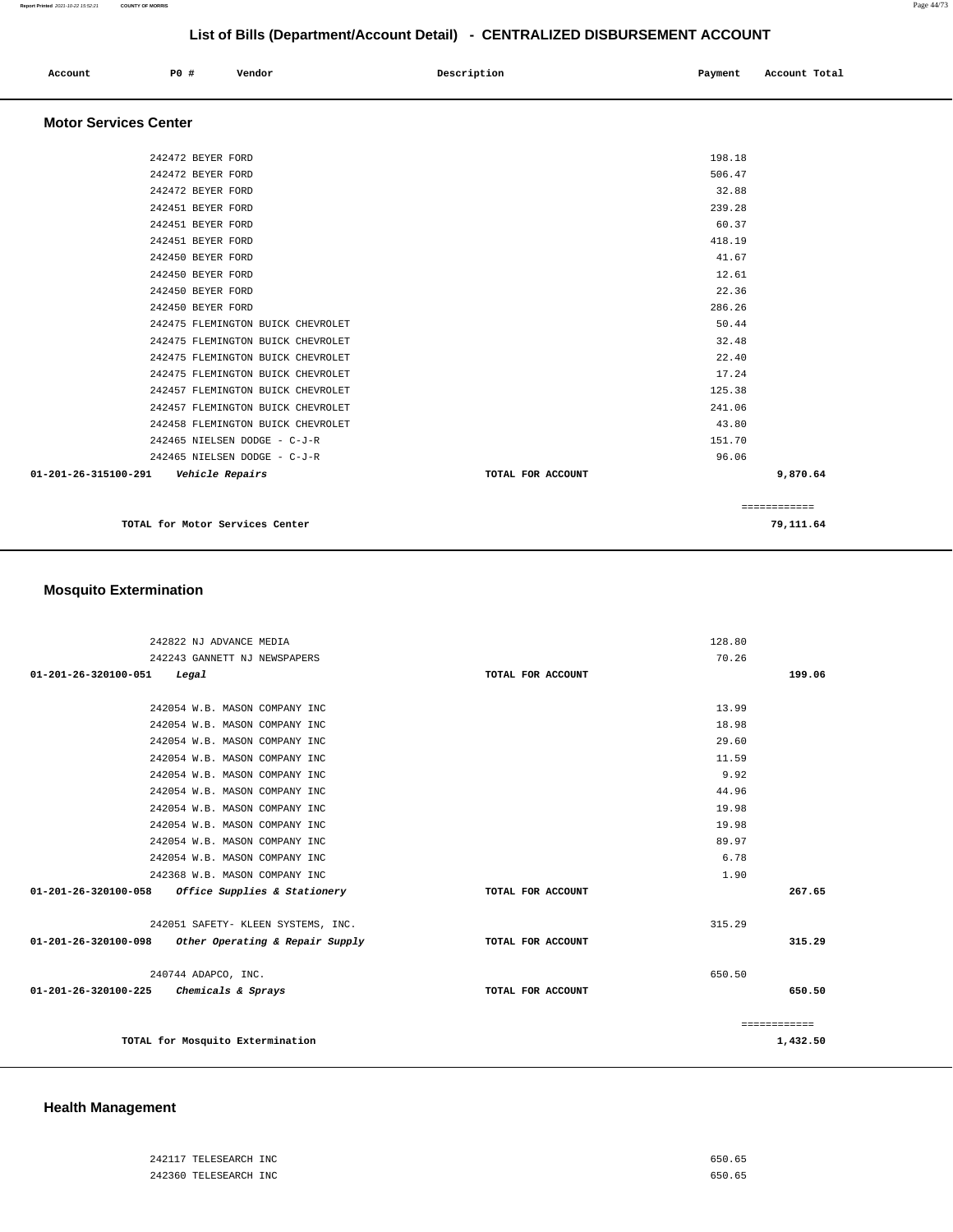| Account | P0 # | Vendor | Description | Payment | Account Total |
|---------|------|--------|-------------|---------|---------------|
|         |      |        |             |         |               |

### **Motor Services Center**

| 242472 BEYER FORD                              |                   | 198.18       |
|------------------------------------------------|-------------------|--------------|
| 242472 BEYER FORD                              |                   | 506.47       |
| 242472 BEYER FORD                              |                   | 32.88        |
| 242451 BEYER FORD                              |                   | 239.28       |
| 242451 BEYER FORD                              |                   | 60.37        |
| 242451 BEYER FORD                              |                   | 418.19       |
| 242450 BEYER FORD                              |                   | 41.67        |
| 242450 BEYER FORD                              |                   | 12.61        |
| 242450 BEYER FORD                              |                   | 22.36        |
| 242450 BEYER FORD                              |                   | 286.26       |
| 242475 FLEMINGTON BUICK CHEVROLET              |                   | 50.44        |
| 242475 FLEMINGTON BUICK CHEVROLET              |                   | 32.48        |
| 242475 FLEMINGTON BUICK CHEVROLET              |                   | 22.40        |
| 242475 FLEMINGTON BUICK CHEVROLET              |                   | 17.24        |
| 242457 FLEMINGTON BUICK CHEVROLET              |                   | 125.38       |
| 242457 FLEMINGTON BUICK CHEVROLET              |                   | 241.06       |
| 242458 FLEMINGTON BUICK CHEVROLET              |                   | 43.80        |
| 242465 NIELSEN DODGE - C-J-R                   |                   | 151.70       |
| 242465 NIELSEN DODGE - C-J-R                   |                   | 96.06        |
| 01-201-26-315100-291<br><i>Vehicle Repairs</i> | TOTAL FOR ACCOUNT | 9,870.64     |
|                                                |                   |              |
|                                                |                   | ============ |
|                                                |                   |              |

**TOTAL for Motor Services Center 79,111.64**

# **Mosquito Extermination**

| 242822 NJ ADVANCE MEDIA                             |                                    |                   | 128.80 |              |
|-----------------------------------------------------|------------------------------------|-------------------|--------|--------------|
| 242243 GANNETT NJ NEWSPAPERS                        |                                    |                   | 70.26  |              |
| 01-201-26-320100-051<br>Legal                       |                                    | TOTAL FOR ACCOUNT |        | 199.06       |
|                                                     |                                    |                   |        |              |
| 242054 W.B. MASON COMPANY INC                       |                                    |                   | 13.99  |              |
| 242054 W.B. MASON COMPANY INC                       |                                    |                   | 18.98  |              |
| 242054 W.B. MASON COMPANY INC                       |                                    |                   | 29.60  |              |
| 242054 W.B. MASON COMPANY INC                       |                                    |                   | 11.59  |              |
| 242054 W.B. MASON COMPANY INC                       |                                    |                   | 9.92   |              |
| 242054 W.B. MASON COMPANY INC                       |                                    |                   | 44.96  |              |
| 242054 W.B. MASON COMPANY INC                       |                                    |                   | 19.98  |              |
| 242054 W.B. MASON COMPANY INC                       |                                    |                   | 19.98  |              |
| 242054 W.B. MASON COMPANY INC                       |                                    |                   | 89.97  |              |
| 242054 W.B. MASON COMPANY INC                       |                                    |                   | 6.78   |              |
| 242368 W.B. MASON COMPANY INC                       |                                    |                   | 1.90   |              |
| $01-201-26-320100-058$ Office Supplies & Stationery |                                    | TOTAL FOR ACCOUNT |        | 267.65       |
|                                                     |                                    |                   |        |              |
|                                                     | 242051 SAFETY- KLEEN SYSTEMS, INC. |                   | 315.29 |              |
| 01-201-26-320100-098                                | Other Operating & Repair Supply    | TOTAL FOR ACCOUNT |        | 315.29       |
|                                                     |                                    |                   |        |              |
| 240744 ADAPCO, INC.                                 |                                    |                   | 650.50 |              |
| 01-201-26-320100-225<br>Chemicals & Sprays          |                                    | TOTAL FOR ACCOUNT |        | 650.50       |
|                                                     |                                    |                   |        |              |
|                                                     |                                    |                   |        | ============ |
| TOTAL for Mosquito Extermination                    |                                    |                   |        | 1,432.50     |

### **Health Management**

| 242117 TELESEARCH INC | 650.65 |  |
|-----------------------|--------|--|
| 242360 TELESEARCH INC | 650.65 |  |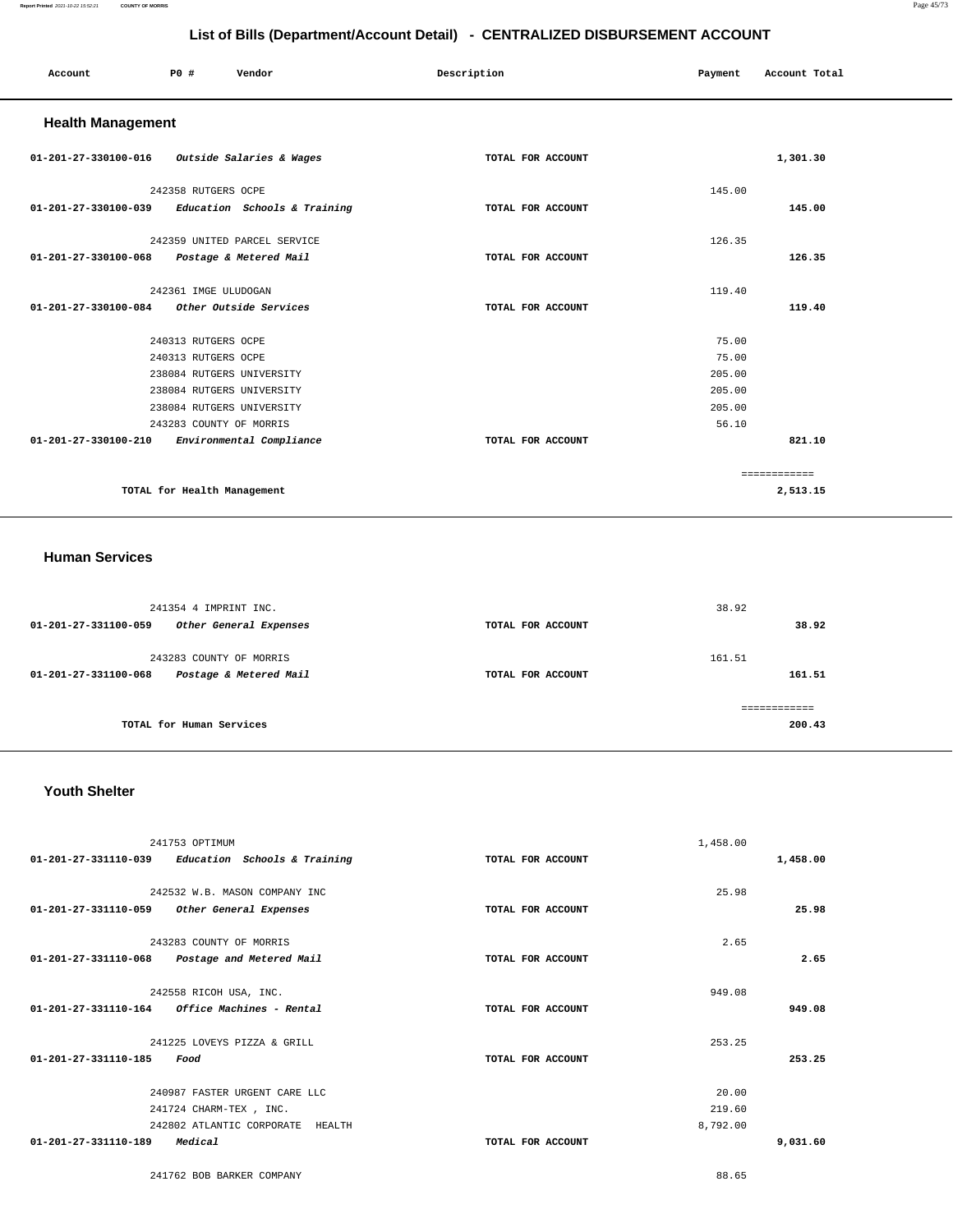#### **Report Printed** 2021-10-22 15:52:21 **COUNTY OF MORRIS** Page 45/73

# **List of Bills (Department/Account Detail) - CENTRALIZED DISBURSEMENT ACCOUNT**

| Account                                           | P0 #                        | Vendor                       | Description       | Payment | Account Total |
|---------------------------------------------------|-----------------------------|------------------------------|-------------------|---------|---------------|
| <b>Health Management</b>                          |                             |                              |                   |         |               |
| 01-201-27-330100-016 Outside Salaries & Wages     |                             |                              | TOTAL FOR ACCOUNT |         | 1,301.30      |
|                                                   | 242358 RUTGERS OCPE         |                              |                   | 145.00  |               |
| 01-201-27-330100-039 Education Schools & Training |                             |                              | TOTAL FOR ACCOUNT |         | 145.00        |
|                                                   |                             | 242359 UNITED PARCEL SERVICE |                   | 126.35  |               |
| 01-201-27-330100-068                              |                             | Postage & Metered Mail       | TOTAL FOR ACCOUNT |         | 126.35        |
|                                                   | 242361 IMGE ULUDOGAN        |                              |                   | 119.40  |               |
| 01-201-27-330100-084                              |                             | Other Outside Services       | TOTAL FOR ACCOUNT |         | 119.40        |
|                                                   | 240313 RUTGERS OCPE         |                              |                   | 75.00   |               |
|                                                   | 240313 RUTGERS OCPE         |                              |                   | 75.00   |               |
|                                                   | 238084 RUTGERS UNIVERSITY   |                              |                   | 205.00  |               |
|                                                   | 238084 RUTGERS UNIVERSITY   |                              |                   | 205.00  |               |
|                                                   | 238084 RUTGERS UNIVERSITY   |                              |                   | 205.00  |               |
|                                                   | 243283 COUNTY OF MORRIS     |                              |                   | 56.10   |               |
| $01 - 201 - 27 - 330100 - 210$                    |                             | Environmental Compliance     | TOTAL FOR ACCOUNT |         | 821.10        |
|                                                   |                             |                              |                   |         | ============  |
|                                                   | TOTAL for Health Management |                              |                   |         | 2,513.15      |

### **Human Services**

| 241354 4 IMPRINT INC.<br>01-201-27-331100-059<br>Other General Expenses   | TOTAL FOR ACCOUNT | 38.92<br>38.92   |
|---------------------------------------------------------------------------|-------------------|------------------|
| 243283 COUNTY OF MORRIS<br>Postage & Metered Mail<br>01-201-27-331100-068 | TOTAL FOR ACCOUNT | 161.51<br>161.51 |
| TOTAL for Human Services                                                  |                   | 200.43           |

### **Youth Shelter**

| 241753 OPTIMUM                                      |                   | 1,458.00 |
|-----------------------------------------------------|-------------------|----------|
| $01-201-27-331110-039$ Education Schools & Training | TOTAL FOR ACCOUNT | 1,458.00 |
|                                                     |                   |          |
| 242532 W.B. MASON COMPANY INC                       |                   | 25.98    |
| 01-201-27-331110-059<br>Other General Expenses      | TOTAL FOR ACCOUNT | 25.98    |
| 243283 COUNTY OF MORRIS                             |                   | 2.65     |
| 01-201-27-331110-068 Postage and Metered Mail       | TOTAL FOR ACCOUNT | 2.65     |
|                                                     |                   |          |
| 242558 RICOH USA, INC.                              |                   | 949.08   |
| $01-201-27-331110-164$ Office Machines - Rental     | TOTAL FOR ACCOUNT | 949.08   |
| 241225 LOVEYS PIZZA & GRILL                         |                   | 253.25   |
| 01-201-27-331110-185<br>Food                        | TOTAL FOR ACCOUNT | 253.25   |
|                                                     |                   | 20.00    |
| 240987 FASTER URGENT CARE LLC                       |                   |          |
| 241724 CHARM-TEX, INC.                              |                   | 219.60   |
| 242802 ATLANTIC CORPORATE<br>HEALTH                 |                   | 8,792.00 |
| $01 - 201 - 27 - 331110 - 189$<br>Medical           | TOTAL FOR ACCOUNT | 9,031.60 |
|                                                     |                   |          |

241762 BOB BARKER COMPANY 88.65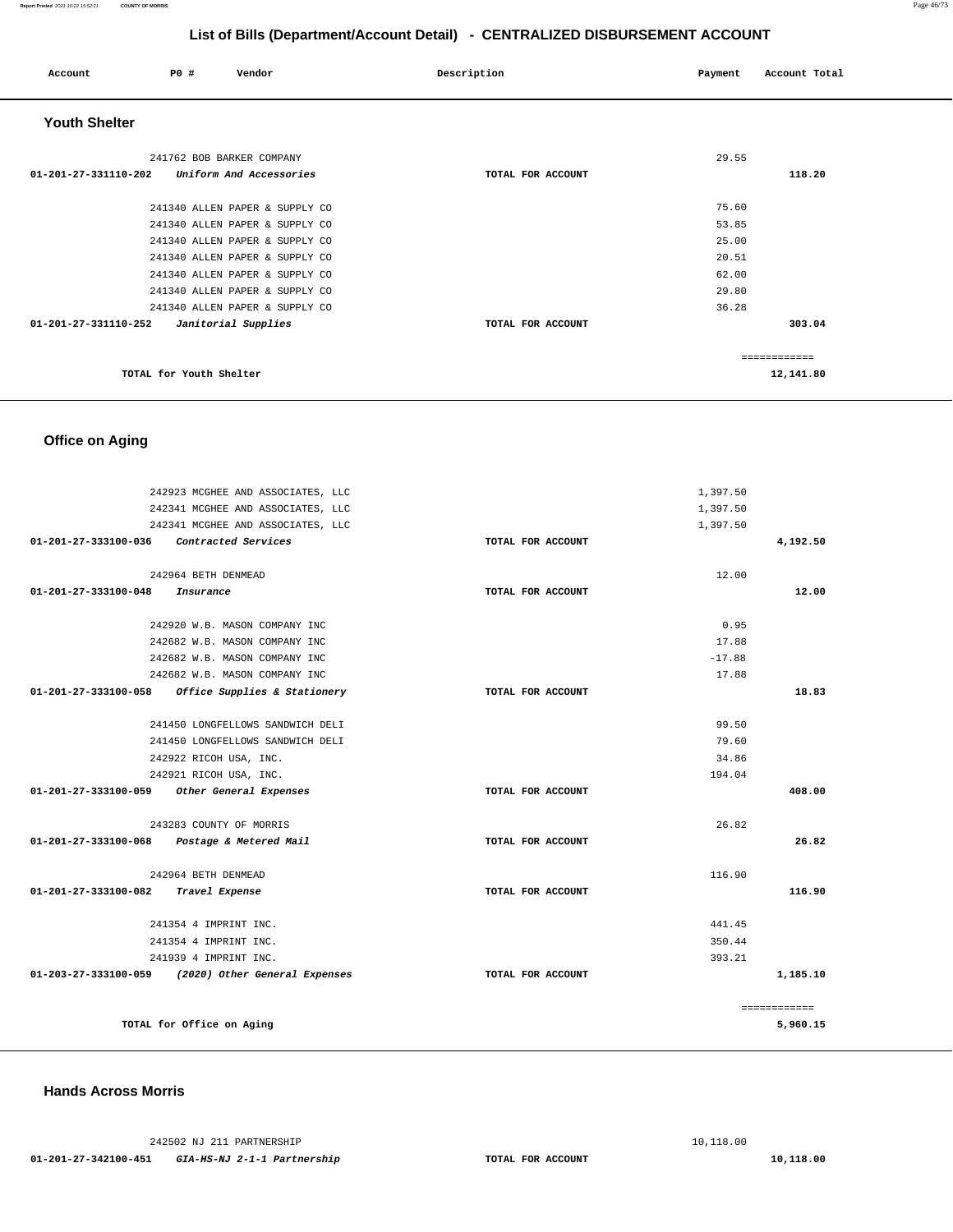| Account              | PO#                       | Vendor                         | Description       | Payment | Account Total |
|----------------------|---------------------------|--------------------------------|-------------------|---------|---------------|
| <b>Youth Shelter</b> |                           |                                |                   |         |               |
|                      | 241762 BOB BARKER COMPANY |                                |                   | 29.55   |               |
| 01-201-27-331110-202 |                           | Uniform And Accessories        | TOTAL FOR ACCOUNT |         | 118.20        |
|                      |                           | 241340 ALLEN PAPER & SUPPLY CO |                   | 75.60   |               |
|                      |                           | 241340 ALLEN PAPER & SUPPLY CO |                   | 53.85   |               |
|                      |                           | 241340 ALLEN PAPER & SUPPLY CO |                   | 25.00   |               |
|                      |                           | 241340 ALLEN PAPER & SUPPLY CO |                   | 20.51   |               |
|                      |                           | 241340 ALLEN PAPER & SUPPLY CO |                   | 62.00   |               |
|                      |                           | 241340 ALLEN PAPER & SUPPLY CO |                   | 29.80   |               |
|                      |                           | 241340 ALLEN PAPER & SUPPLY CO |                   | 36.28   |               |
| 01-201-27-331110-252 |                           | Janitorial Supplies            | TOTAL FOR ACCOUNT |         | 303.04        |
|                      |                           |                                |                   |         | ------------  |
|                      | TOTAL for Youth Shelter   |                                |                   |         | 12,141.80     |

# **Office on Aging**

|                                          | 242923 MCGHEE AND ASSOCIATES, LLC                  |                   | 1,397.50 |              |
|------------------------------------------|----------------------------------------------------|-------------------|----------|--------------|
|                                          | 242341 MCGHEE AND ASSOCIATES, LLC                  |                   | 1,397.50 |              |
|                                          | 242341 MCGHEE AND ASSOCIATES, LLC                  |                   | 1,397.50 |              |
| 01-201-27-333100-036 Contracted Services |                                                    | TOTAL FOR ACCOUNT |          | 4,192.50     |
|                                          | 242964 BETH DENMEAD                                |                   | 12.00    |              |
| $01 - 201 - 27 - 333100 - 048$           | Insurance                                          | TOTAL FOR ACCOUNT |          | 12.00        |
|                                          |                                                    |                   |          |              |
|                                          | 242920 W.B. MASON COMPANY INC                      |                   | 0.95     |              |
|                                          | 242682 W.B. MASON COMPANY INC                      |                   | 17.88    |              |
|                                          | 242682 W.B. MASON COMPANY INC                      |                   | $-17.88$ |              |
|                                          | 242682 W.B. MASON COMPANY INC                      |                   | 17.88    |              |
|                                          | 01-201-27-333100-058 Office Supplies & Stationery  | TOTAL FOR ACCOUNT |          | 18.83        |
|                                          | 241450 LONGFELLOWS SANDWICH DELI                   |                   | 99.50    |              |
|                                          | 241450 LONGFELLOWS SANDWICH DELI                   |                   | 79.60    |              |
|                                          | 242922 RICOH USA, INC.                             |                   | 34.86    |              |
|                                          | 242921 RICOH USA, INC.                             |                   | 194.04   |              |
| 01-201-27-333100-059                     | Other General Expenses                             | TOTAL FOR ACCOUNT |          | 408.00       |
|                                          | 243283 COUNTY OF MORRIS                            |                   | 26.82    |              |
|                                          | 01-201-27-333100-068 Postage & Metered Mail        |                   |          | 26.82        |
|                                          |                                                    | TOTAL FOR ACCOUNT |          |              |
|                                          | 242964 BETH DENMEAD                                |                   | 116.90   |              |
| 01-201-27-333100-082                     | Travel Expense                                     | TOTAL FOR ACCOUNT |          | 116.90       |
|                                          | 241354 4 IMPRINT INC.                              |                   | 441.45   |              |
|                                          | 241354 4 IMPRINT INC.                              |                   | 350.44   |              |
|                                          | 241939 4 IMPRINT INC.                              |                   | 393.21   |              |
|                                          | 01-203-27-333100-059 (2020) Other General Expenses | TOTAL FOR ACCOUNT |          | 1,185.10     |
|                                          |                                                    |                   |          | ============ |
|                                          | TOTAL for Office on Aging                          |                   |          | 5,960.15     |
|                                          |                                                    |                   |          |              |

### **Hands Across Morris**

242502 NJ 211 PARTNERSHIP [10,118.00](https://10,118.00)  **01-201-27-342100-451 GIA-HS-NJ 2-1-1 Partnership TOTAL FOR ACCOUNT [10,118.00](https://10,118.00)**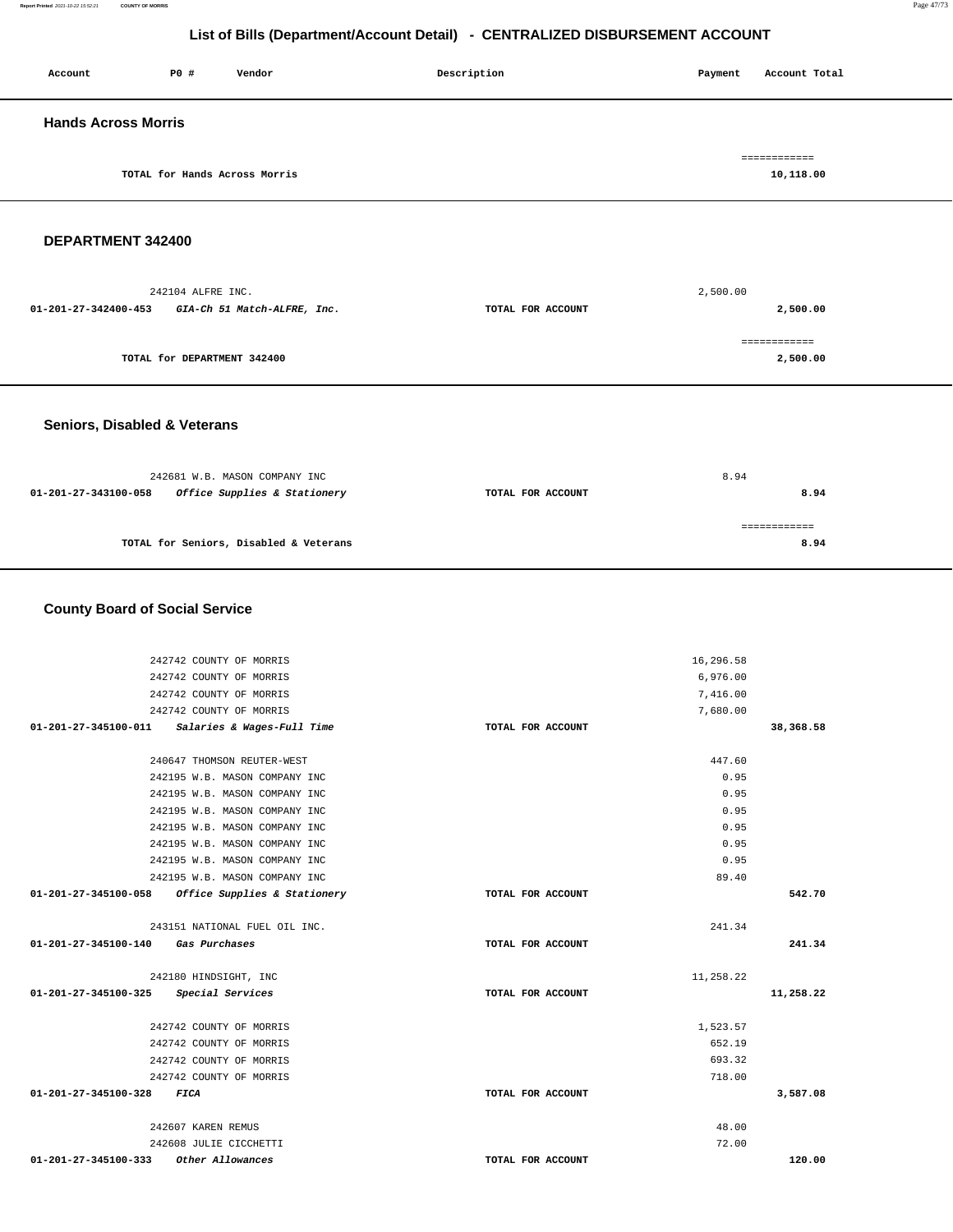| Account                    | P0 #                          | Vendor | Description | Payment | Account Total             |
|----------------------------|-------------------------------|--------|-------------|---------|---------------------------|
| <b>Hands Across Morris</b> |                               |        |             |         |                           |
|                            | TOTAL for Hands Across Morris |        |             |         | ============<br>10,118.00 |

### **DEPARTMENT 342400**

|                      | 242104 ALFRE INC.           |                   | 2,500.00 |
|----------------------|-----------------------------|-------------------|----------|
| 01-201-27-342400-453 | GIA-Ch 51 Match-ALFRE, Inc. | TOTAL FOR ACCOUNT | 2,500.00 |
|                      |                             |                   |          |
|                      |                             |                   |          |
|                      | TOTAL for DEPARTMENT 342400 |                   | 2,500.00 |
|                      |                             |                   |          |

### **Seniors, Disabled & Veterans**

|                      | 242681 W.B. MASON COMPANY INC          |                   | 8.94 |
|----------------------|----------------------------------------|-------------------|------|
| 01-201-27-343100-058 | Office Supplies & Stationery           | TOTAL FOR ACCOUNT | 8.94 |
|                      |                                        |                   |      |
|                      | TOTAL for Seniors, Disabled & Veterans |                   | 8.94 |
|                      |                                        |                   |      |

### **County Board of Social Service**

| 242742 COUNTY OF MORRIS                                        |                   | 16,296.58        |           |
|----------------------------------------------------------------|-------------------|------------------|-----------|
| 242742 COUNTY OF MORRIS                                        |                   | 6,976.00         |           |
| 242742 COUNTY OF MORRIS                                        |                   | 7,416.00         |           |
| 242742 COUNTY OF MORRIS                                        |                   | 7,680.00         |           |
| 01-201-27-345100-011<br>Salaries & Wages-Full Time             | TOTAL FOR ACCOUNT |                  | 38,368.58 |
|                                                                |                   |                  |           |
| 240647 THOMSON REUTER-WEST                                     |                   | 447.60           |           |
| 242195 W.B. MASON COMPANY INC                                  |                   | 0.95             |           |
| 242195 W.B. MASON COMPANY INC                                  |                   | 0.95             |           |
| 242195 W.B. MASON COMPANY INC                                  |                   | 0.95             |           |
| 242195 W.B. MASON COMPANY INC                                  |                   | 0.95             |           |
| 242195 W.B. MASON COMPANY INC                                  |                   | 0.95             |           |
| 242195 W.B. MASON COMPANY INC                                  |                   | 0.95             |           |
| 242195 W.B. MASON COMPANY INC                                  |                   | 89.40            |           |
| 01-201-27-345100-058<br>Office Supplies & Stationery           | TOTAL FOR ACCOUNT |                  | 542.70    |
|                                                                |                   |                  |           |
| 243151 NATIONAL FUEL OIL INC.                                  |                   | 241.34           |           |
| 01-201-27-345100-140<br>Gas Purchases                          | TOTAL FOR ACCOUNT |                  | 241.34    |
|                                                                |                   |                  |           |
| 242180 HINDSIGHT, INC                                          |                   | 11,258.22        |           |
| Special Services<br>01-201-27-345100-325                       | TOTAL FOR ACCOUNT |                  | 11,258.22 |
|                                                                |                   |                  |           |
| 242742 COUNTY OF MORRIS                                        |                   | 1,523.57         |           |
| 242742 COUNTY OF MORRIS                                        |                   | 652.19<br>693.32 |           |
| 242742 COUNTY OF MORRIS                                        |                   | 718.00           |           |
| 242742 COUNTY OF MORRIS<br>01-201-27-345100-328<br><b>FICA</b> | TOTAL FOR ACCOUNT |                  | 3,587.08  |
|                                                                |                   |                  |           |
|                                                                |                   |                  |           |
| 242607 KAREN REMUS                                             |                   | 48.00            |           |
| 242608 JULIE CICCHETTI                                         |                   | 72.00            |           |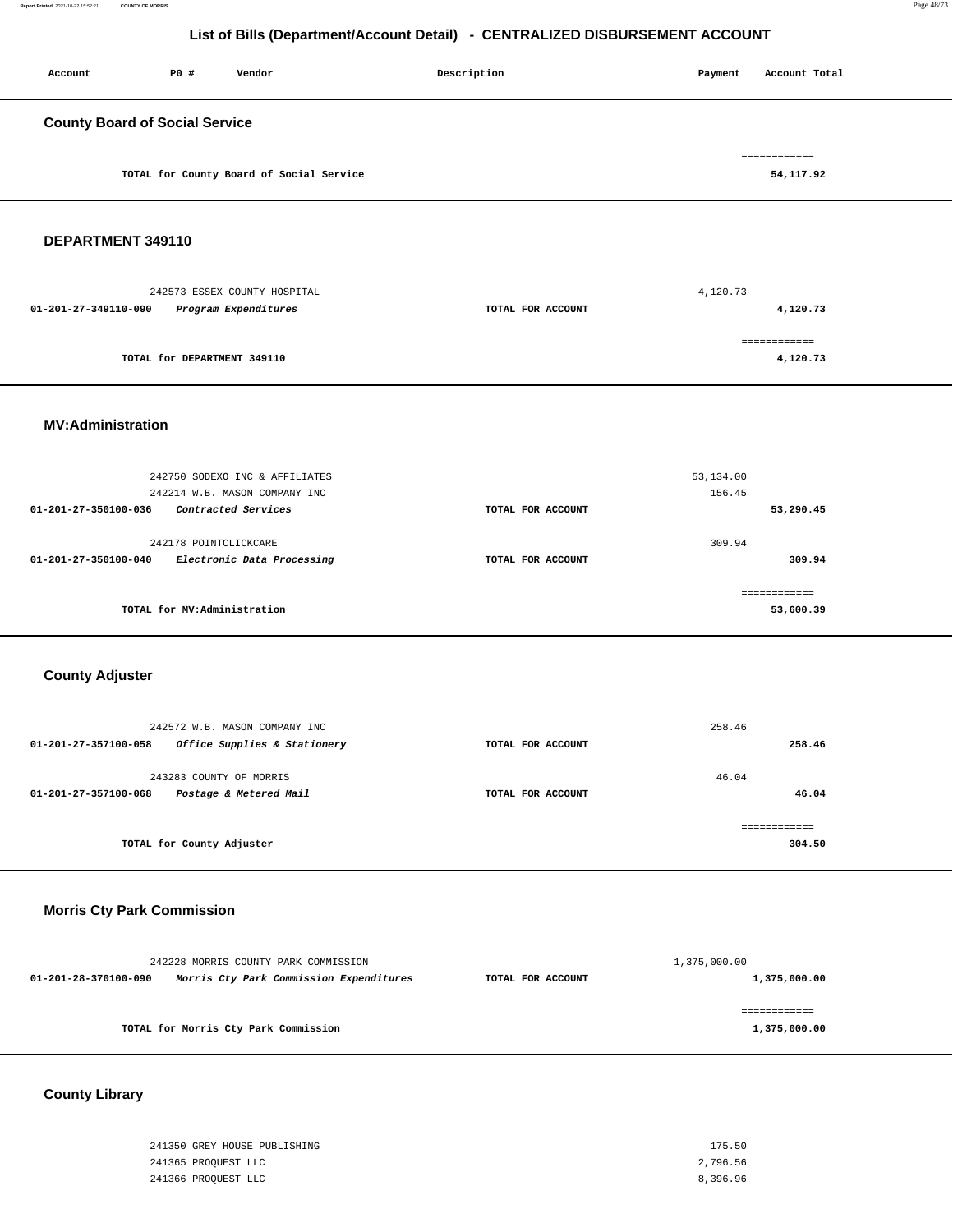| P0 # | Vendor | Description                                                                       | Payment | Account Total             |
|------|--------|-----------------------------------------------------------------------------------|---------|---------------------------|
|      |        |                                                                                   |         |                           |
|      |        |                                                                                   |         | ============<br>54,117.92 |
|      |        | <b>County Board of Social Service</b><br>TOTAL for County Board of Social Service |         |                           |

## **DEPARTMENT 349110**

| 242573 ESSEX COUNTY HOSPITAL                 |                   | 4,120.73    |
|----------------------------------------------|-------------------|-------------|
| Program Expenditures<br>01-201-27-349110-090 | TOTAL FOR ACCOUNT | 4,120.73    |
|                                              |                   |             |
|                                              |                   | :========== |
| TOTAL for DEPARTMENT 349110                  |                   | 4,120.73    |
|                                              |                   |             |

### **MV:Administration**

|                                | 242750 SODEXO INC & AFFILIATES |                   | 53,134.00 |
|--------------------------------|--------------------------------|-------------------|-----------|
|                                | 242214 W.B. MASON COMPANY INC  |                   | 156.45    |
| $01 - 201 - 27 - 350100 - 036$ | Contracted Services            | TOTAL FOR ACCOUNT | 53,290.45 |
|                                |                                |                   |           |
|                                | 242178 POINTCLICKCARE          |                   | 309.94    |
| $01 - 201 - 27 - 350100 - 040$ | Electronic Data Processing     | TOTAL FOR ACCOUNT | 309.94    |
|                                |                                |                   |           |
|                                |                                |                   |           |
|                                | TOTAL for MV:Administration    |                   | 53,600.39 |
|                                |                                |                   |           |

# **County Adjuster**

| 242572 W.B. MASON COMPANY INC<br>Office Supplies & Stationery<br>01-201-27-357100-058 | TOTAL FOR ACCOUNT | 258.46<br>258.46 |
|---------------------------------------------------------------------------------------|-------------------|------------------|
| 243283 COUNTY OF MORRIS<br>Postage & Metered Mail<br>01-201-27-357100-068             | TOTAL FOR ACCOUNT | 46.04<br>46.04   |
| TOTAL for County Adjuster                                                             |                   | 304.50           |

### **Morris Cty Park Commission**

|                      | 242228 MORRIS COUNTY PARK COMMISSION    |                   | 1,375,000.00 |
|----------------------|-----------------------------------------|-------------------|--------------|
| 01-201-28-370100-090 | Morris Cty Park Commission Expenditures | TOTAL FOR ACCOUNT | 1,375,000.00 |
|                      |                                         |                   |              |
|                      |                                         |                   |              |
|                      | TOTAL for Morris Cty Park Commission    |                   | 1,375,000.00 |
|                      |                                         |                   |              |

# **County Library**

| 241350 GREY HOUSE PUBLISHING | 175.50   |
|------------------------------|----------|
| 241365 PROQUEST LLC          | 2,796.56 |
| 241366 PROOUEST LLC          | 8,396.96 |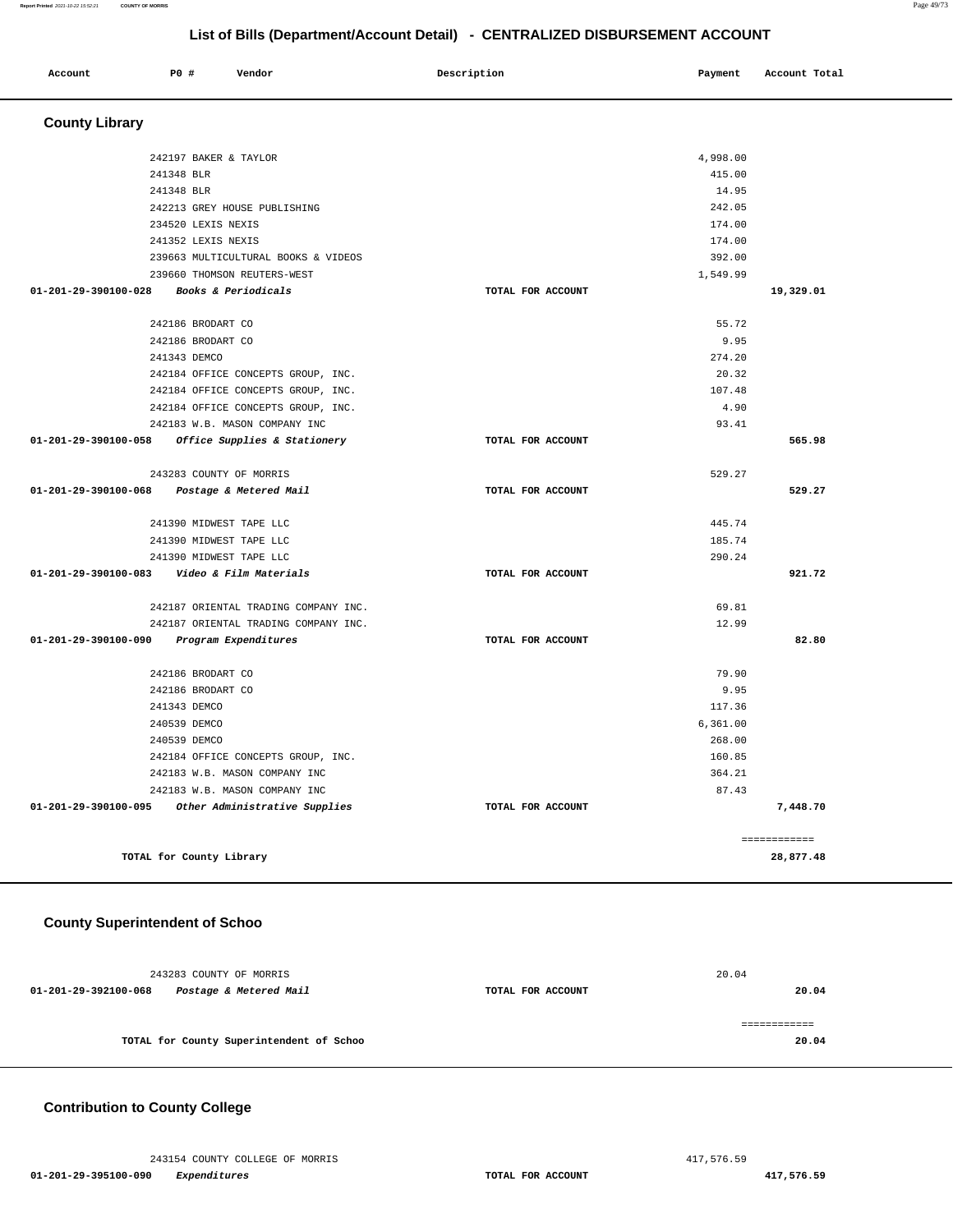#### **Report Printed** 2021-10-22 15:52:21 **COUNTY OF MORRIS** Page 49/73

# **List of Bills (Department/Account Detail) - CENTRALIZED DISBURSEMENT ACCOUNT**

| Account                        | P0 #                        | Vendor                               | Description |                   | Payment   | Account Total |  |
|--------------------------------|-----------------------------|--------------------------------------|-------------|-------------------|-----------|---------------|--|
| <b>County Library</b>          |                             |                                      |             |                   |           |               |  |
|                                | 242197 BAKER & TAYLOR       |                                      |             |                   | 4,998.00  |               |  |
|                                | 241348 BLR                  |                                      |             |                   | 415.00    |               |  |
|                                | 241348 BLR                  |                                      |             |                   | 14.95     |               |  |
|                                |                             | 242213 GREY HOUSE PUBLISHING         |             |                   | 242.05    |               |  |
|                                | 234520 LEXIS NEXIS          |                                      |             |                   | 174.00    |               |  |
|                                | 241352 LEXIS NEXIS          |                                      |             |                   | 174.00    |               |  |
|                                |                             | 239663 MULTICULTURAL BOOKS & VIDEOS  |             |                   | 392.00    |               |  |
|                                | 239660 THOMSON REUTERS-WEST |                                      |             |                   | 1,549.99  |               |  |
| 01-201-29-390100-028           |                             | Books & Periodicals                  |             | TOTAL FOR ACCOUNT |           | 19,329.01     |  |
|                                | 242186 BRODART CO           |                                      |             |                   | 55.72     |               |  |
|                                | 242186 BRODART CO           |                                      |             |                   | 9.95      |               |  |
|                                | 241343 DEMCO                |                                      |             |                   | 274.20    |               |  |
|                                |                             | 242184 OFFICE CONCEPTS GROUP, INC.   |             |                   | 20.32     |               |  |
|                                |                             | 242184 OFFICE CONCEPTS GROUP, INC.   |             |                   | 107.48    |               |  |
|                                |                             | 242184 OFFICE CONCEPTS GROUP, INC.   |             |                   | 4.90      |               |  |
|                                |                             | 242183 W.B. MASON COMPANY INC        |             |                   | 93.41     |               |  |
| $01 - 201 - 29 - 390100 - 058$ |                             | Office Supplies & Stationery         |             | TOTAL FOR ACCOUNT |           | 565.98        |  |
|                                | 243283 COUNTY OF MORRIS     |                                      |             |                   | 529.27    |               |  |
| 01-201-29-390100-068           |                             | Postage & Metered Mail               |             | TOTAL FOR ACCOUNT |           | 529.27        |  |
|                                | 241390 MIDWEST TAPE LLC     |                                      |             |                   | 445.74    |               |  |
|                                | 241390 MIDWEST TAPE LLC     |                                      |             |                   | 185.74    |               |  |
|                                | 241390 MIDWEST TAPE LLC     |                                      |             |                   | 290.24    |               |  |
| 01-201-29-390100-083           |                             | Video & Film Materials               |             | TOTAL FOR ACCOUNT |           | 921.72        |  |
|                                |                             | 242187 ORIENTAL TRADING COMPANY INC. |             |                   | 69.81     |               |  |
|                                |                             | 242187 ORIENTAL TRADING COMPANY INC. |             |                   | 12.99     |               |  |
| 01-201-29-390100-090           |                             | Program Expenditures                 |             | TOTAL FOR ACCOUNT |           | 82.80         |  |
|                                | 242186 BRODART CO           |                                      |             |                   | 79.90     |               |  |
|                                | 242186 BRODART CO           |                                      |             |                   | 9.95      |               |  |
|                                | 241343 DEMCO                |                                      |             |                   | 117.36    |               |  |
|                                | 240539 DEMCO                |                                      |             |                   | 6, 361.00 |               |  |
|                                | 240539 DEMCO                |                                      |             |                   | 268.00    |               |  |
|                                |                             | 242184 OFFICE CONCEPTS GROUP, INC.   |             |                   | 160.85    |               |  |
|                                |                             | 242183 W.B. MASON COMPANY INC        |             |                   | 364.21    |               |  |
|                                |                             | 242183 W.B. MASON COMPANY INC        |             |                   | 87.43     |               |  |
| 01-201-29-390100-095           |                             | Other Administrative Supplies        |             | TOTAL FOR ACCOUNT |           | 7,448.70      |  |
|                                |                             |                                      |             |                   |           | ============  |  |
|                                | TOTAL for County Library    |                                      |             |                   |           | 28,877.48     |  |
|                                |                             |                                      |             |                   |           |               |  |

### **County Superintendent of Schoo**

| 243283 COUNTY OF MORRIS                        |                   | 20.04 |
|------------------------------------------------|-------------------|-------|
| Postage & Metered Mail<br>01-201-29-392100-068 | TOTAL FOR ACCOUNT | 20.04 |
|                                                |                   |       |
| TOTAL for County Superintendent of Schoo       |                   | 20.04 |

### **Contribution to County College**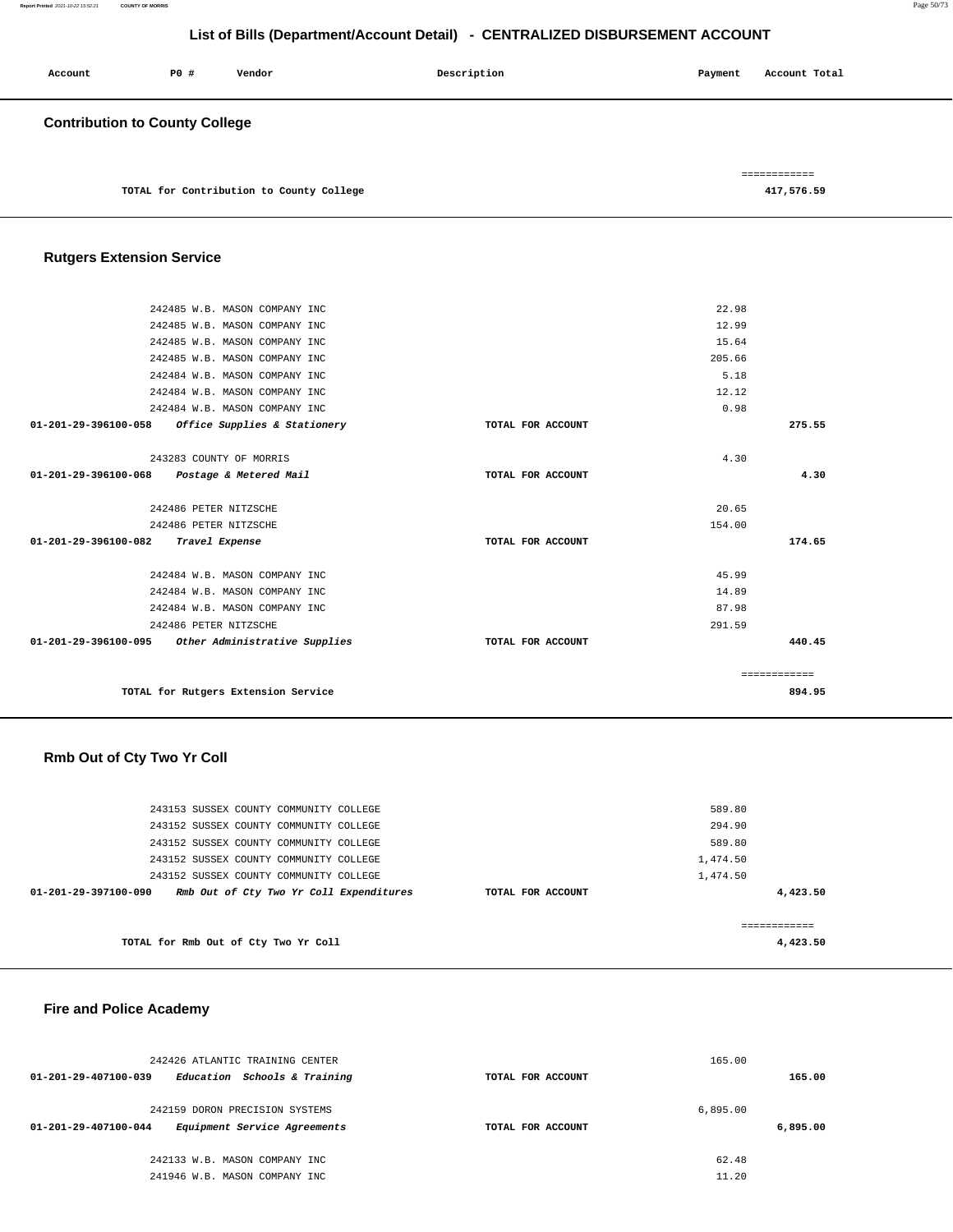| Account                               | PO# | Vendor                                   | Description | Account Total<br>Payment   |
|---------------------------------------|-----|------------------------------------------|-------------|----------------------------|
| <b>Contribution to County College</b> |     |                                          |             |                            |
|                                       |     | TOTAL for Contribution to County College |             | ============<br>417,576.59 |

# **Rutgers Extension Service**

| 242485 W.B. MASON COMPANY INC                        |                   | 22.98        |
|------------------------------------------------------|-------------------|--------------|
| 242485 W.B. MASON COMPANY INC                        |                   | 12.99        |
| 242485 W.B. MASON COMPANY INC                        |                   | 15.64        |
| 242485 W.B. MASON COMPANY INC                        |                   | 205.66       |
| 242484 W.B. MASON COMPANY INC                        |                   | 5.18         |
| 242484 W.B. MASON COMPANY INC                        |                   | 12.12        |
| 242484 W.B. MASON COMPANY INC                        |                   | 0.98         |
| Office Supplies & Stationery<br>01-201-29-396100-058 | TOTAL FOR ACCOUNT | 275.55       |
|                                                      |                   |              |
| 243283 COUNTY OF MORRIS                              |                   | 4.30         |
| 01-201-29-396100-068 Postage & Metered Mail          | TOTAL FOR ACCOUNT | 4.30         |
|                                                      |                   |              |
| 242486 PETER NITZSCHE                                |                   | 20.65        |
| 242486 PETER NITZSCHE                                |                   | 154.00       |
| 01-201-29-396100-082<br>Travel Expense               | TOTAL FOR ACCOUNT | 174.65       |
|                                                      |                   |              |
| 242484 W.B. MASON COMPANY INC                        |                   | 45.99        |
| 242484 W.B. MASON COMPANY INC                        |                   | 14.89        |
| 242484 W.B. MASON COMPANY INC                        |                   | 87.98        |
| 242486 PETER NITZSCHE                                |                   | 291.59       |
| 01-201-29-396100-095 Other Administrative Supplies   | TOTAL FOR ACCOUNT | 440.45       |
|                                                      |                   |              |
|                                                      |                   | ============ |
| TOTAL for Rutgers Extension Service                  |                   | 894.95       |
|                                                      |                   |              |

# **Rmb Out of Cty Two Yr Coll**

| 243153 SUSSEX COUNTY COMMUNITY COLLEGE<br>243152 SUSSEX COUNTY COMMUNITY COLLEGE |                   | 589.80<br>294.90     |
|----------------------------------------------------------------------------------|-------------------|----------------------|
| 243152 SUSSEX COUNTY COMMUNITY COLLEGE                                           |                   | 589.80               |
| 243152 SUSSEX COUNTY COMMUNITY COLLEGE<br>243152 SUSSEX COUNTY COMMUNITY COLLEGE |                   | 1,474.50<br>1,474.50 |
| Rmb Out of Cty Two Yr Coll Expenditures<br>01-201-29-397100-090                  | TOTAL FOR ACCOUNT | 4,423.50             |
|                                                                                  |                   |                      |
| TOTAL for Rmb Out of Cty Two Yr Coll                                             |                   | 4,423.50             |

### **Fire and Police Academy**

| 242426 ATLANTIC TRAINING CENTER                                |                   | 165.00   |
|----------------------------------------------------------------|-------------------|----------|
| Education Schools & Training<br>01-201-29-407100-039           | TOTAL FOR ACCOUNT | 165.00   |
| 242159 DORON PRECISION SYSTEMS                                 |                   | 6.895.00 |
| Equipment Service Agreements<br>$01 - 201 - 29 - 407100 - 044$ | TOTAL FOR ACCOUNT | 6,895.00 |
| 242133 W.B. MASON COMPANY INC                                  |                   | 62.48    |
| 241946 W.B. MASON COMPANY INC                                  |                   | 11.20    |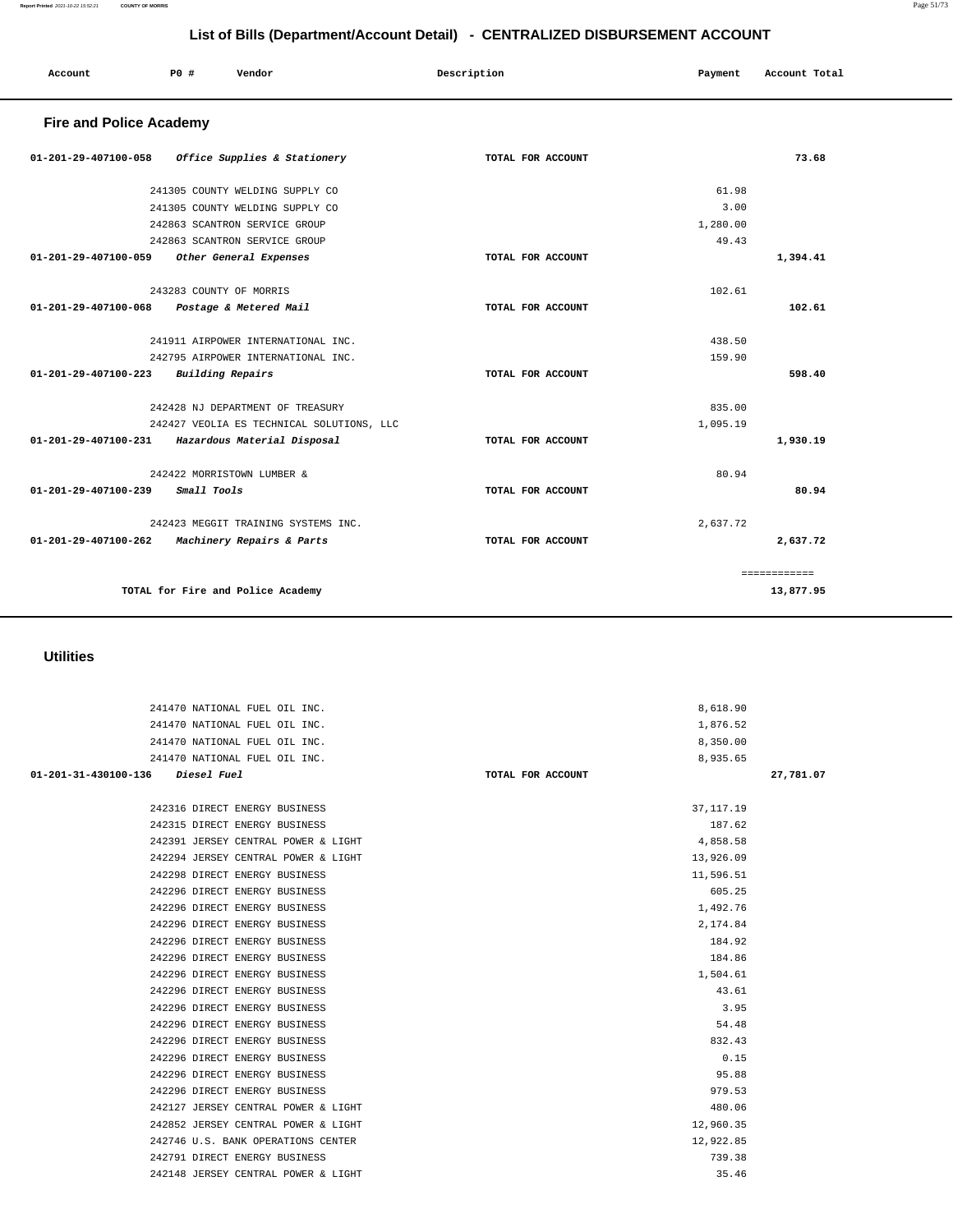| 241470 NATIONAL FUEL OIL INC.       | 8,618.90          |           |
|-------------------------------------|-------------------|-----------|
| 241470 NATIONAL FUEL OIL INC.       | 1,876.52          |           |
| 241470 NATIONAL FUEL OIL INC.       | 8,350.00          |           |
| 241470 NATIONAL FUEL OIL INC.       | 8,935.65          |           |
| 01-201-31-430100-136 Diesel Fuel    | TOTAL FOR ACCOUNT | 27,781.07 |
|                                     |                   |           |
| 242316 DIRECT ENERGY BUSINESS       | 37, 117. 19       |           |
| 242315 DIRECT ENERGY BUSINESS       | 187.62            |           |
| 242391 JERSEY CENTRAL POWER & LIGHT | 4,858.58          |           |
| 242294 JERSEY CENTRAL POWER & LIGHT | 13,926.09         |           |
| 242298 DIRECT ENERGY BUSINESS       | 11,596.51         |           |
| 242296 DIRECT ENERGY BUSINESS       | 605.25            |           |
| 242296 DIRECT ENERGY BUSINESS       | 1,492.76          |           |
| 242296 DIRECT ENERGY BUSINESS       | 2,174.84          |           |
| 242296 DIRECT ENERGY BUSINESS       | 184.92            |           |
| 242296 DIRECT ENERGY BUSINESS       | 184.86            |           |
| 242296 DIRECT ENERGY BUSINESS       | 1,504.61          |           |
| 242296 DIRECT ENERGY BUSINESS       | 43.61             |           |
| 242296 DIRECT ENERGY BUSINESS       | 3.95              |           |
| 242296 DIRECT ENERGY BUSINESS       | 54.48             |           |
| 242296 DIRECT ENERGY BUSINESS       | 832.43            |           |
| 242296 DIRECT ENERGY BUSINESS       | 0.15              |           |
| 242296 DIRECT ENERGY BUSINESS       | 95.88             |           |
| 242296 DIRECT ENERGY BUSINESS       | 979.53            |           |
| 242127 JERSEY CENTRAL POWER & LIGHT | 480.06            |           |
| 242852 JERSEY CENTRAL POWER & LIGHT | 12,960.35         |           |
| 242746 U.S. BANK OPERATIONS CENTER  | 12,922.85         |           |
| 242791 DIRECT ENERGY BUSINESS       | 739.38            |           |
| 242148 JERSEY CENTRAL POWER & LIGHT | 35.46             |           |

### **Utilities**

| 01-201-29-407100-058 Office Supplies & Stationery           | TOTAL FOR ACCOUNT | 73.68        |
|-------------------------------------------------------------|-------------------|--------------|
| 241305 COUNTY WELDING SUPPLY CO                             |                   | 61.98        |
| 241305 COUNTY WELDING SUPPLY CO                             |                   | 3.00         |
| 242863 SCANTRON SERVICE GROUP                               |                   | 1,280.00     |
| 242863 SCANTRON SERVICE GROUP                               |                   | 49.43        |
| 01-201-29-407100-059<br>Other General Expenses              | TOTAL FOR ACCOUNT | 1,394.41     |
| 243283 COUNTY OF MORRIS                                     |                   | 102.61       |
| 01-201-29-407100-068 Postage & Metered Mail                 | TOTAL FOR ACCOUNT | 102.61       |
| 241911 AIRPOWER INTERNATIONAL INC.                          |                   | 438.50       |
| 242795 AIRPOWER INTERNATIONAL INC.                          |                   | 159.90       |
| $01 - 201 - 29 - 407100 - 223$<br>Building Repairs          | TOTAL FOR ACCOUNT | 598.40       |
| 242428 NJ DEPARTMENT OF TREASURY                            |                   | 835.00       |
| 242427 VEOLIA ES TECHNICAL SOLUTIONS, LLC                   |                   | 1,095.19     |
| 01-201-29-407100-231 Hazardous Material Disposal            | TOTAL FOR ACCOUNT | 1,930.19     |
| 242422 MORRISTOWN LUMBER &                                  |                   | 80.94        |
| $01 - 201 - 29 - 407100 - 239$<br>Small Tools               | TOTAL FOR ACCOUNT | 80.94        |
| 242423 MEGGIT TRAINING SYSTEMS INC.                         |                   | 2,637.72     |
| $01 - 201 - 29 - 407100 - 262$<br>Machinery Repairs & Parts | TOTAL FOR ACCOUNT | 2,637.72     |
|                                                             |                   | ============ |
| TOTAL for Fire and Police Academy                           |                   | 13,877.95    |

### **Fire and Police Academy**

Account **1888** P0 # Vendor **Payment** Payment Payment Payment Payment Payment Payment Payment Payment Payment Payment Payment Payment Payment Payment Payment Payment Payment Payment Payment Payment Payment Payment Payment P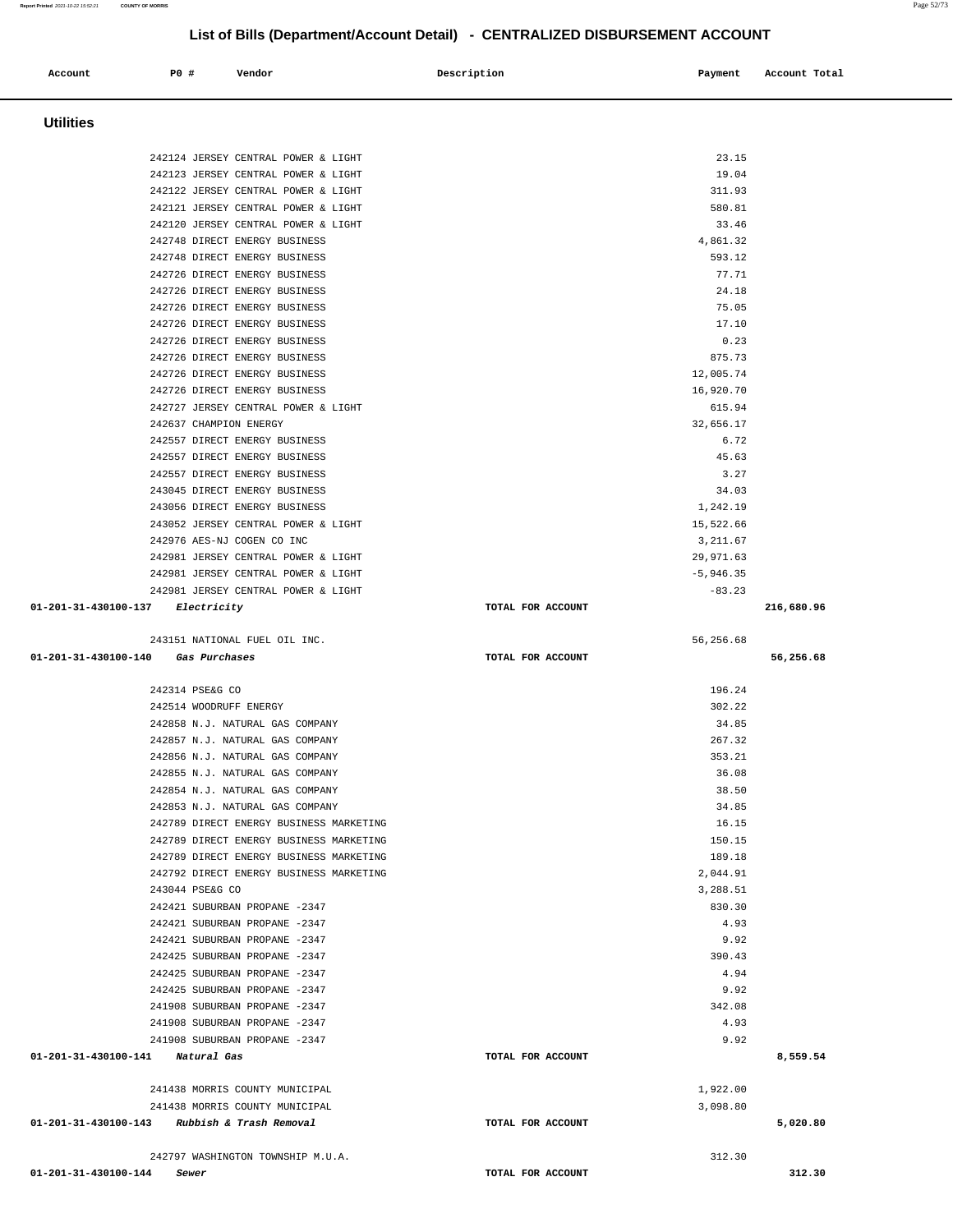### **Utilities**  242124 JERSEY CENTRAL POWER & LIGHT 23.15 242123 JERSEY CENTRAL POWER & LIGHT 19.04 242122 JERSEY CENTRAL POWER & LIGHT 311.93 242121 JERSEY CENTRAL POWER & LIGHT 580.81 242120 JERSEY CENTRAL POWER & LIGHT 33.46 242748 DIRECT ENERGY BUSINESS 4,861.32 242748 DIRECT ENERGY BUSINESS 593.12 242726 DIRECT ENERGY BUSINESS 77.71 242726 DIRECT ENERGY BUSINESS 24.18 242726 DIRECT ENERGY BUSINESS 75.05 242726 DIRECT ENERGY BUSINESS 17.10 242726 DIRECT ENERGY BUSINESS 0.23 242726 DIRECT ENERGY BUSINESS 875.73 242726 DIRECT ENERGY BUSINESS 12,005.74 242726 DIRECT ENERGY BUSINESS 16,920.70 242727 JERSEY CENTRAL POWER & LIGHT 615.94 242637 CHAMPION ENERGY 32,656.17 242557 DIRECT ENERGY BUSINESS 6.72 242557 DIRECT ENERGY BUSINESS 45.63 242557 DIRECT ENERGY BUSINESS 3.27 243045 DIRECT ENERGY BUSINESS 34.03 243056 DIRECT ENERGY BUSINESS 1,242.19 243052 JERSEY CENTRAL POWER & LIGHT 15,522.66 242976 AES-NJ COGEN CO INC 3,211.67 242981 JERSEY CENTRAL POWER & LIGHT 29,971.63 242981 JERSEY CENTRAL POWER & LIGHT  $-5,946.35$ 242981 JERSEY CENTRAL POWER & LIGHT  $-83.23$  **01-201-31-430100-137 Electricity TOTAL FOR ACCOUNT 216,680.96** 243151 NATIONAL FUEL OIL INC. 56,256.68  **01-201-31-430100-140 Gas Purchases TOTAL FOR ACCOUNT 56,256.68** 242314 PSE&G CO 196.24 242514 WOODRUFF ENERGY 302.22 242858 N.J. NATURAL GAS COMPANY 34.85 242857 N.J. NATURAL GAS COMPANY 267.32 242856 N.J. NATURAL GAS COMPANY 353.21 242855 N.J. NATURAL GAS COMPANY 36.08 242854 N.J. NATURAL GAS COMPANY 38.50 242853 N.J. NATURAL GAS COMPANY 34.85 242789 DIRECT ENERGY BUSINESS MARKETING 16.15 242789 DIRECT ENERGY BUSINESS MARKETING 150.15 242789 DIRECT ENERGY BUSINESS MARKETING 189.18 242792 DIRECT ENERGY BUSINESS MARKETING 2,044.91 243044 PSE&G CO 3,288.51 242421 SUBURBAN PROPANE -2347 830.30 242421 SUBURBAN PROPANE -2347 4.93 242421 SUBURBAN PROPANE -2347 9.92 242425 SUBURBAN PROPANE -2347 390.43 242425 SUBURBAN PROPANE -2347 4.94 242425 SUBURBAN PROPANE -2347 9.92 241908 SUBURBAN PROPANE -2347 342.08 241908 SUBURBAN PROPANE -2347 4.93 241908 SUBURBAN PROPANE -2347 9.92  **01-201-31-430100-141 Natural Gas TOTAL FOR ACCOUNT 8,559.54** 241438 MORRIS COUNTY MUNICIPAL 1,922.00 241438 MORRIS COUNTY MUNICIPAL 3,098.80  **01-201-31-430100-143 Rubbish & Trash Removal TOTAL FOR ACCOUNT 5,020.80** 242797 WASHINGTON TOWNSHIP M.U.A. 312.30 **01-201-31-430100-144 Sewer TOTAL FOR ACCOUNT 312.30**

 **Account P0 # Vendor Description Payment Account Total**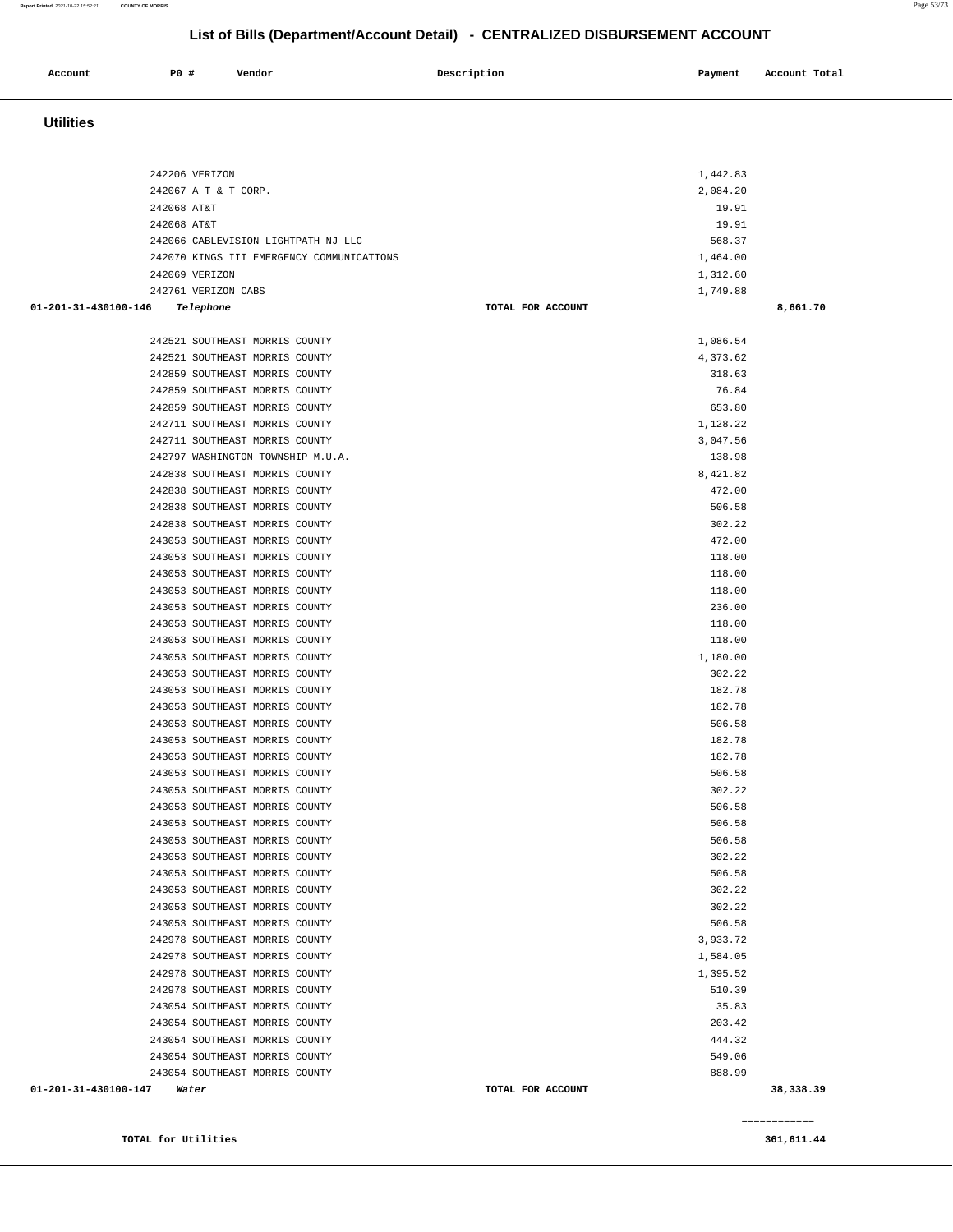============

| 242206 VERIZON                            | 1,442.83          |           |
|-------------------------------------------|-------------------|-----------|
| 242067 A T & T CORP.                      | 2,084.20          |           |
| 242068 AT&T                               | 19.91             |           |
| 242068 AT&T                               | 19.91             |           |
| 242066 CABLEVISION LIGHTPATH NJ LLC       | 568.37            |           |
| 242070 KINGS III EMERGENCY COMMUNICATIONS | 1,464.00          |           |
| 242069 VERIZON                            | 1,312.60          |           |
| 242761 VERIZON CABS                       | 1,749.88          |           |
| 01-201-31-430100-146<br>Telephone         | TOTAL FOR ACCOUNT | 8,661.70  |
|                                           |                   |           |
| 242521 SOUTHEAST MORRIS COUNTY            | 1,086.54          |           |
| 242521 SOUTHEAST MORRIS COUNTY            | 4,373.62          |           |
| 242859 SOUTHEAST MORRIS COUNTY            | 318.63            |           |
| 242859 SOUTHEAST MORRIS COUNTY            | 76.84             |           |
| 242859 SOUTHEAST MORRIS COUNTY            | 653.80            |           |
| 242711 SOUTHEAST MORRIS COUNTY            | 1,128.22          |           |
| 242711 SOUTHEAST MORRIS COUNTY            | 3,047.56          |           |
| 242797 WASHINGTON TOWNSHIP M.U.A.         | 138.98            |           |
| 242838 SOUTHEAST MORRIS COUNTY            | 8,421.82          |           |
| 242838 SOUTHEAST MORRIS COUNTY            | 472.00            |           |
| 242838 SOUTHEAST MORRIS COUNTY            | 506.58            |           |
| 242838 SOUTHEAST MORRIS COUNTY            | 302.22            |           |
| 243053 SOUTHEAST MORRIS COUNTY            | 472.00            |           |
| 243053 SOUTHEAST MORRIS COUNTY            | 118.00            |           |
| 243053 SOUTHEAST MORRIS COUNTY            | 118.00            |           |
| 243053 SOUTHEAST MORRIS COUNTY            | 118.00            |           |
| 243053 SOUTHEAST MORRIS COUNTY            | 236.00            |           |
| 243053 SOUTHEAST MORRIS COUNTY            | 118.00            |           |
| 243053 SOUTHEAST MORRIS COUNTY            | 118.00            |           |
| 243053 SOUTHEAST MORRIS COUNTY            | 1,180.00          |           |
| 243053 SOUTHEAST MORRIS COUNTY            | 302.22            |           |
| 243053 SOUTHEAST MORRIS COUNTY            | 182.78            |           |
| 243053 SOUTHEAST MORRIS COUNTY            | 182.78            |           |
| 243053 SOUTHEAST MORRIS COUNTY            | 506.58            |           |
| 243053 SOUTHEAST MORRIS COUNTY            | 182.78            |           |
| 243053 SOUTHEAST MORRIS COUNTY            | 182.78            |           |
| 243053 SOUTHEAST MORRIS COUNTY            | 506.58            |           |
| 243053 SOUTHEAST MORRIS COUNTY            | 302.22            |           |
| 243053 SOUTHEAST MORRIS COUNTY            | 506.58            |           |
| 243053 SOUTHEAST MORRIS COUNTY            | 506.58            |           |
| 243053 SOUTHEAST MORRIS COUNTY            | 506.58            |           |
| 243053 SOUTHEAST MORRIS COUNTY            | 302.22            |           |
| 243053 SOUTHEAST MORRIS COUNTY            | 506.58            |           |
| 243053 SOUTHEAST MORRIS COUNTY            | 302.22            |           |
| 243053 SOUTHEAST MORRIS COUNTY            | 302.22            |           |
| 243053 SOUTHEAST MORRIS COUNTY            | 506.58            |           |
| 242978 SOUTHEAST MORRIS COUNTY            | 3,933.72          |           |
| 242978 SOUTHEAST MORRIS COUNTY            | 1,584.05          |           |
| 242978 SOUTHEAST MORRIS COUNTY            | 1,395.52          |           |
| 242978 SOUTHEAST MORRIS COUNTY            | 510.39            |           |
| 243054 SOUTHEAST MORRIS COUNTY            | 35.83             |           |
| 243054 SOUTHEAST MORRIS COUNTY            | 203.42            |           |
| 243054 SOUTHEAST MORRIS COUNTY            | 444.32            |           |
| 243054 SOUTHEAST MORRIS COUNTY            | 549.06            |           |
| 243054 SOUTHEAST MORRIS COUNTY            | 888.99            |           |
| 01-201-31-430100-147<br>Water             | TOTAL FOR ACCOUNT | 38,338.39 |

### **Utilities**

# **Report Printed** 2021-10-22 15:52:21 **COUNTY OF MORRIS** Page 53/73

**Account** P0 # Vendor Payment Account Total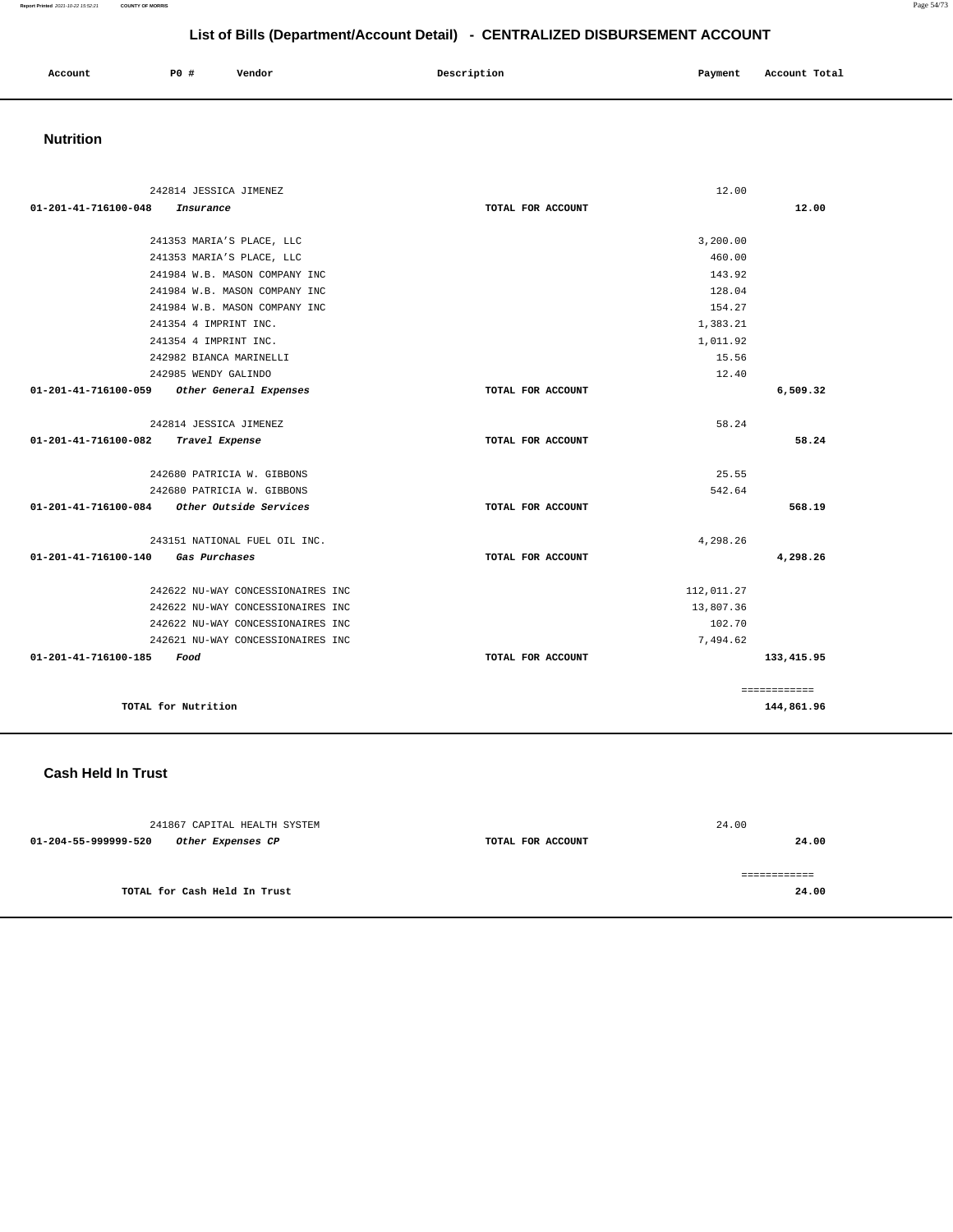| Account<br>. | PO# | Vendor | Description | Payment | Account Total |
|--------------|-----|--------|-------------|---------|---------------|
|              |     |        |             |         |               |

# **Nutrition**

| 242814 JESSICA JIMENEZ                         |                   | 12.00      |              |
|------------------------------------------------|-------------------|------------|--------------|
| 01-201-41-716100-048<br>Insurance              | TOTAL FOR ACCOUNT |            | 12.00        |
| 241353 MARIA'S PLACE, LLC                      |                   | 3,200.00   |              |
| 241353 MARIA'S PLACE, LLC                      |                   | 460.00     |              |
| 241984 W.B. MASON COMPANY INC                  |                   | 143.92     |              |
| 241984 W.B. MASON COMPANY INC                  |                   | 128.04     |              |
| 241984 W.B. MASON COMPANY INC                  |                   | 154.27     |              |
| 241354 4 IMPRINT INC.                          |                   | 1,383.21   |              |
| 241354 4 IMPRINT INC.                          |                   | 1,011.92   |              |
| 242982 BIANCA MARINELLI                        |                   | 15.56      |              |
|                                                |                   | 12.40      |              |
| 242985 WENDY GALINDO                           |                   |            |              |
| Other General Expenses<br>01-201-41-716100-059 | TOTAL FOR ACCOUNT |            | 6,509.32     |
| 242814 JESSICA JIMENEZ                         |                   | 58.24      |              |
| 01-201-41-716100-082<br>Travel Expense         | TOTAL FOR ACCOUNT |            | 58.24        |
|                                                |                   |            |              |
| 242680 PATRICIA W. GIBBONS                     |                   | 25.55      |              |
| 242680 PATRICIA W. GIBBONS                     |                   | 542.64     |              |
| Other Outside Services<br>01-201-41-716100-084 | TOTAL FOR ACCOUNT |            | 568.19       |
| 243151 NATIONAL FUEL OIL INC.                  |                   | 4,298.26   |              |
| 01-201-41-716100-140<br>Gas Purchases          | TOTAL FOR ACCOUNT |            | 4,298.26     |
| 242622 NU-WAY CONCESSIONAIRES INC              |                   | 112,011.27 |              |
| 242622 NU-WAY CONCESSIONAIRES INC              |                   | 13,807.36  |              |
| 242622 NU-WAY CONCESSIONAIRES INC              |                   | 102.70     |              |
| 242621 NU-WAY CONCESSIONAIRES INC              |                   | 7,494.62   |              |
| 01-201-41-716100-185<br>Food                   | TOTAL FOR ACCOUNT |            | 133, 415.95  |
|                                                |                   |            |              |
|                                                |                   |            | ============ |
| TOTAL for Nutrition                            |                   |            | 144,861.96   |

### **Cash Held In Trust**

| 241867 CAPITAL HEALTH SYSTEM              |                   | 24.00 |
|-------------------------------------------|-------------------|-------|
| 01-204-55-999999-520<br>Other Expenses CP | TOTAL FOR ACCOUNT | 24.00 |
|                                           |                   |       |
|                                           |                   |       |
| TOTAL for Cash Held In Trust              |                   | 24.00 |
|                                           |                   |       |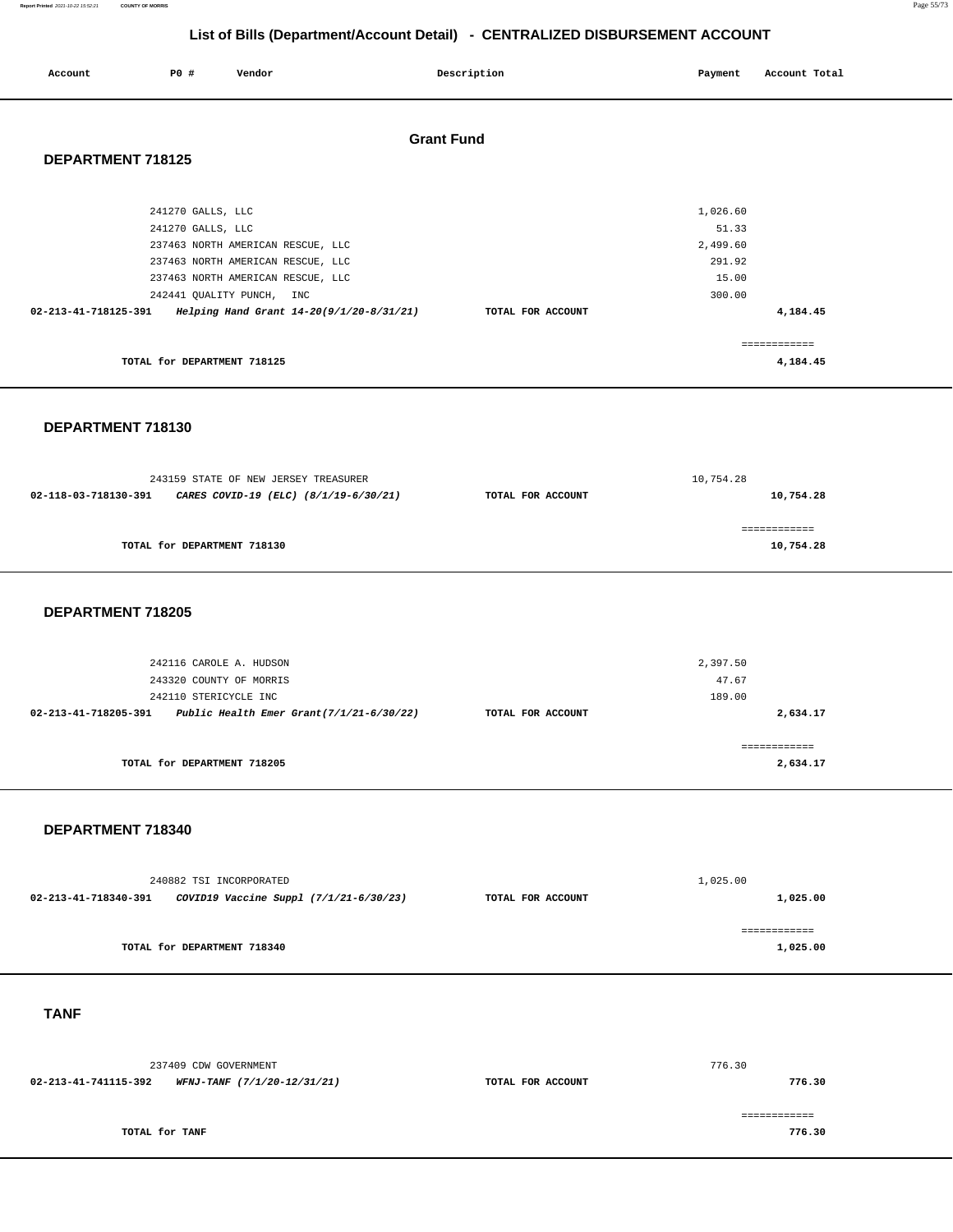#### **Report Printed** 2021-10-22 15:52:21 **COUNTY OF MORRIS** Page 55/73

# **List of Bills (Department/Account Detail) - CENTRALIZED DISBURSEMENT ACCOUNT**

| Account              | <b>PO #</b>                            | Vendor                                                                                                                                   | Description       |                   | Payment                                                    | Account Total            |  |
|----------------------|----------------------------------------|------------------------------------------------------------------------------------------------------------------------------------------|-------------------|-------------------|------------------------------------------------------------|--------------------------|--|
| DEPARTMENT 718125    |                                        |                                                                                                                                          | <b>Grant Fund</b> |                   |                                                            |                          |  |
|                      | 241270 GALLS, LLC<br>241270 GALLS, LLC | 237463 NORTH AMERICAN RESCUE, LLC<br>237463 NORTH AMERICAN RESCUE, LLC<br>237463 NORTH AMERICAN RESCUE, LLC<br>242441 QUALITY PUNCH, INC |                   |                   | 1,026.60<br>51.33<br>2,499.60<br>291.92<br>15.00<br>300.00 |                          |  |
| 02-213-41-718125-391 |                                        | Helping Hand Grant 14-20(9/1/20-8/31/21)                                                                                                 |                   | TOTAL FOR ACCOUNT |                                                            | 4,184.45                 |  |
|                      | TOTAL for DEPARTMENT 718125            |                                                                                                                                          |                   |                   |                                                            | ============<br>4,184.45 |  |

**DEPARTMENT 718130** 

| 243159 STATE OF NEW JERSEY TREASURER |                                       | 10,754.28         |              |
|--------------------------------------|---------------------------------------|-------------------|--------------|
| 02-118-03-718130-391                 | CARES COVID-19 (ELC) (8/1/19-6/30/21) | TOTAL FOR ACCOUNT | 10,754.28    |
|                                      |                                       |                   |              |
|                                      |                                       |                   | ============ |
|                                      | TOTAL for DEPARTMENT 718130           |                   | 10,754.28    |
|                                      |                                       |                   |              |

### **DEPARTMENT 718205**

| 242116 CAROLE A. HUDSON                                             |                   | 2,397.50                |
|---------------------------------------------------------------------|-------------------|-------------------------|
| 243320 COUNTY OF MORRIS                                             |                   | 47.67                   |
| 242110 STERICYCLE INC                                               |                   | 189.00                  |
| Public Health Emer Grant $(7/1/21-6/30/22)$<br>02-213-41-718205-391 | TOTAL FOR ACCOUNT | 2,634.17                |
| TOTAL for DEPARTMENT 718205                                         |                   | -----------<br>2,634.17 |

### **DEPARTMENT 718340**

| 240882 TSI INCORPORATED |                                        |                   | 1,025.00 |
|-------------------------|----------------------------------------|-------------------|----------|
| 02-213-41-718340-391    | COVID19 Vaccine Suppl (7/1/21-6/30/23) | TOTAL FOR ACCOUNT | 1,025.00 |
|                         |                                        |                   |          |
|                         | TOTAL for DEPARTMENT 718340            |                   | 1,025.00 |

 **TANF** 

| 237409 CDW GOVERNMENT |                                                  |  | 776.30 |
|-----------------------|--------------------------------------------------|--|--------|
| 02-213-41-741115-392  | WFNJ-TANF (7/1/20-12/31/21)<br>TOTAL FOR ACCOUNT |  | 776.30 |
|                       |                                                  |  |        |
|                       |                                                  |  |        |
| TOTAL for TANF        |                                                  |  | 776.30 |
|                       |                                                  |  |        |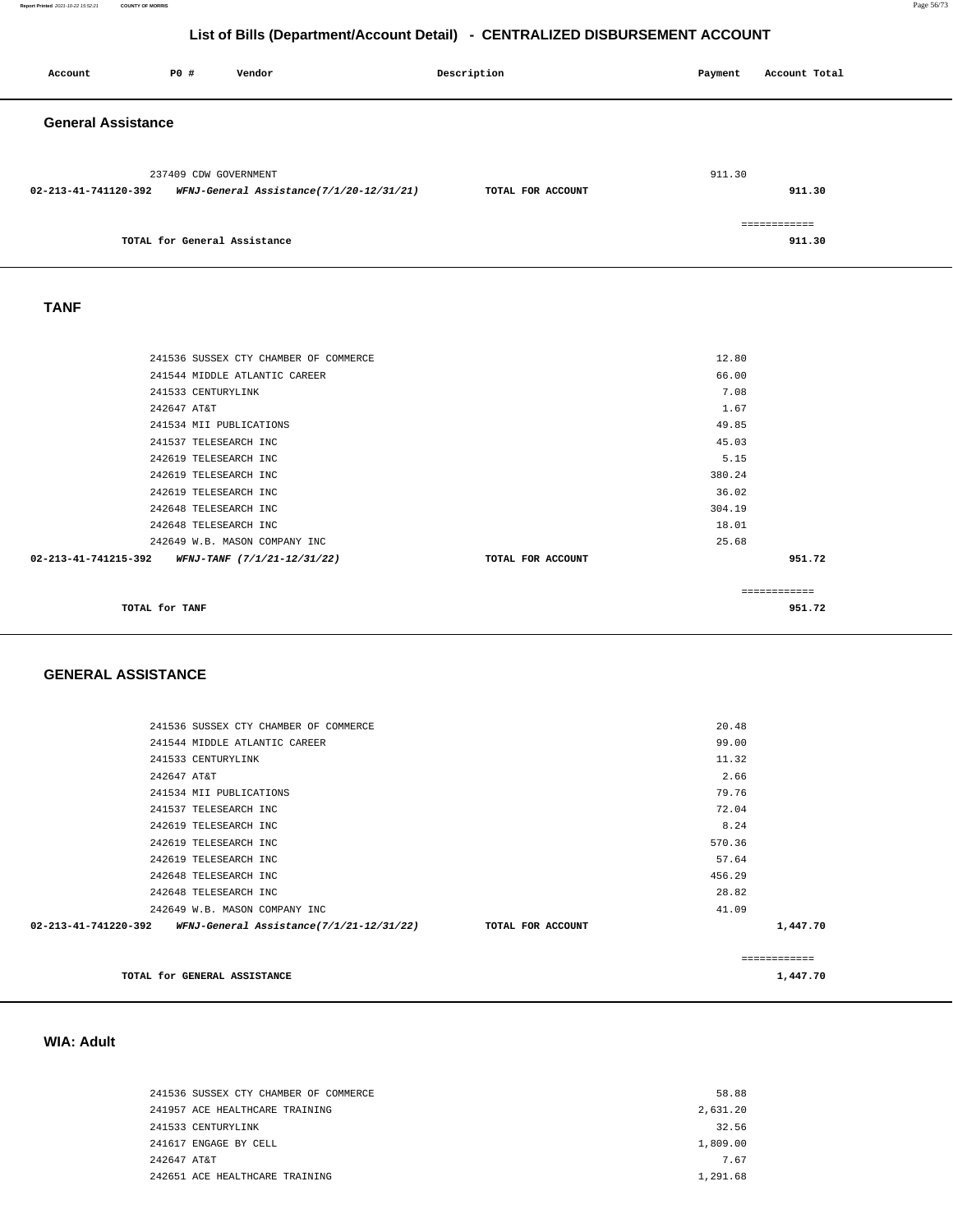| Account                   | PO#                          | Vendor                                   | Description       | Payment | Account Total          |
|---------------------------|------------------------------|------------------------------------------|-------------------|---------|------------------------|
| <b>General Assistance</b> |                              |                                          |                   |         |                        |
| 02-213-41-741120-392      | 237409 CDW GOVERNMENT        | WFNJ-General Assistance(7/1/20-12/31/21) | TOTAL FOR ACCOUNT | 911.30  | 911.30                 |
|                           | TOTAL for General Assistance |                                          |                   |         | ============<br>911.30 |
| <b>TANF</b>               |                              |                                          |                   |         |                        |
|                           |                              | 241536 SUSSEX CTY CHAMBER OF COMMERCE    |                   | 12.80   |                        |
|                           |                              | 241544 MIDDLE ATLANTIC CAREER            |                   | 66.00   |                        |
|                           | 241533 CENTURYLINK           |                                          |                   | 7.08    |                        |
|                           | 242647 AT&T                  |                                          |                   | 1.67    |                        |
|                           | 241534 MII PUBLICATIONS      |                                          |                   | 49.85   |                        |
|                           | 241537 TELESEARCH INC        |                                          |                   | 45.03   |                        |
|                           | 242619 TELESEARCH INC        |                                          |                   | 5.15    |                        |
|                           | 242619 TELESEARCH INC        |                                          |                   | 380.24  |                        |
|                           | 242619 TELESEARCH INC        |                                          |                   | 36.02   |                        |
|                           | 242648 TELESEARCH INC        |                                          |                   | 304.19  |                        |
|                           | 242648 TELESEARCH INC        |                                          |                   | 18.01   |                        |
|                           |                              | 242649 W.B. MASON COMPANY INC            |                   | 25.68   |                        |
| 02-213-41-741215-392      |                              | WFNJ-TANF (7/1/21-12/31/22)              | TOTAL FOR ACCOUNT |         | 951.72                 |
|                           |                              |                                          |                   |         | ============           |
|                           | TOTAL for TANF               |                                          |                   |         | 951.72                 |

### **GENERAL ASSISTANCE**

| 241536 SUSSEX CTY CHAMBER OF COMMERCE                                   |                   | 20.48  |              |
|-------------------------------------------------------------------------|-------------------|--------|--------------|
| 241544 MIDDLE ATLANTIC CAREER                                           |                   | 99.00  |              |
| 241533 CENTURYLINK                                                      |                   | 11.32  |              |
| 242647 AT&T                                                             |                   | 2.66   |              |
| 241534 MII PUBLICATIONS                                                 |                   | 79.76  |              |
| 241537 TELESEARCH INC                                                   |                   | 72.04  |              |
| 242619 TELESEARCH INC                                                   |                   | 8.24   |              |
| 242619 TELESEARCH INC                                                   |                   | 570.36 |              |
| 242619 TELESEARCH INC                                                   |                   | 57.64  |              |
| 242648 TELESEARCH INC                                                   |                   | 456.29 |              |
| 242648 TELESEARCH INC                                                   |                   | 28.82  |              |
| 242649 W.B. MASON COMPANY INC                                           |                   | 41.09  |              |
| 02-213-41-741220-392<br><i>WFNJ-General Assistance(7/1/21-12/31/22)</i> | TOTAL FOR ACCOUNT |        | 1,447.70     |
|                                                                         |                   |        | ============ |
| TOTAL for GENERAL ASSISTANCE                                            |                   |        | 1,447.70     |

# **WIA: Adult**

| 241536 SUSSEX CTY CHAMBER OF COMMERCE | 58.88    |
|---------------------------------------|----------|
| 241957 ACE HEALTHCARE TRAINING        | 2.631.20 |
| 241533 CENTURYLINK                    | 32.56    |
| 241617 ENGAGE BY CELL                 | 1,809.00 |
| 242647 AT&T                           | 767      |
| 242651 ACE HEALTHCARE TRAINING        | 1,291.68 |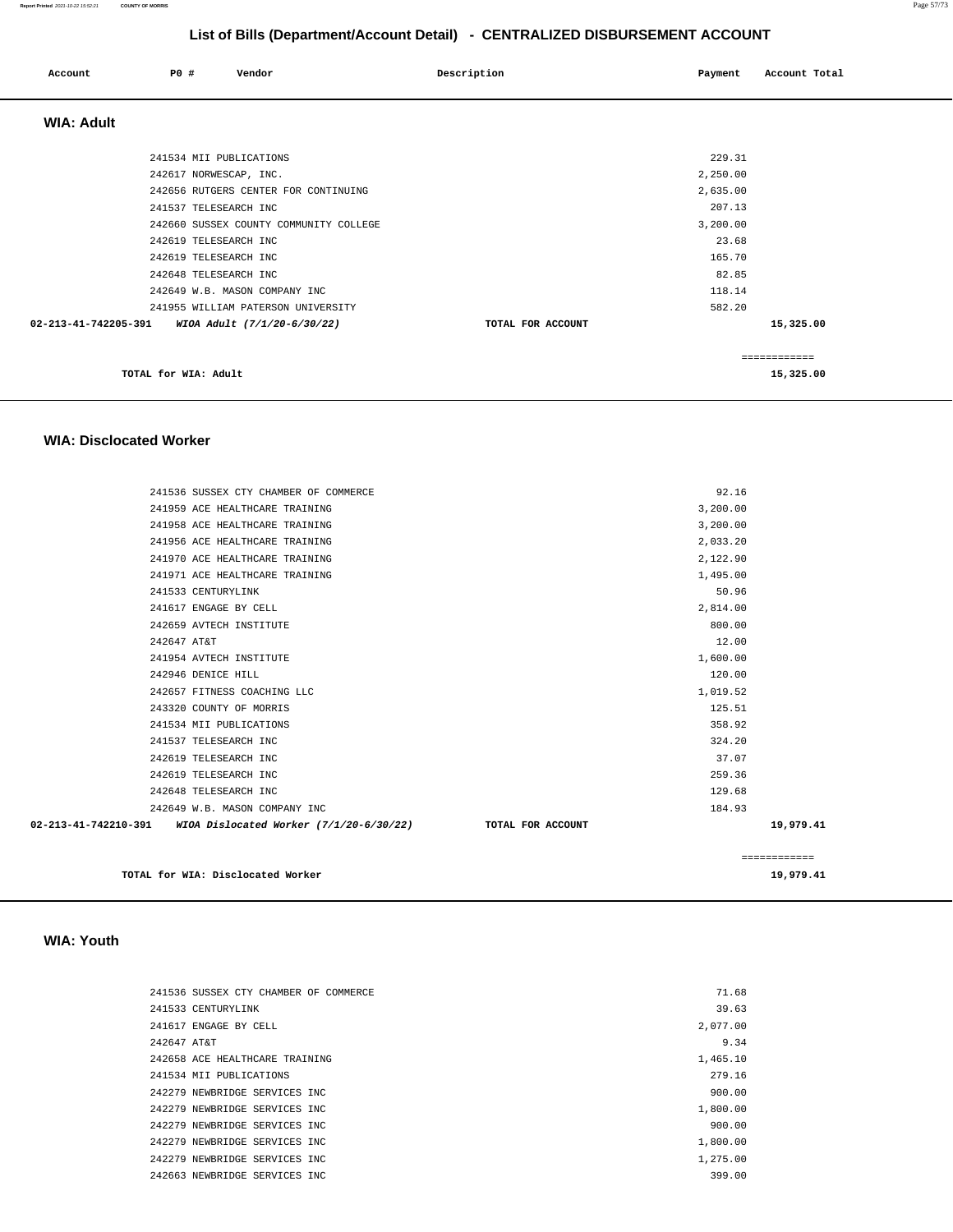| Account              | PO#                     | Vendor                                 | Description       | Payment  | Account Total |
|----------------------|-------------------------|----------------------------------------|-------------------|----------|---------------|
| <b>WIA: Adult</b>    |                         |                                        |                   |          |               |
|                      | 241534 MII PUBLICATIONS |                                        |                   | 229.31   |               |
|                      | 242617 NORWESCAP, INC.  |                                        |                   | 2,250.00 |               |
|                      |                         | 242656 RUTGERS CENTER FOR CONTINUING   |                   | 2,635.00 |               |
|                      | 241537 TELESEARCH INC   |                                        |                   | 207.13   |               |
|                      |                         | 242660 SUSSEX COUNTY COMMUNITY COLLEGE |                   | 3,200.00 |               |
|                      | 242619 TELESEARCH INC   |                                        |                   | 23.68    |               |
|                      | 242619 TELESEARCH INC   |                                        |                   | 165.70   |               |
|                      | 242648 TELESEARCH INC   |                                        |                   | 82.85    |               |
|                      |                         | 242649 W.B. MASON COMPANY INC          |                   | 118.14   |               |
|                      |                         | 241955 WILLIAM PATERSON UNIVERSITY     |                   | 582.20   |               |
| 02-213-41-742205-391 |                         | WIOA Adult (7/1/20-6/30/22)            | TOTAL FOR ACCOUNT |          | 15,325.00     |
|                      |                         |                                        |                   |          | ============  |
|                      | TOTAL for WIA: Adult    |                                        |                   |          | 15,325.00     |

### **WIA: Disclocated Worker**

| 241536 SUSSEX CTY CHAMBER OF COMMERCE                            |                   | 92.16    |              |
|------------------------------------------------------------------|-------------------|----------|--------------|
| 241959 ACE HEALTHCARE TRAINING                                   |                   | 3,200.00 |              |
| 241958 ACE HEALTHCARE TRAINING                                   |                   | 3,200.00 |              |
| 241956 ACE HEALTHCARE TRAINING                                   |                   | 2,033.20 |              |
| 241970 ACE HEALTHCARE TRAINING                                   |                   | 2,122.90 |              |
| 241971 ACE HEALTHCARE TRAINING                                   |                   | 1,495.00 |              |
| 241533 CENTURYLINK                                               |                   | 50.96    |              |
| 241617 ENGAGE BY CELL                                            |                   | 2,814.00 |              |
| 242659 AVTECH INSTITUTE                                          |                   | 800.00   |              |
| 242647 AT&T                                                      |                   | 12.00    |              |
| 241954 AVTECH INSTITUTE                                          |                   | 1,600.00 |              |
| 242946 DENICE HILL                                               |                   | 120.00   |              |
| 242657 FITNESS COACHING LLC                                      |                   | 1,019.52 |              |
| 243320 COUNTY OF MORRIS                                          |                   | 125.51   |              |
| 241534 MII PUBLICATIONS                                          |                   | 358.92   |              |
| 241537 TELESEARCH INC                                            |                   | 324.20   |              |
| 242619 TELESEARCH INC                                            |                   | 37.07    |              |
| 242619 TELESEARCH INC                                            |                   | 259.36   |              |
| 242648 TELESEARCH INC                                            |                   | 129.68   |              |
| 242649 W.B. MASON COMPANY INC                                    |                   | 184.93   |              |
| 02-213-41-742210-391     WIOA Dislocated Worker (7/1/20-6/30/22) | TOTAL FOR ACCOUNT |          | 19,979.41    |
|                                                                  |                   |          | ============ |
| TOTAL for WIA: Disclocated Worker                                |                   |          | 19,979.41    |

### **WIA: Youth**

| 241536 SUSSEX CTY CHAMBER OF COMMERCE | 71.68    |
|---------------------------------------|----------|
| 241533 CENTURYLINK                    | 39.63    |
| 241617 ENGAGE BY CELL                 | 2,077.00 |
| 242647 AT&T                           | 9.34     |
| 242658 ACE HEALTHCARE TRAINING        | 1,465.10 |
| 241534 MII PUBLICATIONS               | 279.16   |
| 242279 NEWBRIDGE SERVICES INC         | 900.00   |
| 242279 NEWBRIDGE SERVICES INC         | 1,800.00 |
| 242279 NEWBRIDGE SERVICES INC         | 900.00   |
| 242279 NEWBRIDGE SERVICES INC         | 1,800.00 |
| 242279 NEWBRIDGE SERVICES INC.        | 1,275.00 |
| 242663 NEWBRIDGE SERVICES INC         | 399.00   |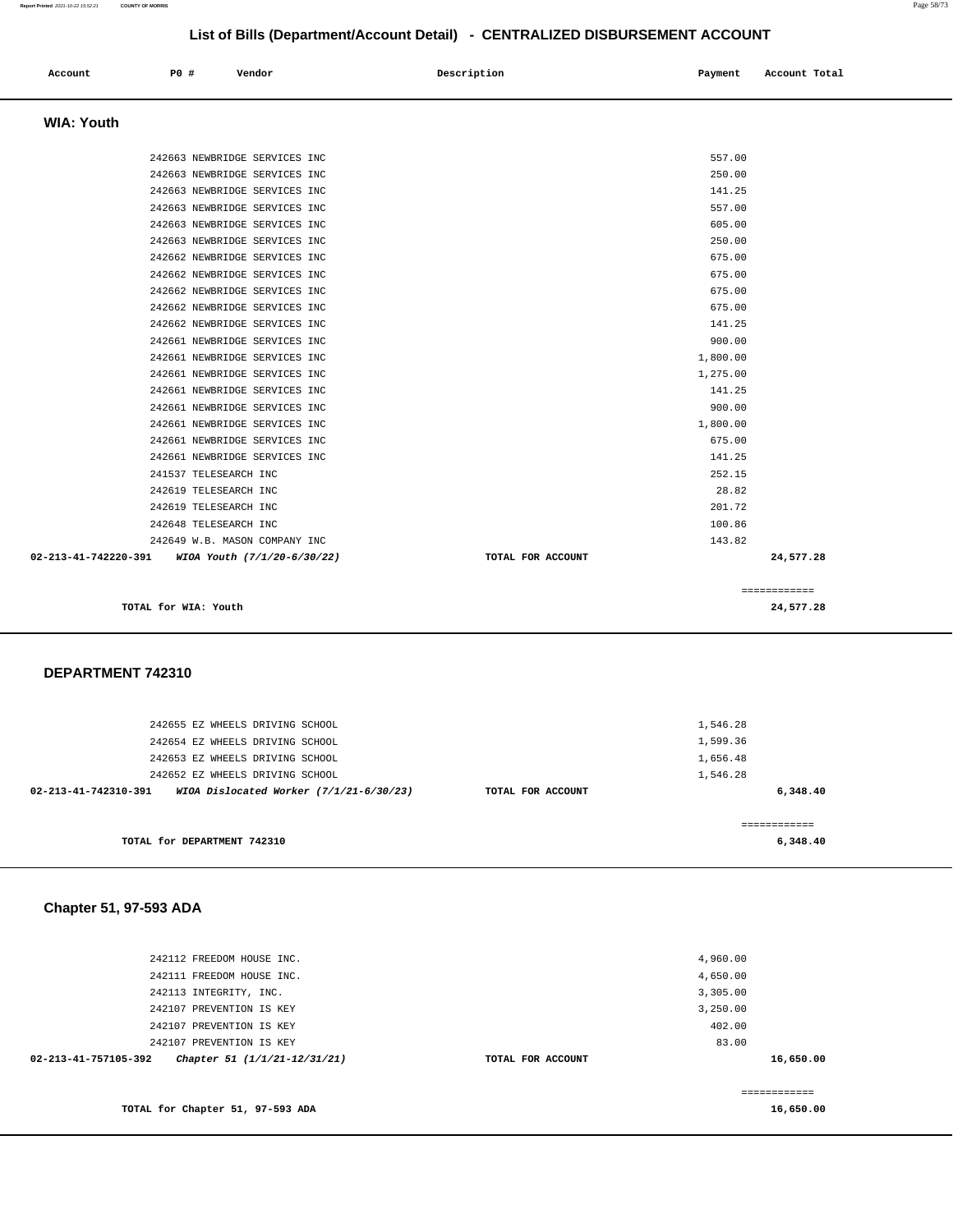| Account           | P0 # | Vendor | Description | Payment | Account Total |
|-------------------|------|--------|-------------|---------|---------------|
| <b>WIA: Youth</b> |      |        |             |         |               |

| TOTAL for WIA: Youth                             |                   | 24,577.28    |
|--------------------------------------------------|-------------------|--------------|
|                                                  |                   | ============ |
| 02-213-41-742220-391 WIOA Youth (7/1/20-6/30/22) | TOTAL FOR ACCOUNT | 24,577.28    |
| 242649 W.B. MASON COMPANY INC                    | 143.82            |              |
| 242648 TELESEARCH INC                            | 100.86            |              |
| 242619 TELESEARCH INC                            | 201.72            |              |
| 242619 TELESEARCH INC                            | 28.82             |              |
| 241537 TELESEARCH INC                            | 252.15            |              |
| 242661 NEWBRIDGE SERVICES INC                    | 141.25            |              |
| 242661 NEWBRIDGE SERVICES INC                    | 675.00            |              |
| 242661 NEWBRIDGE SERVICES INC                    | 1,800.00          |              |
| 242661 NEWBRIDGE SERVICES INC                    | 900.00            |              |
| 242661 NEWBRIDGE SERVICES INC                    | 141.25            |              |
| 242661 NEWBRIDGE SERVICES INC                    | 1,275.00          |              |
| 242661 NEWBRIDGE SERVICES INC                    | 1,800.00          |              |
| 242661 NEWBRIDGE SERVICES INC                    | 900.00            |              |
| 242662 NEWBRIDGE SERVICES INC                    | 141.25            |              |
| 242662 NEWBRIDGE SERVICES INC                    | 675.00            |              |
| 242662 NEWBRIDGE SERVICES INC                    | 675.00            |              |
| 242662 NEWBRIDGE SERVICES INC                    | 675.00            |              |
| 242662 NEWBRIDGE SERVICES INC                    | 675.00            |              |
| 242663 NEWBRIDGE SERVICES INC                    | 250.00            |              |
| 242663 NEWBRIDGE SERVICES INC                    | 605.00            |              |
| 242663 NEWBRIDGE SERVICES INC                    | 557.00            |              |
| 242663 NEWBRIDGE SERVICES INC                    | 141.25            |              |
| 242663 NEWBRIDGE SERVICES INC                    | 250.00            |              |
| 242663 NEWBRIDGE SERVICES INC                    | 557.00            |              |

### **DEPARTMENT 742310**

| 242655 EZ WHEELS DRIVING SCHOOL                                   |                   | 1,546.28 |
|-------------------------------------------------------------------|-------------------|----------|
| 242654 EZ WHEELS DRIVING SCHOOL                                   |                   | 1,599.36 |
| 242653 EZ WHEELS DRIVING SCHOOL                                   |                   | 1,656.48 |
| 242652 EZ WHEELS DRIVING SCHOOL                                   |                   | 1,546.28 |
| WIOA Dislocated Worker $(7/1/21-6/30/23)$<br>02-213-41-742310-391 | TOTAL FOR ACCOUNT | 6,348.40 |
|                                                                   |                   |          |
|                                                                   |                   |          |
| TOTAL for DEPARTMENT 742310                                       |                   | 6,348.40 |
|                                                                   |                   |          |

# **Chapter 51, 97-593 ADA**

| 242112 FREEDOM HOUSE INC.                            |                   | 4,960.00  |
|------------------------------------------------------|-------------------|-----------|
| 242111 FREEDOM HOUSE INC.                            |                   | 4,650.00  |
| 242113 INTEGRITY, INC.                               |                   | 3,305.00  |
| 242107 PREVENTION IS KEY                             |                   | 3,250.00  |
| 242107 PREVENTION IS KEY                             |                   | 402.00    |
| 242107 PREVENTION IS KEY                             |                   | 83.00     |
| 02-213-41-757105-392<br>Chapter 51 (1/1/21-12/31/21) | TOTAL FOR ACCOUNT | 16,650.00 |
|                                                      |                   |           |
|                                                      |                   | --------- |
| TOTAL for Chapter 51, 97-593 ADA                     |                   | 16,650.00 |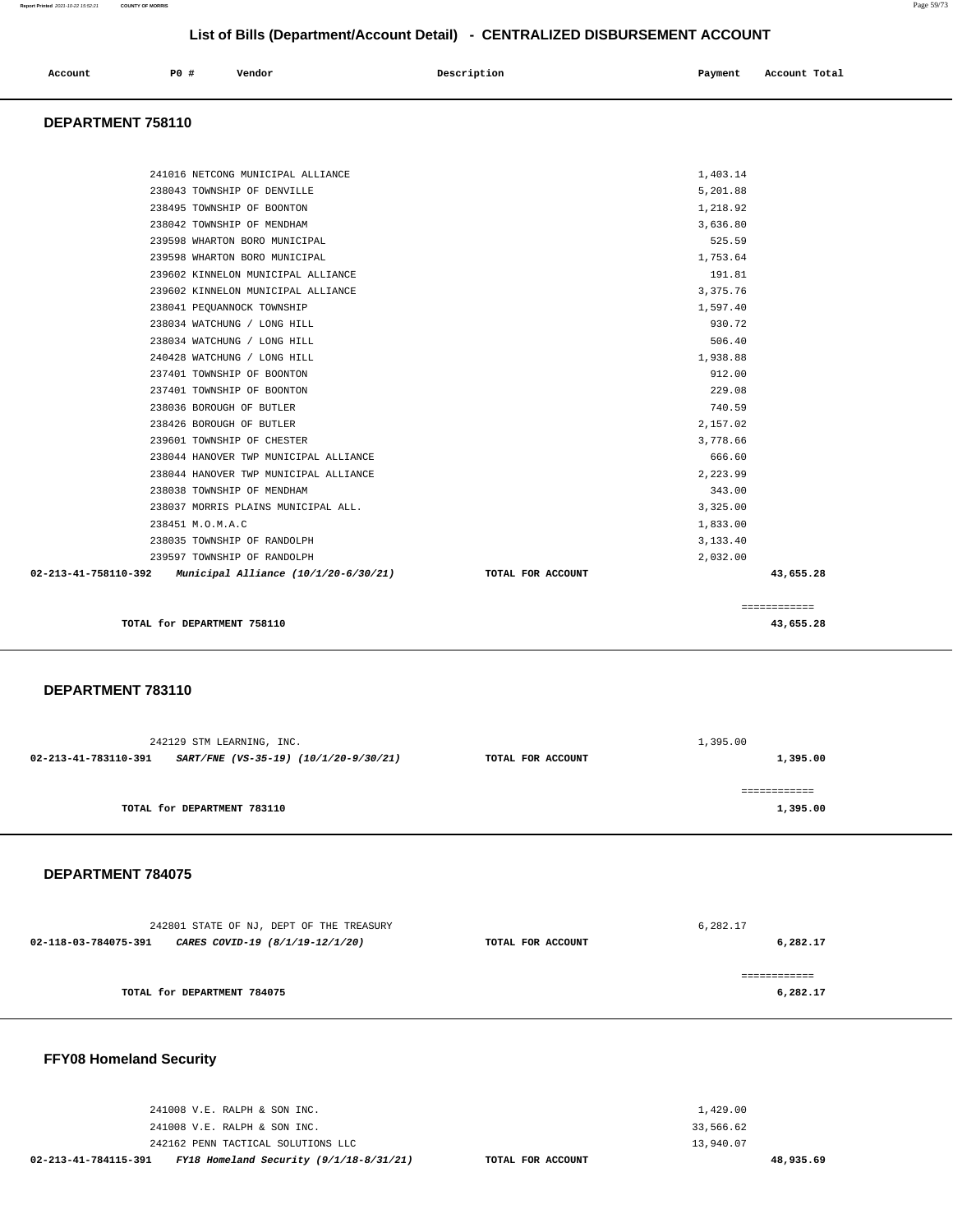| Account<br>. | <b>PO #</b> | Vendor | Description | Payment | Account Total |
|--------------|-------------|--------|-------------|---------|---------------|
|              |             |        |             |         |               |

### **DEPARTMENT 758110**

| TOTAL for DEPARTMENT 758110                                  | 43,655.28                      |  |
|--------------------------------------------------------------|--------------------------------|--|
|                                                              | ============                   |  |
| 02-213-41-758110-392<br>Municipal Alliance (10/1/20-6/30/21) | 43,655.28<br>TOTAL FOR ACCOUNT |  |
| 239597 TOWNSHIP OF RANDOLPH                                  | 2,032.00                       |  |
| 238035 TOWNSHIP OF RANDOLPH                                  | 3,133.40                       |  |
| 238451 M.O.M.A.C                                             | 1,833.00                       |  |
| 238037 MORRIS PLAINS MUNICIPAL ALL.                          | 3,325.00                       |  |
| 238038 TOWNSHIP OF MENDHAM                                   | 343.00                         |  |
| 238044 HANOVER TWP MUNICIPAL ALLIANCE                        | 2,223.99                       |  |
| 238044 HANOVER TWP MUNICIPAL ALLIANCE                        | 666.60                         |  |
| 239601 TOWNSHIP OF CHESTER                                   | 3,778.66                       |  |
| 238426 BOROUGH OF BUTLER                                     | 2,157.02                       |  |
| 238036 BOROUGH OF BUTLER                                     | 740.59                         |  |
| 237401 TOWNSHIP OF BOONTON                                   | 229.08                         |  |
| 237401 TOWNSHIP OF BOONTON                                   | 912.00                         |  |
| 240428 WATCHUNG / LONG HILL                                  | 1,938.88                       |  |
| 238034 WATCHUNG / LONG HILL                                  | 506.40                         |  |
| 238034 WATCHUNG / LONG HILL                                  | 930.72                         |  |
| 238041 PEQUANNOCK TOWNSHIP                                   | 1,597.40                       |  |
| 239602 KINNELON MUNICIPAL ALLIANCE                           | 3, 375.76                      |  |
| 239602 KINNELON MUNICIPAL ALLIANCE                           | 191.81                         |  |
| 239598 WHARTON BORO MUNICIPAL                                | 1,753.64                       |  |
| 239598 WHARTON BORO MUNICIPAL                                | 525.59                         |  |
| 238042 TOWNSHIP OF MENDHAM                                   | 3,636.80                       |  |
| 238495 TOWNSHIP OF BOONTON                                   | 1,218.92                       |  |
| 238043 TOWNSHIP OF DENVILLE                                  | 5,201.88                       |  |
| 241016 NETCONG MUNICIPAL ALLIANCE                            | 1,403.14                       |  |
|                                                              |                                |  |

### **DEPARTMENT 783110**

|                             | 242129 STM LEARNING, INC.             |                   | 1,395.00     |
|-----------------------------|---------------------------------------|-------------------|--------------|
| 02-213-41-783110-391        | SART/FNE (VS-35-19) (10/1/20-9/30/21) | TOTAL FOR ACCOUNT | 1,395.00     |
|                             |                                       |                   | ------------ |
| TOTAL for DEPARTMENT 783110 |                                       |                   | 1,395.00     |
|                             |                                       |                   |              |

### **DEPARTMENT 784075**

| 242801 STATE OF NJ, DEPT OF THE TREASURY                |                   | 6,282.17     |
|---------------------------------------------------------|-------------------|--------------|
| 02-118-03-784075-391<br>CARES COVID-19 (8/1/19-12/1/20) | TOTAL FOR ACCOUNT | 6,282.17     |
|                                                         |                   | ============ |
| TOTAL for DEPARTMENT 784075                             |                   | 6,282.17     |

# **FFY08 Homeland Security**

| 02-213-41-784115-391 | FY18 Homeland Security $(9/1/18-8/31/21)$ | TOTAL FOR ACCOUNT |           | 48,935.69 |
|----------------------|-------------------------------------------|-------------------|-----------|-----------|
|                      | 242162 PENN TACTICAL SOLUTIONS LLC        |                   | 13,940.07 |           |
|                      | 241008 V.E. RALPH & SON INC.              |                   | 33,566.62 |           |
|                      | 241008 V.E. RALPH & SON INC.              |                   | 1,429.00  |           |
|                      |                                           |                   |           |           |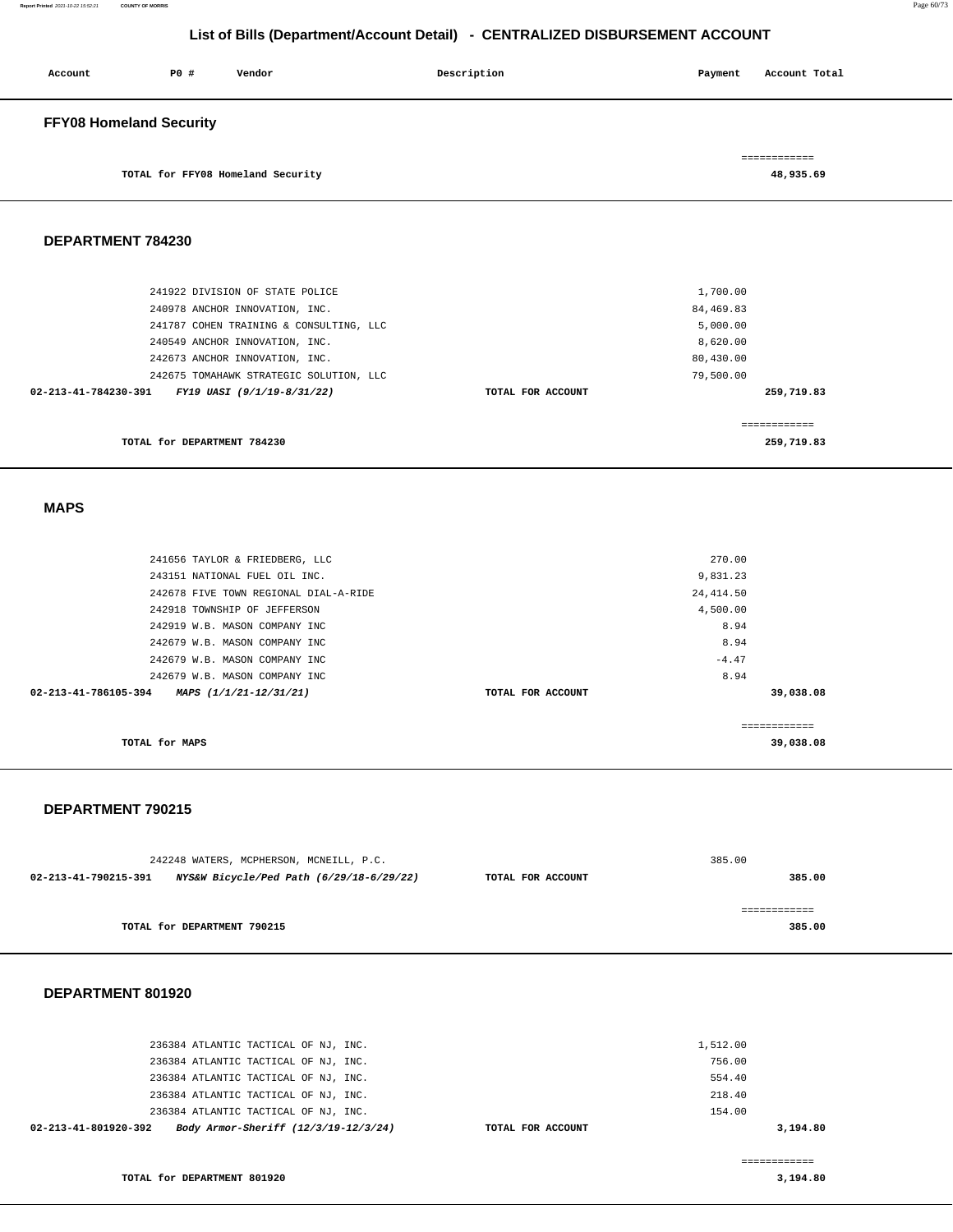| Account                        | P0 # | Vendor                            | Description | Payment | Account Total |
|--------------------------------|------|-----------------------------------|-------------|---------|---------------|
| <b>FFY08 Homeland Security</b> |      |                                   |             |         |               |
|                                |      |                                   |             |         | ============  |
|                                |      | TOTAL for FFY08 Homeland Security |             |         | 48,935.69     |

### **DEPARTMENT 784230**

| 241922 DIVISION OF STATE POLICE                    |                   | 1,700.00   |
|----------------------------------------------------|-------------------|------------|
| 240978 ANCHOR INNOVATION, INC.                     |                   | 84,469.83  |
| 241787 COHEN TRAINING & CONSULTING, LLC            |                   | 5,000.00   |
| 240549 ANCHOR INNOVATION, INC.                     |                   | 8,620.00   |
| 242673 ANCHOR INNOVATION, INC.                     |                   | 80,430.00  |
| 242675 TOMAHAWK STRATEGIC SOLUTION, LLC            |                   | 79,500.00  |
| FY19 UASI (9/1/19-8/31/22)<br>02-213-41-784230-391 | TOTAL FOR ACCOUNT | 259,719.83 |
|                                                    |                   |            |
|                                                    |                   |            |
| TOTAL for DEPARTMENT 784230                        |                   | 259,719.83 |
|                                                    |                   |            |

 **MAPS** 

| TOTAL for MAPS                                 |                   | 39,038.08    |  |
|------------------------------------------------|-------------------|--------------|--|
|                                                |                   | ============ |  |
| 02-213-41-786105-394<br>MAPS (1/1/21-12/31/21) | TOTAL FOR ACCOUNT | 39,038.08    |  |
| 242679 W.B. MASON COMPANY INC                  |                   | 8.94         |  |
| 242679 W.B. MASON COMPANY INC                  |                   | $-4.47$      |  |
| 242679 W.B. MASON COMPANY INC                  |                   | 8.94         |  |
| 242919 W.B. MASON COMPANY INC                  |                   | 8.94         |  |
| 242918 TOWNSHIP OF JEFFERSON                   |                   | 4,500.00     |  |
| 242678 FIVE TOWN REGIONAL DIAL-A-RIDE          |                   | 24, 414.50   |  |
| 243151 NATIONAL FUEL OIL INC.                  |                   | 9,831.23     |  |
| 241656 TAYLOR & FRIEDBERG, LLC                 |                   | 270.00       |  |
|                                                |                   |              |  |

### **DEPARTMENT 790215**

| 242248 WATERS, MCPHERSON, MCNEILL, P.C.                          |                   | 385.00 |
|------------------------------------------------------------------|-------------------|--------|
| NYS&W Bicycle/Ped Path (6/29/18-6/29/22)<br>02-213-41-790215-391 | TOTAL FOR ACCOUNT | 385.00 |
|                                                                  |                   |        |
|                                                                  |                   |        |
| TOTAL for DEPARTMENT 790215                                      |                   | 385.00 |
|                                                                  |                   |        |

### **DEPARTMENT 801920**

| 02-213-41-801920-392 | Body Armor-Sheriff (12/3/19-12/3/24) | TOTAL FOR ACCOUNT |          | 3,194.80 |
|----------------------|--------------------------------------|-------------------|----------|----------|
|                      | 236384 ATLANTIC TACTICAL OF NJ, INC. |                   | 154.00   |          |
|                      | 236384 ATLANTIC TACTICAL OF NJ, INC. |                   | 218.40   |          |
|                      | 236384 ATLANTIC TACTICAL OF NJ, INC. |                   | 554.40   |          |
|                      | 236384 ATLANTIC TACTICAL OF NJ, INC. |                   | 756.00   |          |
|                      | 236384 ATLANTIC TACTICAL OF NJ, INC. |                   | 1,512.00 |          |
|                      |                                      |                   |          |          |

**3,194.80**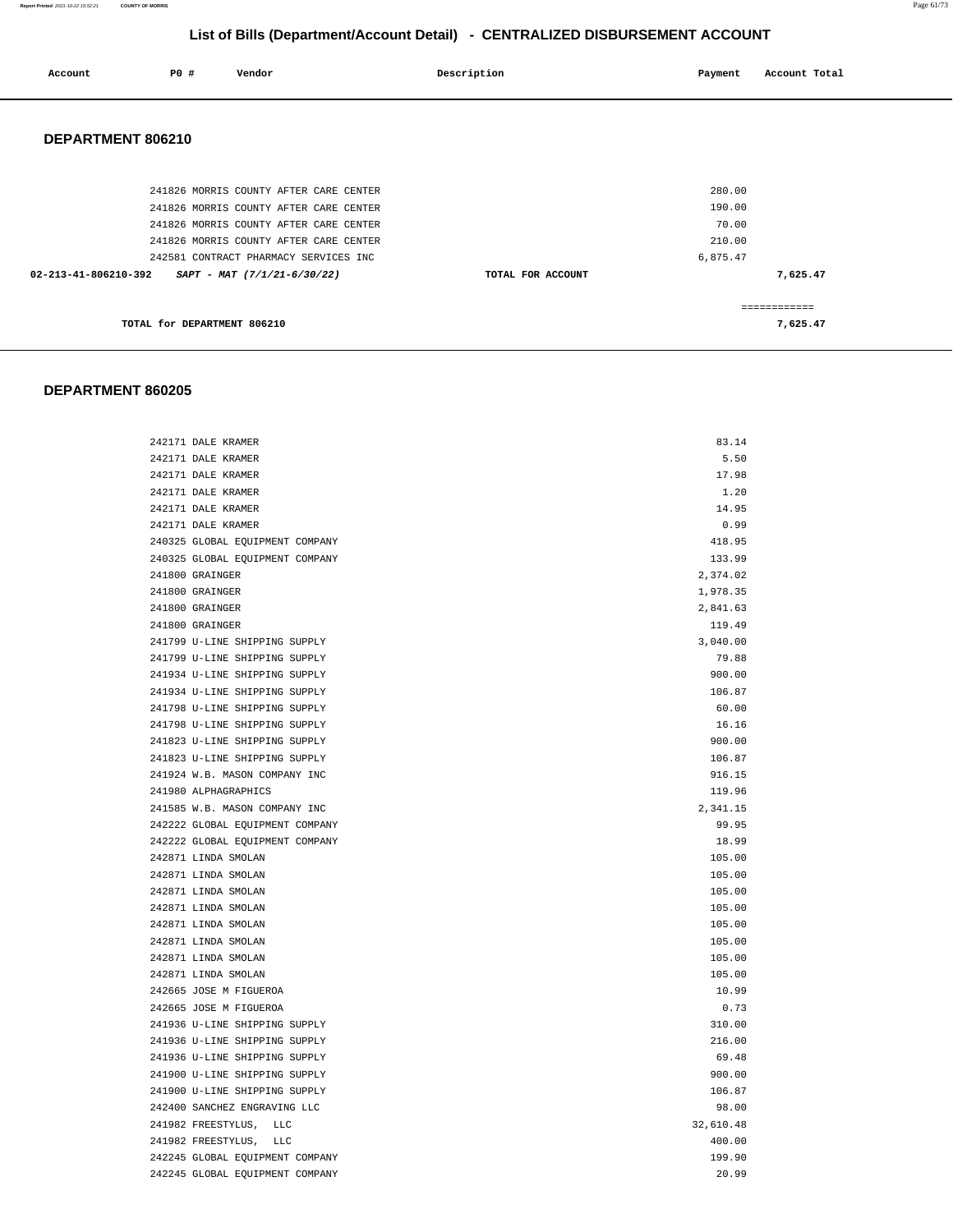| Account | PO# | Vendor | Description | Payment | Account Total |
|---------|-----|--------|-------------|---------|---------------|
|         |     |        |             |         |               |

### **DEPARTMENT 806210**

| 241826 MORRIS COUNTY AFTER CARE CENTER              | 280.00            |          |
|-----------------------------------------------------|-------------------|----------|
| 241826 MORRIS COUNTY AFTER CARE CENTER              | 190.00            |          |
| 241826 MORRIS COUNTY AFTER CARE CENTER              | 70.00             |          |
| 241826 MORRIS COUNTY AFTER CARE CENTER              | 210.00            |          |
| 242581 CONTRACT PHARMACY SERVICES INC               | 6,875.47          |          |
| 02-213-41-806210-392<br>SAPT - MAT (7/1/21-6/30/22) | TOTAL FOR ACCOUNT | 7,625.47 |
|                                                     |                   |          |
| TOTAL for DEPARTMENT 806210                         |                   | 7,625.47 |

| 242171 DALE KRAMER              | 83.14     |
|---------------------------------|-----------|
| 242171 DALE KRAMER              | 5.50      |
| 242171 DALE KRAMER              | 17.98     |
| 242171 DALE KRAMER              | 1.20      |
| 242171 DALE KRAMER              | 14.95     |
| 242171 DALE KRAMER              | 0.99      |
| 240325 GLOBAL EQUIPMENT COMPANY | 418.95    |
| 240325 GLOBAL EQUIPMENT COMPANY | 133.99    |
| 241800 GRAINGER                 | 2,374.02  |
| 241800 GRAINGER                 | 1,978.35  |
| 241800 GRAINGER                 | 2,841.63  |
| 241800 GRAINGER                 | 119.49    |
| 241799 U-LINE SHIPPING SUPPLY   | 3,040.00  |
| 241799 U-LINE SHIPPING SUPPLY   | 79.88     |
| 241934 U-LINE SHIPPING SUPPLY   | 900.00    |
| 241934 U-LINE SHIPPING SUPPLY   | 106.87    |
| 241798 U-LINE SHIPPING SUPPLY   | 60.00     |
| 241798 U-LINE SHIPPING SUPPLY   | 16.16     |
| 241823 U-LINE SHIPPING SUPPLY   | 900.00    |
| 241823 U-LINE SHIPPING SUPPLY   | 106.87    |
| 241924 W.B. MASON COMPANY INC   | 916.15    |
| 241980 ALPHAGRAPHICS            | 119.96    |
| 241585 W.B. MASON COMPANY INC   | 2,341.15  |
| 242222 GLOBAL EQUIPMENT COMPANY | 99.95     |
| 242222 GLOBAL EQUIPMENT COMPANY | 18.99     |
| 242871 LINDA SMOLAN             | 105.00    |
| 242871 LINDA SMOLAN             | 105.00    |
| 242871 LINDA SMOLAN             | 105.00    |
| 242871 LINDA SMOLAN             | 105.00    |
| 242871 LINDA SMOLAN             | 105.00    |
| 242871 LINDA SMOLAN             | 105.00    |
| 242871 LINDA SMOLAN             | 105.00    |
| 242871 LINDA SMOLAN             | 105.00    |
| 242665 JOSE M FIGUEROA          | 10.99     |
| 242665 JOSE M FIGUEROA          | 0.73      |
| 241936 U-LINE SHIPPING SUPPLY   | 310.00    |
| 241936 U-LINE SHIPPING SUPPLY   | 216.00    |
| 241936 U-LINE SHIPPING SUPPLY   | 69.48     |
| 241900 U-LINE SHIPPING SUPPLY   | 900.00    |
| 241900 U-LINE SHIPPING SUPPLY   | 106.87    |
| 242400 SANCHEZ ENGRAVING LLC    | 98.00     |
| 241982 FREESTYLUS, LLC          | 32,610.48 |
| 241982 FREESTYLUS, LLC          | 400.00    |
| 242245 GLOBAL EQUIPMENT COMPANY | 199.90    |
| 242245 GLOBAL EQUIPMENT COMPANY | 20.99     |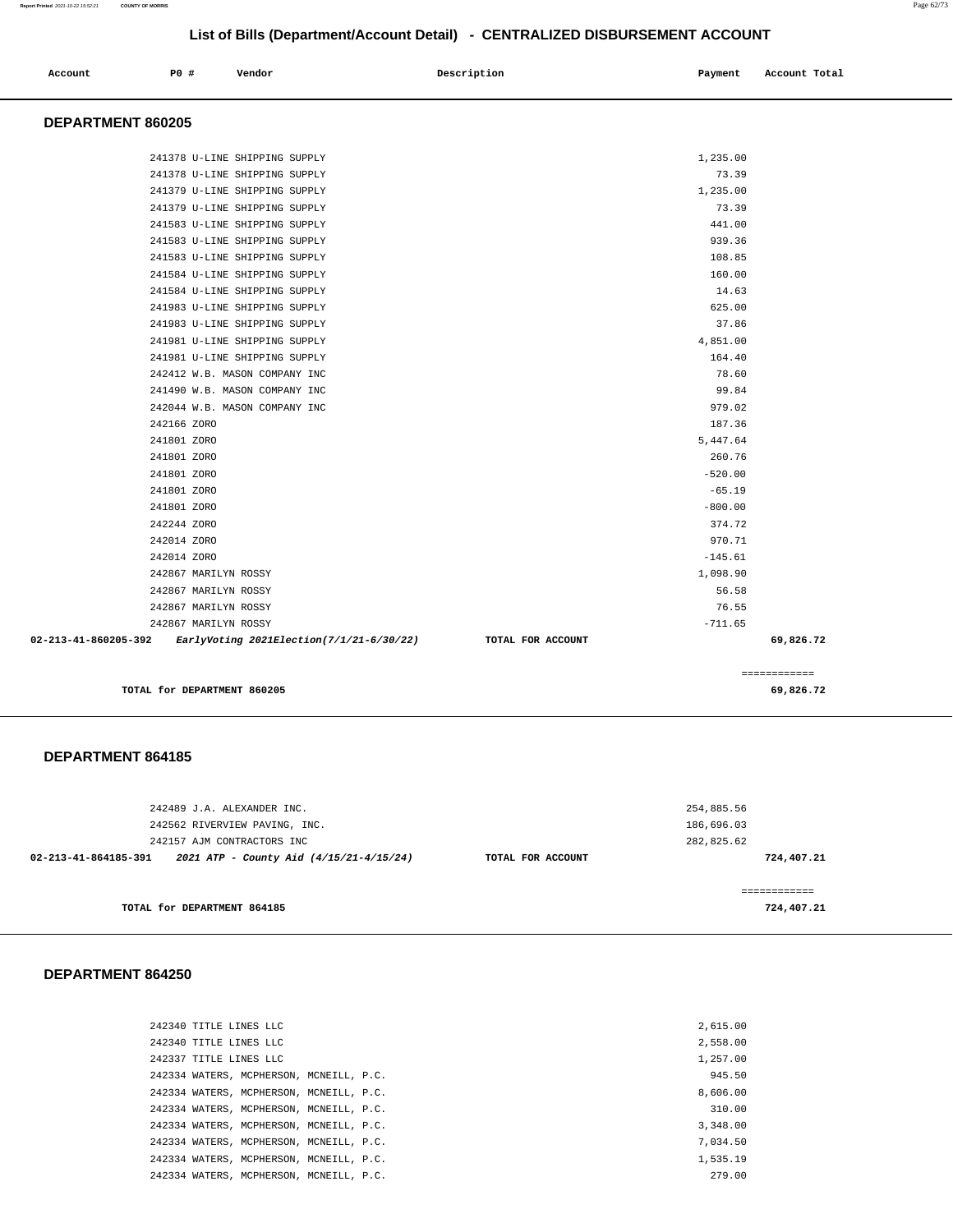============

# **List of Bills (Department/Account Detail) - CENTRALIZED DISBURSEMENT ACCOUNT**

| Account<br>. | P0 # | Vendor | Description | Payment | Account Total |
|--------------|------|--------|-------------|---------|---------------|
|              |      |        |             |         |               |

### **DEPARTMENT 860205**

| 242867 MARILYN ROSSY<br>242867 MARILYN ROSSY | 76.55<br>$-711.65$ |
|----------------------------------------------|--------------------|
| 242867 MARILYN ROSSY                         | 56.58              |
| 242867 MARILYN ROSSY                         | 1,098.90           |
| 242014 ZORO                                  | $-145.61$          |
| 242014 ZORO                                  | 970.71             |
| 242244 ZORO                                  | 374.72             |
| 241801 ZORO                                  | $-800.00$          |
| 241801 ZORO                                  | $-65.19$           |
| 241801 ZORO                                  | $-520.00$          |
| 241801 ZORO                                  | 260.76             |
| 242166 ZORO<br>241801 ZORO                   | 187.36<br>5,447.64 |
| 242044 W.B. MASON COMPANY INC                | 979.02             |
| 241490 W.B. MASON COMPANY INC                | 99.84              |
| 242412 W.B. MASON COMPANY INC                | 78.60              |
| 241981 U-LINE SHIPPING SUPPLY                | 164.40             |
| 241981 U-LINE SHIPPING SUPPLY                | 4,851.00           |
| 241983 U-LINE SHIPPING SUPPLY                | 37.86              |
| 241983 U-LINE SHIPPING SUPPLY                | 625.00             |
| 241584 U-LINE SHIPPING SUPPLY                | 14.63              |
| 241584 U-LINE SHIPPING SUPPLY                | 160.00             |
| 241583 U-LINE SHIPPING SUPPLY                | 108.85             |
| 241583 U-LINE SHIPPING SUPPLY                | 939.36             |
| 241583 U-LINE SHIPPING SUPPLY                | 441.00             |
| 241379 U-LINE SHIPPING SUPPLY                | 73.39              |
| 241379 U-LINE SHIPPING SUPPLY                | 1,235.00           |
| 241378 U-LINE SHIPPING SUPPLY                | 73.39              |

**TOTAL for DEPARTMENT 860205 69,826.72**

### **DEPARTMENT 864185**

| 242489 J.A. ALEXANDER INC.                                      |                   | 254,885.56 |
|-----------------------------------------------------------------|-------------------|------------|
| 242562 RIVERVIEW PAVING, INC.                                   | 186,696.03        |            |
| 242157 AJM CONTRACTORS INC                                      |                   | 282,825.62 |
| 2021 ATP - County Aid (4/15/21-4/15/24)<br>02-213-41-864185-391 | TOTAL FOR ACCOUNT | 724,407.21 |
|                                                                 |                   |            |
|                                                                 |                   |            |
| TOTAL for DEPARTMENT 864185                                     |                   | 724,407.21 |

| 242340 TITLE LINES LLC                  |  | 2,615,00 |
|-----------------------------------------|--|----------|
| 242340 TITLE LINES LLC                  |  | 2,558.00 |
| 242337 TITLE LINES LLC                  |  | 1,257.00 |
| 242334 WATERS, MCPHERSON, MCNEILL, P.C. |  | 945.50   |
| 242334 WATERS, MCPHERSON, MCNEILL, P.C. |  | 8,606.00 |
| 242334 WATERS, MCPHERSON, MCNEILL, P.C. |  | 310.00   |
| 242334 WATERS, MCPHERSON, MCNEILL, P.C. |  | 3,348,00 |
| 242334 WATERS, MCPHERSON, MCNEILL, P.C. |  | 7.034.50 |
| 242334 WATERS, MCPHERSON, MCNEILL, P.C. |  | 1,535.19 |
| 242334 WATERS, MCPHERSON, MCNEILL, P.C. |  | 279.00   |
|                                         |  |          |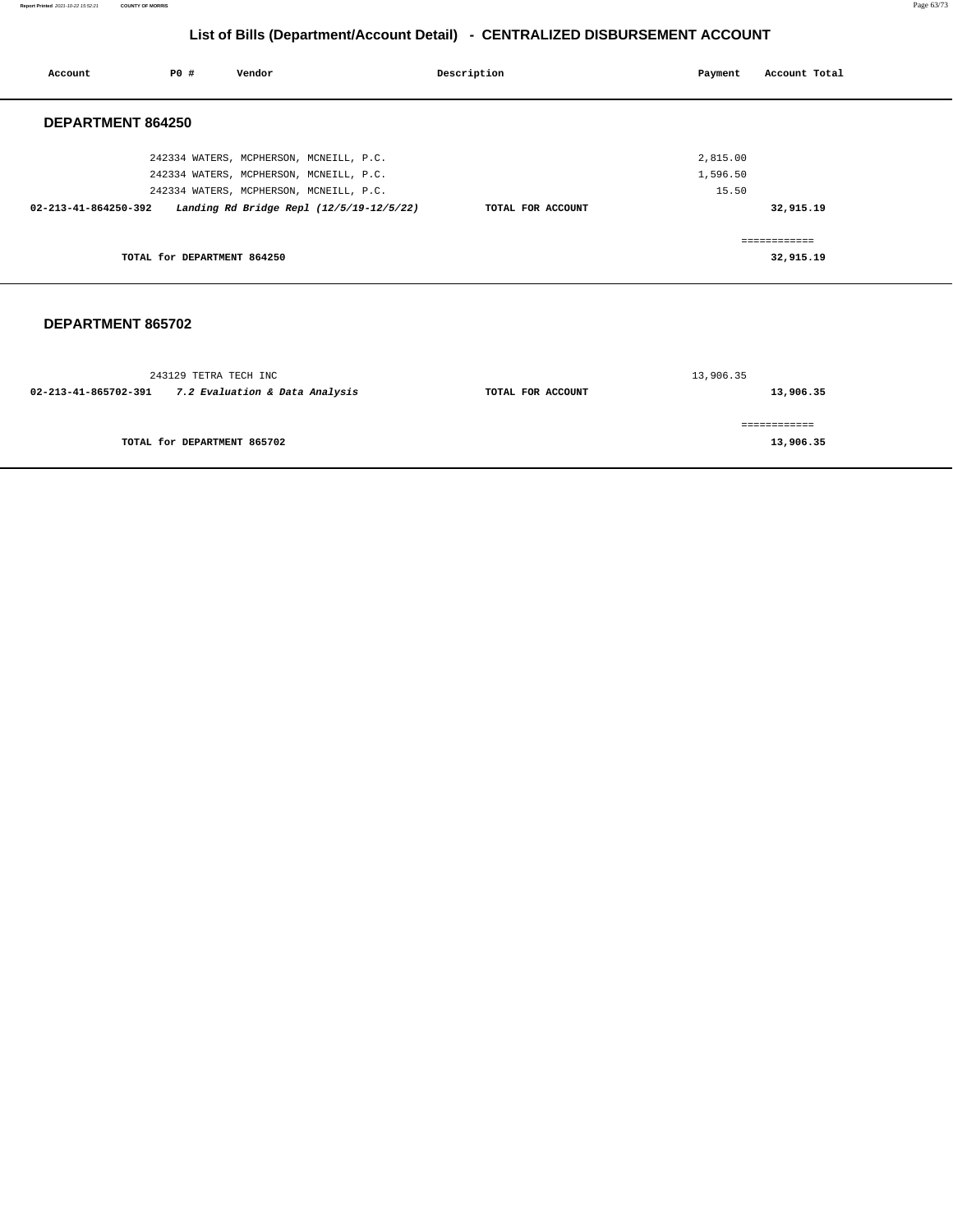**Report Printed** 2021-10-22 15:52:21 **COUNTY OF MORRIS** Page 63/73

# **List of Bills (Department/Account Detail) - CENTRALIZED DISBURSEMENT ACCOUNT**

| Account              | <b>PO #</b>                 | Vendor                                   | Description       | Payment  | Account Total |
|----------------------|-----------------------------|------------------------------------------|-------------------|----------|---------------|
| DEPARTMENT 864250    |                             |                                          |                   |          |               |
|                      |                             | 242334 WATERS, MCPHERSON, MCNEILL, P.C.  |                   | 2,815.00 |               |
|                      |                             | 242334 WATERS, MCPHERSON, MCNEILL, P.C.  |                   | 1,596.50 |               |
|                      |                             | 242334 WATERS, MCPHERSON, MCNEILL, P.C.  |                   | 15.50    |               |
| 02-213-41-864250-392 |                             | Landing Rd Bridge Repl (12/5/19-12/5/22) | TOTAL FOR ACCOUNT |          | 32,915.19     |
|                      |                             |                                          |                   |          | ============  |
|                      | TOTAL for DEPARTMENT 864250 |                                          |                   |          | 32,915.19     |
|                      |                             |                                          |                   |          |               |
|                      |                             |                                          |                   |          |               |

| 243129 TETRA TECH INC                                  |                   | 13,906.35 |
|--------------------------------------------------------|-------------------|-----------|
| 7.2 Evaluation & Data Analysis<br>02-213-41-865702-391 | TOTAL FOR ACCOUNT | 13,906.35 |
|                                                        |                   |           |
| TOTAL for DEPARTMENT 865702                            |                   | 13,906.35 |
|                                                        |                   |           |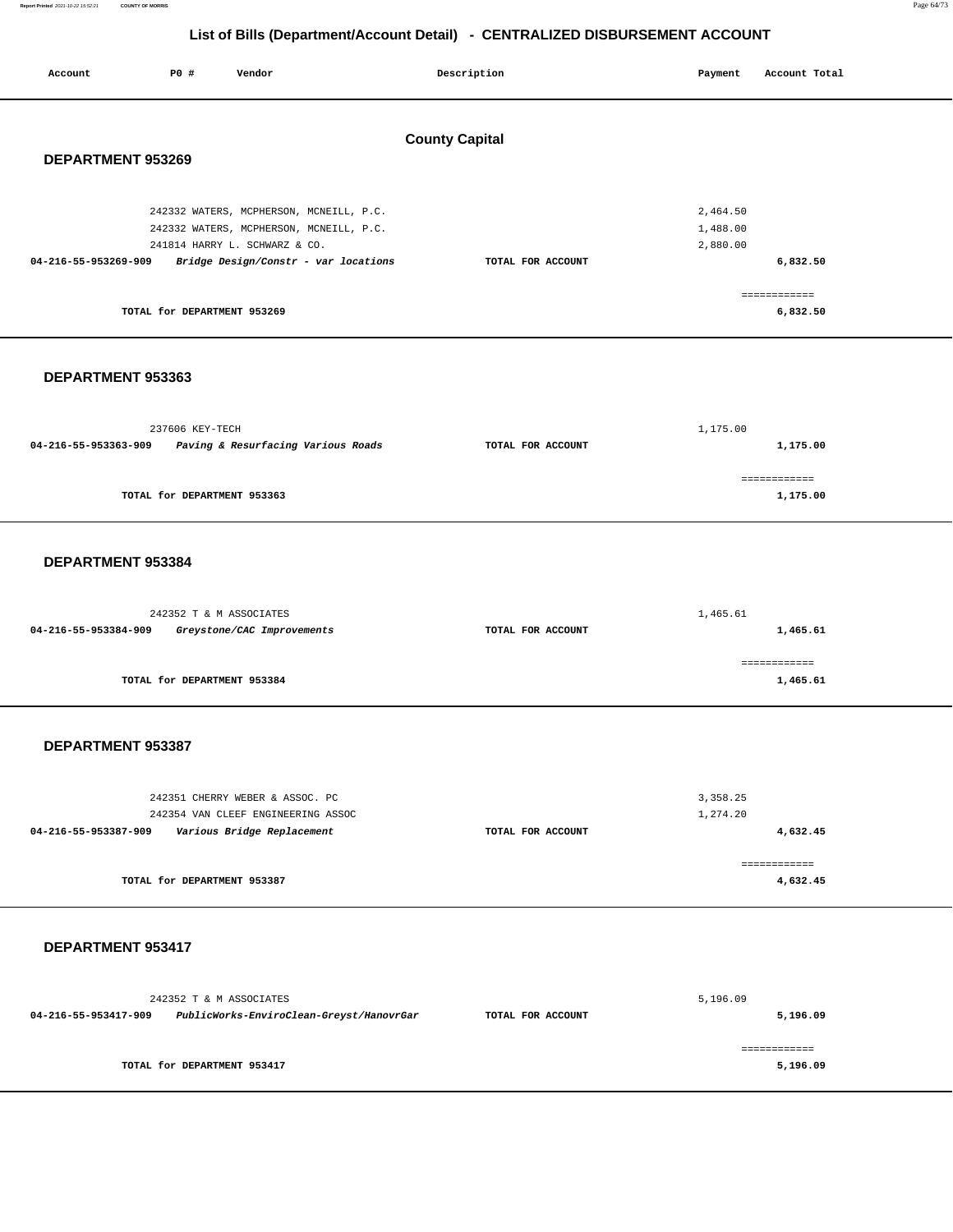| Account                                    | P0 #                        | Vendor                                                                                                                                                      | Description       | Payment                          | Account Total                        |  |  |  |
|--------------------------------------------|-----------------------------|-------------------------------------------------------------------------------------------------------------------------------------------------------------|-------------------|----------------------------------|--------------------------------------|--|--|--|
| <b>County Capital</b><br>DEPARTMENT 953269 |                             |                                                                                                                                                             |                   |                                  |                                      |  |  |  |
| 04-216-55-953269-909                       | TOTAL for DEPARTMENT 953269 | 242332 WATERS, MCPHERSON, MCNEILL, P.C.<br>242332 WATERS, MCPHERSON, MCNEILL, P.C.<br>241814 HARRY L. SCHWARZ & CO.<br>Bridge Design/Constr - var locations | TOTAL FOR ACCOUNT | 2,464.50<br>1,488.00<br>2,880.00 | 6,832.50<br>============<br>6,832.50 |  |  |  |
|                                            | DEPARTMENT 953363           |                                                                                                                                                             |                   |                                  |                                      |  |  |  |
| 04-216-55-953363-909                       | 237606 KEY-TECH             | Paving & Resurfacing Various Roads                                                                                                                          | TOTAL FOR ACCOUNT | 1,175.00                         | 1,175.00                             |  |  |  |
|                                            | TOTAL for DEPARTMENT 953363 |                                                                                                                                                             |                   |                                  | ============<br>1,175.00             |  |  |  |
|                                            | DEPARTMENT 953384           |                                                                                                                                                             |                   |                                  |                                      |  |  |  |
| 04-216-55-953384-909                       | 242352 T & M ASSOCIATES     | Greystone/CAC Improvements                                                                                                                                  | TOTAL FOR ACCOUNT | 1,465.61                         | 1,465.61                             |  |  |  |
|                                            | TOTAL for DEPARTMENT 953384 |                                                                                                                                                             |                   |                                  | ============<br>1,465.61             |  |  |  |
| DEPARTMENT 953387                          |                             |                                                                                                                                                             |                   |                                  |                                      |  |  |  |
| 04-216-55-953387-909                       |                             | 242351 CHERRY WEBER & ASSOC. PC<br>242354 VAN CLEEF ENGINEERING ASSOC<br>Various Bridge Replacement                                                         | TOTAL FOR ACCOUNT | 3,358.25<br>1,274.20             | 4,632.45                             |  |  |  |
|                                            | TOTAL for DEPARTMENT 953387 |                                                                                                                                                             |                   |                                  | ============<br>4,632.45             |  |  |  |
|                                            | DEPARTMENT 953417           |                                                                                                                                                             |                   |                                  |                                      |  |  |  |
| 04-216-55-953417-909                       | 242352 T & M ASSOCIATES     | PublicWorks-EnviroClean-Greyst/HanovrGar                                                                                                                    | TOTAL FOR ACCOUNT | 5,196.09                         | 5,196.09                             |  |  |  |
|                                            | TOTAL for DEPARTMENT 953417 |                                                                                                                                                             |                   |                                  | ============<br>5,196.09             |  |  |  |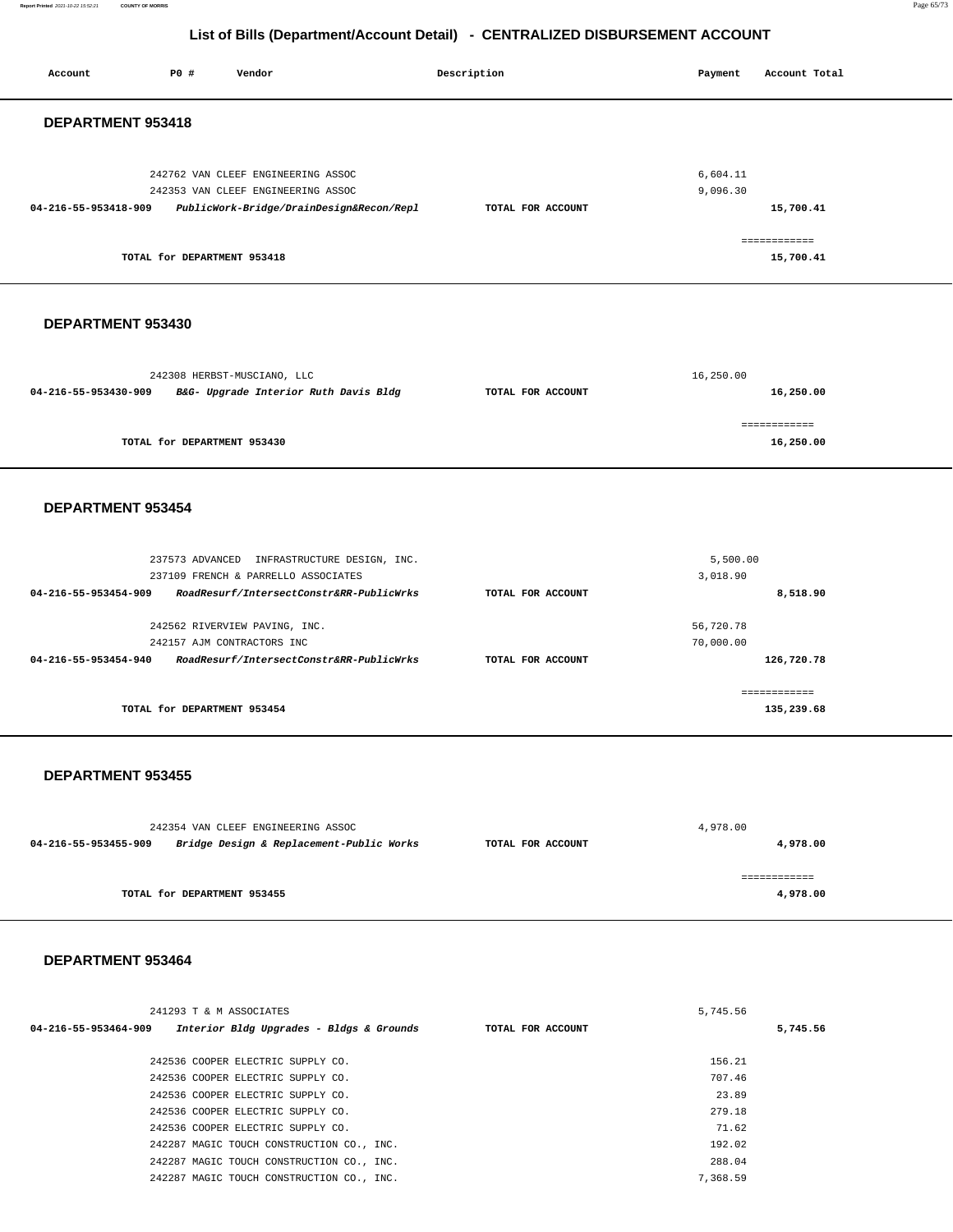#### **Report Printed** 2021-10-22 15:52:21 **COUNTY OF MORRIS** Page 65/73

### **List of Bills (Department/Account Detail) - CENTRALIZED DISBURSEMENT ACCOUNT**

| Account              | P0 #                        | Vendor                                                                                                                                           |  | Description       | Payment                             | Account Total              |  |
|----------------------|-----------------------------|--------------------------------------------------------------------------------------------------------------------------------------------------|--|-------------------|-------------------------------------|----------------------------|--|
| DEPARTMENT 953418    |                             |                                                                                                                                                  |  |                   |                                     |                            |  |
| 04-216-55-953418-909 |                             | 242762 VAN CLEEF ENGINEERING ASSOC<br>242353 VAN CLEEF ENGINEERING ASSOC<br>PublicWork-Bridge/DrainDesign&Recon/Repl                             |  | TOTAL FOR ACCOUNT | 6,604.11<br>9,096.30                | 15,700.41                  |  |
|                      | TOTAL for DEPARTMENT 953418 |                                                                                                                                                  |  |                   |                                     | ------------<br>15,700.41  |  |
| DEPARTMENT 953430    |                             |                                                                                                                                                  |  |                   |                                     |                            |  |
| 04-216-55-953430-909 |                             | 242308 HERBST-MUSCIANO, LLC<br>B&G- Upgrade Interior Ruth Davis Bldg                                                                             |  | TOTAL FOR ACCOUNT | 16,250.00                           | 16,250.00                  |  |
|                      | TOTAL for DEPARTMENT 953430 |                                                                                                                                                  |  |                   |                                     | ============<br>16,250.00  |  |
| DEPARTMENT 953454    |                             |                                                                                                                                                  |  |                   |                                     |                            |  |
| 04-216-55-953454-909 |                             | 237573 ADVANCED INFRASTRUCTURE DESIGN, INC.<br>237109 FRENCH & PARRELLO ASSOCIATES<br>RoadResurf/IntersectConstr&RR-PublicWrks                   |  | TOTAL FOR ACCOUNT | 5,500.00<br>3,018.90                | 8,518.90                   |  |
| 04-216-55-953454-940 |                             | 242562 RIVERVIEW PAVING, INC.<br>242157 AJM CONTRACTORS INC<br>RoadResurf/IntersectConstr&RR-PublicWrks                                          |  | TOTAL FOR ACCOUNT | 56,720.78<br>70,000.00              | 126,720.78                 |  |
|                      | TOTAL for DEPARTMENT 953454 |                                                                                                                                                  |  |                   |                                     | ============<br>135,239.68 |  |
|                      | DEPARTMENT 953455           |                                                                                                                                                  |  |                   |                                     |                            |  |
| 04-216-55-953455-909 |                             | 242354 VAN CLEEF ENGINEERING ASSOC<br>Bridge Design & Replacement-Public Works                                                                   |  | TOTAL FOR ACCOUNT | 4,978.00                            | 4,978.00                   |  |
|                      | TOTAL for DEPARTMENT 953455 |                                                                                                                                                  |  |                   |                                     | ============<br>4,978.00   |  |
| DEPARTMENT 953464    |                             |                                                                                                                                                  |  |                   |                                     |                            |  |
| 04-216-55-953464-909 | 241293 T & M ASSOCIATES     | Interior Bldg Upgrades - Bldgs & Grounds                                                                                                         |  | TOTAL FOR ACCOUNT | 5,745.56                            | 5,745.56                   |  |
|                      |                             | 242536 COOPER ELECTRIC SUPPLY CO.<br>242536 COOPER ELECTRIC SUPPLY CO.<br>242536 COOPER ELECTRIC SUPPLY CO.<br>242536 COOPER ELECTRIC SUPPLY CO. |  |                   | 156.21<br>707.46<br>23.89<br>279.18 |                            |  |

242536 COOPER ELECTRIC SUPPLY CO. 242287 MAGIC TOUCH CONSTRUCTION CO., INC. 242287 MAGIC TOUCH CONSTRUCTION CO., INC. 242287 MAGIC TOUCH CONSTRUCTION CO., INC. 71.62 192.02 288.04 7,368.59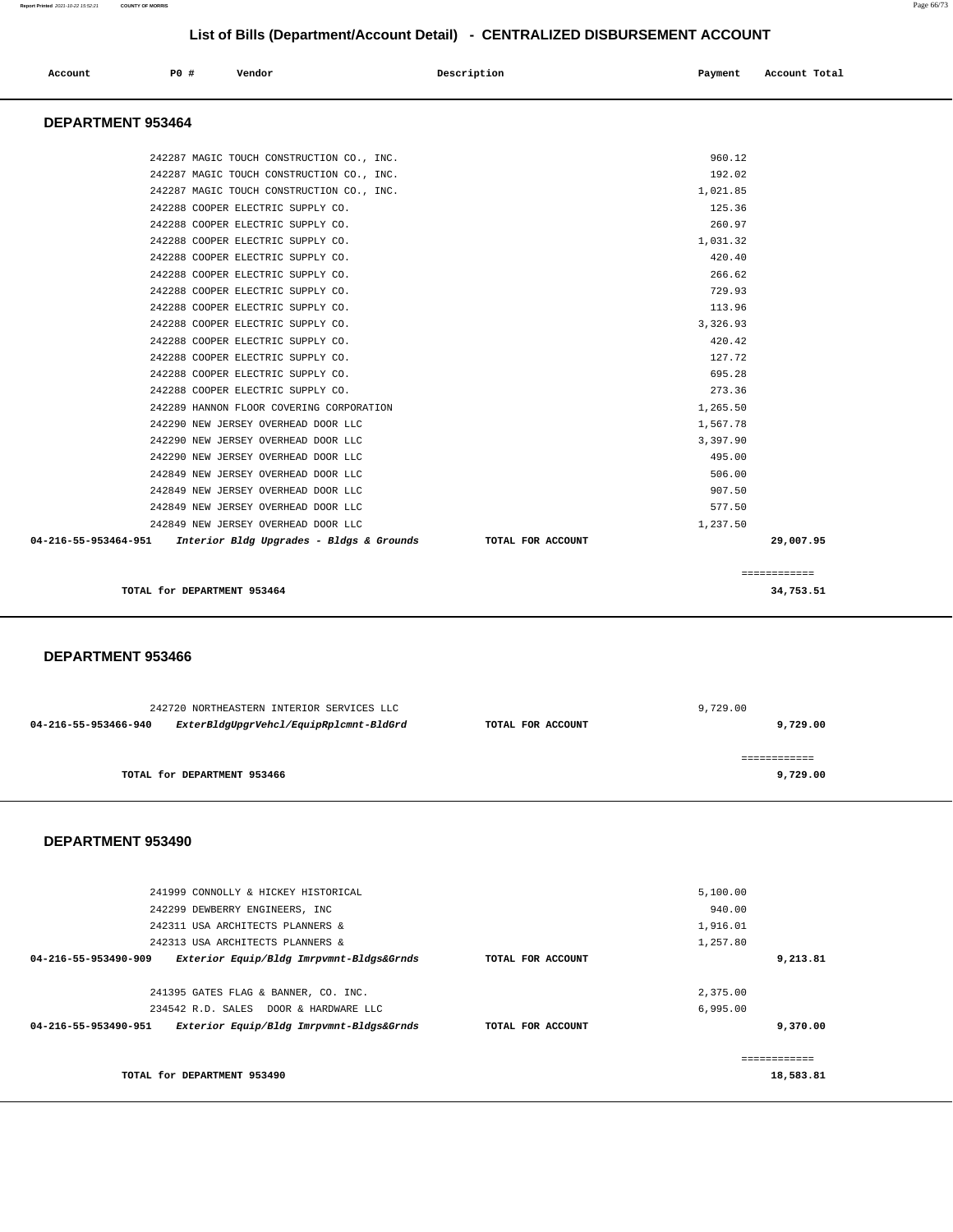| Account              | P0 #                     | Vendor                                    |  | Description       |  | Payment  | Account Total |  |
|----------------------|--------------------------|-------------------------------------------|--|-------------------|--|----------|---------------|--|
|                      | <b>DEPARTMENT 953464</b> |                                           |  |                   |  |          |               |  |
|                      |                          | 242287 MAGIC TOUCH CONSTRUCTION CO., INC. |  |                   |  | 960.12   |               |  |
|                      |                          | 242287 MAGIC TOUCH CONSTRUCTION CO., INC. |  |                   |  | 192.02   |               |  |
|                      |                          | 242287 MAGIC TOUCH CONSTRUCTION CO., INC. |  |                   |  | 1,021.85 |               |  |
|                      |                          | 242288 COOPER ELECTRIC SUPPLY CO.         |  |                   |  | 125.36   |               |  |
|                      |                          | 242288 COOPER ELECTRIC SUPPLY CO.         |  |                   |  | 260.97   |               |  |
|                      |                          | 242288 COOPER ELECTRIC SUPPLY CO.         |  |                   |  | 1,031.32 |               |  |
|                      |                          | 242288 COOPER ELECTRIC SUPPLY CO.         |  |                   |  | 420.40   |               |  |
|                      |                          | 242288 COOPER ELECTRIC SUPPLY CO.         |  |                   |  | 266.62   |               |  |
|                      |                          | 242288 COOPER ELECTRIC SUPPLY CO.         |  |                   |  | 729.93   |               |  |
|                      |                          | 242288 COOPER ELECTRIC SUPPLY CO.         |  |                   |  | 113.96   |               |  |
|                      |                          | 242288 COOPER ELECTRIC SUPPLY CO.         |  |                   |  | 3,326.93 |               |  |
|                      |                          | 242288 COOPER ELECTRIC SUPPLY CO.         |  |                   |  | 420.42   |               |  |
|                      |                          | 242288 COOPER ELECTRIC SUPPLY CO.         |  |                   |  | 127.72   |               |  |
|                      |                          | 242288 COOPER ELECTRIC SUPPLY CO.         |  |                   |  | 695.28   |               |  |
|                      |                          | 242288 COOPER ELECTRIC SUPPLY CO.         |  |                   |  | 273.36   |               |  |
|                      |                          | 242289 HANNON FLOOR COVERING CORPORATION  |  |                   |  | 1,265.50 |               |  |
|                      |                          | 242290 NEW JERSEY OVERHEAD DOOR LLC       |  |                   |  | 1,567.78 |               |  |
|                      |                          | 242290 NEW JERSEY OVERHEAD DOOR LLC       |  |                   |  | 3,397.90 |               |  |
|                      |                          | 242290 NEW JERSEY OVERHEAD DOOR LLC       |  |                   |  | 495.00   |               |  |
|                      |                          | 242849 NEW JERSEY OVERHEAD DOOR LLC       |  |                   |  | 506.00   |               |  |
|                      |                          | 242849 NEW JERSEY OVERHEAD DOOR LLC       |  |                   |  | 907.50   |               |  |
|                      |                          | 242849 NEW JERSEY OVERHEAD DOOR LLC       |  |                   |  | 577.50   |               |  |
|                      |                          | 242849 NEW JERSEY OVERHEAD DOOR LLC       |  |                   |  | 1,237.50 |               |  |
| 04-216-55-953464-951 |                          | Interior Bldg Upgrades - Bldgs & Grounds  |  | TOTAL FOR ACCOUNT |  |          | 29,007.95     |  |
|                      |                          |                                           |  |                   |  |          | ============  |  |
|                      |                          | TOTAL for DEPARTMENT 953464               |  |                   |  |          | 34,753.51     |  |
| DEPARTMENT 953466    |                          |                                           |  |                   |  |          |               |  |
|                      |                          |                                           |  |                   |  |          |               |  |
|                      |                          | 242720 NORTHEASTERN INTERIOR SERVICES LLC |  |                   |  | 9,729.00 |               |  |
| 04-216-55-953466-940 |                          | ExterBldgUpgrVehcl/EquipRplcmnt-BldGrd    |  | TOTAL FOR ACCOUNT |  |          | 9,729.00      |  |
|                      |                          |                                           |  |                   |  |          | ============  |  |
|                      |                          | TOTAL for DEPARTMENT 953466               |  |                   |  |          | 9,729.00      |  |

| 241999 CONNOLLY & HICKEY HISTORICAL                              |                   | 5,100.00  |
|------------------------------------------------------------------|-------------------|-----------|
| 242299 DEWBERRY ENGINEERS, INC                                   |                   | 940.00    |
| 242311 USA ARCHITECTS PLANNERS &                                 | 1,916.01          |           |
| 242313 USA ARCHITECTS PLANNERS &                                 |                   | 1,257.80  |
| 04-216-55-953490-909<br>Exterior Equip/Bldg Imrpvmnt-Bldgs&Grnds | TOTAL FOR ACCOUNT | 9,213.81  |
|                                                                  |                   |           |
| 241395 GATES FLAG & BANNER, CO. INC.                             |                   | 2,375.00  |
| 234542 R.D. SALES DOOR & HARDWARE LLC                            |                   | 6.995.00  |
| 04-216-55-953490-951<br>Exterior Equip/Bldg Imrpvmnt-Bldgs&Grnds | TOTAL FOR ACCOUNT | 9,370.00  |
|                                                                  |                   |           |
|                                                                  |                   |           |
| TOTAL for DEPARTMENT 953490                                      |                   | 18,583.81 |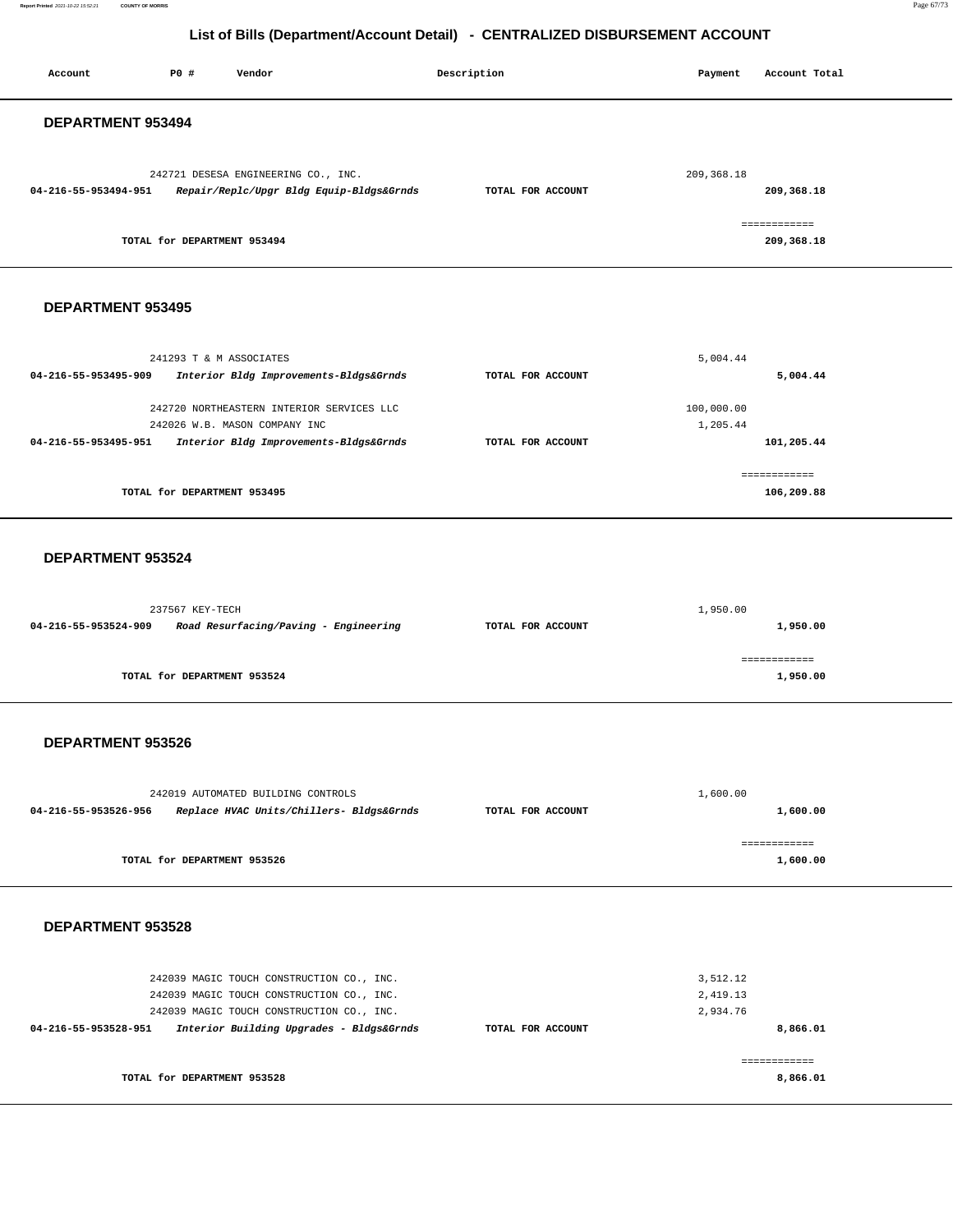| P0 #<br>Account<br>Vendor                                                                                                                                                                               | Description       | Payment                          | Account Total              |  |  |  |  |
|---------------------------------------------------------------------------------------------------------------------------------------------------------------------------------------------------------|-------------------|----------------------------------|----------------------------|--|--|--|--|
| DEPARTMENT 953494                                                                                                                                                                                       |                   |                                  |                            |  |  |  |  |
| 242721 DESESA ENGINEERING CO., INC.<br>04-216-55-953494-951<br>Repair/Replc/Upgr Bldg Equip-Bldgs&Grnds                                                                                                 | TOTAL FOR ACCOUNT | 209, 368.18                      | 209,368.18<br>============ |  |  |  |  |
| TOTAL for DEPARTMENT 953494                                                                                                                                                                             |                   |                                  | 209,368.18                 |  |  |  |  |
| DEPARTMENT 953495                                                                                                                                                                                       |                   |                                  |                            |  |  |  |  |
| 241293 T & M ASSOCIATES<br>04-216-55-953495-909<br>Interior Bldg Improvements-Bldgs&Grnds                                                                                                               | TOTAL FOR ACCOUNT | 5,004.44                         | 5,004.44                   |  |  |  |  |
| 242720 NORTHEASTERN INTERIOR SERVICES LLC<br>242026 W.B. MASON COMPANY INC<br>04-216-55-953495-951<br>Interior Bldg Improvements-Bldgs&Grnds                                                            | TOTAL FOR ACCOUNT | 100,000.00<br>1,205.44           | 101,205.44                 |  |  |  |  |
| TOTAL for DEPARTMENT 953495                                                                                                                                                                             |                   |                                  | ============<br>106,209.88 |  |  |  |  |
| DEPARTMENT 953524                                                                                                                                                                                       |                   |                                  |                            |  |  |  |  |
| 237567 KEY-TECH<br>04-216-55-953524-909<br>Road Resurfacing/Paving - Engineering                                                                                                                        | TOTAL FOR ACCOUNT | 1,950.00                         | 1,950.00                   |  |  |  |  |
| TOTAL for DEPARTMENT 953524                                                                                                                                                                             |                   |                                  | ============<br>1,950.00   |  |  |  |  |
| DEPARTMENT 953526                                                                                                                                                                                       |                   |                                  |                            |  |  |  |  |
| 242019 AUTOMATED BUILDING CONTROLS<br>04-216-55-953526-956<br>Replace HVAC Units/Chillers- Bldgs&Grnds                                                                                                  | TOTAL FOR ACCOUNT | 1,600.00                         | 1,600.00                   |  |  |  |  |
| TOTAL for DEPARTMENT 953526                                                                                                                                                                             |                   |                                  | ------------<br>1,600.00   |  |  |  |  |
| DEPARTMENT 953528                                                                                                                                                                                       |                   |                                  |                            |  |  |  |  |
| 242039 MAGIC TOUCH CONSTRUCTION CO., INC.<br>242039 MAGIC TOUCH CONSTRUCTION CO., INC.<br>242039 MAGIC TOUCH CONSTRUCTION CO., INC.<br>04-216-55-953528-951<br>Interior Building Upgrades - Bldgs&Grnds | TOTAL FOR ACCOUNT | 3,512.12<br>2,419.13<br>2,934.76 | 8,866.01                   |  |  |  |  |
| TOTAL for DEPARTMENT 953528                                                                                                                                                                             |                   |                                  | ============<br>8,866.01   |  |  |  |  |
|                                                                                                                                                                                                         |                   |                                  |                            |  |  |  |  |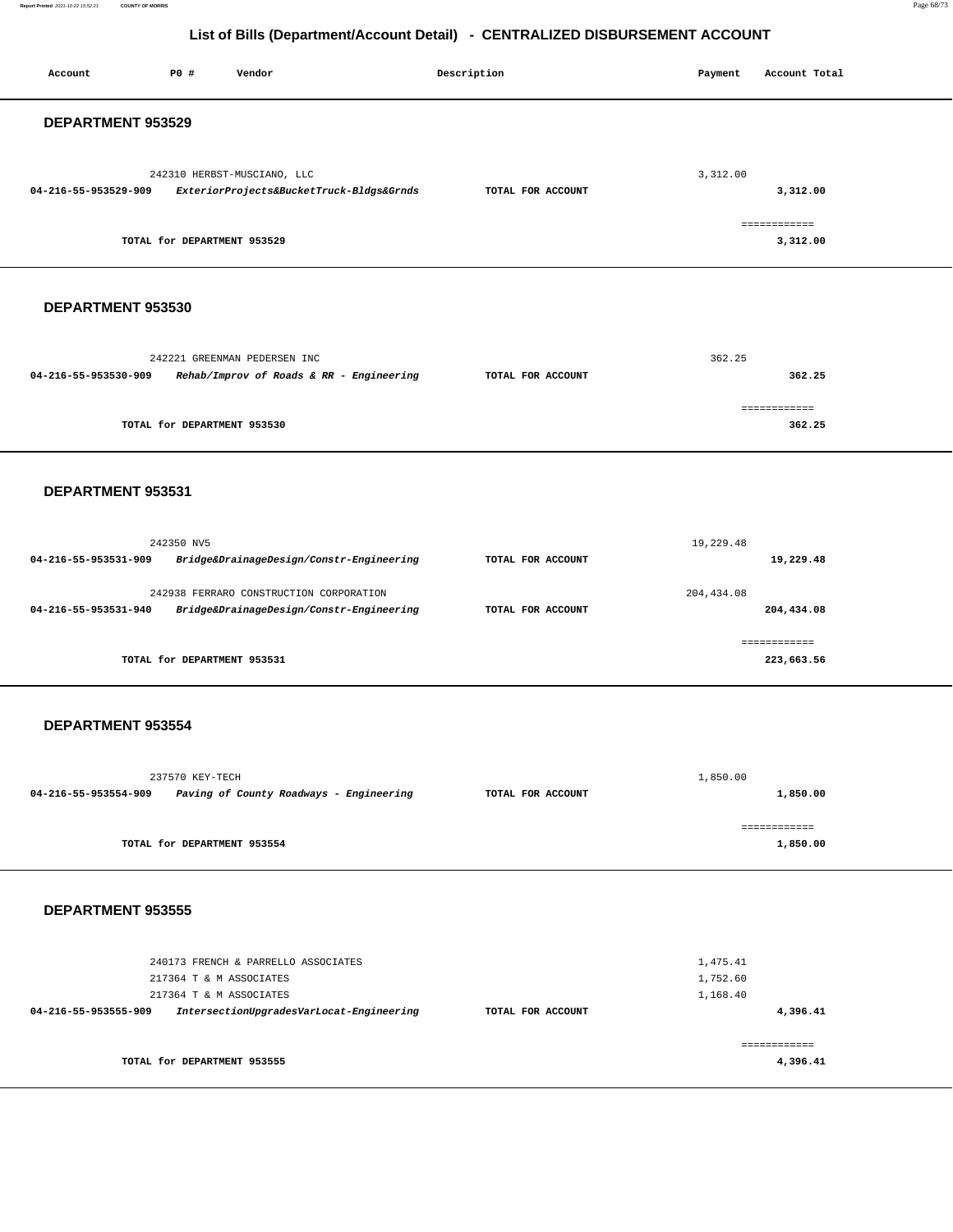#### **Report Printed** 2021-10-22 15:52:21 **COUNTY OF MORRIS** Page 68/73

# **List of Bills (Department/Account Detail) - CENTRALIZED DISBURSEMENT ACCOUNT**

| Account              | P0 #                                               | Vendor                                                                              | Description       | Payment                          | Account Total              |  |  |  |  |
|----------------------|----------------------------------------------------|-------------------------------------------------------------------------------------|-------------------|----------------------------------|----------------------------|--|--|--|--|
|                      | DEPARTMENT 953529                                  |                                                                                     |                   |                                  |                            |  |  |  |  |
| 04-216-55-953529-909 |                                                    | 242310 HERBST-MUSCIANO, LLC<br>ExteriorProjects&BucketTruck-Bldgs&Grnds             | TOTAL FOR ACCOUNT | 3,312.00                         | 3,312.00                   |  |  |  |  |
|                      | TOTAL for DEPARTMENT 953529                        |                                                                                     |                   |                                  | ============<br>3,312.00   |  |  |  |  |
| DEPARTMENT 953530    |                                                    |                                                                                     |                   |                                  |                            |  |  |  |  |
| 04-216-55-953530-909 |                                                    | 242221 GREENMAN PEDERSEN INC<br>Rehab/Improv of Roads & RR - Engineering            | TOTAL FOR ACCOUNT | 362.25                           | 362.25                     |  |  |  |  |
|                      | TOTAL for DEPARTMENT 953530                        |                                                                                     |                   |                                  | ============<br>362.25     |  |  |  |  |
| DEPARTMENT 953531    |                                                    |                                                                                     |                   |                                  |                            |  |  |  |  |
| 04-216-55-953531-909 | 242350 NV5                                         | Bridge&DrainageDesign/Constr-Engineering                                            | TOTAL FOR ACCOUNT | 19,229.48                        | 19,229.48                  |  |  |  |  |
| 04-216-55-953531-940 |                                                    | 242938 FERRARO CONSTRUCTION CORPORATION<br>Bridge&DrainageDesign/Constr-Engineering | TOTAL FOR ACCOUNT | 204, 434.08                      | 204,434.08                 |  |  |  |  |
|                      | TOTAL for DEPARTMENT 953531                        |                                                                                     |                   |                                  | ------------<br>223,663.56 |  |  |  |  |
| DEPARTMENT 953554    |                                                    |                                                                                     |                   |                                  |                            |  |  |  |  |
| 04-216-55-953554-909 | 237570 KEY-TECH                                    | Paving of County Roadways - Engineering                                             | TOTAL FOR ACCOUNT | 1,850.00                         | 1,850.00                   |  |  |  |  |
|                      | TOTAL for DEPARTMENT 953554                        |                                                                                     |                   |                                  | ============<br>1,850.00   |  |  |  |  |
| DEPARTMENT 953555    |                                                    |                                                                                     |                   |                                  |                            |  |  |  |  |
| 04-216-55-953555-909 | 217364 T & M ASSOCIATES<br>217364 T & M ASSOCIATES | 240173 FRENCH & PARRELLO ASSOCIATES<br>IntersectionUpgradesVarLocat-Engineering     | TOTAL FOR ACCOUNT | 1,475.41<br>1,752.60<br>1,168.40 | 4,396.41                   |  |  |  |  |
|                      | TOTAL for DEPARTMENT 953555                        |                                                                                     |                   |                                  | ============<br>4,396.41   |  |  |  |  |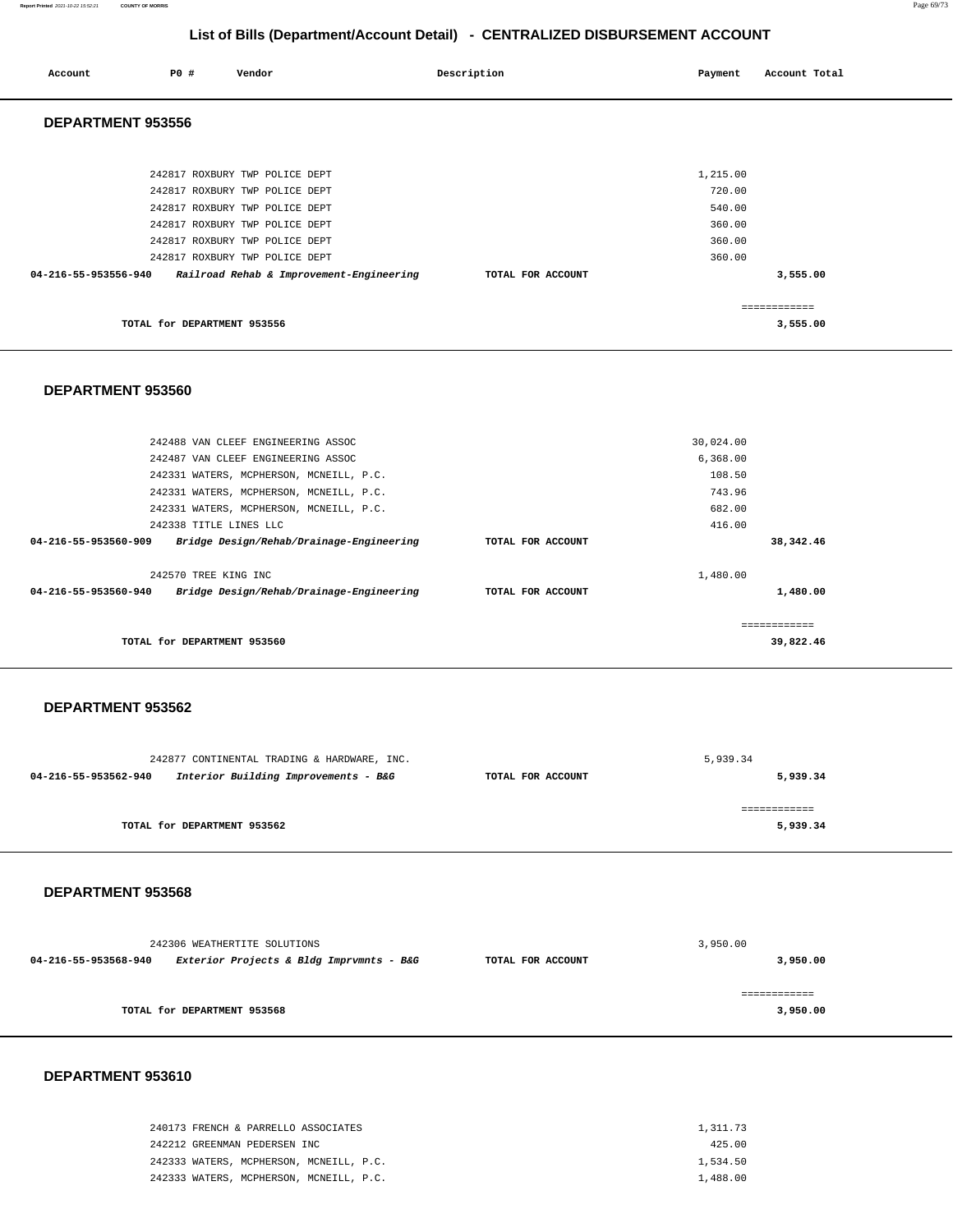| Account                  | <b>PO #</b>                 | Vendor                                   | Description       | Payment  | Account Total |  |  |  |
|--------------------------|-----------------------------|------------------------------------------|-------------------|----------|---------------|--|--|--|
| <b>DEPARTMENT 953556</b> |                             |                                          |                   |          |               |  |  |  |
|                          |                             |                                          |                   |          |               |  |  |  |
|                          |                             | 242817 ROXBURY TWP POLICE DEPT           |                   | 1,215.00 |               |  |  |  |
|                          |                             | 242817 ROXBURY TWP POLICE DEPT           |                   | 720.00   |               |  |  |  |
|                          |                             | 242817 ROXBURY TWP POLICE DEPT           |                   | 540.00   |               |  |  |  |
|                          |                             | 242817 ROXBURY TWP POLICE DEPT           |                   | 360.00   |               |  |  |  |
|                          |                             | 242817 ROXBURY TWP POLICE DEPT           |                   | 360.00   |               |  |  |  |
|                          |                             | 242817 ROXBURY TWP POLICE DEPT           |                   | 360.00   |               |  |  |  |
| 04-216-55-953556-940     |                             | Railroad Rehab & Improvement-Engineering | TOTAL FOR ACCOUNT |          | 3,555.00      |  |  |  |
|                          |                             |                                          |                   |          | ============  |  |  |  |
|                          | TOTAL for DEPARTMENT 953556 |                                          |                   |          | 3,555.00      |  |  |  |

### **DEPARTMENT 953560**

| TOTAL for DEPARTMENT 953560                                      |                   |           | ==========<br>39,822.46 |
|------------------------------------------------------------------|-------------------|-----------|-------------------------|
| Bridge Design/Rehab/Drainage-Engineering<br>04-216-55-953560-940 | TOTAL FOR ACCOUNT |           | 1,480.00                |
| 242570 TREE KING INC                                             |                   | 1,480.00  |                         |
| 04-216-55-953560-909<br>Bridge Design/Rehab/Drainage-Engineering | TOTAL FOR ACCOUNT |           | 38,342.46               |
| 242338 TITLE LINES LLC                                           |                   | 416.00    |                         |
| 242331 WATERS, MCPHERSON, MCNEILL, P.C.                          |                   | 682.00    |                         |
| 242331 WATERS, MCPHERSON, MCNEILL, P.C.                          |                   | 743.96    |                         |
| 242331 WATERS, MCPHERSON, MCNEILL, P.C.                          |                   | 108.50    |                         |
| 242487 VAN CLEEF ENGINEERING ASSOC                               |                   | 6,368.00  |                         |
| 242488 VAN CLEEF ENGINEERING ASSOC                               |                   | 30,024.00 |                         |
|                                                                  |                   |           |                         |

### **DEPARTMENT 953562**

| 242877 CONTINENTAL TRADING & HARDWARE, INC. |                                      |                   | 5,939.34 |
|---------------------------------------------|--------------------------------------|-------------------|----------|
| 04-216-55-953562-940                        | Interior Building Improvements - B&G | TOTAL FOR ACCOUNT | 5,939.34 |
|                                             |                                      |                   |          |
|                                             |                                      |                   |          |
|                                             | TOTAL for DEPARTMENT 953562          |                   | 5,939.34 |
|                                             |                                      |                   |          |

### **DEPARTMENT 953568**

| 242306 WEATHERTITE SOLUTIONS |                                          |                   | 3,950.00 |  |
|------------------------------|------------------------------------------|-------------------|----------|--|
| 04-216-55-953568-940         | Exterior Projects & Bldg Imprvmnts - B&G | TOTAL FOR ACCOUNT | 3,950.00 |  |
|                              | TOTAL for DEPARTMENT 953568              |                   | 3,950.00 |  |

| 240173 FRENCH & PARRELLO ASSOCIATES     | 1,311,73 |
|-----------------------------------------|----------|
| 242212 GREENMAN PEDERSEN INC            | 425.00   |
| 242333 WATERS, MCPHERSON, MCNEILL, P.C. | 1,534.50 |
| 242333 WATERS, MCPHERSON, MCNEILL, P.C. | 1,488.00 |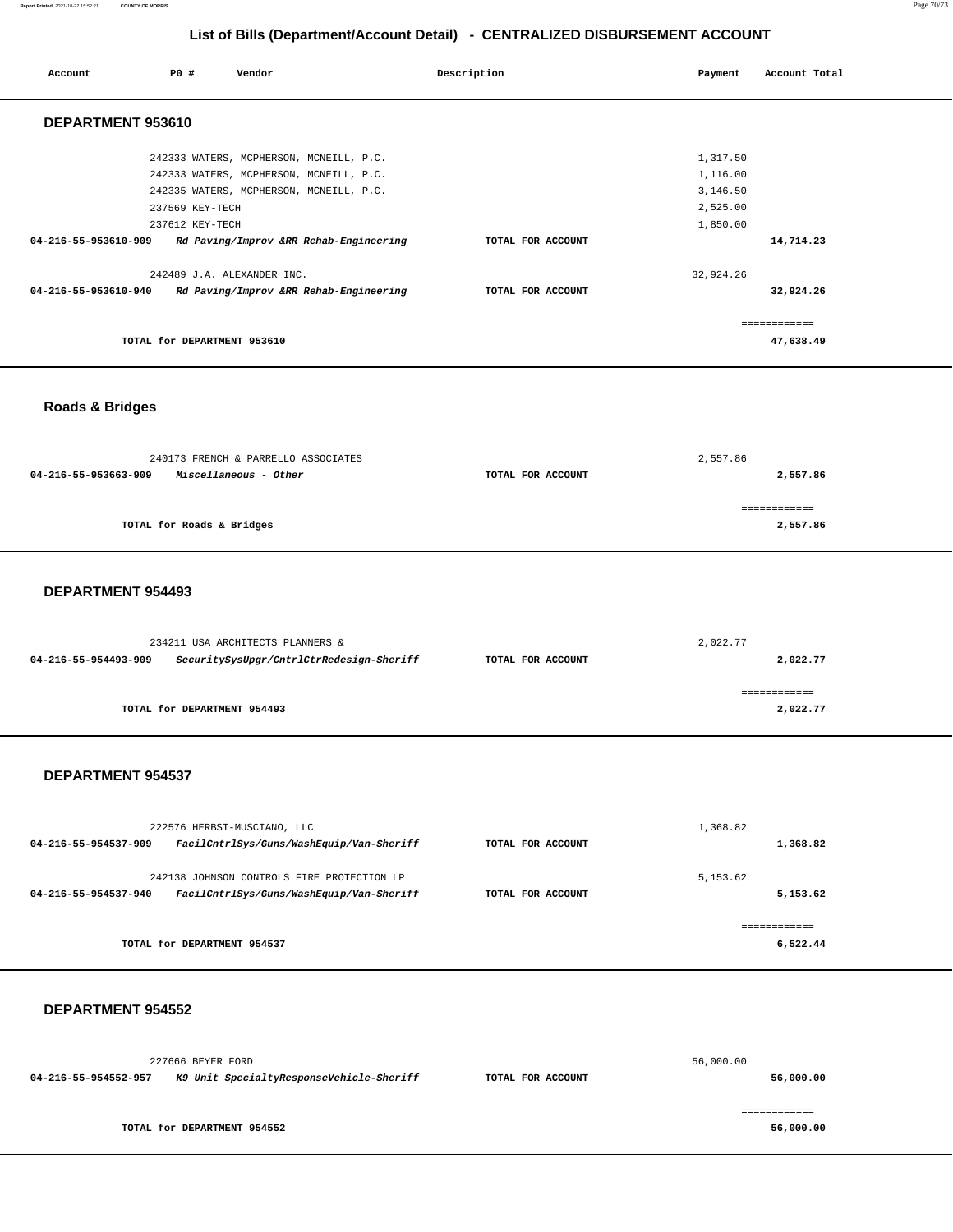| Account              | PO#                         | Vendor                                  | Description       | Payment   | Account Total |
|----------------------|-----------------------------|-----------------------------------------|-------------------|-----------|---------------|
| DEPARTMENT 953610    |                             |                                         |                   |           |               |
|                      |                             | 242333 WATERS, MCPHERSON, MCNEILL, P.C. |                   | 1,317.50  |               |
|                      |                             | 242333 WATERS, MCPHERSON, MCNEILL, P.C. |                   | 1,116.00  |               |
|                      |                             | 242335 WATERS, MCPHERSON, MCNEILL, P.C. |                   | 3,146.50  |               |
|                      | 237569 KEY-TECH             |                                         |                   | 2,525.00  |               |
|                      | 237612 KEY-TECH             |                                         |                   | 1,850.00  |               |
| 04-216-55-953610-909 |                             | Rd Paving/Improv &RR Rehab-Engineering  | TOTAL FOR ACCOUNT |           | 14,714.23     |
|                      | 242489 J.A. ALEXANDER INC.  |                                         |                   | 32,924.26 |               |
| 04-216-55-953610-940 |                             | Rd Paving/Improv &RR Rehab-Engineering  | TOTAL FOR ACCOUNT |           | 32,924.26     |
|                      |                             |                                         |                   |           | ============  |
|                      | TOTAL for DEPARTMENT 953610 |                                         |                   |           | 47,638.49     |

# **Roads & Bridges**

| 240173 FRENCH & PARRELLO ASSOCIATES           |                   | 2,557.86   |  |
|-----------------------------------------------|-------------------|------------|--|
| Miscellaneous - Other<br>04-216-55-953663-909 | TOTAL FOR ACCOUNT | 2,557.86   |  |
|                                               |                   |            |  |
|                                               |                   | ---------- |  |
| TOTAL for Roads & Bridges                     |                   | 2,557.86   |  |
|                                               |                   |            |  |

### **DEPARTMENT 954493**

| 234211 USA ARCHITECTS PLANNERS & |                                          |                   | 2,022.77 |
|----------------------------------|------------------------------------------|-------------------|----------|
| 04-216-55-954493-909             | SecuritySysUpgr/CntrlCtrRedesign-Sheriff | TOTAL FOR ACCOUNT | 2,022.77 |
|                                  |                                          |                   |          |
|                                  |                                          |                   |          |
|                                  | TOTAL for DEPARTMENT 954493              |                   | 2,022.77 |
|                                  |                                          |                   |          |

### **DEPARTMENT 954537**

| 222576 HERBST-MUSCIANO, LLC |                                                                                        |                   | 1,368.82              |
|-----------------------------|----------------------------------------------------------------------------------------|-------------------|-----------------------|
| 04-216-55-954537-909        | FacilCntrlSys/Guns/WashEquip/Van-Sheriff                                               | TOTAL FOR ACCOUNT | 1,368.82              |
| 04-216-55-954537-940        | 242138 JOHNSON CONTROLS FIRE PROTECTION LP<br>FacilCntrlSys/Guns/WashEquip/Van-Sheriff | TOTAL FOR ACCOUNT | 5, 153.62<br>5,153.62 |
|                             |                                                                                        |                   |                       |
|                             | TOTAL for DEPARTMENT 954537                                                            |                   | 6.522.44              |

|                      | 227666 BEYER FORD |                                          |                   | 56,000.00 |
|----------------------|-------------------|------------------------------------------|-------------------|-----------|
| 04-216-55-954552-957 |                   | K9 Unit SpecialtyResponseVehicle-Sheriff | TOTAL FOR ACCOUNT | 56,000.00 |
|                      |                   |                                          |                   |           |
|                      |                   |                                          |                   |           |
|                      |                   | TOTAL for DEPARTMENT 954552              |                   | 56,000.00 |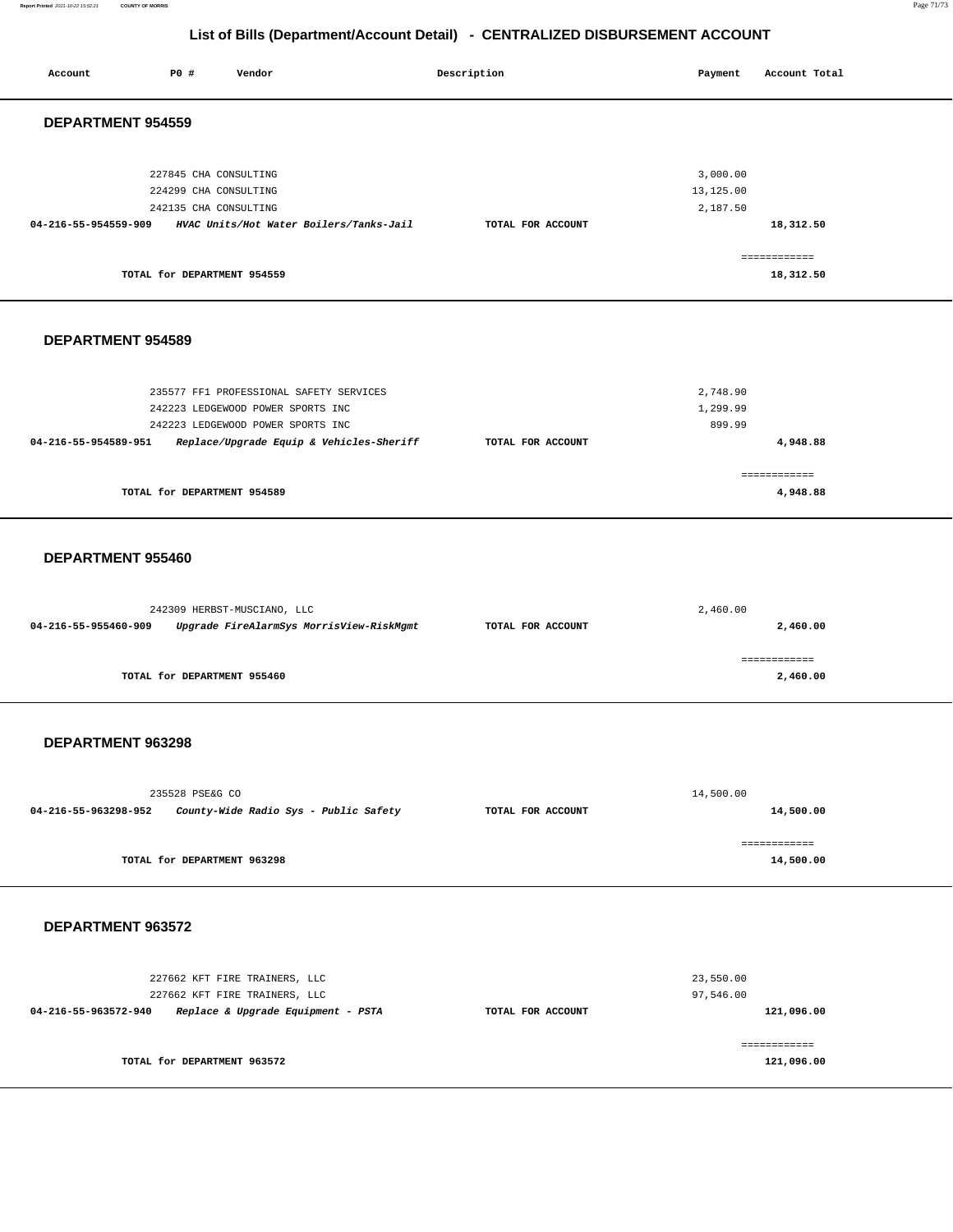**Report Printed** 2021-10-22 15:52:21 **COUNTY OF MORRIS** Page 71/73

# **List of Bills (Department/Account Detail) - CENTRALIZED DISBURSEMENT ACCOUNT**

| P0 #<br>Account<br>Vendor                                                                                                                                                             | Description       | Payment<br>Account Total                                       |
|---------------------------------------------------------------------------------------------------------------------------------------------------------------------------------------|-------------------|----------------------------------------------------------------|
| DEPARTMENT 954559                                                                                                                                                                     |                   |                                                                |
| 227845 CHA CONSULTING<br>224299 CHA CONSULTING<br>242135 CHA CONSULTING<br>04-216-55-954559-909<br>HVAC Units/Hot Water Boilers/Tanks-Jail                                            | TOTAL FOR ACCOUNT | 3,000.00<br>13,125.00<br>2,187.50<br>18,312.50<br>============ |
| TOTAL for DEPARTMENT 954559                                                                                                                                                           |                   | 18,312.50                                                      |
| <b>DEPARTMENT 954589</b>                                                                                                                                                              |                   |                                                                |
| 235577 FF1 PROFESSIONAL SAFETY SERVICES<br>242223 LEDGEWOOD POWER SPORTS INC<br>242223 LEDGEWOOD POWER SPORTS INC<br>04-216-55-954589-951<br>Replace/Upgrade Equip & Vehicles-Sheriff | TOTAL FOR ACCOUNT | 2,748.90<br>1,299.99<br>899.99<br>4,948.88                     |
| TOTAL for DEPARTMENT 954589                                                                                                                                                           |                   | ============<br>4,948.88                                       |
| DEPARTMENT 955460                                                                                                                                                                     |                   |                                                                |
| 242309 HERBST-MUSCIANO, LLC<br>04-216-55-955460-909<br>Upgrade FireAlarmSys MorrisView-RiskMgmt                                                                                       | TOTAL FOR ACCOUNT | 2,460.00<br>2,460.00                                           |
| TOTAL for DEPARTMENT 955460                                                                                                                                                           |                   | ============<br>2,460.00                                       |
| DEPARTMENT 963298                                                                                                                                                                     |                   |                                                                |
| 235528 PSE&G CO<br>04-216-55-963298-952<br>County-Wide Radio Sys - Public Safety                                                                                                      | TOTAL FOR ACCOUNT | 14,500.00<br>14,500.00                                         |
| TOTAL for DEPARTMENT 963298                                                                                                                                                           |                   | ============<br>14,500.00                                      |
| DEPARTMENT 963572                                                                                                                                                                     |                   |                                                                |
| 227662 KFT FIRE TRAINERS, LLC<br>227662 KFT FIRE TRAINERS, LLC<br>04-216-55-963572-940<br>Replace & Upgrade Equipment - PSTA                                                          | TOTAL FOR ACCOUNT | 23,550.00<br>97,546.00<br>121,096.00                           |
| TOTAL for DEPARTMENT 963572                                                                                                                                                           |                   | ------------<br>121,096.00                                     |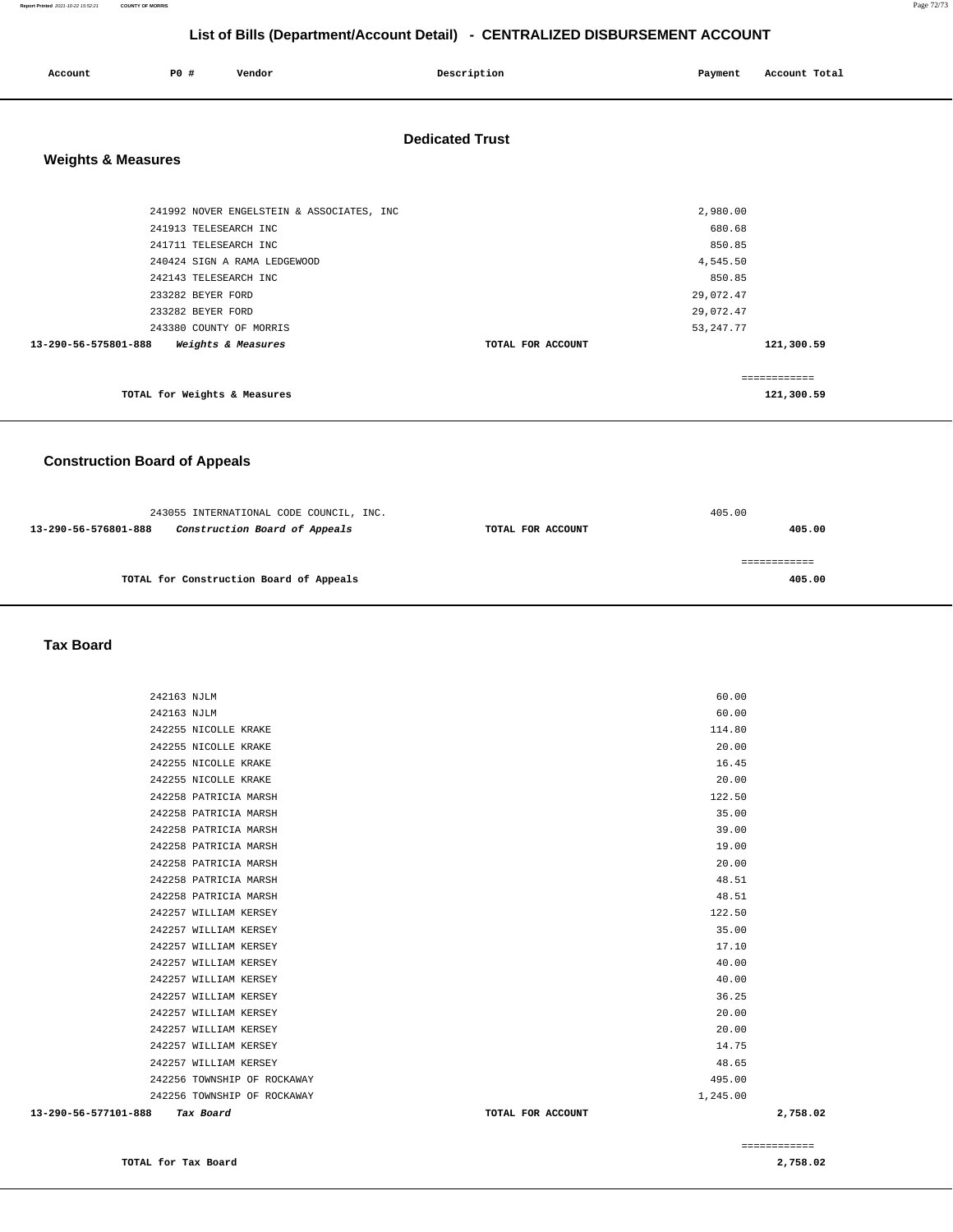| List of Bills (Department/Account Detail) - CENTRALIZED DISBURSEMENT ACCOUNT |                              |                                           |                        |                    |               |  |
|------------------------------------------------------------------------------|------------------------------|-------------------------------------------|------------------------|--------------------|---------------|--|
| Account                                                                      | P0 #                         | Vendor                                    | Description            | Payment            | Account Total |  |
| <b>Weights &amp; Measures</b>                                                |                              |                                           | <b>Dedicated Trust</b> |                    |               |  |
|                                                                              |                              |                                           |                        |                    |               |  |
|                                                                              |                              | 241992 NOVER ENGELSTEIN & ASSOCIATES, INC |                        | 2,980.00           |               |  |
|                                                                              | 241913 TELESEARCH INC        |                                           |                        | 680.68             |               |  |
|                                                                              | 241711 TELESEARCH INC        | 240424 SIGN A RAMA LEDGEWOOD              |                        | 850.85<br>4,545.50 |               |  |
|                                                                              | 242143 TELESEARCH INC        |                                           |                        | 850.85             |               |  |
|                                                                              | 233282 BEYER FORD            |                                           |                        | 29,072.47          |               |  |
|                                                                              | 233282 BEYER FORD            |                                           |                        | 29,072.47          |               |  |
|                                                                              | 243380 COUNTY OF MORRIS      |                                           |                        | 53, 247. 77        |               |  |
| 13-290-56-575801-888                                                         |                              | Weights & Measures                        | TOTAL FOR ACCOUNT      |                    | 121,300.59    |  |
|                                                                              |                              |                                           |                        |                    | ============  |  |
|                                                                              | TOTAL for Weights & Measures |                                           |                        |                    | 121,300.59    |  |
| <b>Construction Board of Appeals</b>                                         |                              |                                           |                        |                    |               |  |

| 243055 INTERNATIONAL CODE COUNCIL, INC. |                                         | 405.00            |        |
|-----------------------------------------|-----------------------------------------|-------------------|--------|
| 13-290-56-576801-888                    | Construction Board of Appeals           | TOTAL FOR ACCOUNT | 405.00 |
|                                         |                                         |                   |        |
|                                         |                                         |                   |        |
|                                         | TOTAL for Construction Board of Appeals |                   | 405.00 |
|                                         |                                         |                   |        |

 **Tax Board** 

| 13-290-56-577101-888 | Tax Board                   | TOTAL FOR ACCOUNT | 2,758.02 |
|----------------------|-----------------------------|-------------------|----------|
|                      | 242256 TOWNSHIP OF ROCKAWAY | 1,245.00          |          |
|                      | 242256 TOWNSHIP OF ROCKAWAY | 495.00            |          |
|                      | 242257 WILLIAM KERSEY       | 48.65             |          |
|                      | 242257 WILLIAM KERSEY       | 14.75             |          |
|                      | 242257 WILLIAM KERSEY       | 20.00             |          |
|                      | 242257 WILLIAM KERSEY       | 20.00             |          |
|                      | 242257 WILLIAM KERSEY       | 36.25             |          |
|                      | 242257 WILLIAM KERSEY       | 40.00             |          |
|                      | 242257 WILLIAM KERSEY       | 40.00             |          |
|                      | 242257 WILLIAM KERSEY       | 17.10             |          |
|                      | 242257 WILLIAM KERSEY       | 35.00             |          |
|                      | 242257 WILLIAM KERSEY       | 122.50            |          |
|                      | 242258 PATRICIA MARSH       | 48.51             |          |
|                      | 242258 PATRICIA MARSH       | 48.51             |          |
|                      | 242258 PATRICIA MARSH       | 20.00             |          |
|                      | 242258 PATRICIA MARSH       | 19.00             |          |
|                      | 242258 PATRICIA MARSH       | 39.00             |          |
|                      | 242258 PATRICIA MARSH       | 35.00             |          |
|                      | 242258 PATRICIA MARSH       | 122.50            |          |
|                      | 242255 NICOLLE KRAKE        | 20.00             |          |
|                      | 242255 NICOLLE KRAKE        | 16.45             |          |
|                      | 242255 NICOLLE KRAKE        | 20.00             |          |
|                      | 242255 NICOLLE KRAKE        | 114.80            |          |
| 242163 NJLM          |                             | 60.00             |          |
| 242163 NJLM          |                             | 60.00             |          |
|                      |                             |                   |          |

============

**TOTAL for Tax Board [2,758.02](https://2,758.02)**